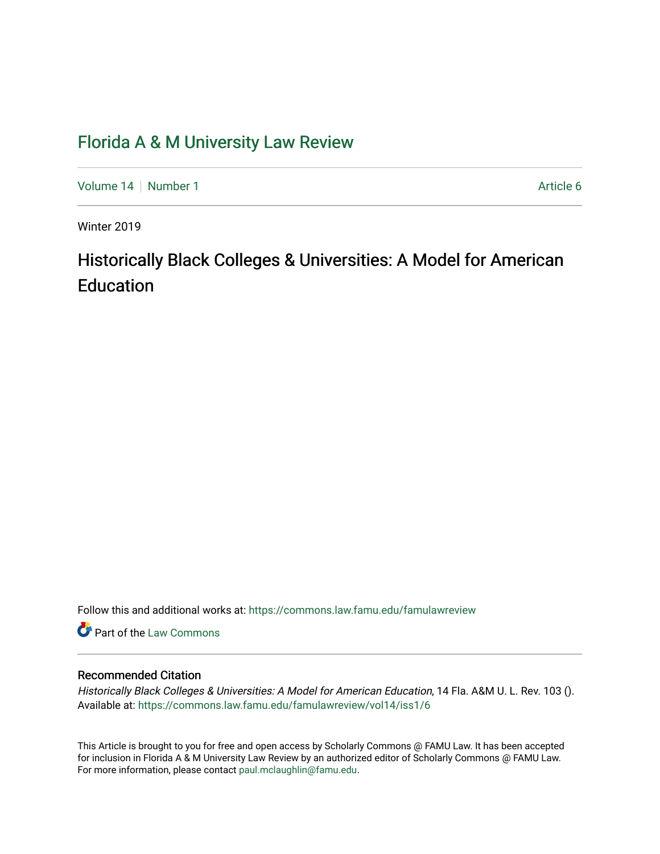# [Florida A & M University Law Review](https://commons.law.famu.edu/famulawreview)

[Volume 14](https://commons.law.famu.edu/famulawreview/vol14) | [Number 1](https://commons.law.famu.edu/famulawreview/vol14/iss1) Article 6

Winter 2019

# Historically Black Colleges & Universities: A Model for American Education

Follow this and additional works at: [https://commons.law.famu.edu/famulawreview](https://commons.law.famu.edu/famulawreview?utm_source=commons.law.famu.edu%2Ffamulawreview%2Fvol14%2Fiss1%2F6&utm_medium=PDF&utm_campaign=PDFCoverPages) 

Part of the [Law Commons](http://network.bepress.com/hgg/discipline/578?utm_source=commons.law.famu.edu%2Ffamulawreview%2Fvol14%2Fiss1%2F6&utm_medium=PDF&utm_campaign=PDFCoverPages)

### Recommended Citation

Historically Black Colleges & Universities: A Model for American Education, 14 Fla. A&M U. L. Rev. 103 (). Available at: [https://commons.law.famu.edu/famulawreview/vol14/iss1/6](https://commons.law.famu.edu/famulawreview/vol14/iss1/6?utm_source=commons.law.famu.edu%2Ffamulawreview%2Fvol14%2Fiss1%2F6&utm_medium=PDF&utm_campaign=PDFCoverPages)

This Article is brought to you for free and open access by Scholarly Commons @ FAMU Law. It has been accepted for inclusion in Florida A & M University Law Review by an authorized editor of Scholarly Commons @ FAMU Law. For more information, please contact [paul.mclaughlin@famu.edu](mailto:paul.mclaughlin@famu.edu).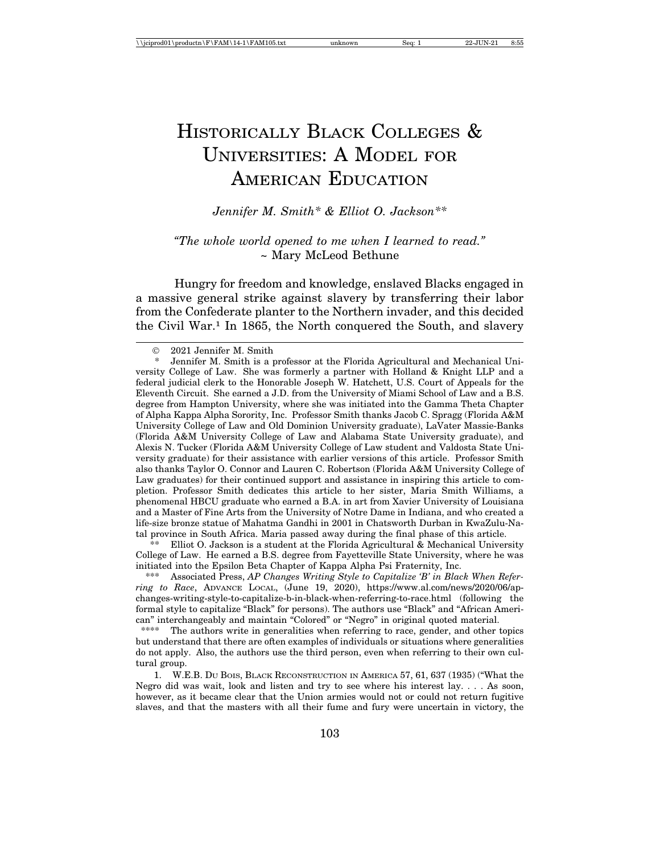# HISTORICALLY BLACK COLLEGES & UNIVERSITIES: A MODEL FOR AMERICAN EDUCATION

*Jennifer M. Smith\* & Elliot O. Jackson\*\**

*"The whole world opened to me when I learned to read."* ~ Mary McLeod Bethune

Hungry for freedom and knowledge, enslaved Blacks engaged in a massive general strike against slavery by transferring their labor from the Confederate planter to the Northern invader, and this decided the Civil War.1 In 1865, the North conquered the South, and slavery

Elliot O. Jackson is a student at the Florida Agricultural & Mechanical University College of Law. He earned a B.S. degree from Fayetteville State University, where he was initiated into the Epsilon Beta Chapter of Kappa Alpha Psi Fraternity, Inc.

\*\*\* Associated Press, *AP Changes Writing Style to Capitalize 'B' in Black When Referring to Race*, ADVANCE LOCAL, (June 19, 2020), https://www.al.com/news/2020/06/apchanges-writing-style-to-capitalize-b-in-black-when-referring-to-race.html (following the formal style to capitalize "Black" for persons). The authors use "Black" and "African American" interchangeably and maintain "Colored" or "Negro" in original quoted material.

The authors write in generalities when referring to race, gender, and other topics but understand that there are often examples of individuals or situations where generalities do not apply. Also, the authors use the third person, even when referring to their own cultural group.

1. W.E.B. DU BOIS, BLACK RECONSTRUCTION IN AMERICA 57, 61, 637 (1935) ("What the Negro did was wait, look and listen and try to see where his interest lay. . . . As soon, however, as it became clear that the Union armies would not or could not return fugitive slaves, and that the masters with all their fume and fury were uncertain in victory, the

<sup>©</sup> 2021 Jennifer M. Smith

Jennifer M. Smith is a professor at the Florida Agricultural and Mechanical University College of Law. She was formerly a partner with Holland & Knight LLP and a federal judicial clerk to the Honorable Joseph W. Hatchett, U.S. Court of Appeals for the Eleventh Circuit. She earned a J.D. from the University of Miami School of Law and a B.S. degree from Hampton University, where she was initiated into the Gamma Theta Chapter of Alpha Kappa Alpha Sorority, Inc. Professor Smith thanks Jacob C. Spragg (Florida A&M University College of Law and Old Dominion University graduate), LaVater Massie-Banks (Florida A&M University College of Law and Alabama State University graduate), and Alexis N. Tucker (Florida A&M University College of Law student and Valdosta State University graduate) for their assistance with earlier versions of this article. Professor Smith also thanks Taylor O. Connor and Lauren C. Robertson (Florida A&M University College of Law graduates) for their continued support and assistance in inspiring this article to completion. Professor Smith dedicates this article to her sister, Maria Smith Williams, a phenomenal HBCU graduate who earned a B.A. in art from Xavier University of Louisiana and a Master of Fine Arts from the University of Notre Dame in Indiana, and who created a life-size bronze statue of Mahatma Gandhi in 2001 in Chatsworth Durban in KwaZulu-Natal province in South Africa. Maria passed away during the final phase of this article.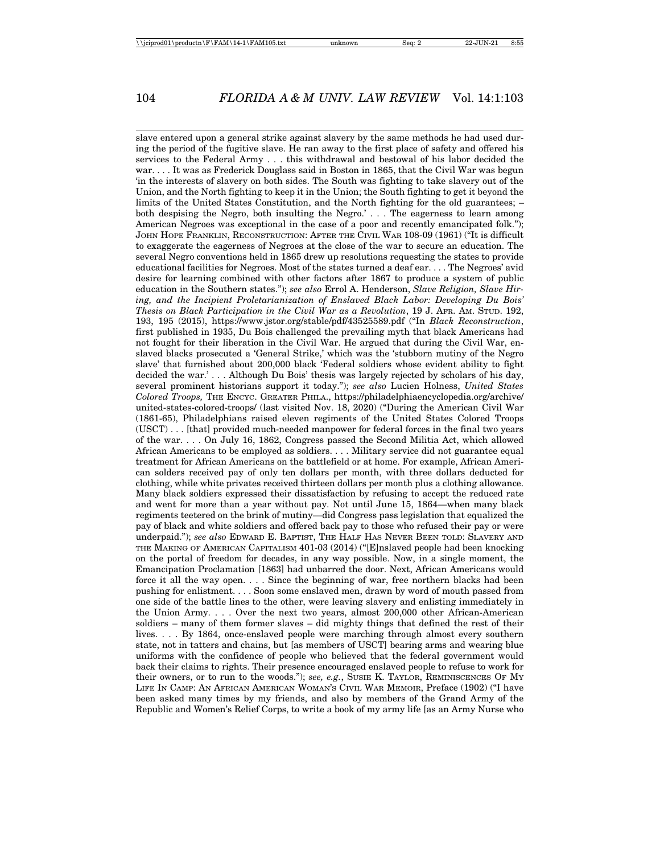slave entered upon a general strike against slavery by the same methods he had used during the period of the fugitive slave. He ran away to the first place of safety and offered his services to the Federal Army . . . this withdrawal and bestowal of his labor decided the war. . . . It was as Frederick Douglass said in Boston in 1865, that the Civil War was begun 'in the interests of slavery on both sides. The South was fighting to take slavery out of the Union, and the North fighting to keep it in the Union; the South fighting to get it beyond the limits of the United States Constitution, and the North fighting for the old guarantees; – both despising the Negro, both insulting the Negro.' . . . The eagerness to learn among American Negroes was exceptional in the case of a poor and recently emancipated folk."); JOHN HOPE FRANKLIN, RECONSTRUCTION: AFTER THE CIVIL WAR 108-09 (1961) ("It is difficult to exaggerate the eagerness of Negroes at the close of the war to secure an education. The several Negro conventions held in 1865 drew up resolutions requesting the states to provide educational facilities for Negroes. Most of the states turned a deaf ear. . . . The Negroes' avid desire for learning combined with other factors after 1867 to produce a system of public education in the Southern states."); *see also* Errol A. Henderson, *Slave Religion, Slave Hiring, and the Incipient Proletarianization of Enslaved Black Labor: Developing Du Bois' Thesis on Black Participation in the Civil War as a Revolution*, 19 J. AFR. AM. STUD. 192, 193, 195 (2015), https://www.jstor.org/stable/pdf/43525589.pdf ("In *Black Reconstruction*, first published in 1935, Du Bois challenged the prevailing myth that black Americans had not fought for their liberation in the Civil War. He argued that during the Civil War, enslaved blacks prosecuted a 'General Strike,' which was the 'stubborn mutiny of the Negro slave' that furnished about 200,000 black 'Federal soldiers whose evident ability to fight decided the war.'... Although Du Bois' thesis was largely rejected by scholars of his day, several prominent historians support it today."); *see also* Lucien Holness, *United States Colored Troops,* THE ENCYC. GREATER PHILA., https://philadelphiaencyclopedia.org/archive/ united-states-colored-troops/ (last visited Nov. 18, 2020) ("During the American Civil War (1861-65), Philadelphians raised eleven regiments of the United States Colored Troops (USCT) . . . [that] provided much-needed manpower for federal forces in the final two years of the war. . . . On July 16, 1862, Congress passed the Second Militia Act, which allowed African Americans to be employed as soldiers. . . . Military service did not guarantee equal treatment for African Americans on the battlefield or at home. For example, African American solders received pay of only ten dollars per month, with three dollars deducted for clothing, while white privates received thirteen dollars per month plus a clothing allowance. Many black soldiers expressed their dissatisfaction by refusing to accept the reduced rate and went for more than a year without pay. Not until June 15, 1864—when many black regiments teetered on the brink of mutiny—did Congress pass legislation that equalized the pay of black and white soldiers and offered back pay to those who refused their pay or were underpaid."); *see also* EDWARD E. BAPTIST, THE HALF HAS NEVER BEEN TOLD: SLAVERY AND THE MAKING OF AMERICAN CAPITALISM 401-03 (2014) ("[E]nslaved people had been knocking on the portal of freedom for decades, in any way possible. Now, in a single moment, the Emancipation Proclamation [1863] had unbarred the door. Next, African Americans would force it all the way open. . . . Since the beginning of war, free northern blacks had been pushing for enlistment. . . . Soon some enslaved men, drawn by word of mouth passed from one side of the battle lines to the other, were leaving slavery and enlisting immediately in the Union Army. . . . Over the next two years, almost 200,000 other African-American soldiers – many of them former slaves – did mighty things that defined the rest of their lives. . . . By 1864, once-enslaved people were marching through almost every southern state, not in tatters and chains, but [as members of USCT] bearing arms and wearing blue uniforms with the confidence of people who believed that the federal government would back their claims to rights. Their presence encouraged enslaved people to refuse to work for their owners, or to run to the woods."); *see, e.g.*, SUSIE K. TAYLOR, REMINISCENCES OF MY LIFE IN CAMP: AN AFRICAN AMERICAN WOMAN'S CIVIL WAR MEMOIR, Preface (1902) ("I have been asked many times by my friends, and also by members of the Grand Army of the Republic and Women's Relief Corps, to write a book of my army life [as an Army Nurse who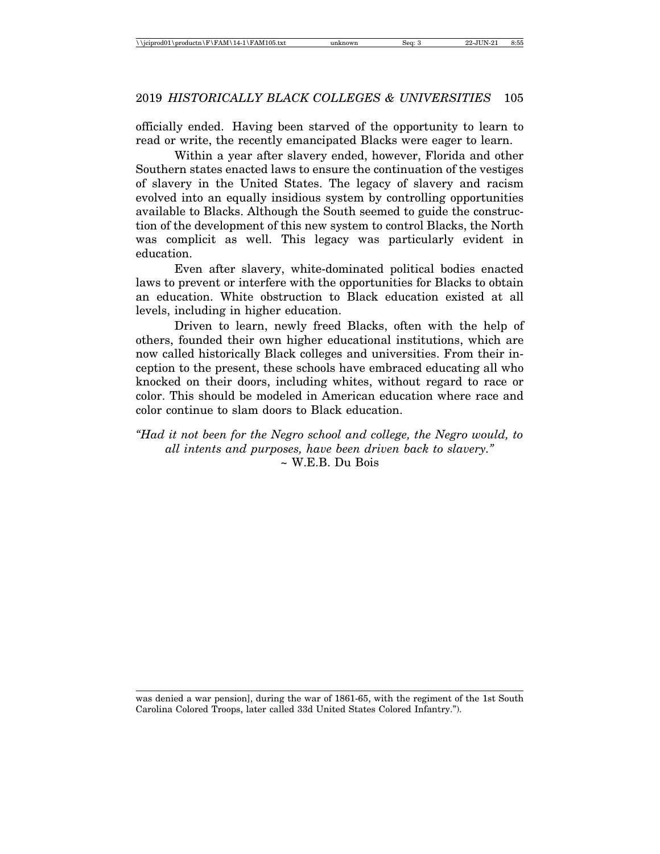officially ended. Having been starved of the opportunity to learn to read or write, the recently emancipated Blacks were eager to learn.

Within a year after slavery ended, however, Florida and other Southern states enacted laws to ensure the continuation of the vestiges of slavery in the United States. The legacy of slavery and racism evolved into an equally insidious system by controlling opportunities available to Blacks. Although the South seemed to guide the construction of the development of this new system to control Blacks, the North was complicit as well. This legacy was particularly evident in education.

Even after slavery, white-dominated political bodies enacted laws to prevent or interfere with the opportunities for Blacks to obtain an education. White obstruction to Black education existed at all levels, including in higher education.

Driven to learn, newly freed Blacks, often with the help of others, founded their own higher educational institutions, which are now called historically Black colleges and universities. From their inception to the present, these schools have embraced educating all who knocked on their doors, including whites, without regard to race or color. This should be modeled in American education where race and color continue to slam doors to Black education.

*"Had it not been for the Negro school and college, the Negro would, to all intents and purposes, have been driven back to slavery."* ~ W.E.B. Du Bois

was denied a war pension], during the war of 1861-65, with the regiment of the 1st South Carolina Colored Troops, later called 33d United States Colored Infantry.").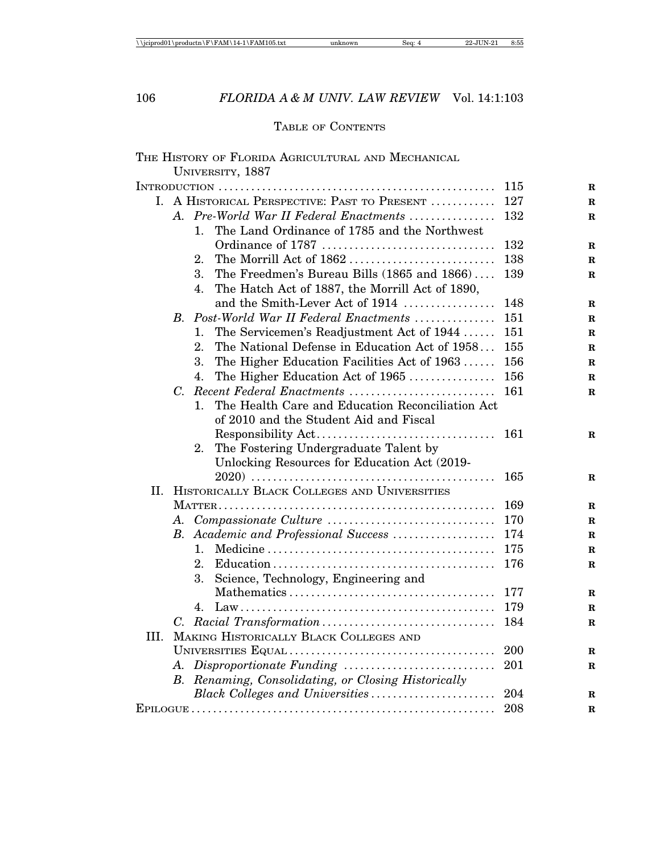## TABLE OF CONTENTS

|         | THE HISTORY OF FLORIDA AGRICULTURAL AND MECHANICAL                |       |                         |
|---------|-------------------------------------------------------------------|-------|-------------------------|
|         | UNIVERSITY, 1887                                                  |       |                         |
|         |                                                                   | 115   | $\bf{R}$                |
|         | I. A HISTORICAL PERSPECTIVE: PAST TO PRESENT                      | 127   | $\mathbf R$             |
|         | A. Pre-World War II Federal Enactments                            | 132   | $\bf{R}$                |
|         | The Land Ordinance of 1785 and the Northwest<br>1.                |       |                         |
|         |                                                                   | 132   | $\mathbf R$             |
|         | The Morrill Act of 1862<br>2.                                     | 138   | $\mathbf R$             |
|         | The Freedmen's Bureau Bills (1865 and 1866)<br>3.                 | 139   | $\bf{R}$                |
|         | The Hatch Act of 1887, the Morrill Act of 1890,<br>4.             |       |                         |
|         | and the Smith-Lever Act of 1914                                   | 148   | $\overline{\mathbf{R}}$ |
|         | Post-World War II Federal Enactments<br>B.                        | 151   | $\mathbf R$             |
|         | The Servicemen's Readjustment Act of 1944<br>1.                   | 151   | $\bf{R}$                |
|         | $\overline{2}$ .<br>The National Defense in Education Act of 1958 | 155   | $\bf{R}$                |
|         | 3.<br>The Higher Education Facilities Act of 1963                 | 156   | $\bf{R}$                |
|         | The Higher Education Act of 1965<br>4.                            | - 156 | $\mathbf R$             |
|         | $\overline{C}$                                                    |       | $\bf{R}$                |
|         | The Health Care and Education Reconciliation Act<br>$1_{-}$       |       |                         |
|         | of 2010 and the Student Aid and Fiscal                            |       |                         |
|         |                                                                   | 161   | $\mathbf R$             |
|         | The Fostering Undergraduate Talent by<br>2.                       |       |                         |
|         | Unlocking Resources for Education Act (2019-                      |       |                         |
|         |                                                                   | 165   | $\mathbf R$             |
| $\Pi$ . | HISTORICALLY BLACK COLLEGES AND UNIVERSITIES                      |       |                         |
|         |                                                                   | 169   | $\bf{R}$                |
|         |                                                                   |       | $\bf{R}$                |
|         | B. Academic and Professional Success  174                         |       | $\mathbf R$             |
|         | 1.                                                                |       | $\mathbf R$             |
|         | 2.                                                                |       | $\bf{R}$                |
|         | 3.<br>Science, Technology, Engineering and                        |       |                         |
|         |                                                                   | 177   | $\bf{R}$                |
|         | 4.                                                                | 179   | $\mathbf R$             |
|         |                                                                   |       | R                       |
| III.    | MAKING HISTORICALLY BLACK COLLEGES AND                            |       |                         |
|         |                                                                   |       | $\mathbf R$             |
|         |                                                                   |       | $\mathbf R$             |
|         | B. Renaming, Consolidating, or Closing Historically               |       |                         |
|         |                                                                   |       | $\mathbf R$             |
|         |                                                                   | 208   | $\bf{R}$                |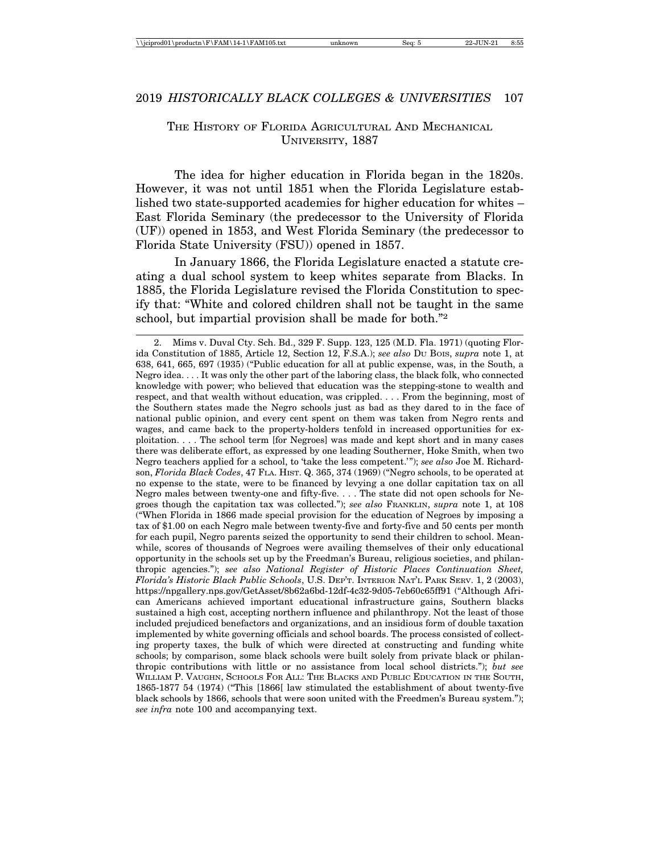#### THE HISTORY OF FLORIDA AGRICULTURAL AND MECHANICAL UNIVERSITY, 1887

The idea for higher education in Florida began in the 1820s. However, it was not until 1851 when the Florida Legislature established two state-supported academies for higher education for whites – East Florida Seminary (the predecessor to the University of Florida (UF)) opened in 1853, and West Florida Seminary (the predecessor to Florida State University (FSU)) opened in 1857.

In January 1866, the Florida Legislature enacted a statute creating a dual school system to keep whites separate from Blacks. In 1885, the Florida Legislature revised the Florida Constitution to specify that: "White and colored children shall not be taught in the same school, but impartial provision shall be made for both."2

<sup>2.</sup> Mims v. Duval Cty. Sch. Bd., 329 F. Supp. 123, 125 (M.D. Fla. 1971) (quoting Florida Constitution of 1885, Article 12, Section 12, F.S.A.); *see also* DU BOIS, *supra* note 1, at 638, 641, 665, 697 (1935) ("Public education for all at public expense, was, in the South, a Negro idea. . . . It was only the other part of the laboring class, the black folk, who connected knowledge with power; who believed that education was the stepping-stone to wealth and respect, and that wealth without education, was crippled. . . . From the beginning, most of the Southern states made the Negro schools just as bad as they dared to in the face of national public opinion, and every cent spent on them was taken from Negro rents and wages, and came back to the property-holders tenfold in increased opportunities for exploitation. . . . The school term [for Negroes] was made and kept short and in many cases there was deliberate effort, as expressed by one leading Southerner, Hoke Smith, when two Negro teachers applied for a school, to 'take the less competent.'"); *see also* Joe M. Richardson, *Florida Black Codes*, 47 FLA. HIST. Q. 365, 374 (1969) ("Negro schools, to be operated at no expense to the state, were to be financed by levying a one dollar capitation tax on all Negro males between twenty-one and fifty-five. . . . The state did not open schools for Negroes though the capitation tax was collected."); *see also* FRANKLIN, *supra* note 1, at 108 ("When Florida in 1866 made special provision for the education of Negroes by imposing a tax of \$1.00 on each Negro male between twenty-five and forty-five and 50 cents per month for each pupil, Negro parents seized the opportunity to send their children to school. Meanwhile, scores of thousands of Negroes were availing themselves of their only educational opportunity in the schools set up by the Freedman's Bureau, religious societies, and philanthropic agencies."); *see also National Register of Historic Places Continuation Sheet, Florida's Historic Black Public Schools*, U.S. DEP'T. INTERIOR NAT'L PARK SERV. 1, 2 (2003), https://npgallery.nps.gov/GetAsset/8b62a6bd-12df-4c32-9d05-7eb60c65ff91 ("Although African Americans achieved important educational infrastructure gains, Southern blacks sustained a high cost, accepting northern influence and philanthropy. Not the least of those included prejudiced benefactors and organizations, and an insidious form of double taxation implemented by white governing officials and school boards. The process consisted of collecting property taxes, the bulk of which were directed at constructing and funding white schools; by comparison, some black schools were built solely from private black or philanthropic contributions with little or no assistance from local school districts."); *but see* WILLIAM P. VAUGHN, SCHOOLS FOR ALL: THE BLACKS AND PUBLIC EDUCATION IN THE SOUTH, 1865-1877 54 (1974) ("This [1866[ law stimulated the establishment of about twenty-five black schools by 1866, schools that were soon united with the Freedmen's Bureau system."); *see infra* note 100 and accompanying text.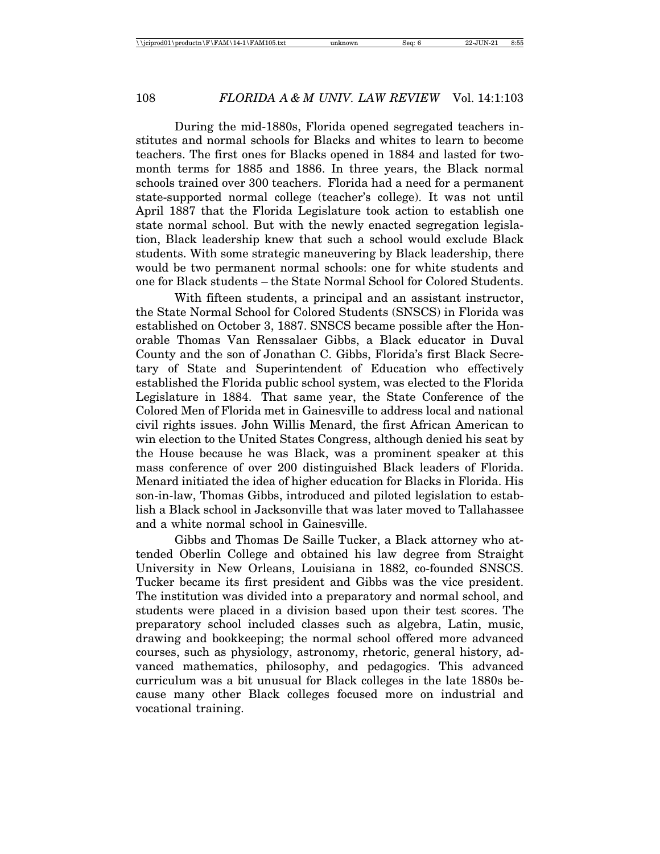During the mid-1880s, Florida opened segregated teachers institutes and normal schools for Blacks and whites to learn to become teachers. The first ones for Blacks opened in 1884 and lasted for twomonth terms for 1885 and 1886. In three years, the Black normal schools trained over 300 teachers. Florida had a need for a permanent state-supported normal college (teacher's college). It was not until April 1887 that the Florida Legislature took action to establish one state normal school. But with the newly enacted segregation legislation, Black leadership knew that such a school would exclude Black students. With some strategic maneuvering by Black leadership, there would be two permanent normal schools: one for white students and one for Black students – the State Normal School for Colored Students.

With fifteen students, a principal and an assistant instructor, the State Normal School for Colored Students (SNSCS) in Florida was established on October 3, 1887. SNSCS became possible after the Honorable Thomas Van Renssalaer Gibbs, a Black educator in Duval County and the son of Jonathan C. Gibbs, Florida's first Black Secretary of State and Superintendent of Education who effectively established the Florida public school system, was elected to the Florida Legislature in 1884. That same year, the State Conference of the Colored Men of Florida met in Gainesville to address local and national civil rights issues. John Willis Menard, the first African American to win election to the United States Congress, although denied his seat by the House because he was Black, was a prominent speaker at this mass conference of over 200 distinguished Black leaders of Florida. Menard initiated the idea of higher education for Blacks in Florida. His son-in-law, Thomas Gibbs, introduced and piloted legislation to establish a Black school in Jacksonville that was later moved to Tallahassee and a white normal school in Gainesville.

Gibbs and Thomas De Saille Tucker, a Black attorney who attended Oberlin College and obtained his law degree from Straight University in New Orleans, Louisiana in 1882, co-founded SNSCS. Tucker became its first president and Gibbs was the vice president. The institution was divided into a preparatory and normal school, and students were placed in a division based upon their test scores. The preparatory school included classes such as algebra, Latin, music, drawing and bookkeeping; the normal school offered more advanced courses, such as physiology, astronomy, rhetoric, general history, advanced mathematics, philosophy, and pedagogics. This advanced curriculum was a bit unusual for Black colleges in the late 1880s because many other Black colleges focused more on industrial and vocational training.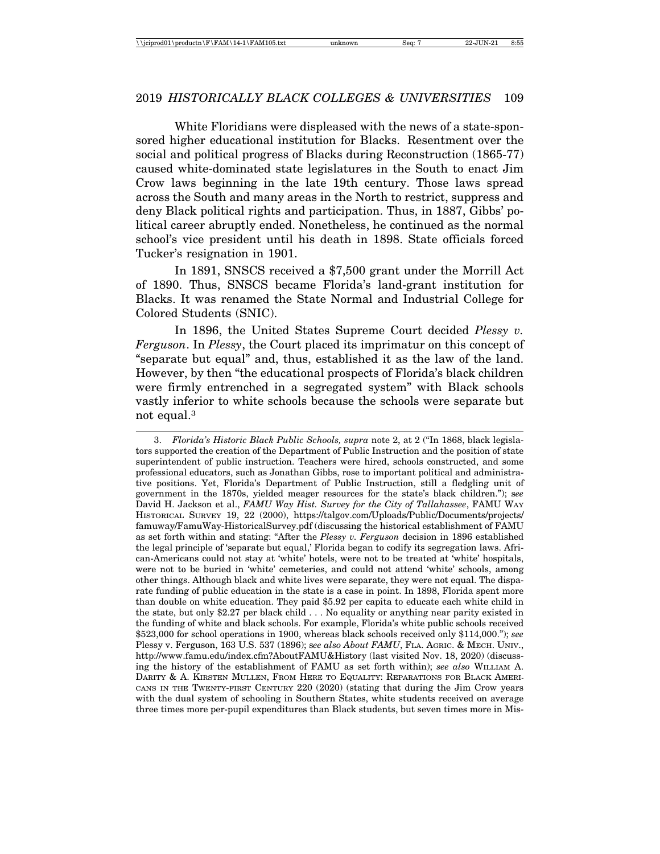White Floridians were displeased with the news of a state-sponsored higher educational institution for Blacks. Resentment over the social and political progress of Blacks during Reconstruction (1865-77) caused white-dominated state legislatures in the South to enact Jim Crow laws beginning in the late 19th century. Those laws spread across the South and many areas in the North to restrict, suppress and deny Black political rights and participation. Thus, in 1887, Gibbs' political career abruptly ended. Nonetheless, he continued as the normal school's vice president until his death in 1898. State officials forced Tucker's resignation in 1901.

In 1891, SNSCS received a \$7,500 grant under the Morrill Act of 1890. Thus, SNSCS became Florida's land-grant institution for Blacks. It was renamed the State Normal and Industrial College for Colored Students (SNIC).

In 1896, the United States Supreme Court decided *Plessy v. Ferguson*. In *Plessy*, the Court placed its imprimatur on this concept of "separate but equal" and, thus, established it as the law of the land. However, by then "the educational prospects of Florida's black children were firmly entrenched in a segregated system" with Black schools vastly inferior to white schools because the schools were separate but not equal.3

<sup>3.</sup> *Florida's Historic Black Public Schools, supra* note 2, at 2 ("In 1868, black legislators supported the creation of the Department of Public Instruction and the position of state superintendent of public instruction. Teachers were hired, schools constructed, and some professional educators, such as Jonathan Gibbs, rose to important political and administrative positions. Yet, Florida's Department of Public Instruction, still a fledgling unit of government in the 1870s, yielded meager resources for the state's black children."); s*ee* David H. Jackson et al., *FAMU Way Hist. Survey for the City of Tallahassee*, FAMU WAY HISTORICAL SURVEY 19, 22 (2000), https://talgov.com/Uploads/Public/Documents/projects/ famuway/FamuWay-HistoricalSurvey.pdf (discussing the historical establishment of FAMU as set forth within and stating: "After the *Plessy v. Ferguson* decision in 1896 established the legal principle of 'separate but equal,' Florida began to codify its segregation laws. African-Americans could not stay at 'white' hotels, were not to be treated at 'white' hospitals, were not to be buried in 'white' cemeteries, and could not attend 'white' schools, among other things. Although black and white lives were separate, they were not equal. The disparate funding of public education in the state is a case in point. In 1898, Florida spent more than double on white education. They paid \$5.92 per capita to educate each white child in the state, but only \$2.27 per black child . . . No equality or anything near parity existed in the funding of white and black schools. For example, Florida's white public schools received \$523,000 for school operations in 1900, whereas black schools received only \$114,000."); *see* Plessy v. Ferguson, 163 U.S. 537 (1896); s*ee also About FAMU*, FLA. AGRIC. & MECH. UNIV., http://www.famu.edu/index.cfm?AboutFAMU&History (last visited Nov. 18, 2020) (discussing the history of the establishment of FAMU as set forth within); *see also* WILLIAM A. DARITY & A. KIRSTEN MULLEN, FROM HERE TO EQUALITY: REPARATIONS FOR BLACK AMERI-CANS IN THE TWENTY-FIRST CENTURY 220 (2020) (stating that during the Jim Crow years with the dual system of schooling in Southern States, white students received on average three times more per-pupil expenditures than Black students, but seven times more in Mis-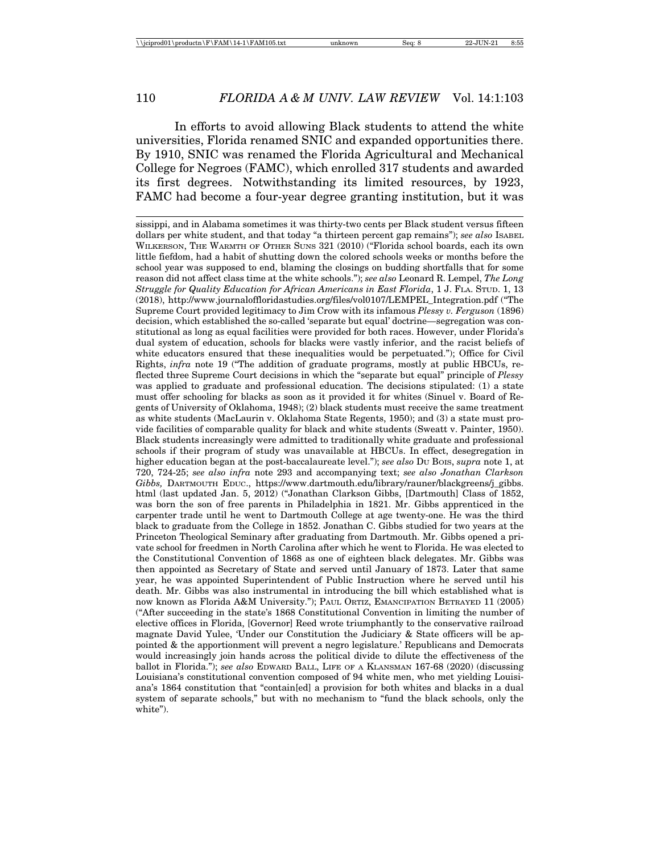In efforts to avoid allowing Black students to attend the white universities, Florida renamed SNIC and expanded opportunities there. By 1910, SNIC was renamed the Florida Agricultural and Mechanical College for Negroes (FAMC), which enrolled 317 students and awarded its first degrees. Notwithstanding its limited resources, by 1923, FAMC had become a four-year degree granting institution, but it was

sissippi, and in Alabama sometimes it was thirty-two cents per Black student versus fifteen dollars per white student, and that today "a thirteen percent gap remains"); *see also* ISABEL WILKERSON, THE WARMTH OF OTHER SUNS 321 (2010) ("Florida school boards, each its own little fiefdom, had a habit of shutting down the colored schools weeks or months before the school year was supposed to end, blaming the closings on budding shortfalls that for some reason did not affect class time at the white schools."); *see also* Leonard R. Lempel, *The Long Struggle for Quality Education for African Americans in East Florida*, 1 J. FLA. STUD. 1, 13 (2018), http://www.journaloffloridastudies.org/files/vol0107/LEMPEL\_Integration.pdf ("The Supreme Court provided legitimacy to Jim Crow with its infamous *Plessy v. Ferguson* (1896) decision, which established the so-called 'separate but equal' doctrine—segregation was constitutional as long as equal facilities were provided for both races. However, under Florida's dual system of education, schools for blacks were vastly inferior, and the racist beliefs of white educators ensured that these inequalities would be perpetuated."); Office for Civil Rights, *infra* note 19 ("The addition of graduate programs, mostly at public HBCUs, reflected three Supreme Court decisions in which the "separate but equal" principle of *Plessy* was applied to graduate and professional education. The decisions stipulated: (1) a state must offer schooling for blacks as soon as it provided it for whites (Sinuel v. Board of Regents of University of Oklahoma, 1948); (2) black students must receive the same treatment as white students (MacLaurin v. Oklahoma State Regents, 1950); and (3) a state must provide facilities of comparable quality for black and white students (Sweatt v. Painter, 1950). Black students increasingly were admitted to traditionally white graduate and professional schools if their program of study was unavailable at HBCUs. In effect, desegregation in higher education began at the post-baccalaureate level."); *see also* Du Bois, *supra* note 1, at 720, 724-25; *see also infra* note 293 and accompanying text; *see also Jonathan Clarkson Gibbs,* DARTMOUTH EDUC., https://www.dartmouth.edu/library/rauner/blackgreens/j\_gibbs. html (last updated Jan. 5, 2012) ("Jonathan Clarkson Gibbs, [Dartmouth] Class of 1852, was born the son of free parents in Philadelphia in 1821. Mr. Gibbs apprenticed in the carpenter trade until he went to Dartmouth College at age twenty-one. He was the third black to graduate from the College in 1852. Jonathan C. Gibbs studied for two years at the Princeton Theological Seminary after graduating from Dartmouth. Mr. Gibbs opened a private school for freedmen in North Carolina after which he went to Florida. He was elected to the Constitutional Convention of 1868 as one of eighteen black delegates. Mr. Gibbs was then appointed as Secretary of State and served until January of 1873. Later that same year, he was appointed Superintendent of Public Instruction where he served until his death. Mr. Gibbs was also instrumental in introducing the bill which established what is now known as Florida A&M University."); PAUL ORTIZ, EMANCIPATION BETRAYED 11 (2005) ("After succeeding in the state's 1868 Constitutional Convention in limiting the number of elective offices in Florida, [Governor] Reed wrote triumphantly to the conservative railroad magnate David Yulee, 'Under our Constitution the Judiciary & State officers will be appointed & the apportionment will prevent a negro legislature.' Republicans and Democrats would increasingly join hands across the political divide to dilute the effectiveness of the ballot in Florida."); *see also* EDWARD BALL, LIFE OF A KLANSMAN 167-68 (2020) (discussing Louisiana's constitutional convention composed of 94 white men, who met yielding Louisiana's 1864 constitution that "contain[ed] a provision for both whites and blacks in a dual system of separate schools," but with no mechanism to "fund the black schools, only the white").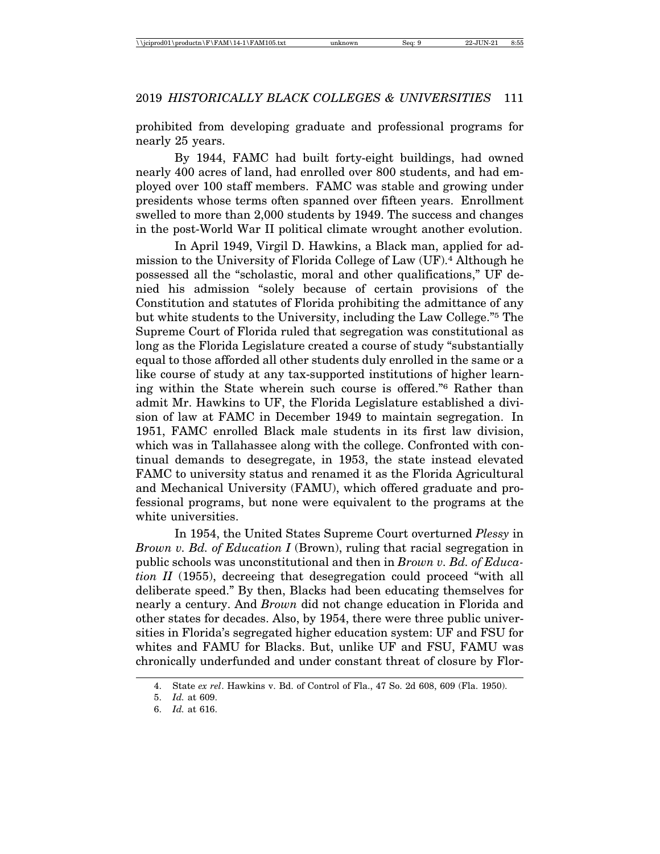prohibited from developing graduate and professional programs for nearly 25 years.

By 1944, FAMC had built forty-eight buildings, had owned nearly 400 acres of land, had enrolled over 800 students, and had employed over 100 staff members. FAMC was stable and growing under presidents whose terms often spanned over fifteen years. Enrollment swelled to more than 2,000 students by 1949. The success and changes in the post-World War II political climate wrought another evolution.

In April 1949, Virgil D. Hawkins, a Black man, applied for admission to the University of Florida College of Law (UF).4 Although he possessed all the "scholastic, moral and other qualifications," UF denied his admission "solely because of certain provisions of the Constitution and statutes of Florida prohibiting the admittance of any but white students to the University, including the Law College."5 The Supreme Court of Florida ruled that segregation was constitutional as long as the Florida Legislature created a course of study "substantially equal to those afforded all other students duly enrolled in the same or a like course of study at any tax-supported institutions of higher learning within the State wherein such course is offered."6 Rather than admit Mr. Hawkins to UF, the Florida Legislature established a division of law at FAMC in December 1949 to maintain segregation. In 1951, FAMC enrolled Black male students in its first law division, which was in Tallahassee along with the college. Confronted with continual demands to desegregate, in 1953, the state instead elevated FAMC to university status and renamed it as the Florida Agricultural and Mechanical University (FAMU), which offered graduate and professional programs, but none were equivalent to the programs at the white universities.

In 1954, the United States Supreme Court overturned *Plessy* in *Brown v. Bd. of Education I* (Brown), ruling that racial segregation in public schools was unconstitutional and then in *Brown v. Bd. of Education II* (1955), decreeing that desegregation could proceed "with all deliberate speed." By then, Blacks had been educating themselves for nearly a century. And *Brown* did not change education in Florida and other states for decades. Also, by 1954, there were three public universities in Florida's segregated higher education system: UF and FSU for whites and FAMU for Blacks. But, unlike UF and FSU, FAMU was chronically underfunded and under constant threat of closure by Flor-

<sup>4.</sup> State *ex rel*. Hawkins v. Bd. of Control of Fla., 47 So. 2d 608, 609 (Fla. 1950).

<sup>5.</sup> *Id.* at 609.

<sup>6.</sup> *Id.* at 616.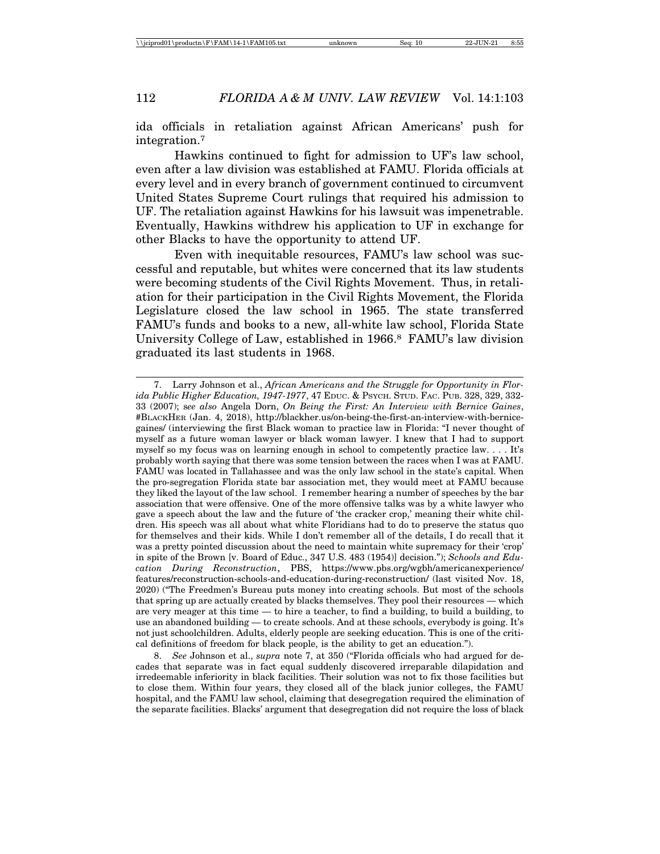ida officials in retaliation against African Americans' push for integration.7

Hawkins continued to fight for admission to UF's law school, even after a law division was established at FAMU. Florida officials at every level and in every branch of government continued to circumvent United States Supreme Court rulings that required his admission to UF. The retaliation against Hawkins for his lawsuit was impenetrable. Eventually, Hawkins withdrew his application to UF in exchange for other Blacks to have the opportunity to attend UF.

Even with inequitable resources, FAMU's law school was successful and reputable, but whites were concerned that its law students were becoming students of the Civil Rights Movement. Thus, in retaliation for their participation in the Civil Rights Movement, the Florida Legislature closed the law school in 1965. The state transferred FAMU's funds and books to a new, all-white law school, Florida State University College of Law, established in 1966.8 FAMU's law division graduated its last students in 1968.

<sup>7.</sup> Larry Johnson et al., *African Americans and the Struggle for Opportunity in Florida Public Higher Education, 1947-1977*, 47 EDUC. & PSYCH. STUD. FAC. PUB. 328, 329, 332- 33 (2007); s*ee also* Angela Dorn, *On Being the First: An Interview with Bernice Gaines*, #BLACKHER (Jan. 4, 2018), http://blackher.us/on-being-the-first-an-interview-with-bernicegaines/ (interviewing the first Black woman to practice law in Florida: "I never thought of myself as a future woman lawyer or black woman lawyer. I knew that I had to support myself so my focus was on learning enough in school to competently practice law. . . . It's probably worth saying that there was some tension between the races when I was at FAMU. FAMU was located in Tallahassee and was the only law school in the state's capital. When the pro-segregation Florida state bar association met, they would meet at FAMU because they liked the layout of the law school. I remember hearing a number of speeches by the bar association that were offensive. One of the more offensive talks was by a white lawyer who gave a speech about the law and the future of 'the cracker crop,' meaning their white children. His speech was all about what white Floridians had to do to preserve the status quo for themselves and their kids. While I don't remember all of the details, I do recall that it was a pretty pointed discussion about the need to maintain white supremacy for their 'crop' in spite of the Brown [v. Board of Educ., 347 U.S. 483 (1954)] decision."); *Schools and Education During Reconstruction*, PBS, https://www.pbs.org/wgbh/americanexperience/ features/reconstruction-schools-and-education-during-reconstruction/ (last visited Nov. 18, 2020) ("The Freedmen's Bureau puts money into creating schools. But most of the schools that spring up are actually created by blacks themselves. They pool their resources — which are very meager at this time — to hire a teacher, to find a building, to build a building, to use an abandoned building — to create schools. And at these schools, everybody is going. It's not just schoolchildren. Adults, elderly people are seeking education. This is one of the critical definitions of freedom for black people, is the ability to get an education.").

<sup>8.</sup> *See* Johnson et al., *supra* note 7, at 350 ("Florida officials who had argued for decades that separate was in fact equal suddenly discovered irreparable dilapidation and irredeemable inferiority in black facilities. Their solution was not to fix those facilities but to close them. Within four years, they closed all of the black junior colleges, the FAMU hospital, and the FAMU law school, claiming that desegregation required the elimination of the separate facilities. Blacks' argument that desegregation did not require the loss of black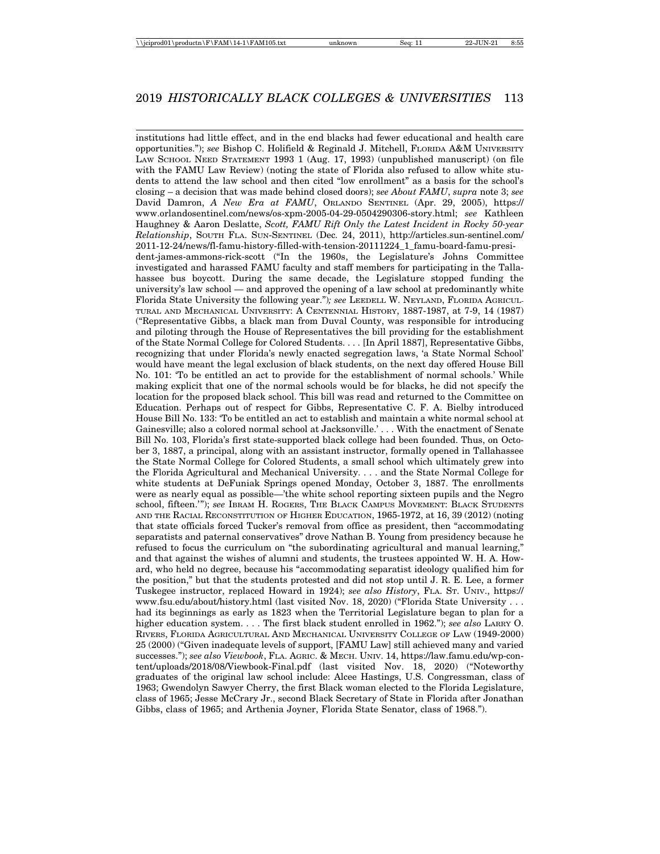institutions had little effect, and in the end blacks had fewer educational and health care opportunities."); *see* Bishop C. Holifield & Reginald J. Mitchell, FLORIDA A&M UNIVERSITY LAW SCHOOL NEED STATEMENT 1993 1 (Aug. 17, 1993) (unpublished manuscript) (on file with the FAMU Law Review) (noting the state of Florida also refused to allow white students to attend the law school and then cited "low enrollment" as a basis for the school's closing – a decision that was made behind closed doors); *see About FAMU*, *supra* note 3; *see* David Damron, *A New Era at FAMU*, ORLANDO SENTINEL (Apr. 29, 2005), https:// www.orlandosentinel.com/news/os-xpm-2005-04-29-0504290306-story.html; *see* Kathleen Haughney & Aaron Deslatte, *Scott, FAMU Rift Only the Latest Incident in Rocky 50-year Relationship*, SOUTH FLA. SUN-SENTINEL (Dec. 24, 2011), http://articles.sun-sentinel.com/ 2011-12-24/news/fl-famu-history-filled-with-tension-20111224\_1\_famu-board-famu-president-james-ammons-rick-scott ("In the 1960s, the Legislature's Johns Committee investigated and harassed FAMU faculty and staff members for participating in the Tallahassee bus boycott. During the same decade, the Legislature stopped funding the university's law school — and approved the opening of a law school at predominantly white Florida State University the following year.")*; see* LEEDELL W. NEYLAND, FLORIDA AGRICUL-TURAL AND MECHANICAL UNIVERSITY: A CENTENNIAL HISTORY, 1887-1987, at 7-9, 14 (1987) ("Representative Gibbs, a black man from Duval County, was responsible for introducing and piloting through the House of Representatives the bill providing for the establishment of the State Normal College for Colored Students. . . . [In April 1887], Representative Gibbs, recognizing that under Florida's newly enacted segregation laws, 'a State Normal School' would have meant the legal exclusion of black students, on the next day offered House Bill No. 101: 'To be entitled an act to provide for the establishment of normal schools.' While making explicit that one of the normal schools would be for blacks, he did not specify the location for the proposed black school. This bill was read and returned to the Committee on Education. Perhaps out of respect for Gibbs, Representative C. F. A. Bielby introduced House Bill No. 133: 'To be entitled an act to establish and maintain a white normal school at Gainesville; also a colored normal school at Jacksonville.' . . . With the enactment of Senate Bill No. 103, Florida's first state-supported black college had been founded. Thus, on October 3, 1887, a principal, along with an assistant instructor, formally opened in Tallahassee the State Normal College for Colored Students, a small school which ultimately grew into the Florida Agricultural and Mechanical University. . . . and the State Normal College for white students at DeFuniak Springs opened Monday, October 3, 1887. The enrollments were as nearly equal as possible—'the white school reporting sixteen pupils and the Negro school, fifteen.'"); *see* IBRAM H. ROGERS, THE BLACK CAMPUS MOVEMENT: BLACK STUDENTS AND THE RACIAL RECONSTITUTION OF HIGHER EDUCATION, 1965-1972, at 16, 39 (2012) (noting that state officials forced Tucker's removal from office as president, then "accommodating separatists and paternal conservatives" drove Nathan B. Young from presidency because he refused to focus the curriculum on "the subordinating agricultural and manual learning," and that against the wishes of alumni and students, the trustees appointed W. H. A. Howard, who held no degree, because his "accommodating separatist ideology qualified him for the position," but that the students protested and did not stop until J. R. E. Lee, a former Tuskegee instructor, replaced Howard in 1924); *see also History*, FLA. ST. UNIV., https:// www.fsu.edu/about/history.html (last visited Nov. 18, 2020) ("Florida State University . . . had its beginnings as early as 1823 when the Territorial Legislature began to plan for a higher education system. . . . The first black student enrolled in 1962."); *see also* LARRY O. RIVERS, FLORIDA AGRICULTURAL AND MECHANICAL UNIVERSITY COLLEGE OF LAW (1949-2000) 25 (2000) ("Given inadequate levels of support, [FAMU Law] still achieved many and varied successes."); *see also Viewbook*, FLA. AGRIC. & MECH. UNIV. 14, https://law.famu.edu/wp-content/uploads/2018/08/Viewbook-Final.pdf (last visited Nov. 18, 2020) ("Noteworthy graduates of the original law school include: Alcee Hastings, U.S. Congressman, class of 1963; Gwendolyn Sawyer Cherry, the first Black woman elected to the Florida Legislature, class of 1965; Jesse McCrary Jr., second Black Secretary of State in Florida after Jonathan Gibbs, class of 1965; and Arthenia Joyner, Florida State Senator, class of 1968.").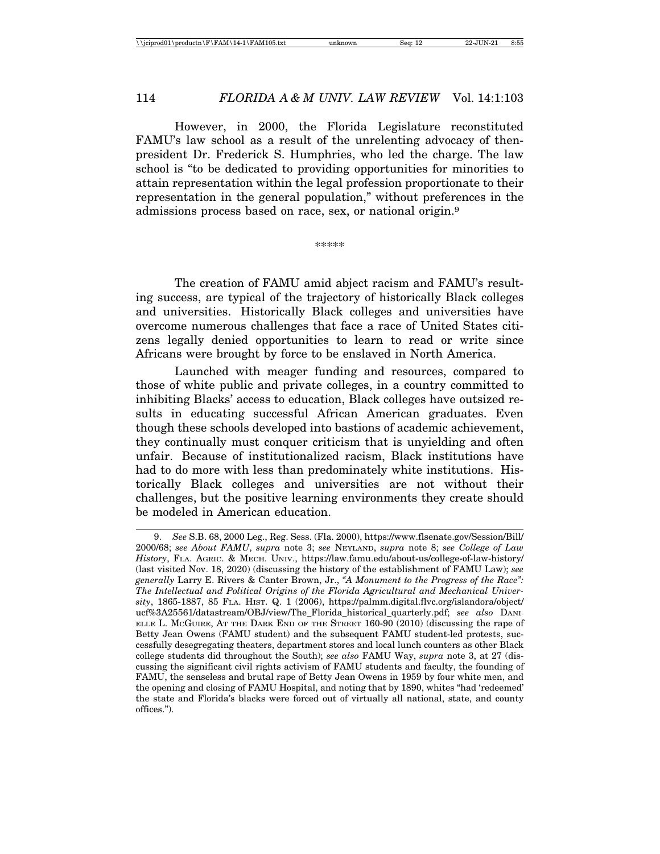However, in 2000, the Florida Legislature reconstituted FAMU's law school as a result of the unrelenting advocacy of thenpresident Dr. Frederick S. Humphries, who led the charge. The law school is "to be dedicated to providing opportunities for minorities to attain representation within the legal profession proportionate to their representation in the general population," without preferences in the admissions process based on race, sex, or national origin.9

\*\*\*\*\*

The creation of FAMU amid abject racism and FAMU's resulting success, are typical of the trajectory of historically Black colleges and universities. Historically Black colleges and universities have overcome numerous challenges that face a race of United States citizens legally denied opportunities to learn to read or write since Africans were brought by force to be enslaved in North America.

Launched with meager funding and resources, compared to those of white public and private colleges, in a country committed to inhibiting Blacks' access to education, Black colleges have outsized results in educating successful African American graduates. Even though these schools developed into bastions of academic achievement, they continually must conquer criticism that is unyielding and often unfair. Because of institutionalized racism, Black institutions have had to do more with less than predominately white institutions. Historically Black colleges and universities are not without their challenges, but the positive learning environments they create should be modeled in American education.

<sup>9.</sup> *See* S.B. 68, 2000 Leg., Reg. Sess. (Fla. 2000), https://www.flsenate.gov/Session/Bill/ 2000/68; *see About FAMU*, *supra* note 3; *see* NEYLAND, *supra* note 8; *see College of Law History*, FLA. AGRIC. & MECH. UNIV., https://law.famu.edu/about-us/college-of-law-history/ (last visited Nov. 18, 2020) (discussing the history of the establishment of FAMU Law); *see generally* Larry E. Rivers & Canter Brown, Jr., *"A Monument to the Progress of the Race": The Intellectual and Political Origins of the Florida Agricultural and Mechanical University*, 1865-1887, 85 FLA. HIST. Q. 1 (2006), https://palmm.digital.flvc.org/islandora/object/ ucf%3A25561/datastream/OBJ/view/The\_Florida\_historical\_quarterly.pdf; *see also* DANI-ELLE L. MCGUIRE, AT THE DARK END OF THE STREET 160-90 (2010) (discussing the rape of Betty Jean Owens (FAMU student) and the subsequent FAMU student-led protests, successfully desegregating theaters, department stores and local lunch counters as other Black college students did throughout the South); *see also* FAMU Way, *supra* note 3, at 27 (discussing the significant civil rights activism of FAMU students and faculty, the founding of FAMU, the senseless and brutal rape of Betty Jean Owens in 1959 by four white men, and the opening and closing of FAMU Hospital, and noting that by 1890, whites "had 'redeemed' the state and Florida's blacks were forced out of virtually all national, state, and county offices.").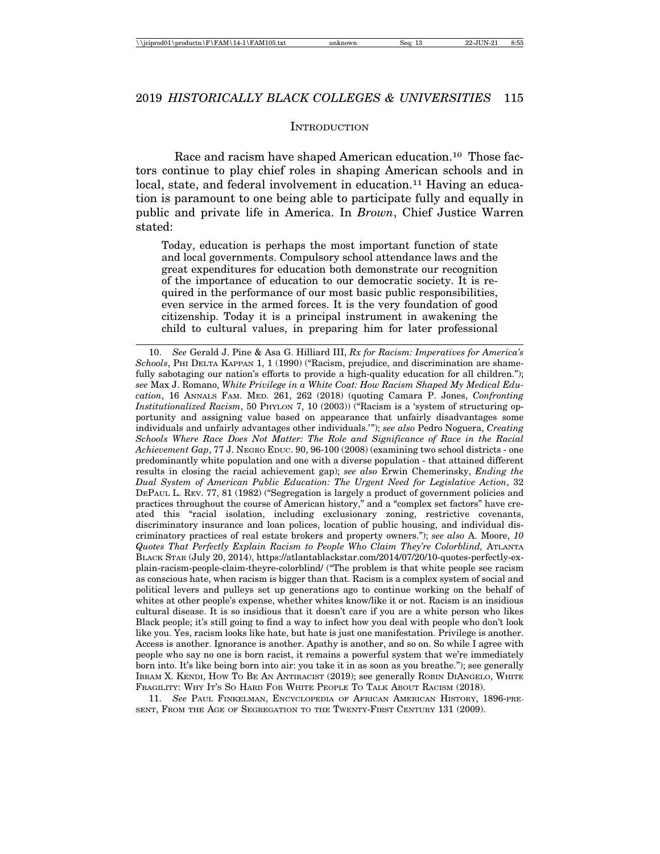#### **INTRODUCTION**

Race and racism have shaped American education.10 Those factors continue to play chief roles in shaping American schools and in local, state, and federal involvement in education.11 Having an education is paramount to one being able to participate fully and equally in public and private life in America. In *Brown*, Chief Justice Warren stated:

Today, education is perhaps the most important function of state and local governments. Compulsory school attendance laws and the great expenditures for education both demonstrate our recognition of the importance of education to our democratic society. It is required in the performance of our most basic public responsibilities, even service in the armed forces. It is the very foundation of good citizenship. Today it is a principal instrument in awakening the child to cultural values, in preparing him for later professional

11. *See* PAUL FINKELMAN, ENCYCLOPEDIA OF AFRICAN AMERICAN HISTORY, 1896-PRE-SENT, FROM THE AGE OF SEGREGATION TO THE TWENTY-FIRST CENTURY 131 (2009).

<sup>10.</sup> *See* Gerald J. Pine & Asa G. Hilliard III, *Rx for Racism: Imperatives for America's Schools*, PHI DELTA KAPPAN 1, 1 (1990) ("Racism, prejudice, and discrimination are shamefully sabotaging our nation's efforts to provide a high-quality education for all children."); *see* Max J. Romano, *White Privilege in a White Coat: How Racism Shaped My Medical Education*, 16 ANNALS FAM. MED. 261, 262 (2018) (quoting Camara P. Jones, *Confronting Institutionalized Racism*, 50 PHYLON 7, 10 (2003)) ("Racism is a 'system of structuring opportunity and assigning value based on appearance that unfairly disadvantages some individuals and unfairly advantages other individuals.'"); *see also* Pedro Noguera, *Creating Schools Where Race Does Not Matter: The Role and Significance of Race in the Racial Achievement Gap*, 77 J. NEGRO EDUC. 90, 96-100 (2008) (examining two school districts - one predominantly white population and one with a diverse population - that attained different results in closing the racial achievement gap); *see also* Erwin Chemerinsky, *Ending the Dual System of American Public Education: The Urgent Need for Legislative Action*, 32 DEPAUL L. REV. 77, 81 (1982) ("Segregation is largely a product of government policies and practices throughout the course of American history," and a "complex set factors" have created this "racial isolation, including exclusionary zoning, restrictive covenants, discriminatory insurance and loan polices, location of public housing, and individual discriminatory practices of real estate brokers and property owners."); *see also* A. Moore, *10 Quotes That Perfectly Explain Racism to People Who Claim They're Colorblind,* ATLANTA BLACK STAR (July 20, 2014), https://atlantablackstar.com/2014/07/20/10-quotes-perfectly-explain-racism-people-claim-theyre-colorblind/ ("The problem is that white people see racism as conscious hate, when racism is bigger than that. Racism is a complex system of social and political levers and pulleys set up generations ago to continue working on the behalf of whites at other people's expense, whether whites know/like it or not. Racism is an insidious cultural disease. It is so insidious that it doesn't care if you are a white person who likes Black people; it's still going to find a way to infect how you deal with people who don't look like you. Yes, racism looks like hate, but hate is just one manifestation. Privilege is another. Access is another. Ignorance is another. Apathy is another, and so on. So while I agree with people who say no one is born racist, it remains a powerful system that we're immediately born into. It's like being born into air: you take it in as soon as you breathe."); see generally IBRAM X. KENDI, HOW TO BE AN ANTIRACIST (2019); see generally ROBIN DIANGELO, WHITE FRAGILITY: WHY IT'S SO HARD FOR WHITE PEOPLE TO TALK ABOUT RACISM (2018).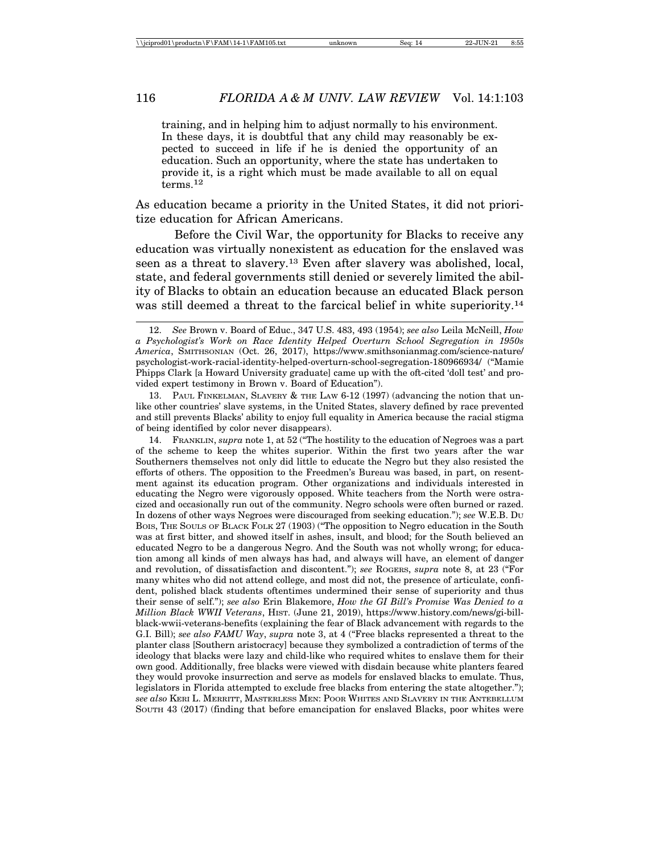training, and in helping him to adjust normally to his environment. In these days, it is doubtful that any child may reasonably be expected to succeed in life if he is denied the opportunity of an education. Such an opportunity, where the state has undertaken to provide it, is a right which must be made available to all on equal terms.<sup>12</sup>

As education became a priority in the United States, it did not prioritize education for African Americans.

Before the Civil War, the opportunity for Blacks to receive any education was virtually nonexistent as education for the enslaved was seen as a threat to slavery.13 Even after slavery was abolished, local, state, and federal governments still denied or severely limited the ability of Blacks to obtain an education because an educated Black person was still deemed a threat to the farcical belief in white superiority.14

13. PAUL FINKELMAN, SLAVERY & THE LAW 6-12 (1997) (advancing the notion that unlike other countries' slave systems, in the United States, slavery defined by race prevented and still prevents Blacks' ability to enjoy full equality in America because the racial stigma of being identified by color never disappears).

14. FRANKLIN, *supra* note 1, at 52 ("The hostility to the education of Negroes was a part of the scheme to keep the whites superior. Within the first two years after the war Southerners themselves not only did little to educate the Negro but they also resisted the efforts of others. The opposition to the Freedmen's Bureau was based, in part, on resentment against its education program. Other organizations and individuals interested in educating the Negro were vigorously opposed. White teachers from the North were ostracized and occasionally run out of the community. Negro schools were often burned or razed. In dozens of other ways Negroes were discouraged from seeking education."); *see* W.E.B. DU BOIS, THE SOULS OF BLACK FOLK 27 (1903) ("The opposition to Negro education in the South was at first bitter, and showed itself in ashes, insult, and blood; for the South believed an educated Negro to be a dangerous Negro. And the South was not wholly wrong; for education among all kinds of men always has had, and always will have, an element of danger and revolution, of dissatisfaction and discontent."); *see* ROGERS, *supra* note 8, at 23 ("For many whites who did not attend college, and most did not, the presence of articulate, confident, polished black students oftentimes undermined their sense of superiority and thus their sense of self."); *see also* Erin Blakemore, *How the GI Bill's Promise Was Denied to a Million Black WWII Veterans*, HIST. (June 21, 2019), https://www.history.com/news/gi-billblack-wwii-veterans-benefits (explaining the fear of Black advancement with regards to the G.I. Bill); *see also FAMU Way*, *supra* note 3, at 4 ("Free blacks represented a threat to the planter class [Southern aristocracy] because they symbolized a contradiction of terms of the ideology that blacks were lazy and child-like who required whites to enslave them for their own good. Additionally, free blacks were viewed with disdain because white planters feared they would provoke insurrection and serve as models for enslaved blacks to emulate. Thus, legislators in Florida attempted to exclude free blacks from entering the state altogether."); *see also* KERI L. MERRITT, MASTERLESS MEN: POOR WHITES AND SLAVERY IN THE ANTEBELLUM SOUTH 43 (2017) (finding that before emancipation for enslaved Blacks, poor whites were

<sup>12.</sup> *See* Brown v. Board of Educ., 347 U.S. 483, 493 (1954); *see also* Leila McNeill, *How a Psychologist's Work on Race Identity Helped Overturn School Segregation in 1950s America*, SMITHSONIAN (Oct. 26, 2017), https://www.smithsonianmag.com/science-nature/ psychologist-work-racial-identity-helped-overturn-school-segregation-180966934/ ("Mamie Phipps Clark [a Howard University graduate] came up with the oft-cited 'doll test' and provided expert testimony in Brown v. Board of Education").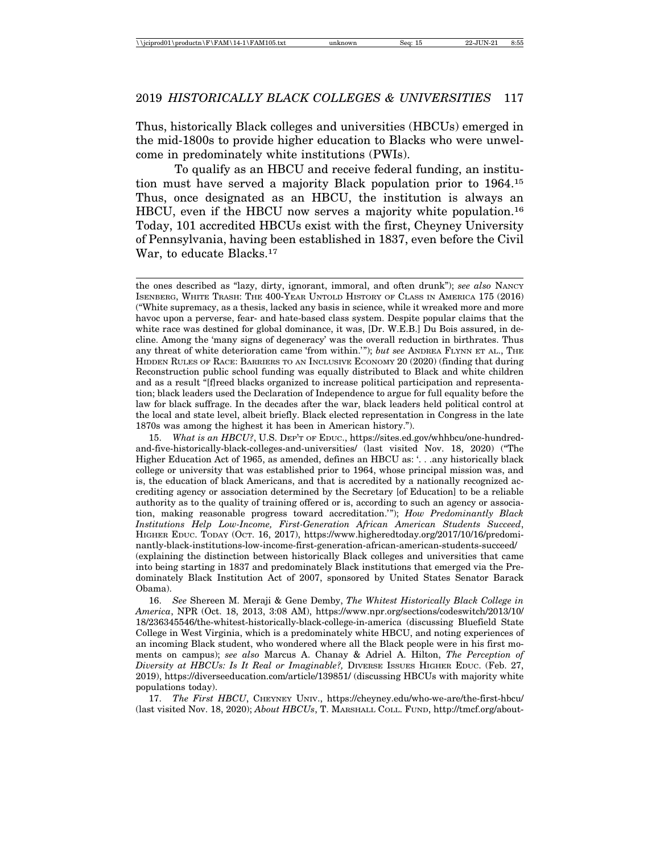Thus, historically Black colleges and universities (HBCUs) emerged in the mid-1800s to provide higher education to Blacks who were unwelcome in predominately white institutions (PWIs).

To qualify as an HBCU and receive federal funding, an institution must have served a majority Black population prior to 1964.15 Thus, once designated as an HBCU, the institution is always an HBCU, even if the HBCU now serves a majority white population.16 Today, 101 accredited HBCUs exist with the first, Cheyney University of Pennsylvania, having been established in 1837, even before the Civil War, to educate Blacks.<sup>17</sup>

16. *See* Shereen M. Meraji & Gene Demby, *The Whitest Historically Black College in America*, NPR (Oct. 18, 2013, 3:08 AM), https://www.npr.org/sections/codeswitch/2013/10/ 18/236345546/the-whitest-historically-black-college-in-america (discussing Bluefield State College in West Virginia, which is a predominately white HBCU, and noting experiences of an incoming Black student, who wondered where all the Black people were in his first moments on campus); *see also* Marcus A. Chanay & Adriel A. Hilton, *The Perception of Diversity at HBCUs: Is It Real or Imaginable?,* DIVERSE ISSUES HIGHER EDUC. (Feb. 27, 2019), https://diverseeducation.com/article/139851/ (discussing HBCUs with majority white populations today).

17. *The First HBCU*, CHEYNEY UNIV., https://cheyney.edu/who-we-are/the-first-hbcu/ (last visited Nov. 18, 2020); *About HBCUs*, T. MARSHALL COLL. FUND, http://tmcf.org/about-

the ones described as "lazy, dirty, ignorant, immoral, and often drunk"); *see also* NANCY ISENBERG, WHITE TRASH: THE 400-YEAR UNTOLD HISTORY OF CLASS IN AMERICA 175 (2016) ("White supremacy, as a thesis, lacked any basis in science, while it wreaked more and more havoc upon a perverse, fear- and hate-based class system. Despite popular claims that the white race was destined for global dominance, it was, [Dr. W.E.B.] Du Bois assured, in decline. Among the 'many signs of degeneracy' was the overall reduction in birthrates. Thus any threat of white deterioration came 'from within.'"); *but see* ANDREA FLYNN ET AL., THE HIDDEN RULES OF RACE: BARRIERS TO AN INCLUSIVE ECONOMY 20 (2020) (finding that during Reconstruction public school funding was equally distributed to Black and white children and as a result "[f]reed blacks organized to increase political participation and representation; black leaders used the Declaration of Independence to argue for full equality before the law for black suffrage. In the decades after the war, black leaders held political control at the local and state level, albeit briefly. Black elected representation in Congress in the late 1870s was among the highest it has been in American history.").

<sup>15.</sup> *What is an HBCU?*, U.S. DEP'T OF EDUC., https://sites.ed.gov/whhbcu/one-hundredand-five-historically-black-colleges-and-universities/ (last visited Nov. 18, 2020) ("The Higher Education Act of 1965, as amended, defines an HBCU as: '. . .any historically black college or university that was established prior to 1964, whose principal mission was, and is, the education of black Americans, and that is accredited by a nationally recognized accrediting agency or association determined by the Secretary [of Education] to be a reliable authority as to the quality of training offered or is, according to such an agency or association, making reasonable progress toward accreditation.'"); *How Predominantly Black Institutions Help Low-Income, First-Generation African American Students Succeed*, HIGHER EDUC. TODAY (OCT. 16, 2017), https://www.higheredtoday.org/2017/10/16/predominantly-black-institutions-low-income-first-generation-african-american-students-succeed/ (explaining the distinction between historically Black colleges and universities that came into being starting in 1837 and predominately Black institutions that emerged via the Predominately Black Institution Act of 2007, sponsored by United States Senator Barack Obama).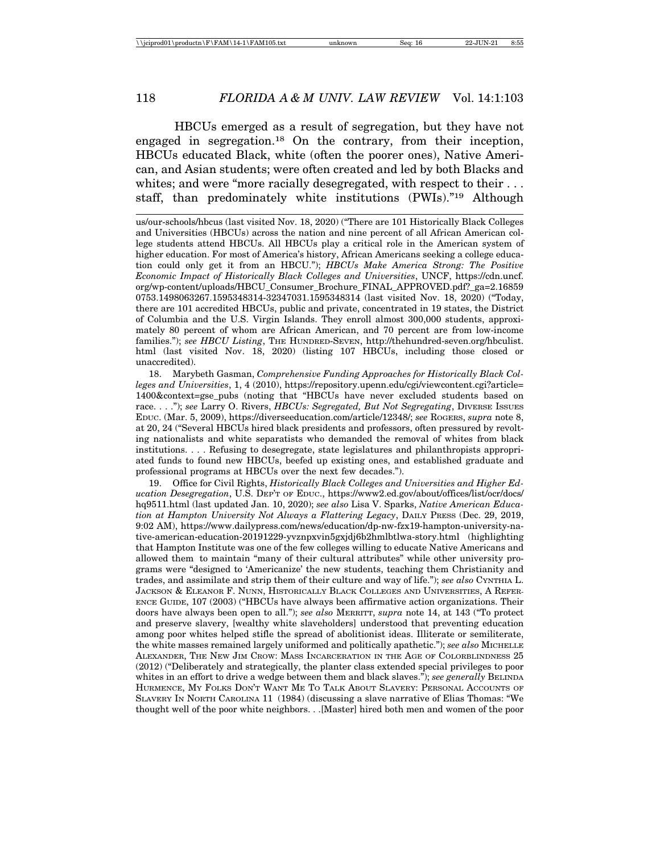HBCUs emerged as a result of segregation, but they have not engaged in segregation.18 On the contrary, from their inception, HBCUs educated Black, white (often the poorer ones), Native American, and Asian students; were often created and led by both Blacks and whites; and were "more racially desegregated, with respect to their . . . staff, than predominately white institutions (PWIs)."19 Although

us/our-schools/hbcus (last visited Nov. 18, 2020) ("There are 101 Historically Black Colleges and Universities (HBCUs) across the nation and nine percent of all African American college students attend HBCUs. All HBCUs play a critical role in the American system of higher education. For most of America's history, African Americans seeking a college education could only get it from an HBCU."); *HBCUs Make America Strong: The Positive Economic Impact of Historically Black Colleges and Universities*, UNCF, https://cdn.uncf. org/wp-content/uploads/HBCU\_Consumer\_Brochure\_FINAL\_APPROVED.pdf?\_ga=2.16859 0753.1498063267.1595348314-32347031.1595348314 (last visited Nov. 18, 2020) ("Today, there are 101 accredited HBCUs, public and private, concentrated in 19 states, the District of Columbia and the U.S. Virgin Islands. They enroll almost 300,000 students, approximately 80 percent of whom are African American, and 70 percent are from low-income families."); *see HBCU Listing*, THE HUNDRED-SEVEN, http://thehundred-seven.org/hbculist. html (last visited Nov. 18, 2020) (listing 107 HBCUs, including those closed or unaccredited).

18. Marybeth Gasman, *Comprehensive Funding Approaches for Historically Black Colleges and Universities*, 1, 4 (2010), https://repository.upenn.edu/cgi/viewcontent.cgi?article= 1400&context=gse\_pubs (noting that "HBCUs have never excluded students based on race. . . ."); *see Larry O. Rivers, HBCUs: Segregated, But Not Segregating*, DIVERSE ISSUES EDUC. (Mar. 5, 2009), https://diverseeducation.com/article/12348/; *see* ROGERS, *supra* note 8, at 20, 24 ("Several HBCUs hired black presidents and professors, often pressured by revolting nationalists and white separatists who demanded the removal of whites from black institutions. . . . Refusing to desegregate, state legislatures and philanthropists appropriated funds to found new HBCUs, beefed up existing ones, and established graduate and professional programs at HBCUs over the next few decades.").

19. Office for Civil Rights, *Historically Black Colleges and Universities and Higher Education Desegregation*, U.S. DEP'T OF EDUC., https://www2.ed.gov/about/offices/list/ocr/docs/ hq9511.html (last updated Jan. 10, 2020); *see also* Lisa V. Sparks, *Native American Education at Hampton University Not Always a Flattering Legacy*, DAILY PRESS (Dec. 29, 2019, 9:02 AM), https://www.dailypress.com/news/education/dp-nw-fzx19-hampton-university-native-american-education-20191229-yvznpxvin5gxjdj6b2hmlbtlwa-story.html (highlighting that Hampton Institute was one of the few colleges willing to educate Native Americans and allowed them to maintain "many of their cultural attributes" while other university programs were "designed to 'Americanize' the new students, teaching them Christianity and trades, and assimilate and strip them of their culture and way of life."); *see also* CYNTHIA L. JACKSON & ELEANOR F. NUNN, HISTORICALLY BLACK COLLEGES AND UNIVERSITIES, A REFER-ENCE GUIDE, 107 (2003) ("HBCUs have always been affirmative action organizations. Their doors have always been open to all."); *see also* MERRITT, *supra* note 14, at 143 ("To protect and preserve slavery, [wealthy white slaveholders] understood that preventing education among poor whites helped stifle the spread of abolitionist ideas. Illiterate or semiliterate, the white masses remained largely uniformed and politically apathetic."); *see also* MICHELLE ALEXANDER, THE NEW JIM CROW: MASS INCARCERATION IN THE AGE OF COLORBLINDNESS 25 (2012) ("Deliberately and strategically, the planter class extended special privileges to poor whites in an effort to drive a wedge between them and black slaves."); *see generally* BELINDA HURMENCE, MY FOLKS DON'T WANT ME TO TALK ABOUT SLAVERY: PERSONAL ACCOUNTS OF SLAVERY IN NORTH CAROLINA 11 (1984) (discussing a slave narrative of Elias Thomas: "We thought well of the poor white neighbors. . .[Master] hired both men and women of the poor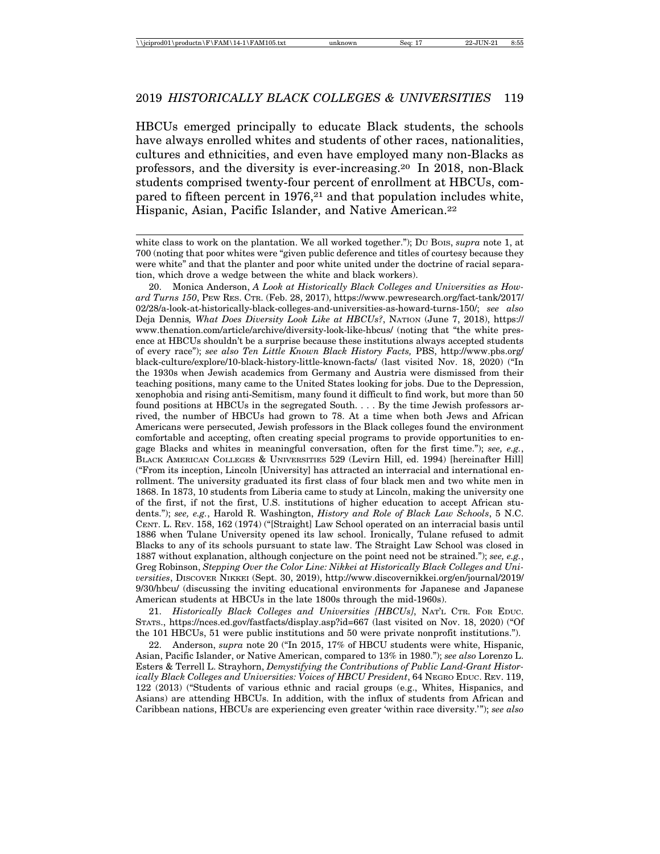HBCUs emerged principally to educate Black students, the schools have always enrolled whites and students of other races, nationalities, cultures and ethnicities, and even have employed many non-Blacks as professors, and the diversity is ever-increasing.20 In 2018, non-Black students comprised twenty-four percent of enrollment at HBCUs, compared to fifteen percent in  $1976<sup>21</sup>$  and that population includes white, Hispanic, Asian, Pacific Islander, and Native American.<sup>22</sup>

20. Monica Anderson, *A Look at Historically Black Colleges and Universities as Howard Turns 150*, PEW RES. CTR. (Feb. 28, 2017), https://www.pewresearch.org/fact-tank/2017/ 02/28/a-look-at-historically-black-colleges-and-universities-as-howard-turns-150/; *see also* Deja Dennis*, What Does Diversity Look Like at HBCUs?*, NATION (June 7, 2018), https:// www.thenation.com/article/archive/diversity-look-like-hbcus/ (noting that "the white presence at HBCUs shouldn't be a surprise because these institutions always accepted students of every race"); *see also Ten Little Known Black History Facts,* PBS, http://www.pbs.org/ black-culture/explore/10-black-history-little-known-facts/ (last visited Nov. 18, 2020) ("In the 1930s when Jewish academics from Germany and Austria were dismissed from their teaching positions, many came to the United States looking for jobs. Due to the Depression, xenophobia and rising anti-Semitism, many found it difficult to find work, but more than 50 found positions at HBCUs in the segregated South. . . . By the time Jewish professors arrived, the number of HBCUs had grown to 78. At a time when both Jews and African Americans were persecuted, Jewish professors in the Black colleges found the environment comfortable and accepting, often creating special programs to provide opportunities to engage Blacks and whites in meaningful conversation, often for the first time."); *see, e.g.*, BLACK AMERICAN COLLEGES & UNIVERSITIES 529 (Levirn Hill, ed. 1994) [hereinafter Hill] ("From its inception, Lincoln [University] has attracted an interracial and international enrollment. The university graduated its first class of four black men and two white men in 1868. In 1873, 10 students from Liberia came to study at Lincoln, making the university one of the first, if not the first, U.S. institutions of higher education to accept African students."); *see, e.g.*, Harold R. Washington, *History and Role of Black Law Schools*, 5 N.C. CENT. L. REV. 158, 162 (1974) ("[Straight] Law School operated on an interracial basis until 1886 when Tulane University opened its law school. Ironically, Tulane refused to admit Blacks to any of its schools pursuant to state law. The Straight Law School was closed in 1887 without explanation, although conjecture on the point need not be strained."); *see, e.g.*, Greg Robinson, *Stepping Over the Color Line: Nikkei at Historically Black Colleges and Universities*, DISCOVER NIKKEI (Sept. 30, 2019), http://www.discovernikkei.org/en/journal/2019/ 9/30/hbcu/ (discussing the inviting educational environments for Japanese and Japanese American students at HBCUs in the late 1800s through the mid-1960s).

21. *Historically Black Colleges and Universities [HBCUs]*, NAT'L CTR. FOR EDUC. STATS., https://nces.ed.gov/fastfacts/display.asp?id=667 (last visited on Nov. 18, 2020) ("Of the 101 HBCUs, 51 were public institutions and 50 were private nonprofit institutions.").

22. Anderson, *supra* note 20 ("In 2015, 17% of HBCU students were white, Hispanic, Asian, Pacific Islander, or Native American, compared to 13% in 1980."); *see also* Lorenzo L. Esters & Terrell L. Strayhorn, *Demystifying the Contributions of Public Land-Grant Historically Black Colleges and Universities: Voices of HBCU President*, 64 NEGRO EDUC. REV. 119, 122 (2013) ("Students of various ethnic and racial groups (e.g., Whites, Hispanics, and Asians) are attending HBCUs. In addition, with the influx of students from African and Caribbean nations, HBCUs are experiencing even greater 'within race diversity.'"); *see also*

white class to work on the plantation. We all worked together."); Du Bois, *supra* note 1, at 700 (noting that poor whites were "given public deference and titles of courtesy because they were white" and that the planter and poor white united under the doctrine of racial separation, which drove a wedge between the white and black workers).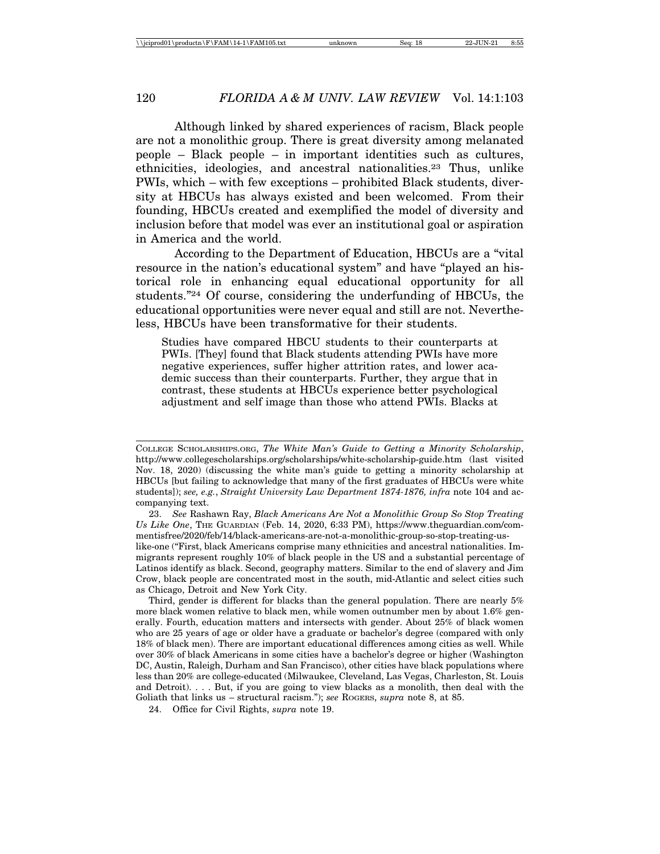Although linked by shared experiences of racism, Black people are not a monolithic group. There is great diversity among melanated people – Black people – in important identities such as cultures, ethnicities, ideologies, and ancestral nationalities.23 Thus, unlike PWIs, which – with few exceptions – prohibited Black students, diversity at HBCUs has always existed and been welcomed. From their founding, HBCUs created and exemplified the model of diversity and inclusion before that model was ever an institutional goal or aspiration in America and the world.

According to the Department of Education, HBCUs are a "vital resource in the nation's educational system" and have "played an historical role in enhancing equal educational opportunity for all students."24 Of course, considering the underfunding of HBCUs, the educational opportunities were never equal and still are not. Nevertheless, HBCUs have been transformative for their students.

Studies have compared HBCU students to their counterparts at PWIs. [They] found that Black students attending PWIs have more negative experiences, suffer higher attrition rates, and lower academic success than their counterparts. Further, they argue that in contrast, these students at HBCUs experience better psychological adjustment and self image than those who attend PWIs. Blacks at

23. *See* Rashawn Ray, *Black Americans Are Not a Monolithic Group So Stop Treating Us Like One*, THE GUARDIAN (Feb. 14, 2020, 6:33 PM), https://www.theguardian.com/commentisfree/2020/feb/14/black-americans-are-not-a-monolithic-group-so-stop-treating-uslike-one ("First, black Americans comprise many ethnicities and ancestral nationalities. Immigrants represent roughly 10% of black people in the US and a substantial percentage of Latinos identify as black. Second, geography matters. Similar to the end of slavery and Jim Crow, black people are concentrated most in the south, mid-Atlantic and select cities such as Chicago, Detroit and New York City.

Third, gender is different for blacks than the general population. There are nearly 5% more black women relative to black men, while women outnumber men by about 1.6% generally. Fourth, education matters and intersects with gender. About 25% of black women who are 25 years of age or older have a graduate or bachelor's degree (compared with only 18% of black men). There are important educational differences among cities as well. While over 30% of black Americans in some cities have a bachelor's degree or higher (Washington DC, Austin, Raleigh, Durham and San Francisco), other cities have black populations where less than 20% are college-educated (Milwaukee, Cleveland, Las Vegas, Charleston, St. Louis and Detroit). . . . But, if you are going to view blacks as a monolith, then deal with the Goliath that links us – structural racism."); *see* ROGERS, *supra* note 8, at 85.

24. Office for Civil Rights, *supra* note 19.

COLLEGE SCHOLARSHIPS.ORG, *The White Man's Guide to Getting a Minority Scholarship*, http://www.collegescholarships.org/scholarships/white-scholarship-guide.htm (last visited Nov. 18, 2020) (discussing the white man's guide to getting a minority scholarship at HBCUs [but failing to acknowledge that many of the first graduates of HBCUs were white students]); *see, e.g.*, *Straight University Law Department 1874-1876, infra* note 104 and accompanying text.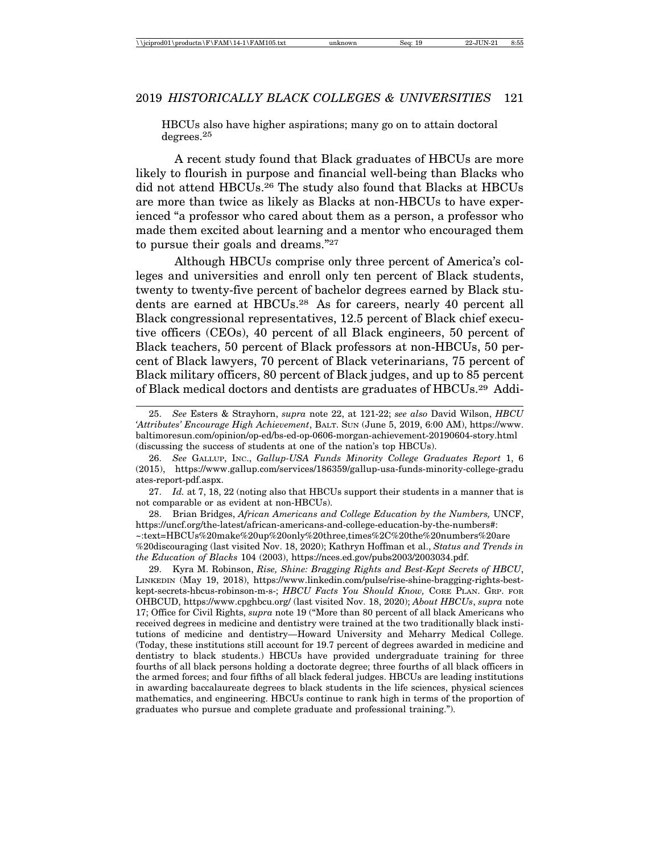HBCUs also have higher aspirations; many go on to attain doctoral degrees.25

A recent study found that Black graduates of HBCUs are more likely to flourish in purpose and financial well-being than Blacks who did not attend HBCUs.26 The study also found that Blacks at HBCUs are more than twice as likely as Blacks at non-HBCUs to have experienced "a professor who cared about them as a person, a professor who made them excited about learning and a mentor who encouraged them to pursue their goals and dreams."27

Although HBCUs comprise only three percent of America's colleges and universities and enroll only ten percent of Black students, twenty to twenty-five percent of bachelor degrees earned by Black students are earned at HBCUs.28 As for careers, nearly 40 percent all Black congressional representatives, 12.5 percent of Black chief executive officers (CEOs), 40 percent of all Black engineers, 50 percent of Black teachers, 50 percent of Black professors at non-HBCUs, 50 percent of Black lawyers, 70 percent of Black veterinarians, 75 percent of Black military officers, 80 percent of Black judges, and up to 85 percent of Black medical doctors and dentists are graduates of HBCUs.29 Addi-

28. Brian Bridges, *African Americans and College Education by the Numbers,* UNCF, https://uncf.org/the-latest/african-americans-and-college-education-by-the-numbers#: ~:text=HBCUs%20make%20up%20only%20three,times%2C%20the%20numbers%20are %20discouraging (last visited Nov. 18, 2020); Kathryn Hoffman et al., *Status and Trends in the Education of Blacks* 104 (2003), https://nces.ed.gov/pubs2003/2003034.pdf.

<sup>25.</sup> *See* Esters & Strayhorn, *supra* note 22, at 121-22; *see also* David Wilson, *HBCU 'Attributes' Encourage High Achievement*, BALT. SUN (June 5, 2019, 6:00 AM), https://www. baltimoresun.com/opinion/op-ed/bs-ed-op-0606-morgan-achievement-20190604-story.html (discussing the success of students at one of the nation's top HBCUs).

<sup>26.</sup> *See* GALLUP, INC., *Gallup-USA Funds Minority College Graduates Report* 1, 6 (2015), https://www.gallup.com/services/186359/gallup-usa-funds-minority-college-gradu ates-report-pdf.aspx.

<sup>27.</sup> *Id.* at 7, 18, 22 (noting also that HBCUs support their students in a manner that is not comparable or as evident at non-HBCUs).

<sup>29.</sup> Kyra M. Robinson, *Rise, Shine: Bragging Rights and Best-Kept Secrets of HBCU*, LINKEDIN (May 19, 2018), https://www.linkedin.com/pulse/rise-shine-bragging-rights-bestkept-secrets-hbcus-robinson-m-s-; *HBCU Facts You Should Know,* CORE PLAN. GRP. FOR OHBCUD, https://www.cpghbcu.org/ (last visited Nov. 18, 2020); *About HBCUs*, *supra* note 17; Office for Civil Rights, *supra* note 19 ("More than 80 percent of all black Americans who received degrees in medicine and dentistry were trained at the two traditionally black institutions of medicine and dentistry—Howard University and Meharry Medical College. (Today, these institutions still account for 19.7 percent of degrees awarded in medicine and dentistry to black students.) HBCUs have provided undergraduate training for three fourths of all black persons holding a doctorate degree; three fourths of all black officers in the armed forces; and four fifths of all black federal judges. HBCUs are leading institutions in awarding baccalaureate degrees to black students in the life sciences, physical sciences mathematics, and engineering. HBCUs continue to rank high in terms of the proportion of graduates who pursue and complete graduate and professional training.").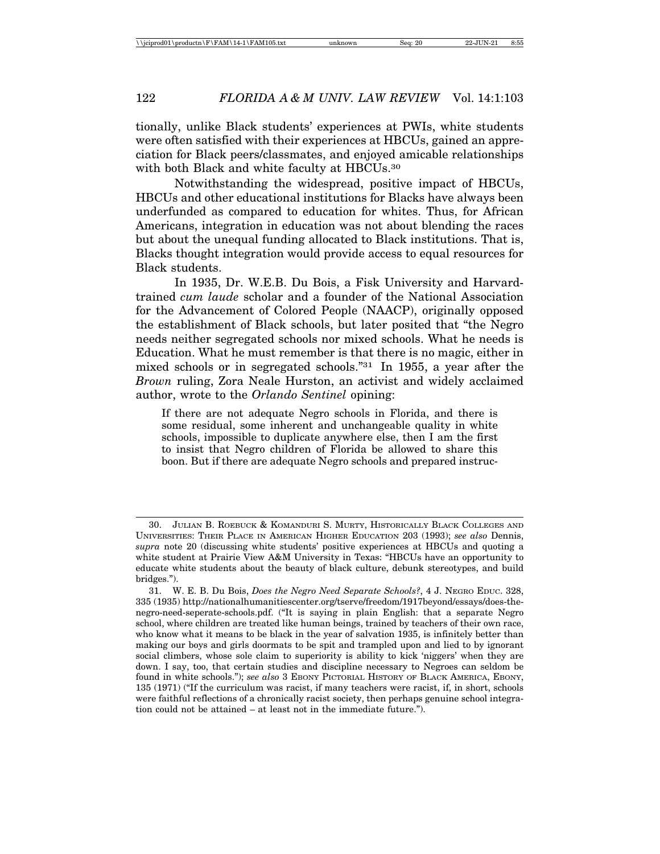tionally, unlike Black students' experiences at PWIs, white students were often satisfied with their experiences at HBCUs, gained an appreciation for Black peers/classmates, and enjoyed amicable relationships with both Black and white faculty at HBCUs.30

Notwithstanding the widespread, positive impact of HBCUs, HBCUs and other educational institutions for Blacks have always been underfunded as compared to education for whites. Thus, for African Americans, integration in education was not about blending the races but about the unequal funding allocated to Black institutions. That is, Blacks thought integration would provide access to equal resources for Black students.

In 1935, Dr. W.E.B. Du Bois, a Fisk University and Harvardtrained *cum laude* scholar and a founder of the National Association for the Advancement of Colored People (NAACP), originally opposed the establishment of Black schools, but later posited that "the Negro needs neither segregated schools nor mixed schools. What he needs is Education. What he must remember is that there is no magic, either in mixed schools or in segregated schools."31 In 1955, a year after the *Brown* ruling, Zora Neale Hurston, an activist and widely acclaimed author, wrote to the *Orlando Sentinel* opining:

If there are not adequate Negro schools in Florida, and there is some residual, some inherent and unchangeable quality in white schools, impossible to duplicate anywhere else, then I am the first to insist that Negro children of Florida be allowed to share this boon. But if there are adequate Negro schools and prepared instruc-

<sup>30.</sup> JULIAN B. ROEBUCK & KOMANDURI S. MURTY, HISTORICALLY BLACK COLLEGES AND UNIVERSITIES: THEIR PLACE IN AMERICAN HIGHER EDUCATION 203 (1993); *see also* Dennis, *supra* note 20 (discussing white students' positive experiences at HBCUs and quoting a white student at Prairie View A&M University in Texas: "HBCUs have an opportunity to educate white students about the beauty of black culture, debunk stereotypes, and build bridges.").

<sup>31.</sup> W. E. B. Du Bois, *Does the Negro Need Separate Schools?*, 4 J. NEGRO EDUC. 328, 335 (1935) http://nationalhumanitiescenter.org/tserve/freedom/1917beyond/essays/does-thenegro-need-seperate-schools.pdf. ("It is saying in plain English: that a separate Negro school, where children are treated like human beings, trained by teachers of their own race, who know what it means to be black in the year of salvation 1935, is infinitely better than making our boys and girls doormats to be spit and trampled upon and lied to by ignorant social climbers, whose sole claim to superiority is ability to kick 'niggers' when they are down. I say, too, that certain studies and discipline necessary to Negroes can seldom be found in white schools."); *see also* 3 EBONY PICTORIAL HISTORY OF BLACK AMERICA, EBONY, 135 (1971) ("If the curriculum was racist, if many teachers were racist, if, in short, schools were faithful reflections of a chronically racist society, then perhaps genuine school integration could not be attained – at least not in the immediate future.").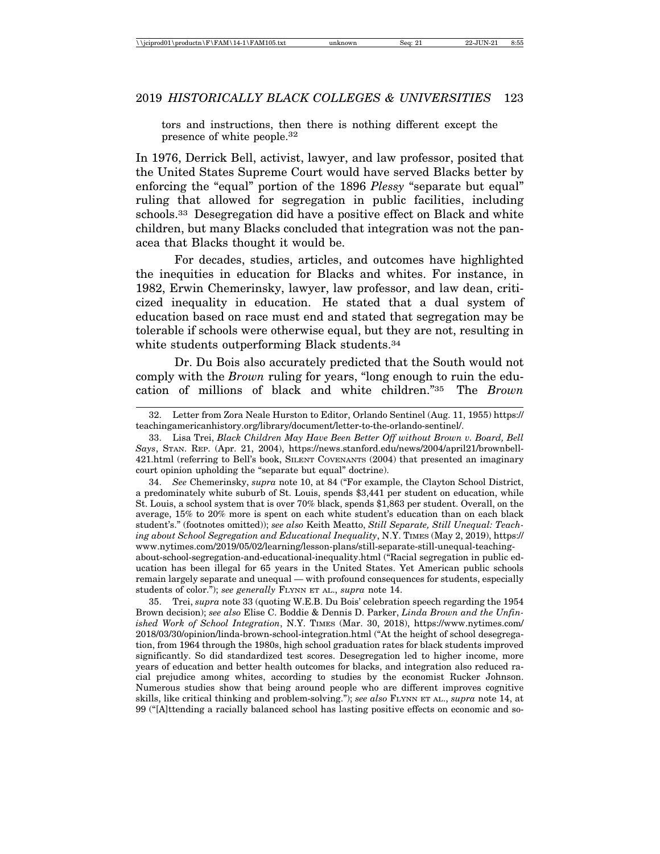tors and instructions, then there is nothing different except the presence of white people.32

In 1976, Derrick Bell, activist, lawyer, and law professor, posited that the United States Supreme Court would have served Blacks better by enforcing the "equal" portion of the 1896 *Plessy* "separate but equal" ruling that allowed for segregation in public facilities, including schools.33 Desegregation did have a positive effect on Black and white children, but many Blacks concluded that integration was not the panacea that Blacks thought it would be.

For decades, studies, articles, and outcomes have highlighted the inequities in education for Blacks and whites. For instance, in 1982, Erwin Chemerinsky, lawyer, law professor, and law dean, criticized inequality in education. He stated that a dual system of education based on race must end and stated that segregation may be tolerable if schools were otherwise equal, but they are not, resulting in white students outperforming Black students.<sup>34</sup>

Dr. Du Bois also accurately predicted that the South would not comply with the *Brown* ruling for years, "long enough to ruin the education of millions of black and white children."35 The *Brown*

34. *See* Chemerinsky, *supra* note 10, at 84 ("For example, the Clayton School District, a predominately white suburb of St. Louis, spends \$3,441 per student on education, while St. Louis, a school system that is over 70% black, spends \$1,863 per student. Overall, on the average, 15% to 20% more is spent on each white student's education than on each black student's." (footnotes omitted)); *see also* Keith Meatto, *Still Separate, Still Unequal: Teaching about School Segregation and Educational Inequality*, N.Y. TIMES (May 2, 2019), https:// www.nytimes.com/2019/05/02/learning/lesson-plans/still-separate-still-unequal-teachingabout-school-segregation-and-educational-inequality.html ("Racial segregation in public education has been illegal for 65 years in the United States. Yet American public schools remain largely separate and unequal — with profound consequences for students, especially students of color."); *see generally* FLYNN ET AL., *supra* note 14.

35. Trei, *supra* note 33 (quoting W.E.B. Du Bois' celebration speech regarding the 1954 Brown decision); *see also* Elise C. Boddie & Dennis D. Parker, *Linda Brown and the Unfinished Work of School Integration*, N.Y. TIMES (Mar. 30, 2018), https://www.nytimes.com/ 2018/03/30/opinion/linda-brown-school-integration.html ("At the height of school desegregation, from 1964 through the 1980s, high school graduation rates for black students improved significantly. So did standardized test scores. Desegregation led to higher income, more years of education and better health outcomes for blacks, and integration also reduced racial prejudice among whites, according to studies by the economist Rucker Johnson. Numerous studies show that being around people who are different improves cognitive skills, like critical thinking and problem-solving."); *see also* FLYNN ET AL., *supra* note 14, at 99 ("[A]ttending a racially balanced school has lasting positive effects on economic and so-

<sup>32.</sup> Letter from Zora Neale Hurston to Editor, Orlando Sentinel (Aug. 11, 1955) https:// teachingamericanhistory.org/library/document/letter-to-the-orlando-sentinel/.

<sup>33.</sup> Lisa Trei, *Black Children May Have Been Better Off without Brown v. Board, Bell Says*, STAN. REP. (Apr. 21, 2004), https://news.stanford.edu/news/2004/april21/brownbell-421.html (referring to Bell's book, SILENT COVENANTS (2004) that presented an imaginary court opinion upholding the "separate but equal" doctrine).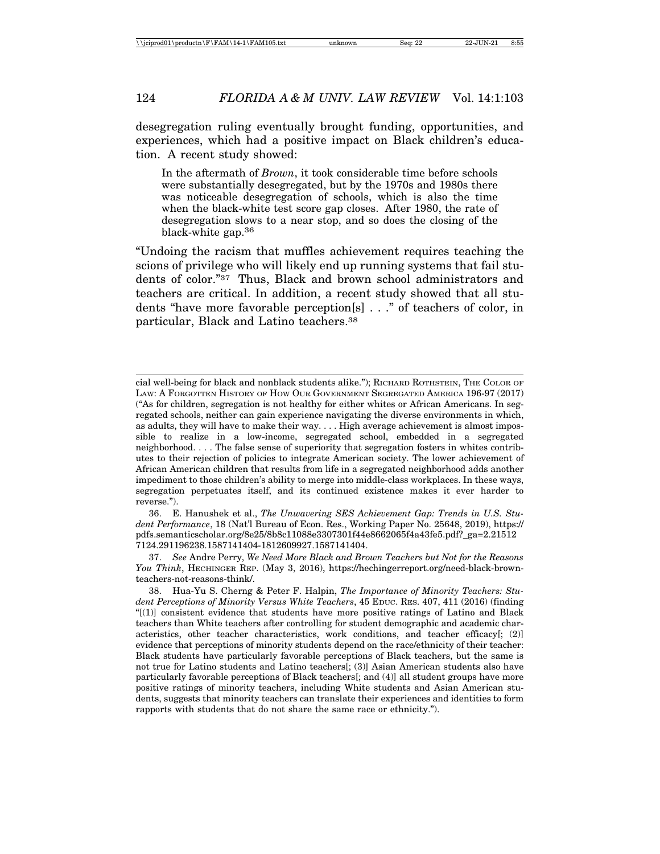desegregation ruling eventually brought funding, opportunities, and experiences, which had a positive impact on Black children's education. A recent study showed:

In the aftermath of *Brown*, it took considerable time before schools were substantially desegregated, but by the 1970s and 1980s there was noticeable desegregation of schools, which is also the time when the black-white test score gap closes. After 1980, the rate of desegregation slows to a near stop, and so does the closing of the black-white gap.36

"Undoing the racism that muffles achievement requires teaching the scions of privilege who will likely end up running systems that fail students of color."37 Thus, Black and brown school administrators and teachers are critical. In addition, a recent study showed that all students "have more favorable perception[s] . . ." of teachers of color, in particular, Black and Latino teachers.38

36. E. Hanushek et al., *The Unwavering SES Achievement Gap: Trends in U.S. Student Performance*, 18 (Nat'l Bureau of Econ. Res., Working Paper No. 25648, 2019), https:// pdfs.semanticscholar.org/8e25/8b8c11088e3307301f44e8662065f4a43fe5.pdf?\_ga=2.21512 7124.291196238.1587141404-1812609927.1587141404.

37. *See* Andre Perry, *We Need More Black and Brown Teachers but Not for the Reasons You Think*, HECHINGER REP. (May 3, 2016), https://hechingerreport.org/need-black-brownteachers-not-reasons-think/.

cial well-being for black and nonblack students alike."); RICHARD ROTHSTEIN, THE COLOR OF LAW: A FORGOTTEN HISTORY OF HOW OUR GOVERNMENT SEGREGATED AMERICA 196-97 (2017) ("As for children, segregation is not healthy for either whites or African Americans. In segregated schools, neither can gain experience navigating the diverse environments in which, as adults, they will have to make their way. . . . High average achievement is almost impossible to realize in a low-income, segregated school, embedded in a segregated neighborhood. . . . The false sense of superiority that segregation fosters in whites contributes to their rejection of policies to integrate American society. The lower achievement of African American children that results from life in a segregated neighborhood adds another impediment to those children's ability to merge into middle-class workplaces. In these ways, segregation perpetuates itself, and its continued existence makes it ever harder to reverse.").

<sup>38.</sup> Hua-Yu S. Cherng & Peter F. Halpin, *The Importance of Minority Teachers: Student Perceptions of Minority Versus White Teachers*, 45 EDUC. RES. 407, 411 (2016) (finding "[(1)] consistent evidence that students have more positive ratings of Latino and Black teachers than White teachers after controlling for student demographic and academic characteristics, other teacher characteristics, work conditions, and teacher efficacy[; (2)] evidence that perceptions of minority students depend on the race/ethnicity of their teacher: Black students have particularly favorable perceptions of Black teachers, but the same is not true for Latino students and Latino teachers[; (3)] Asian American students also have particularly favorable perceptions of Black teachers[; and (4)] all student groups have more positive ratings of minority teachers, including White students and Asian American students, suggests that minority teachers can translate their experiences and identities to form rapports with students that do not share the same race or ethnicity.").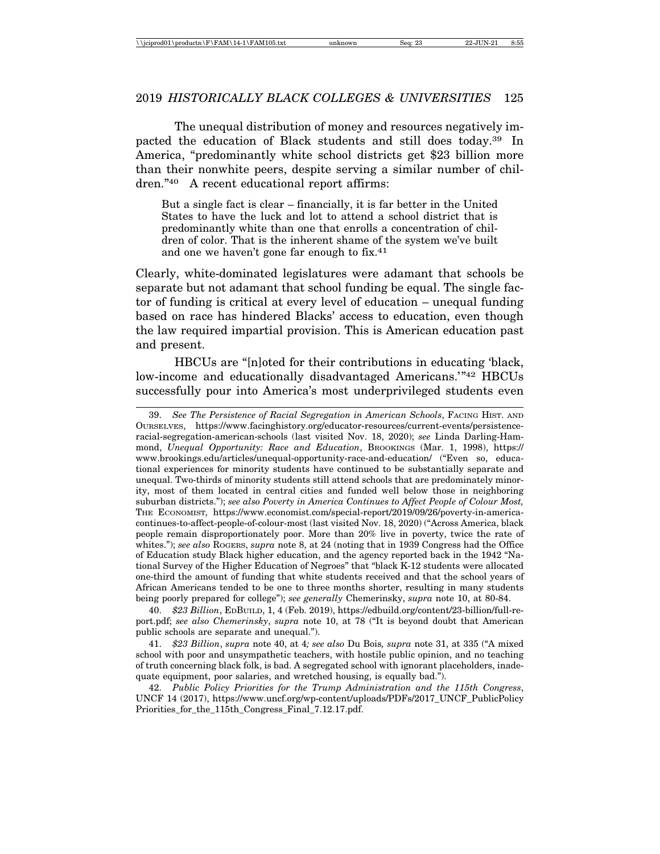The unequal distribution of money and resources negatively impacted the education of Black students and still does today.39 In America, "predominantly white school districts get \$23 billion more than their nonwhite peers, despite serving a similar number of children."40 A recent educational report affirms:

But a single fact is clear – financially, it is far better in the United States to have the luck and lot to attend a school district that is predominantly white than one that enrolls a concentration of children of color. That is the inherent shame of the system we've built and one we haven't gone far enough to fix.<sup>41</sup>

Clearly, white-dominated legislatures were adamant that schools be separate but not adamant that school funding be equal. The single factor of funding is critical at every level of education – unequal funding based on race has hindered Blacks' access to education, even though the law required impartial provision. This is American education past and present.

HBCUs are "[n]oted for their contributions in educating 'black, low-income and educationally disadvantaged Americans.'"42 HBCUs successfully pour into America's most underprivileged students even

40. *\$23 Billion*, EDBUILD, 1, 4 (Feb. 2019), https://edbuild.org/content/23-billion/full-report.pdf; *see also Chemerinsky*, *supra* note 10, at 78 ("It is beyond doubt that American public schools are separate and unequal.").

41. *\$23 Billion*, *supra* note 40, at 4*; see also* Du Bois*, supra* note 31, at 335 ("A mixed school with poor and unsympathetic teachers, with hostile public opinion, and no teaching of truth concerning black folk, is bad. A segregated school with ignorant placeholders, inadequate equipment, poor salaries, and wretched housing, is equally bad.").

42. *Public Policy Priorities for the Trump Administration and the 115th Congress*, UNCF 14 (2017), https://www.uncf.org/wp-content/uploads/PDFs/2017\_UNCF\_PublicPolicy Priorities\_for\_the\_115th\_Congress\_Final\_7.12.17.pdf.

<sup>39.</sup> *See The Persistence of Racial Segregation in American Schools*, FACING HIST. AND OURSELVES, https://www.facinghistory.org/educator-resources/current-events/persistenceracial-segregation-american-schools (last visited Nov. 18, 2020); *see* Linda Darling-Hammond, *Unequal Opportunity: Race and Education*, BROOKINGS (Mar. 1, 1998), https:// www.brookings.edu/articles/unequal-opportunity-race-and-education/ ("Even so, educational experiences for minority students have continued to be substantially separate and unequal. Two-thirds of minority students still attend schools that are predominately minority, most of them located in central cities and funded well below those in neighboring suburban districts."); *see also Poverty in America Continues to Affect People of Colour Most,* THE ECONOMIST*,* https://www.economist.com/special-report/2019/09/26/poverty-in-americacontinues-to-affect-people-of-colour-most (last visited Nov. 18, 2020) ("Across America, black people remain disproportionately poor. More than 20% live in poverty, twice the rate of whites."); *see also* ROGERS, *supra* note 8, at 24 (noting that in 1939 Congress had the Office of Education study Black higher education, and the agency reported back in the 1942 "National Survey of the Higher Education of Negroes" that "black K-12 students were allocated one-third the amount of funding that white students received and that the school years of African Americans tended to be one to three months shorter, resulting in many students being poorly prepared for college"); *see generally* Chemerinsky, *supra* note 10, at 80-84.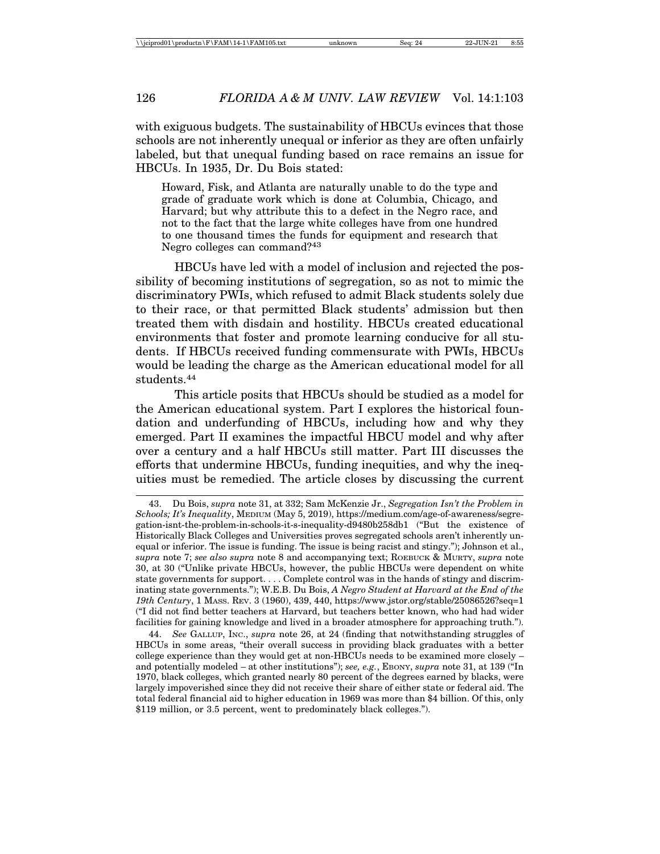with exiguous budgets. The sustainability of HBCUs evinces that those schools are not inherently unequal or inferior as they are often unfairly labeled, but that unequal funding based on race remains an issue for HBCUs. In 1935, Dr. Du Bois stated:

Howard, Fisk, and Atlanta are naturally unable to do the type and grade of graduate work which is done at Columbia, Chicago, and Harvard; but why attribute this to a defect in the Negro race, and not to the fact that the large white colleges have from one hundred to one thousand times the funds for equipment and research that Negro colleges can command?43

HBCUs have led with a model of inclusion and rejected the possibility of becoming institutions of segregation, so as not to mimic the discriminatory PWIs, which refused to admit Black students solely due to their race, or that permitted Black students' admission but then treated them with disdain and hostility. HBCUs created educational environments that foster and promote learning conducive for all students. If HBCUs received funding commensurate with PWIs, HBCUs would be leading the charge as the American educational model for all students.44

This article posits that HBCUs should be studied as a model for the American educational system. Part I explores the historical foundation and underfunding of HBCUs, including how and why they emerged. Part II examines the impactful HBCU model and why after over a century and a half HBCUs still matter. Part III discusses the efforts that undermine HBCUs, funding inequities, and why the inequities must be remedied. The article closes by discussing the current

<sup>43.</sup> Du Bois, *supra* note 31, at 332; Sam McKenzie Jr., *Segregation Isn't the Problem in Schools; It's Inequality*, MEDIUM (May 5, 2019), https://medium.com/age-of-awareness/segregation-isnt-the-problem-in-schools-it-s-inequality-d9480b258db1 ("But the existence of Historically Black Colleges and Universities proves segregated schools aren't inherently unequal or inferior. The issue is funding. The issue is being racist and stingy."); Johnson et al., *supra* note 7; *see also supra* note 8 and accompanying text; ROEBUCK & MURTY, *supra* note 30, at 30 ("Unlike private HBCUs, however, the public HBCUs were dependent on white state governments for support. . . . Complete control was in the hands of stingy and discriminating state governments."); W.E.B. Du Bois, *A Negro Student at Harvard at the End of the 19th Century*, 1 MASS. REV. 3 (1960), 439, 440, https://www.jstor.org/stable/25086526?seq=1 ("I did not find better teachers at Harvard, but teachers better known, who had had wider facilities for gaining knowledge and lived in a broader atmosphere for approaching truth.").

<sup>44.</sup> *See* GALLUP, INC., *supra* note 26, at 24 (finding that notwithstanding struggles of HBCUs in some areas, "their overall success in providing black graduates with a better college experience than they would get at non-HBCUs needs to be examined more closely – and potentially modeled – at other institutions"); *see, e.g.*, EBONY, *supra* note 31, at 139 ("In 1970, black colleges, which granted nearly 80 percent of the degrees earned by blacks, were largely impoverished since they did not receive their share of either state or federal aid. The total federal financial aid to higher education in 1969 was more than \$4 billion. Of this, only \$119 million, or 3.5 percent, went to predominately black colleges.").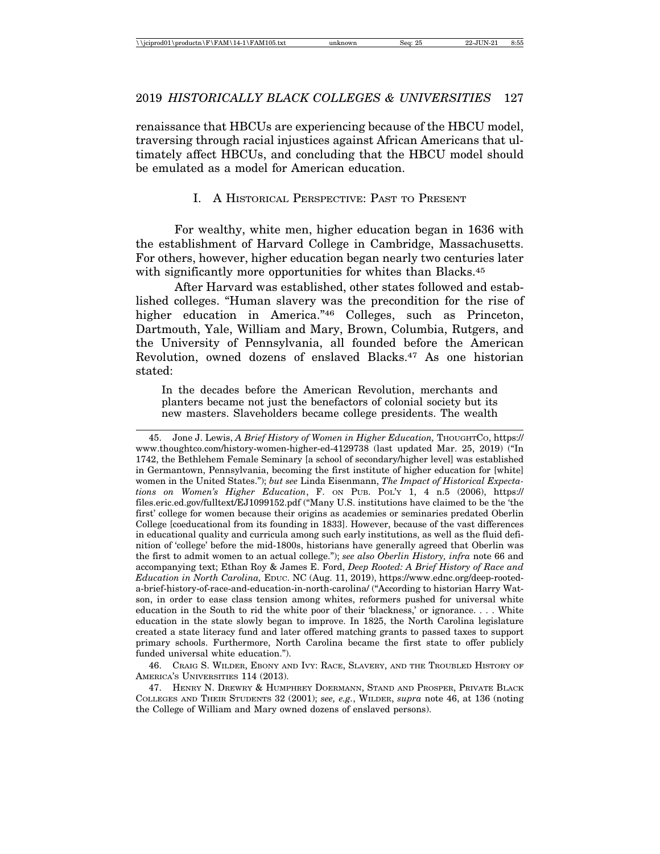renaissance that HBCUs are experiencing because of the HBCU model, traversing through racial injustices against African Americans that ultimately affect HBCUs, and concluding that the HBCU model should be emulated as a model for American education.

#### I. A HISTORICAL PERSPECTIVE: PAST TO PRESENT

For wealthy, white men, higher education began in 1636 with the establishment of Harvard College in Cambridge, Massachusetts. For others, however, higher education began nearly two centuries later with significantly more opportunities for whites than Blacks.<sup>45</sup>

After Harvard was established, other states followed and established colleges. "Human slavery was the precondition for the rise of higher education in America."<sup>46</sup> Colleges, such as Princeton, Dartmouth, Yale, William and Mary, Brown, Columbia, Rutgers, and the University of Pennsylvania, all founded before the American Revolution, owned dozens of enslaved Blacks.47 As one historian stated:

In the decades before the American Revolution, merchants and planters became not just the benefactors of colonial society but its new masters. Slaveholders became college presidents. The wealth

46. CRAIG S. WILDER, EBONY AND IVY: RACE, SLAVERY, AND THE TROUBLED HISTORY OF AMERICA'S UNIVERSITIES 114 (2013).

47. HENRY N. DREWRY & HUMPHREY DOERMANN, STAND AND PROSPER, PRIVATE BLACK COLLEGES AND THEIR STUDENTS 32 (2001); *see, e.g.*, WILDER, *supra* note 46, at 136 (noting the College of William and Mary owned dozens of enslaved persons).

<sup>45.</sup> Jone J. Lewis, *A Brief History of Women in Higher Education,* THOUGHTCO, https:// www.thoughtco.com/history-women-higher-ed-4129738 (last updated Mar. 25, 2019) ("In 1742, the Bethlehem Female Seminary [a school of secondary/higher level] was established in Germantown, Pennsylvania, becoming the first institute of higher education for [white] women in the United States."); *but see* Linda Eisenmann, *The Impact of Historical Expectations on Women's Higher Education*, F. ON PUB. POL'Y 1, 4 n.5 (2006), https:// files.eric.ed.gov/fulltext/EJ1099152.pdf ("Many U.S. institutions have claimed to be the 'the first' college for women because their origins as academies or seminaries predated Oberlin College [coeducational from its founding in 1833]. However, because of the vast differences in educational quality and curricula among such early institutions, as well as the fluid definition of 'college' before the mid-1800s, historians have generally agreed that Oberlin was the first to admit women to an actual college."); *see also Oberlin History, infra* note 66 and accompanying text; Ethan Roy & James E. Ford, *Deep Rooted: A Brief History of Race and Education in North Carolina,* EDUC. NC (Aug. 11, 2019), https://www.ednc.org/deep-rooteda-brief-history-of-race-and-education-in-north-carolina/ ("According to historian Harry Watson, in order to ease class tension among whites, reformers pushed for universal white education in the South to rid the white poor of their 'blackness,' or ignorance. . . . White education in the state slowly began to improve. In 1825, the North Carolina legislature created a state literacy fund and later offered matching grants to passed taxes to support primary schools. Furthermore, North Carolina became the first state to offer publicly funded universal white education.").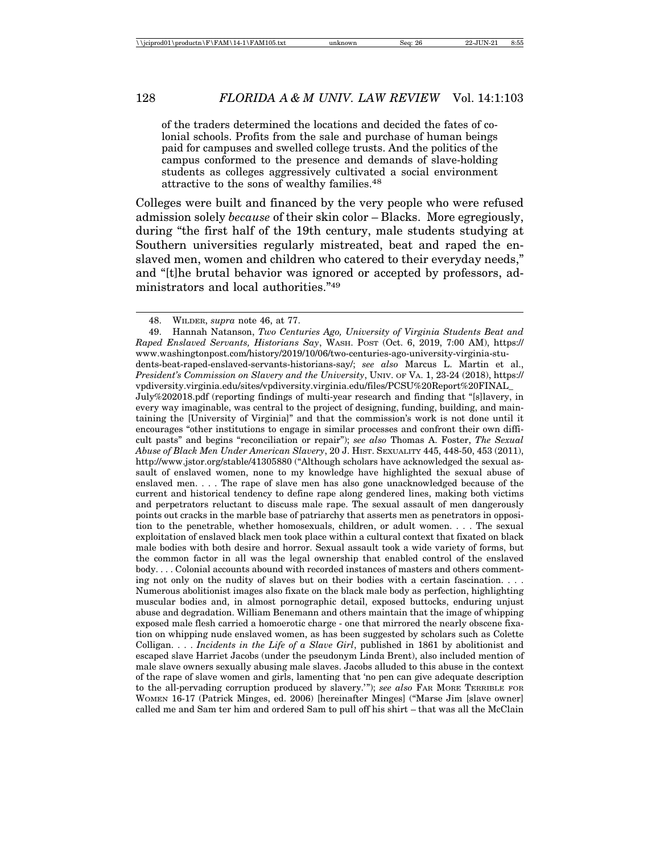of the traders determined the locations and decided the fates of colonial schools. Profits from the sale and purchase of human beings paid for campuses and swelled college trusts. And the politics of the campus conformed to the presence and demands of slave-holding students as colleges aggressively cultivated a social environment attractive to the sons of wealthy families.48

Colleges were built and financed by the very people who were refused admission solely *because* of their skin color – Blacks. More egregiously, during "the first half of the 19th century, male students studying at Southern universities regularly mistreated, beat and raped the enslaved men, women and children who catered to their everyday needs," and "[t]he brutal behavior was ignored or accepted by professors, administrators and local authorities."49

<sup>48.</sup> WILDER, *supra* note 46, at 77.

<sup>49.</sup> Hannah Natanson, *Two Centuries Ago, University of Virginia Students Beat and Raped Enslaved Servants, Historians Say*, WASH. POST (Oct. 6, 2019, 7:00 AM), https:// www.washingtonpost.com/history/2019/10/06/two-centuries-ago-university-virginia-students-beat-raped-enslaved-servants-historians-say/; *see also* Marcus L. Martin et al., *President's Commission on Slavery and the University*, UNIV. OF VA. 1, 23-24 (2018), https:// vpdiversity.virginia.edu/sites/vpdiversity.virginia.edu/files/PCSU%20Report%20FINAL\_ July%202018.pdf (reporting findings of multi-year research and finding that "[s]lavery, in every way imaginable, was central to the project of designing, funding, building, and maintaining the [University of Virginia]" and that the commission's work is not done until it encourages "other institutions to engage in similar processes and confront their own difficult pasts" and begins "reconciliation or repair"); *see also* Thomas A. Foster, *The Sexual Abuse of Black Men Under American Slavery*, 20 J. HIST. SEXUALITY 445, 448-50, 453 (2011), http://www.jstor.org/stable/41305880 ("Although scholars have acknowledged the sexual assault of enslaved women, none to my knowledge have highlighted the sexual abuse of enslaved men. . . . The rape of slave men has also gone unacknowledged because of the current and historical tendency to define rape along gendered lines, making both victims and perpetrators reluctant to discuss male rape. The sexual assault of men dangerously points out cracks in the marble base of patriarchy that asserts men as penetrators in opposition to the penetrable, whether homosexuals, children, or adult women. . . . The sexual exploitation of enslaved black men took place within a cultural context that fixated on black male bodies with both desire and horror. Sexual assault took a wide variety of forms, but the common factor in all was the legal ownership that enabled control of the enslaved body. . . . Colonial accounts abound with recorded instances of masters and others commenting not only on the nudity of slaves but on their bodies with a certain fascination. . . . Numerous abolitionist images also fixate on the black male body as perfection, highlighting muscular bodies and, in almost pornographic detail, exposed buttocks, enduring unjust abuse and degradation. William Benemann and others maintain that the image of whipping exposed male flesh carried a homoerotic charge - one that mirrored the nearly obscene fixation on whipping nude enslaved women, as has been suggested by scholars such as Colette Colligan. . . . *Incidents in the Life of a Slave Girl*, published in 1861 by abolitionist and escaped slave Harriet Jacobs (under the pseudonym Linda Brent), also included mention of male slave owners sexually abusing male slaves. Jacobs alluded to this abuse in the context of the rape of slave women and girls, lamenting that 'no pen can give adequate description to the all-pervading corruption produced by slavery.'"); *see also* FAR MORE TERRIBLE FOR WOMEN 16-17 (Patrick Minges, ed. 2006) [hereinafter Minges] ("Marse Jim [slave owner] called me and Sam ter him and ordered Sam to pull off his shirt – that was all the McClain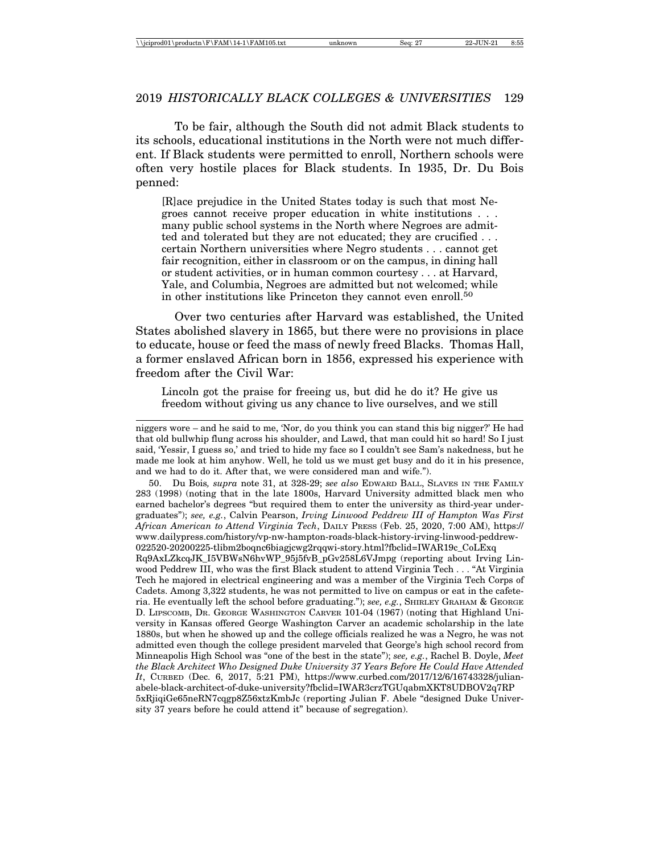To be fair, although the South did not admit Black students to its schools, educational institutions in the North were not much different. If Black students were permitted to enroll, Northern schools were often very hostile places for Black students. In 1935, Dr. Du Bois penned:

[R]ace prejudice in the United States today is such that most Negroes cannot receive proper education in white institutions . . . many public school systems in the North where Negroes are admitted and tolerated but they are not educated; they are crucified . . . certain Northern universities where Negro students . . . cannot get fair recognition, either in classroom or on the campus, in dining hall or student activities, or in human common courtesy . . . at Harvard, Yale, and Columbia, Negroes are admitted but not welcomed; while in other institutions like Princeton they cannot even enroll.<sup>50</sup>

Over two centuries after Harvard was established, the United States abolished slavery in 1865, but there were no provisions in place to educate, house or feed the mass of newly freed Blacks. Thomas Hall, a former enslaved African born in 1856, expressed his experience with freedom after the Civil War:

Lincoln got the praise for freeing us, but did he do it? He give us freedom without giving us any chance to live ourselves, and we still

Rq9AxLZkcqJK\_I5VBWsN6hvWP\_95j5fvB\_pGv258L6VJmpg (reporting about Irving Linwood Peddrew III, who was the first Black student to attend Virginia Tech . . . "At Virginia Tech he majored in electrical engineering and was a member of the Virginia Tech Corps of Cadets. Among 3,322 students, he was not permitted to live on campus or eat in the cafeteria. He eventually left the school before graduating."); *see, e.g.*, SHIRLEY GRAHAM & GEORGE D. LIPSCOMB, DR. GEORGE WASHINGTON CARVER 101-04 (1967) (noting that Highland University in Kansas offered George Washington Carver an academic scholarship in the late 1880s, but when he showed up and the college officials realized he was a Negro, he was not admitted even though the college president marveled that George's high school record from Minneapolis High School was "one of the best in the state"); *see, e.g.*, Rachel B. Doyle, *Meet the Black Architect Who Designed Duke University 37 Years Before He Could Have Attended It*, CURBED (Dec. 6, 2017, 5:21 PM), https://www.curbed.com/2017/12/6/16743328/julianabele-black-architect-of-duke-university?fbclid=IWAR3crzTGUqabmXKT8UDBOV2q7RP 5xRjiqiGe65neRN7cqgp8Z56xtzKmbJc (reporting Julian F. Abele "designed Duke University 37 years before he could attend it" because of segregation).

niggers wore – and he said to me, 'Nor, do you think you can stand this big nigger?' He had that old bullwhip flung across his shoulder, and Lawd, that man could hit so hard! So I just said, 'Yessir, I guess so,' and tried to hide my face so I couldn't see Sam's nakedness, but he made me look at him anyhow. Well, he told us we must get busy and do it in his presence, and we had to do it. After that, we were considered man and wife.").

<sup>50.</sup> Du Bois*, supra* note 31, at 328-29; *see also* EDWARD BALL, SLAVES IN THE FAMILY 283 (1998) (noting that in the late 1800s, Harvard University admitted black men who earned bachelor's degrees "but required them to enter the university as third-year undergraduates"); *see, e.g.*, Calvin Pearson, *Irving Linwood Peddrew III of Hampton Was First African American to Attend Virginia Tech*, DAILY PRESS (Feb. 25, 2020, 7:00 AM), https:// www.dailypress.com/history/vp-nw-hampton-roads-black-history-irving-linwood-peddrew-022520-20200225-tlibm2boqnc6biagjcwg2rqqwi-story.html?fbclid=IWAR19c\_CoLExq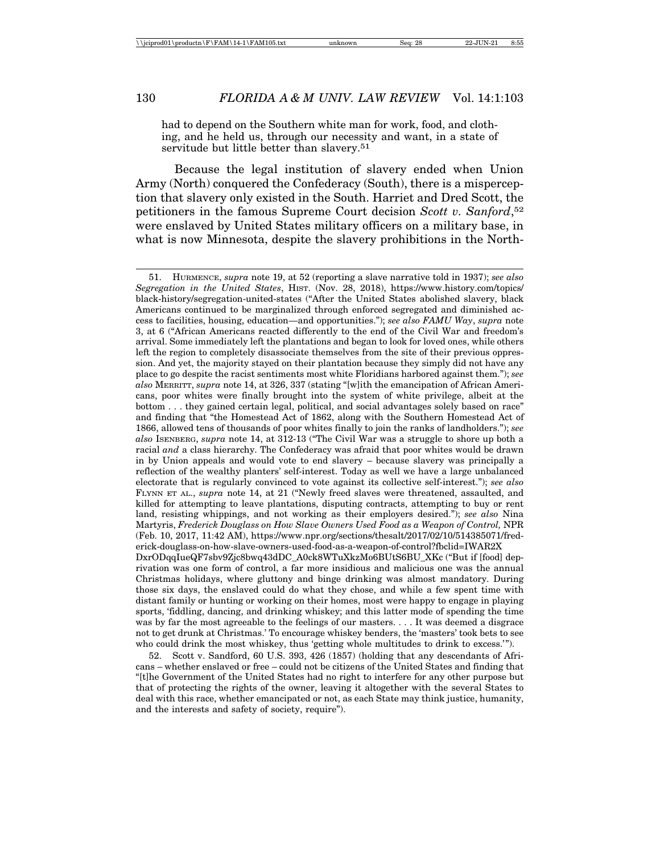had to depend on the Southern white man for work, food, and clothing, and he held us, through our necessity and want, in a state of servitude but little better than slavery.<sup>51</sup>

Because the legal institution of slavery ended when Union Army (North) conquered the Confederacy (South), there is a misperception that slavery only existed in the South. Harriet and Dred Scott, the petitioners in the famous Supreme Court decision *Scott v. Sanford*,52 were enslaved by United States military officers on a military base, in what is now Minnesota, despite the slavery prohibitions in the North-

sports, 'fiddling, dancing, and drinking whiskey; and this latter mode of spending the time was by far the most agreeable to the feelings of our masters. . . . It was deemed a disgrace not to get drunk at Christmas.' To encourage whiskey benders, the 'masters' took bets to see who could drink the most whiskey, thus 'getting whole multitudes to drink to excess.'").

52. Scott v. Sandford, 60 U.S. 393, 426 (1857) (holding that any descendants of Africans – whether enslaved or free – could not be citizens of the United States and finding that "[t]he Government of the United States had no right to interfere for any other purpose but that of protecting the rights of the owner, leaving it altogether with the several States to deal with this race, whether emancipated or not, as each State may think justice, humanity, and the interests and safety of society, require").

<sup>51.</sup> HURMENCE, *supra* note 19, at 52 (reporting a slave narrative told in 1937); *see also Segregation in the United States*, HIST. (Nov. 28, 2018), https://www.history.com/topics/ black-history/segregation-united-states ("After the United States abolished slavery, black Americans continued to be marginalized through enforced segregated and diminished access to facilities, housing, education—and opportunities."); *see also FAMU Way*, *supra* note 3, at 6 ("African Americans reacted differently to the end of the Civil War and freedom's arrival. Some immediately left the plantations and began to look for loved ones, while others left the region to completely disassociate themselves from the site of their previous oppression. And yet, the majority stayed on their plantation because they simply did not have any place to go despite the racist sentiments most white Floridians harbored against them."); *see also* MERRITT, *supra* note 14, at 326, 337 (stating "[w]ith the emancipation of African Americans, poor whites were finally brought into the system of white privilege, albeit at the bottom . . . they gained certain legal, political, and social advantages solely based on race" and finding that "the Homestead Act of 1862, along with the Southern Homestead Act of 1866, allowed tens of thousands of poor whites finally to join the ranks of landholders."); *see also* ISENBERG, *supra* note 14, at 312-13 ("The Civil War was a struggle to shore up both a racial *and* a class hierarchy. The Confederacy was afraid that poor whites would be drawn in by Union appeals and would vote to end slavery – because slavery was principally a reflection of the wealthy planters' self-interest. Today as well we have a large unbalanced electorate that is regularly convinced to vote against its collective self-interest."); *see also* FLYNN ET AL., *supra* note 14, at 21 ("Newly freed slaves were threatened, assaulted, and killed for attempting to leave plantations, disputing contracts, attempting to buy or rent land, resisting whippings, and not working as their employers desired."); *see also* Nina Martyris, *Frederick Douglass on How Slave Owners Used Food as a Weapon of Control,* NPR (Feb. 10, 2017, 11:42 AM), https://www.npr.org/sections/thesalt/2017/02/10/514385071/frederick-douglass-on-how-slave-owners-used-food-as-a-weapon-of-control?fbclid=IWAR2X DxrODqqIueQF7sbv9Zjc8bwq43dDC\_A0ck8WTuXkzMo6BUtS6BU\_XKc ("But if [food] deprivation was one form of control, a far more insidious and malicious one was the annual Christmas holidays, where gluttony and binge drinking was almost mandatory. During those six days, the enslaved could do what they chose, and while a few spent time with distant family or hunting or working on their homes, most were happy to engage in playing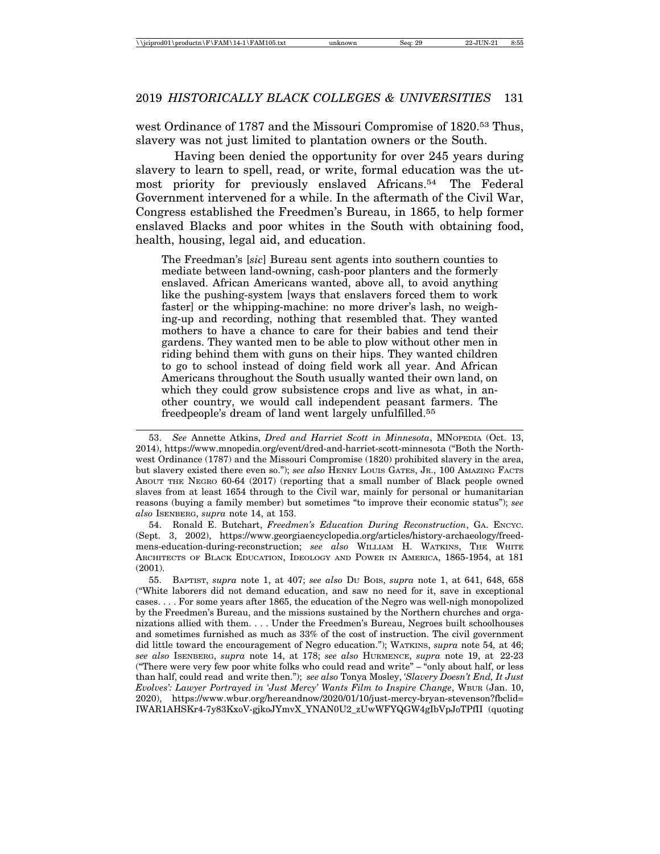west Ordinance of 1787 and the Missouri Compromise of 1820.53 Thus, slavery was not just limited to plantation owners or the South.

Having been denied the opportunity for over 245 years during slavery to learn to spell, read, or write, formal education was the utmost priority for previously enslaved Africans.54 The Federal Government intervened for a while. In the aftermath of the Civil War, Congress established the Freedmen's Bureau, in 1865, to help former enslaved Blacks and poor whites in the South with obtaining food, health, housing, legal aid, and education.

The Freedman's [*sic*] Bureau sent agents into southern counties to mediate between land-owning, cash-poor planters and the formerly enslaved. African Americans wanted, above all, to avoid anything like the pushing-system [ways that enslavers forced them to work faster] or the whipping-machine: no more driver's lash, no weighing-up and recording, nothing that resembled that. They wanted mothers to have a chance to care for their babies and tend their gardens. They wanted men to be able to plow without other men in riding behind them with guns on their hips. They wanted children to go to school instead of doing field work all year. And African Americans throughout the South usually wanted their own land, on which they could grow subsistence crops and live as what, in another country, we would call independent peasant farmers. The freedpeople's dream of land went largely unfulfilled.55

54. Ronald E. Butchart, *Freedmen's Education During Reconstruction*, GA. ENCYC. (Sept. 3, 2002), https://www.georgiaencyclopedia.org/articles/history-archaeology/freedmens-education-during-reconstruction; *see also* WILLIAM H. WATKINS, THE WHITE ARCHITECTS OF BLACK EDUCATION, IDEOLOGY AND POWER IN AMERICA, 1865-1954, at 181 (2001).

55. BAPTIST, *supra* note 1, at 407; *see also* DU BOIS, *supra* note 1, at 641, 648, 658 ("White laborers did not demand education, and saw no need for it, save in exceptional cases. . . . For some years after 1865, the education of the Negro was well-nigh monopolized by the Freedmen's Bureau, and the missions sustained by the Northern churches and organizations allied with them. . . . Under the Freedmen's Bureau, Negroes built schoolhouses and sometimes furnished as much as 33% of the cost of instruction. The civil government did little toward the encouragement of Negro education."); WATKINS, *supra* note 54*,* at 46; *see also* ISENBERG, *supra* note 14, at 178; *see also* HURMENCE, *supra* note 19, at 22-23 ("There were very few poor white folks who could read and write" – "only about half, or less than half, could read and write then."); *see also* Tonya Mosley, *'Slavery Doesn't End, It Just Evolves': Lawyer Portrayed in 'Just Mercy' Wants Film to Inspire Change*, WBUR (Jan. 10, 2020), https://www.wbur.org/hereandnow/2020/01/10/just-mercy-bryan-stevenson?fbclid= IWAR1AHSKr4-7y83KxoV-gjkoJYmvX\_YNAN0U2\_zUwWFYQGW4gIbVpJoTPfII (quoting

<sup>53.</sup> *See* Annette Atkins, *Dred and Harriet Scott in Minnesota*, MNOPEDIA (Oct. 13, 2014), https://www.mnopedia.org/event/dred-and-harriet-scott-minnesota ("Both the Northwest Ordinance (1787) and the Missouri Compromise (1820) prohibited slavery in the area, but slavery existed there even so."); *see also* HENRY LOUIS GATES, JR., 100 AMAZING FACTS ABOUT THE NEGRO 60-64 (2017) (reporting that a small number of Black people owned slaves from at least 1654 through to the Civil war, mainly for personal or humanitarian reasons (buying a family member) but sometimes "to improve their economic status"); *see also* ISENBERG, *supra* note 14, at 153.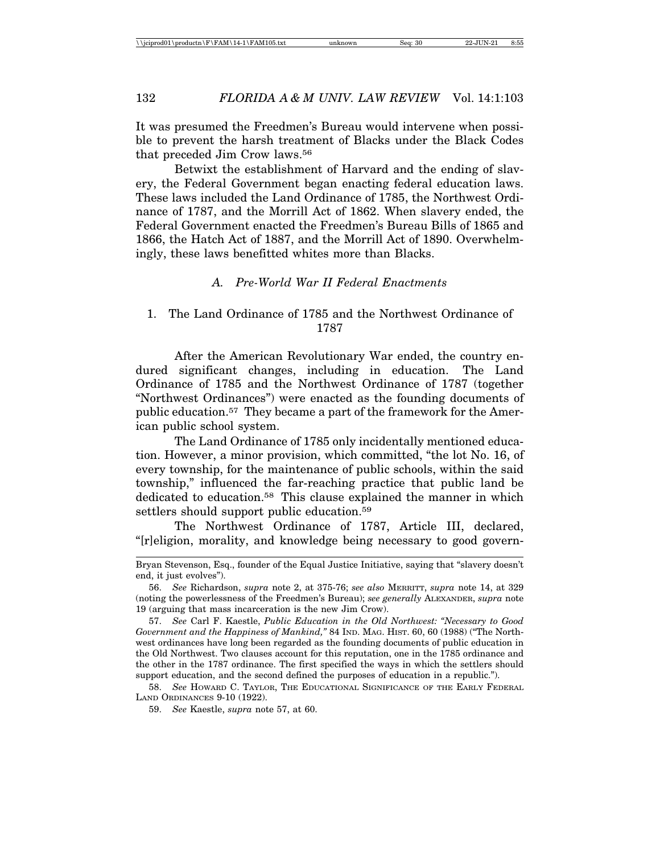It was presumed the Freedmen's Bureau would intervene when possible to prevent the harsh treatment of Blacks under the Black Codes that preceded Jim Crow laws.56

Betwixt the establishment of Harvard and the ending of slavery, the Federal Government began enacting federal education laws. These laws included the Land Ordinance of 1785, the Northwest Ordinance of 1787, and the Morrill Act of 1862. When slavery ended, the Federal Government enacted the Freedmen's Bureau Bills of 1865 and 1866, the Hatch Act of 1887, and the Morrill Act of 1890. Overwhelmingly, these laws benefitted whites more than Blacks.

#### *A. Pre-World War II Federal Enactments*

### 1. The Land Ordinance of 1785 and the Northwest Ordinance of 1787

After the American Revolutionary War ended, the country endured significant changes, including in education. The Land Ordinance of 1785 and the Northwest Ordinance of 1787 (together "Northwest Ordinances") were enacted as the founding documents of public education.57 They became a part of the framework for the American public school system.

The Land Ordinance of 1785 only incidentally mentioned education. However, a minor provision, which committed, "the lot No. 16, of every township, for the maintenance of public schools, within the said township," influenced the far-reaching practice that public land be dedicated to education.58 This clause explained the manner in which settlers should support public education.<sup>59</sup>

The Northwest Ordinance of 1787, Article III, declared, "[r]eligion, morality, and knowledge being necessary to good govern-

58. *See* HOWARD C. TAYLOR, THE EDUCATIONAL SIGNIFICANCE OF THE EARLY FEDERAL LAND ORDINANCES 9-10 (1922).

Bryan Stevenson, Esq., founder of the Equal Justice Initiative, saying that "slavery doesn't end, it just evolves").

<sup>56.</sup> *See* Richardson, *supra* note 2, at 375-76; *see also* MERRITT, *supra* note 14, at 329 (noting the powerlessness of the Freedmen's Bureau); *see generally* ALEXANDER, *supra* note 19 (arguing that mass incarceration is the new Jim Crow).

<sup>57.</sup> *See* Carl F. Kaestle, *Public Education in the Old Northwest: "Necessary to Good Government and the Happiness of Mankind,"* 84 IND. MAG. HIST. 60, 60 (1988) ("The Northwest ordinances have long been regarded as the founding documents of public education in the Old Northwest. Two clauses account for this reputation, one in the 1785 ordinance and the other in the 1787 ordinance. The first specified the ways in which the settlers should support education, and the second defined the purposes of education in a republic.").

<sup>59.</sup> *See* Kaestle, *supra* note 57, at 60.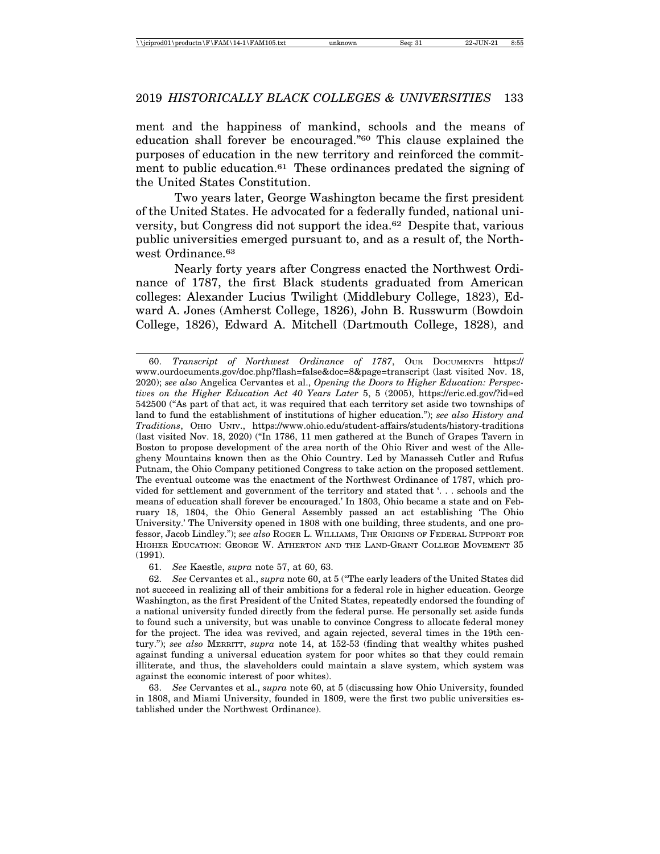ment and the happiness of mankind, schools and the means of education shall forever be encouraged."60 This clause explained the purposes of education in the new territory and reinforced the commitment to public education.61 These ordinances predated the signing of the United States Constitution.

Two years later, George Washington became the first president of the United States. He advocated for a federally funded, national university, but Congress did not support the idea.62 Despite that, various public universities emerged pursuant to, and as a result of, the Northwest Ordinance.63

Nearly forty years after Congress enacted the Northwest Ordinance of 1787, the first Black students graduated from American colleges: Alexander Lucius Twilight (Middlebury College, 1823), Edward A. Jones (Amherst College, 1826), John B. Russwurm (Bowdoin College, 1826), Edward A. Mitchell (Dartmouth College, 1828), and

<sup>60.</sup> *Transcript of Northwest Ordinance of 1787*, OUR DOCUMENTS https:// www.ourdocuments.gov/doc.php?flash=false&doc=8&page=transcript (last visited Nov. 18, 2020); *see also* Angelica Cervantes et al., *Opening the Doors to Higher Education: Perspectives on the Higher Education Act 40 Years Later* 5, 5 (2005), https://eric.ed.gov/?id=ed 542500 ("As part of that act, it was required that each territory set aside two townships of land to fund the establishment of institutions of higher education."); *see also History and Traditions*, OHIO UNIV., https://www.ohio.edu/student-affairs/students/history-traditions (last visited Nov. 18, 2020) ("In 1786, 11 men gathered at the Bunch of Grapes Tavern in Boston to propose development of the area north of the Ohio River and west of the Allegheny Mountains known then as the Ohio Country. Led by Manasseh Cutler and Rufus Putnam, the Ohio Company petitioned Congress to take action on the proposed settlement. The eventual outcome was the enactment of the Northwest Ordinance of 1787, which provided for settlement and government of the territory and stated that '. . . schools and the means of education shall forever be encouraged.' In 1803, Ohio became a state and on February 18, 1804, the Ohio General Assembly passed an act establishing 'The Ohio University.' The University opened in 1808 with one building, three students, and one professor, Jacob Lindley."); *see also* ROGER L. WILLIAMS, THE ORIGINS OF FEDERAL SUPPORT FOR HIGHER EDUCATION: GEORGE W. ATHERTON AND THE LAND-GRANT COLLEGE MOVEMENT 35 (1991).

<sup>61.</sup> *See* Kaestle, *supra* note 57, at 60, 63.

<sup>62.</sup> *See* Cervantes et al., *supra* note 60, at 5 ("The early leaders of the United States did not succeed in realizing all of their ambitions for a federal role in higher education. George Washington, as the first President of the United States, repeatedly endorsed the founding of a national university funded directly from the federal purse. He personally set aside funds to found such a university, but was unable to convince Congress to allocate federal money for the project. The idea was revived, and again rejected, several times in the 19th century."); *see also* MERRITT, *supra* note 14, at 152-53 (finding that wealthy whites pushed against funding a universal education system for poor whites so that they could remain illiterate, and thus, the slaveholders could maintain a slave system, which system was against the economic interest of poor whites).

<sup>63.</sup> *See* Cervantes et al., *supra* note 60, at 5 (discussing how Ohio University, founded in 1808, and Miami University, founded in 1809, were the first two public universities established under the Northwest Ordinance).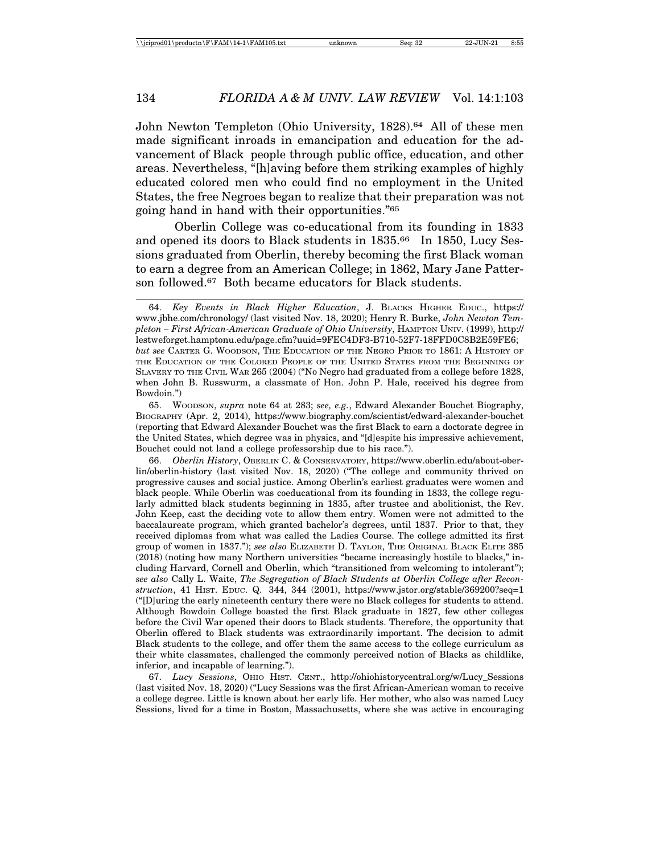John Newton Templeton (Ohio University, 1828).64 All of these men made significant inroads in emancipation and education for the advancement of Black people through public office, education, and other areas. Nevertheless, "[h]aving before them striking examples of highly educated colored men who could find no employment in the United States, the free Negroes began to realize that their preparation was not going hand in hand with their opportunities."65

Oberlin College was co-educational from its founding in 1833 and opened its doors to Black students in 1835.66 In 1850, Lucy Sessions graduated from Oberlin, thereby becoming the first Black woman to earn a degree from an American College; in 1862, Mary Jane Patterson followed.67 Both became educators for Black students.

66. *Oberlin History*, OBERLIN C. & CONSERVATORY, https://www.oberlin.edu/about-oberlin/oberlin-history (last visited Nov. 18, 2020) ("The college and community thrived on progressive causes and social justice. Among Oberlin's earliest graduates were women and black people. While Oberlin was coeducational from its founding in 1833, the college regularly admitted black students beginning in 1835, after trustee and abolitionist, the Rev. John Keep, cast the deciding vote to allow them entry. Women were not admitted to the baccalaureate program, which granted bachelor's degrees, until 1837. Prior to that, they received diplomas from what was called the Ladies Course. The college admitted its first group of women in 1837."); *see also* ELIZABETH D. TAYLOR, THE ORIGINAL BLACK ELITE 385 (2018) (noting how many Northern universities "became increasingly hostile to blacks," including Harvard, Cornell and Oberlin, which "transitioned from welcoming to intolerant"); *see also* Cally L. Waite, *The Segregation of Black Students at Oberlin College after Reconstruction*, 41 HIST. EDUC. Q. 344, 344 (2001), https://www.jstor.org/stable/369200?seq=1 ("[D]uring the early nineteenth century there were no Black colleges for students to attend. Although Bowdoin College boasted the first Black graduate in 1827, few other colleges before the Civil War opened their doors to Black students. Therefore, the opportunity that Oberlin offered to Black students was extraordinarily important. The decision to admit Black students to the college, and offer them the same access to the college curriculum as their white classmates, challenged the commonly perceived notion of Blacks as childlike, inferior, and incapable of learning.").

67. *Lucy Sessions*, OHIO HIST. CENT., http://ohiohistorycentral.org/w/Lucy\_Sessions (last visited Nov. 18, 2020) ("Lucy Sessions was the first African-American woman to receive a college degree. Little is known about her early life. Her mother, who also was named Lucy Sessions, lived for a time in Boston, Massachusetts, where she was active in encouraging

<sup>64.</sup> *Key Events in Black Higher Education*, J. BLACKS HIGHER EDUC., https:// www.jbhe.com/chronology/ (last visited Nov. 18, 2020); Henry R. Burke, *John Newton Templeton – First African-American Graduate of Ohio University*, HAMPTON UNIV. (1999), http:// lestweforget.hamptonu.edu/page.cfm?uuid=9FEC4DF3-B710-52F7-18FFD0C8B2E59FE6; *but see* CARTER G. WOODSON, THE EDUCATION OF THE NEGRO PRIOR TO 1861: A HISTORY OF THE EDUCATION OF THE COLORED PEOPLE OF THE UNITED STATES FROM THE BEGINNING OF SLAVERY TO THE CIVIL WAR 265 (2004) ("No Negro had graduated from a college before 1828, when John B. Russwurm, a classmate of Hon. John P. Hale, received his degree from Bowdoin.")

<sup>65.</sup> WOODSON, *supra* note 64 at 283; *see, e.g.*, Edward Alexander Bouchet Biography, BIOGRAPHY (Apr. 2, 2014), https://www.biography.com/scientist/edward-alexander-bouchet (reporting that Edward Alexander Bouchet was the first Black to earn a doctorate degree in the United States, which degree was in physics, and "[d]espite his impressive achievement, Bouchet could not land a college professorship due to his race.").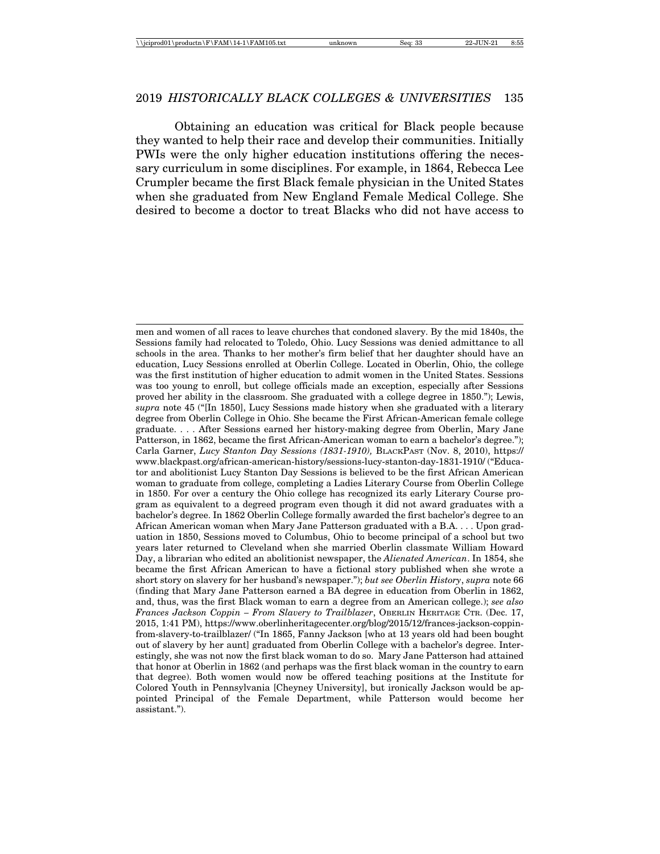Obtaining an education was critical for Black people because they wanted to help their race and develop their communities. Initially PWIs were the only higher education institutions offering the necessary curriculum in some disciplines. For example, in 1864, Rebecca Lee Crumpler became the first Black female physician in the United States when she graduated from New England Female Medical College. She desired to become a doctor to treat Blacks who did not have access to

men and women of all races to leave churches that condoned slavery. By the mid 1840s, the Sessions family had relocated to Toledo, Ohio. Lucy Sessions was denied admittance to all schools in the area. Thanks to her mother's firm belief that her daughter should have an education, Lucy Sessions enrolled at Oberlin College. Located in Oberlin, Ohio, the college was the first institution of higher education to admit women in the United States. Sessions was too young to enroll, but college officials made an exception, especially after Sessions proved her ability in the classroom. She graduated with a college degree in 1850."); Lewis, *supra* note 45 ("[In 1850], Lucy Sessions made history when she graduated with a literary degree from Oberlin College in Ohio. She became the First African-American female college graduate. . . . After Sessions earned her history-making degree from Oberlin, Mary Jane Patterson, in 1862, became the first African-American woman to earn a bachelor's degree."); Carla Garner, *Lucy Stanton Day Sessions (1831-1910),* BLACKPAST (Nov. 8, 2010), https:// www.blackpast.org/african-american-history/sessions-lucy-stanton-day-1831-1910/ ("Educator and abolitionist Lucy Stanton Day Sessions is believed to be the first African American woman to graduate from college, completing a Ladies Literary Course from Oberlin College in 1850. For over a century the Ohio college has recognized its early Literary Course program as equivalent to a degreed program even though it did not award graduates with a bachelor's degree. In 1862 Oberlin College formally awarded the first bachelor's degree to an African American woman when Mary Jane Patterson graduated with a B.A. . . . Upon graduation in 1850, Sessions moved to Columbus, Ohio to become principal of a school but two years later returned to Cleveland when she married Oberlin classmate William Howard Day, a librarian who edited an abolitionist newspaper, the *Alienated American*. In 1854, she became the first African American to have a fictional story published when she wrote a short story on slavery for her husband's newspaper."); *but see Oberlin History*, *supra* note 66 (finding that Mary Jane Patterson earned a BA degree in education from Oberlin in 1862, and, thus, was the first Black woman to earn a degree from an American college.); *see also Frances Jackson Coppin – From Slavery to Trailblazer*, OBERLIN HERITAGE CTR. (Dec. 17, 2015, 1:41 PM), https://www.oberlinheritagecenter.org/blog/2015/12/frances-jackson-coppinfrom-slavery-to-trailblazer/ ("In 1865, Fanny Jackson [who at 13 years old had been bought out of slavery by her aunt] graduated from Oberlin College with a bachelor's degree. Interestingly, she was not now the first black woman to do so. Mary Jane Patterson had attained that honor at Oberlin in 1862 (and perhaps was the first black woman in the country to earn that degree). Both women would now be offered teaching positions at the Institute for Colored Youth in Pennsylvania [Cheyney University], but ironically Jackson would be appointed Principal of the Female Department, while Patterson would become her assistant.").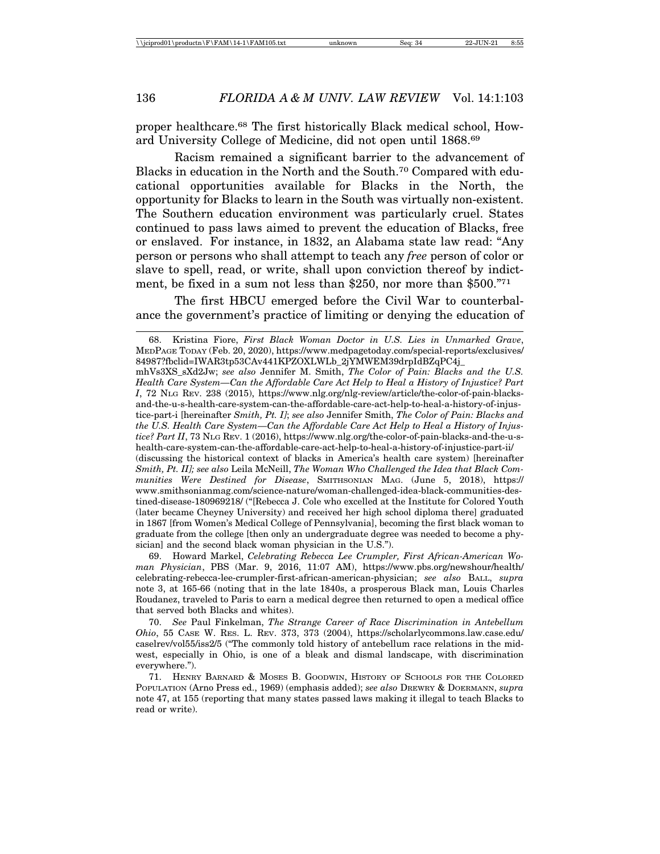proper healthcare.68 The first historically Black medical school, Howard University College of Medicine, did not open until 1868.69

Racism remained a significant barrier to the advancement of Blacks in education in the North and the South.70 Compared with educational opportunities available for Blacks in the North, the opportunity for Blacks to learn in the South was virtually non-existent. The Southern education environment was particularly cruel. States continued to pass laws aimed to prevent the education of Blacks, free or enslaved. For instance, in 1832, an Alabama state law read: "Any person or persons who shall attempt to teach any *free* person of color or slave to spell, read, or write, shall upon conviction thereof by indictment, be fixed in a sum not less than \$250, nor more than \$500."71

The first HBCU emerged before the Civil War to counterbalance the government's practice of limiting or denying the education of

(later became Cheyney University) and received her high school diploma there] graduated in 1867 [from Women's Medical College of Pennsylvania], becoming the first black woman to graduate from the college [then only an undergraduate degree was needed to become a physician] and the second black woman physician in the U.S.").

69. Howard Markel, *Celebrating Rebecca Lee Crumpler, First African-American Woman Physician*, PBS (Mar. 9, 2016, 11:07 AM), https://www.pbs.org/newshour/health/ celebrating-rebecca-lee-crumpler-first-african-american-physician; *see also* BALL, *supra* note 3, at 165-66 (noting that in the late 1840s, a prosperous Black man, Louis Charles Roudanez, traveled to Paris to earn a medical degree then returned to open a medical office that served both Blacks and whites).

70. *See* Paul Finkelman, *The Strange Career of Race Discrimination in Antebellum Ohio*, 55 CASE W. RES. L. REV. 373, 373 (2004), https://scholarlycommons.law.case.edu/ caselrev/vol55/iss2/5 ("The commonly told history of antebellum race relations in the midwest, especially in Ohio, is one of a bleak and dismal landscape, with discrimination everywhere.").

71. HENRY BARNARD & MOSES B. GOODWIN, HISTORY OF SCHOOLS FOR THE COLORED POPULATION (Arno Press ed., 1969) (emphasis added); *see also* DREWRY & DOERMANN, *supra* note 47, at 155 (reporting that many states passed laws making it illegal to teach Blacks to read or write).

<sup>68.</sup> Kristina Fiore, *First Black Woman Doctor in U.S. Lies in Unmarked Grave*, MEDPAGE TODAY (Feb. 20, 2020), https://www.medpagetoday.com/special-reports/exclusives/ 84987?fbclid=IWAR3tp53CAv441KPZOXLWLb\_2jYMWEM39drpIdBZqPC4j\_

mhVs3XS\_sXd2Jw; *see also* Jennifer M. Smith, *The Color of Pain: Blacks and the U.S. Health Care System—Can the Affordable Care Act Help to Heal a History of Injustice? Part I*, 72 NLG REV. 238 (2015), https://www.nlg.org/nlg-review/article/the-color-of-pain-blacksand-the-u-s-health-care-system-can-the-affordable-care-act-help-to-heal-a-history-of-injustice-part-i [hereinafter *Smith, Pt. I]*; *see also* Jennifer Smith, *The Color of Pain: Blacks and the U.S. Health Care System—Can the Affordable Care Act Help to Heal a History of Injustice? Part II*, 73 NLG REV. 1 (2016), https://www.nlg.org/the-color-of-pain-blacks-and-the-u-shealth-care-system-can-the-affordable-care-act-help-to-heal-a-history-of-injustice-part-ii/ (discussing the historical context of blacks in America's health care system) [hereinafter *Smith, Pt. II]; see also* Leila McNeill, *The Woman Who Challenged the Idea that Black Communities Were Destined for Disease*, SMITHSONIAN MAG. (June 5, 2018), https:// www.smithsonianmag.com/science-nature/woman-challenged-idea-black-communities-destined-disease-180969218/ ("[Rebecca J. Cole who excelled at the Institute for Colored Youth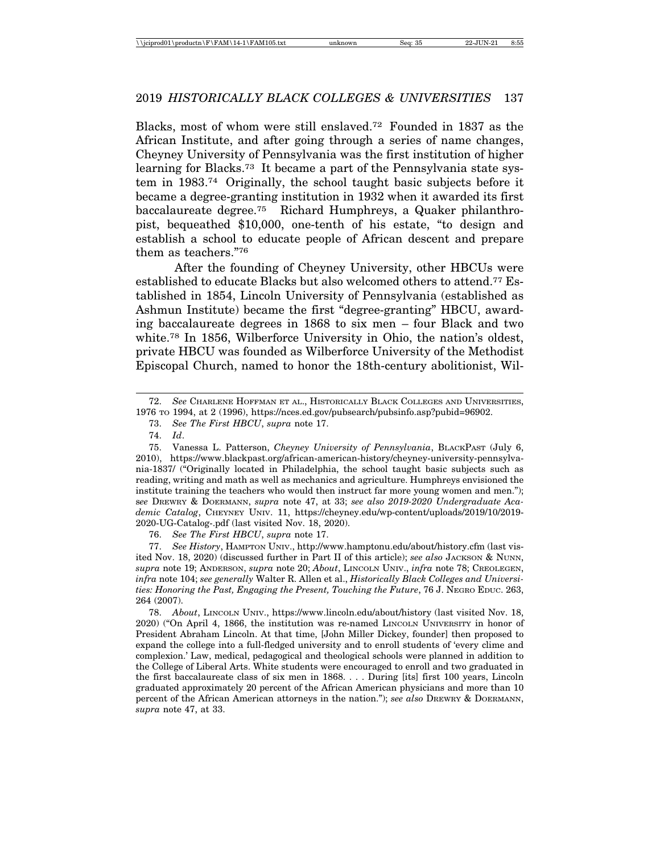Blacks, most of whom were still enslaved.72 Founded in 1837 as the African Institute, and after going through a series of name changes, Cheyney University of Pennsylvania was the first institution of higher learning for Blacks.73 It became a part of the Pennsylvania state system in 1983.74 Originally, the school taught basic subjects before it became a degree-granting institution in 1932 when it awarded its first baccalaureate degree.75 Richard Humphreys, a Quaker philanthropist, bequeathed \$10,000, one-tenth of his estate, "to design and establish a school to educate people of African descent and prepare them as teachers."76

After the founding of Cheyney University, other HBCUs were established to educate Blacks but also welcomed others to attend.77 Established in 1854, Lincoln University of Pennsylvania (established as Ashmun Institute) became the first "degree-granting" HBCU, awarding baccalaureate degrees in 1868 to six men – four Black and two white.78 In 1856, Wilberforce University in Ohio, the nation's oldest, private HBCU was founded as Wilberforce University of the Methodist Episcopal Church, named to honor the 18th-century abolitionist, Wil-

76. *See The First HBCU*, *supra* note 17.

77. *See History*, HAMPTON UNIV., http://www.hamptonu.edu/about/history.cfm (last visited Nov. 18, 2020) (discussed further in Part II of this article); *see also* JACKSON & NUNN, *supra* note 19; ANDERSON, *supra* note 20; *About*, LINCOLN UNIV., *infra* note 78; CREOLEGEN, *infra* note 104; *see generally* Walter R. Allen et al., *Historically Black Colleges and Universities: Honoring the Past, Engaging the Present, Touching the Future*, 76 J. NEGRO EDUC. 263, 264 (2007).

78. *About*, LINCOLN UNIV., https://www.lincoln.edu/about/history (last visited Nov. 18, 2020) ("On April 4, 1866, the institution was re-named LINCOLN UNIVERSITY in honor of President Abraham Lincoln. At that time, [John Miller Dickey, founder] then proposed to expand the college into a full-fledged university and to enroll students of 'every clime and complexion.' Law, medical, pedagogical and theological schools were planned in addition to the College of Liberal Arts. White students were encouraged to enroll and two graduated in the first baccalaureate class of six men in 1868. . . . During [its] first 100 years, Lincoln graduated approximately 20 percent of the African American physicians and more than 10 percent of the African American attorneys in the nation."); *see also* DREWRY & DOERMANN, *supra* note 47, at 33.

<sup>72.</sup> *See* CHARLENE HOFFMAN ET AL., HISTORICALLY BLACK COLLEGES AND UNIVERSITIES, 1976 TO 1994, at 2 (1996), https://nces.ed.gov/pubsearch/pubsinfo.asp?pubid=96902.

<sup>73.</sup> *See The First HBCU*, *supra* note 17.

<sup>74.</sup> *Id*.

<sup>75.</sup> Vanessa L. Patterson, *Cheyney University of Pennsylvania*, BLACKPAST (July 6, 2010), https://www.blackpast.org/african-american-history/cheyney-university-pennsylvania-1837/ ("Originally located in Philadelphia, the school taught basic subjects such as reading, writing and math as well as mechanics and agriculture. Humphreys envisioned the institute training the teachers who would then instruct far more young women and men."); s*ee* DREWRY & DOERMANN, *supra* note 47, at 33; *see also 2019-2020 Undergraduate Academic Catalog*, CHEYNEY UNIV. 11, https://cheyney.edu/wp-content/uploads/2019/10/2019- 2020-UG-Catalog-.pdf (last visited Nov. 18, 2020).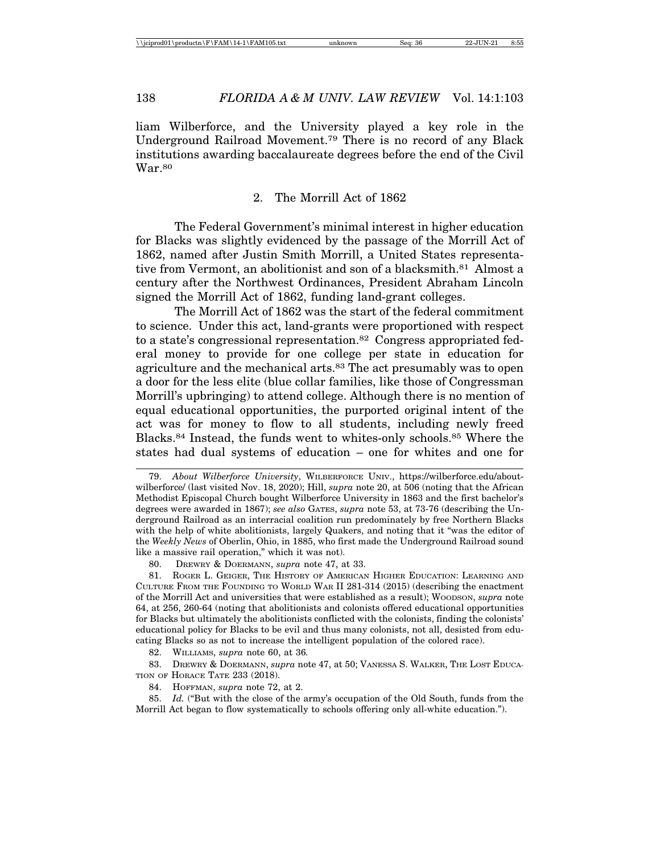liam Wilberforce, and the University played a key role in the Underground Railroad Movement.79 There is no record of any Black institutions awarding baccalaureate degrees before the end of the Civil War.80

## 2. The Morrill Act of 1862

The Federal Government's minimal interest in higher education for Blacks was slightly evidenced by the passage of the Morrill Act of 1862, named after Justin Smith Morrill, a United States representative from Vermont, an abolitionist and son of a blacksmith.81 Almost a century after the Northwest Ordinances, President Abraham Lincoln signed the Morrill Act of 1862, funding land-grant colleges.

The Morrill Act of 1862 was the start of the federal commitment to science. Under this act, land-grants were proportioned with respect to a state's congressional representation.82 Congress appropriated federal money to provide for one college per state in education for agriculture and the mechanical arts.<sup>83</sup> The act presumably was to open a door for the less elite (blue collar families, like those of Congressman Morrill's upbringing) to attend college. Although there is no mention of equal educational opportunities, the purported original intent of the act was for money to flow to all students, including newly freed Blacks.84 Instead, the funds went to whites-only schools.85 Where the states had dual systems of education – one for whites and one for

80. DREWRY & DOERMANN, *supra* note 47, at 33.

81. ROGER L. GEIGER, THE HISTORY OF AMERICAN HIGHER EDUCATION: LEARNING AND CULTURE FROM THE FOUNDING TO WORLD WAR II 281-314 (2015) (describing the enactment of the Morrill Act and universities that were established as a result); WOODSON, *supra* note 64, at 256, 260-64 (noting that abolitionists and colonists offered educational opportunities for Blacks but ultimately the abolitionists conflicted with the colonists, finding the colonists' educational policy for Blacks to be evil and thus many colonists, not all, desisted from educating Blacks so as not to increase the intelligent population of the colored race).

82. WILLIAMS, *supra* note 60, at 36*.*

83. DREWRY & DOERMANN, *supra* note 47, at 50; VANESSA S. WALKER, THE LOST EDUCA-TION OF HORACE TATE 233 (2018).

84. HOFFMAN, *supra* note 72, at 2.

85. *Id.* ("But with the close of the army's occupation of the Old South, funds from the Morrill Act began to flow systematically to schools offering only all-white education.").

<sup>79.</sup> *About Wilberforce University*, WILBERFORCE UNIV., https://wilberforce.edu/aboutwilberforce/ (last visited Nov. 18, 2020); Hill, *supra* note 20, at 506 (noting that the African Methodist Episcopal Church bought Wilberforce University in 1863 and the first bachelor's degrees were awarded in 1867); *see also* GATES, *supra* note 53, at 73-76 (describing the Underground Railroad as an interracial coalition run predominately by free Northern Blacks with the help of white abolitionists, largely Quakers, and noting that it "was the editor of the *Weekly News* of Oberlin, Ohio, in 1885, who first made the Underground Railroad sound like a massive rail operation," which it was not).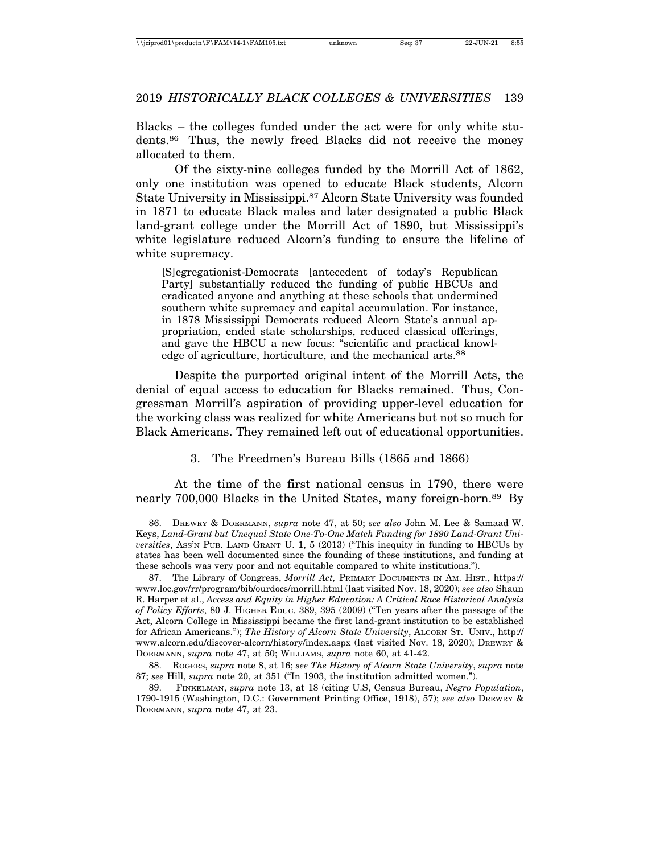Blacks – the colleges funded under the act were for only white students.86 Thus, the newly freed Blacks did not receive the money allocated to them.

Of the sixty-nine colleges funded by the Morrill Act of 1862, only one institution was opened to educate Black students, Alcorn State University in Mississippi.87 Alcorn State University was founded in 1871 to educate Black males and later designated a public Black land-grant college under the Morrill Act of 1890, but Mississippi's white legislature reduced Alcorn's funding to ensure the lifeline of white supremacy.

[S]egregationist-Democrats [antecedent of today's Republican Party] substantially reduced the funding of public HBCUs and eradicated anyone and anything at these schools that undermined southern white supremacy and capital accumulation. For instance, in 1878 Mississippi Democrats reduced Alcorn State's annual appropriation, ended state scholarships, reduced classical offerings, and gave the HBCU a new focus: "scientific and practical knowledge of agriculture, horticulture, and the mechanical arts.<sup>88</sup>

Despite the purported original intent of the Morrill Acts, the denial of equal access to education for Blacks remained. Thus, Congressman Morrill's aspiration of providing upper-level education for the working class was realized for white Americans but not so much for Black Americans. They remained left out of educational opportunities.

3. The Freedmen's Bureau Bills (1865 and 1866)

At the time of the first national census in 1790, there were nearly 700,000 Blacks in the United States, many foreign-born.<sup>89</sup> By

<sup>86.</sup> DREWRY & DOERMANN, *supra* note 47, at 50; *see also* John M. Lee & Samaad W. Keys, *Land-Grant but Unequal State One-To-One Match Funding for 1890 Land-Grant Universities*, ASS'N PUB. LAND GRANT U. 1, 5 (2013) ("This inequity in funding to HBCUs by states has been well documented since the founding of these institutions, and funding at these schools was very poor and not equitable compared to white institutions.").

<sup>87.</sup> The Library of Congress, *Morrill Act,* PRIMARY DOCUMENTS IN AM. HIST., https:// www.loc.gov/rr/program/bib/ourdocs/morrill.html (last visited Nov. 18, 2020); *see also* Shaun R. Harper et al., *Access and Equity in Higher Education: A Critical Race Historical Analysis of Policy Efforts*, 80 J. HIGHER EDUC. 389, 395 (2009) ("Ten years after the passage of the Act, Alcorn College in Mississippi became the first land-grant institution to be established for African Americans."); *The History of Alcorn State University*, ALCORN ST. UNIV., http:// www.alcorn.edu/discover-alcorn/history/index.aspx (last visited Nov. 18, 2020); DREWRY & DOERMANN, *supra* note 47, at 50; WILLIAMS, *supra* note 60, at 41-42.

<sup>88.</sup> ROGERS, *supra* note 8, at 16; *see The History of Alcorn State University*, *supra* note 87; *see* Hill, *supra* note 20, at 351 ("In 1903, the institution admitted women.").

<sup>89.</sup> FINKELMAN, *supra* note 13, at 18 (citing U.S, Census Bureau, *Negro Population*, 1790-1915 (Washington, D.C.: Government Printing Office, 1918), 57); *see also* DREWRY & DOERMANN, *supra* note 47, at 23.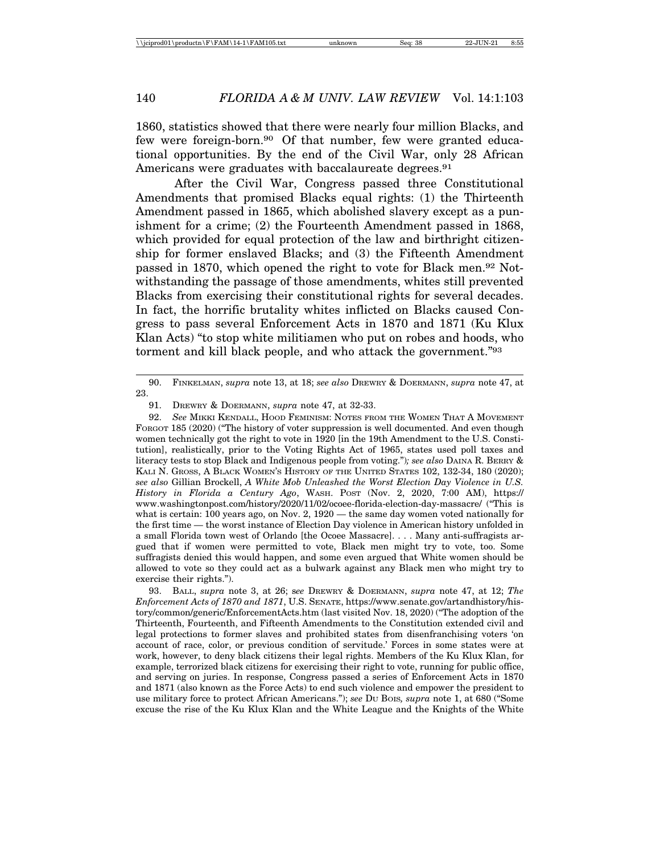1860, statistics showed that there were nearly four million Blacks, and few were foreign-born.90 Of that number, few were granted educational opportunities. By the end of the Civil War, only 28 African Americans were graduates with baccalaureate degrees.<sup>91</sup>

After the Civil War, Congress passed three Constitutional Amendments that promised Blacks equal rights: (1) the Thirteenth Amendment passed in 1865, which abolished slavery except as a punishment for a crime; (2) the Fourteenth Amendment passed in 1868, which provided for equal protection of the law and birthright citizenship for former enslaved Blacks; and (3) the Fifteenth Amendment passed in 1870, which opened the right to vote for Black men.92 Notwithstanding the passage of those amendments, whites still prevented Blacks from exercising their constitutional rights for several decades. In fact, the horrific brutality whites inflicted on Blacks caused Congress to pass several Enforcement Acts in 1870 and 1871 (Ku Klux Klan Acts) "to stop white militiamen who put on robes and hoods, who torment and kill black people, and who attack the government."93

<sup>90.</sup> FINKELMAN, *supra* note 13, at 18; *see also* DREWRY & DOERMANN, *supra* note 47, at 23.

<sup>91.</sup> DREWRY & DOERMANN, *supra* note 47, at 32-33.

<sup>92.</sup> *See* MIKKI KENDALL, HOOD FEMINISM: NOTES FROM THE WOMEN THAT A MOVEMENT FORGOT 185 (2020) ("The history of voter suppression is well documented. And even though women technically got the right to vote in 1920 [in the 19th Amendment to the U.S. Constitution], realistically, prior to the Voting Rights Act of 1965, states used poll taxes and literacy tests to stop Black and Indigenous people from voting.")*; see also* DAINA R. BERRY & KALI N. GROSS, A BLACK WOMEN'S HISTORY OF THE UNITED STATES 102, 132-34, 180 (2020); *see also* Gillian Brockell, *A White Mob Unleashed the Worst Election Day Violence in U.S. History in Florida a Century Ago*, WASH. POST (Nov. 2, 2020, 7:00 AM), https:// www.washingtonpost.com/history/2020/11/02/ocoee-florida-election-day-massacre/ ("This is what is certain: 100 years ago, on Nov. 2, 1920 — the same day women voted nationally for the first time — the worst instance of Election Day violence in American history unfolded in a small Florida town west of Orlando [the Ocoee Massacre]. . . . Many anti-suffragists argued that if women were permitted to vote, Black men might try to vote, too. Some suffragists denied this would happen, and some even argued that White women should be allowed to vote so they could act as a bulwark against any Black men who might try to exercise their rights.").

<sup>93.</sup> BALL, *supra* note 3, at 26; s*ee* DREWRY & DOERMANN, *supra* note 47, at 12; *The Enforcement Acts of 1870 and 1871*, U.S. SENATE, https://www.senate.gov/artandhistory/history/common/generic/EnforcementActs.htm (last visited Nov. 18, 2020) ("The adoption of the Thirteenth, Fourteenth, and Fifteenth Amendments to the Constitution extended civil and legal protections to former slaves and prohibited states from disenfranchising voters 'on account of race, color, or previous condition of servitude.' Forces in some states were at work, however, to deny black citizens their legal rights. Members of the Ku Klux Klan, for example, terrorized black citizens for exercising their right to vote, running for public office, and serving on juries. In response, Congress passed a series of Enforcement Acts in 1870 and 1871 (also known as the Force Acts) to end such violence and empower the president to use military force to protect African Americans."); *see* DU BOIS*, supra* note 1, at 680 ("Some excuse the rise of the Ku Klux Klan and the White League and the Knights of the White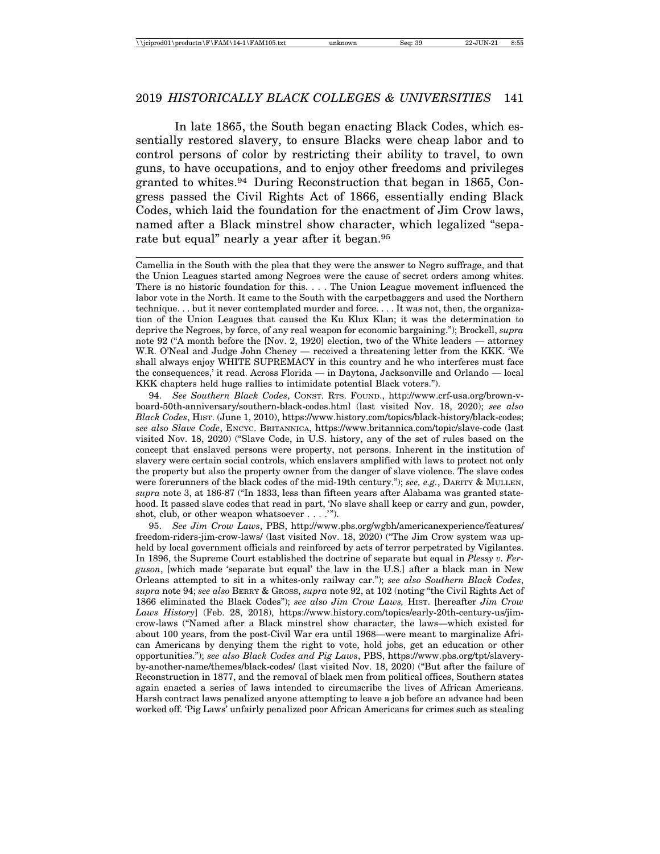In late 1865, the South began enacting Black Codes, which essentially restored slavery, to ensure Blacks were cheap labor and to control persons of color by restricting their ability to travel, to own guns, to have occupations, and to enjoy other freedoms and privileges granted to whites.94 During Reconstruction that began in 1865, Congress passed the Civil Rights Act of 1866, essentially ending Black Codes, which laid the foundation for the enactment of Jim Crow laws, named after a Black minstrel show character, which legalized "separate but equal" nearly a year after it began.95

95. *See Jim Crow Laws*, PBS, http://www.pbs.org/wgbh/americanexperience/features/ freedom-riders-jim-crow-laws/ (last visited Nov. 18, 2020) ("The Jim Crow system was upheld by local government officials and reinforced by acts of terror perpetrated by Vigilantes. In 1896, the Supreme Court established the doctrine of separate but equal in *Plessy v. Ferguson*, [which made 'separate but equal' the law in the U.S.] after a black man in New Orleans attempted to sit in a whites-only railway car."); *see also Southern Black Codes*, *supra* note 94; *see also* BERRY & GROSS, *supra* note 92, at 102 (noting "the Civil Rights Act of 1866 eliminated the Black Codes"); *see also Jim Crow Laws,* HIST. [hereafter *Jim Crow Laws History*] (Feb. 28, 2018), https://www.history.com/topics/early-20th-century-us/jimcrow-laws ("Named after a Black minstrel show character, the laws—which existed for about 100 years, from the post-Civil War era until 1968—were meant to marginalize African Americans by denying them the right to vote, hold jobs, get an education or other opportunities."); *see also Black Codes and Pig Laws*, PBS, https://www.pbs.org/tpt/slaveryby-another-name/themes/black-codes/ (last visited Nov. 18, 2020) ("But after the failure of Reconstruction in 1877, and the removal of black men from political offices, Southern states again enacted a series of laws intended to circumscribe the lives of African Americans. Harsh contract laws penalized anyone attempting to leave a job before an advance had been worked off. 'Pig Laws' unfairly penalized poor African Americans for crimes such as stealing

Camellia in the South with the plea that they were the answer to Negro suffrage, and that the Union Leagues started among Negroes were the cause of secret orders among whites. There is no historic foundation for this. . . . The Union League movement influenced the labor vote in the North. It came to the South with the carpetbaggers and used the Northern technique. . . but it never contemplated murder and force. . . . It was not, then, the organization of the Union Leagues that caused the Ku Klux Klan; it was the determination to deprive the Negroes, by force, of any real weapon for economic bargaining."); Brockell, *supra* note 92 ("A month before the [Nov. 2, 1920] election, two of the White leaders — attorney W.R. O'Neal and Judge John Cheney — received a threatening letter from the KKK. 'We shall always enjoy WHITE SUPREMACY in this country and he who interferes must face the consequences,' it read. Across Florida — in Daytona, Jacksonville and Orlando — local KKK chapters held huge rallies to intimidate potential Black voters.").

<sup>94.</sup> *See Southern Black Codes*, CONST. RTS. FOUND., http://www.crf-usa.org/brown-vboard-50th-anniversary/southern-black-codes.html (last visited Nov. 18, 2020); *see also Black Codes*, HIST. (June 1, 2010), https://www.history.com/topics/black-history/black-codes; *see also Slave Code*, ENCYC. BRITANNICA, https://www.britannica.com/topic/slave-code (last visited Nov. 18, 2020) ("Slave Code, in U.S. history, any of the set of rules based on the concept that enslaved persons were property, not persons. Inherent in the institution of slavery were certain social controls, which enslavers amplified with laws to protect not only the property but also the property owner from the danger of slave violence. The slave codes were forerunners of the black codes of the mid-19th century."); *see, e.g.*, DARITY & MULLEN, *supra* note 3, at 186-87 ("In 1833, less than fifteen years after Alabama was granted statehood. It passed slave codes that read in part, 'No slave shall keep or carry and gun, powder, shot, club, or other weapon whatsoever . . . .'").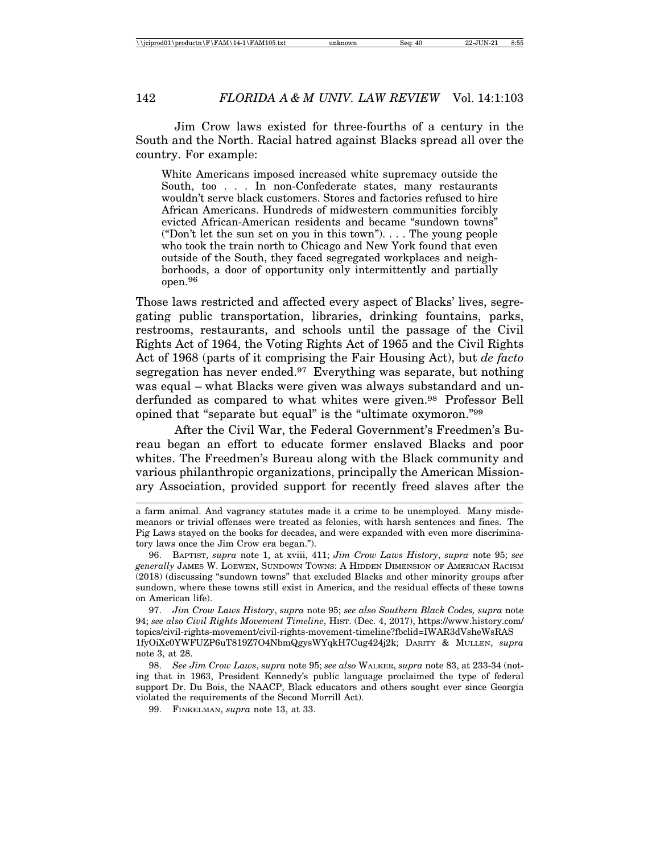Jim Crow laws existed for three-fourths of a century in the South and the North. Racial hatred against Blacks spread all over the country. For example:

White Americans imposed increased white supremacy outside the South, too . . . In non-Confederate states, many restaurants wouldn't serve black customers. Stores and factories refused to hire African Americans. Hundreds of midwestern communities forcibly evicted African-American residents and became "sundown towns" ("Don't let the sun set on you in this town"). . . . The young people who took the train north to Chicago and New York found that even outside of the South, they faced segregated workplaces and neighborhoods, a door of opportunity only intermittently and partially open.<sup>96</sup>

Those laws restricted and affected every aspect of Blacks' lives, segregating public transportation, libraries, drinking fountains, parks, restrooms, restaurants, and schools until the passage of the Civil Rights Act of 1964, the Voting Rights Act of 1965 and the Civil Rights Act of 1968 (parts of it comprising the Fair Housing Act), but *de facto* segregation has never ended.<sup>97</sup> Everything was separate, but nothing was equal – what Blacks were given was always substandard and underfunded as compared to what whites were given.98 Professor Bell opined that "separate but equal" is the "ultimate oxymoron."99

After the Civil War, the Federal Government's Freedmen's Bureau began an effort to educate former enslaved Blacks and poor whites. The Freedmen's Bureau along with the Black community and various philanthropic organizations, principally the American Missionary Association, provided support for recently freed slaves after the

a farm animal. And vagrancy statutes made it a crime to be unemployed. Many misdemeanors or trivial offenses were treated as felonies, with harsh sentences and fines. The Pig Laws stayed on the books for decades, and were expanded with even more discriminatory laws once the Jim Crow era began.").

<sup>96.</sup> BAPTIST, *supra* note 1, at xviii, 411; *Jim Crow Laws History*, *supra* note 95; *see generally* JAMES W. LOEWEN, SUNDOWN TOWNS: A HIDDEN DIMENSION OF AMERICAN RACISM (2018) (discussing "sundown towns" that excluded Blacks and other minority groups after sundown, where these towns still exist in America, and the residual effects of these towns on American life).

<sup>97.</sup> *Jim Crow Laws History*, *supra* note 95; *see also Southern Black Codes, supra* note 94; *see also Civil Rights Movement Timeline*, HIST. (Dec. 4, 2017), https://www.history.com/ topics/civil-rights-movement/civil-rights-movement-timeline?fbclid=IWAR3dVsheWsRAS 1fyOiXc0YWFUZP6uT819Z7O4NbmQgysWYqkH7Cug424j2k; DARITY & MULLEN, *supra* note 3, at 28.

<sup>98.</sup> *See Jim Crow Laws*, *supra* note 95; *see also* WALKER, *supra* note 83, at 233-34 (noting that in 1963, President Kennedy's public language proclaimed the type of federal support Dr. Du Bois, the NAACP, Black educators and others sought ever since Georgia violated the requirements of the Second Morrill Act).

<sup>99.</sup> FINKELMAN, *supra* note 13, at 33.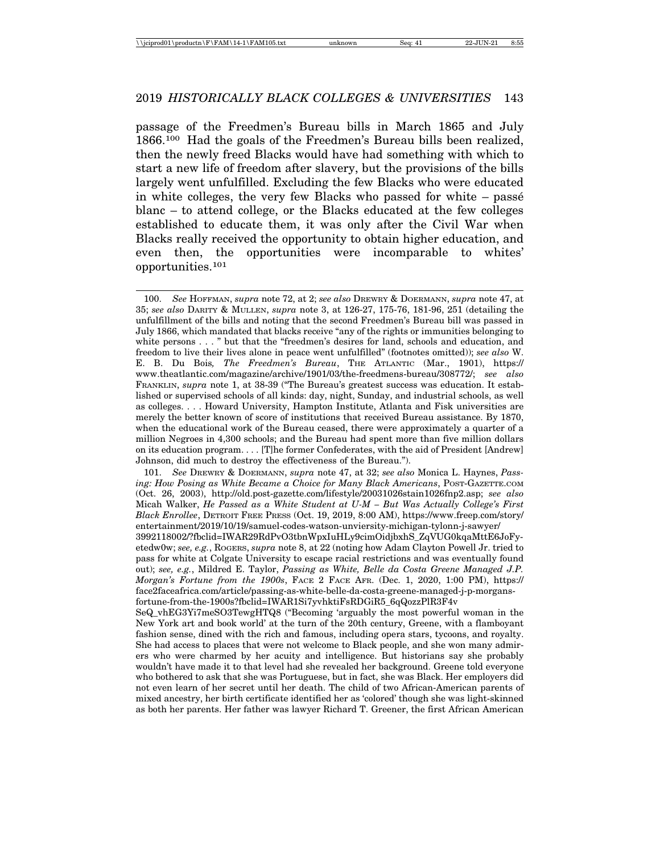passage of the Freedmen's Bureau bills in March 1865 and July 1866.100 Had the goals of the Freedmen's Bureau bills been realized, then the newly freed Blacks would have had something with which to start a new life of freedom after slavery, but the provisions of the bills largely went unfulfilled. Excluding the few Blacks who were educated in white colleges, the very few Blacks who passed for white  $-$  passe blanc – to attend college, or the Blacks educated at the few colleges established to educate them, it was only after the Civil War when Blacks really received the opportunity to obtain higher education, and even then, the opportunities were incomparable to whites' opportunities.101

<sup>100.</sup> *See* HOFFMAN, *supra* note 72, at 2; *see also* DREWRY & DOERMANN, *supra* note 47, at 35; *see also* DARITY & MULLEN, *supra* note 3, at 126-27, 175-76, 181-96, 251 (detailing the unfulfillment of the bills and noting that the second Freedmen's Bureau bill was passed in July 1866, which mandated that blacks receive "any of the rights or immunities belonging to white persons . . . " but that the "freedmen's desires for land, schools and education, and freedom to live their lives alone in peace went unfulfilled" (footnotes omitted)); *see also* W. E. B. Du Bois*, The Freedmen's Bureau*, THE ATLANTIC (Mar., 1901), https:// www.theatlantic.com/magazine/archive/1901/03/the-freedmens-bureau/308772/; *see also* FRANKLIN, *supra* note 1, at 38-39 ("The Bureau's greatest success was education. It established or supervised schools of all kinds: day, night, Sunday, and industrial schools, as well as colleges. . . . Howard University, Hampton Institute, Atlanta and Fisk universities are merely the better known of score of institutions that received Bureau assistance. By 1870, when the educational work of the Bureau ceased, there were approximately a quarter of a million Negroes in 4,300 schools; and the Bureau had spent more than five million dollars on its education program. . . . [T]he former Confederates, with the aid of President [Andrew] Johnson, did much to destroy the effectiveness of the Bureau.").

<sup>101.</sup> *See* DREWRY & DOERMANN, *supra* note 47, at 32; *see also* Monica L. Haynes, *Passing: How Posing as White Became a Choice for Many Black Americans*, POST-GAZETTE.COM (Oct. 26, 2003), http://old.post-gazette.com/lifestyle/20031026stain1026fnp2.asp; *see also* Micah Walker, *He Passed as a White Student at U-M – But Was Actually College's First Black Enrollee*, DETROIT FREE PRESS (Oct. 19, 2019, 8:00 AM), https://www.freep.com/story/ entertainment/2019/10/19/samuel-codes-watson-unviersity-michigan-tylonn-j-sawyer/

<sup>3992118002/?</sup>fbclid=IWAR29RdPvO3tbnWpxIuHLy9cimOidjbxhS\_ZqVUG0kqaMttE6JoFyetedw0w; *see, e.g.*, ROGERS, *supra* note 8, at 22 (noting how Adam Clayton Powell Jr. tried to pass for white at Colgate University to escape racial restrictions and was eventually found out); *see, e.g.*, Mildred E. Taylor, *Passing as White, Belle da Costa Greene Managed J.P. Morgan's Fortune from the 1900s*, FACE 2 FACE AFR. (Dec. 1, 2020, 1:00 PM), https:// face2faceafrica.com/article/passing-as-white-belle-da-costa-greene-managed-j-p-morgansfortune-from-the-1900s?fbclid=IWAR1Si7yvhktiFsRDGiR5\_6qQozzPlR3F4v

SeQ\_vhEG3Yi7meSO3TewgHTQ8 ("Becoming 'arguably the most powerful woman in the New York art and book world' at the turn of the 20th century, Greene, with a flamboyant fashion sense, dined with the rich and famous, including opera stars, tycoons, and royalty. She had access to places that were not welcome to Black people, and she won many admirers who were charmed by her acuity and intelligence. But historians say she probably wouldn't have made it to that level had she revealed her background. Greene told everyone who bothered to ask that she was Portuguese, but in fact, she was Black. Her employers did not even learn of her secret until her death. The child of two African-American parents of mixed ancestry, her birth certificate identified her as 'colored' though she was light-skinned as both her parents. Her father was lawyer Richard T. Greener, the first African American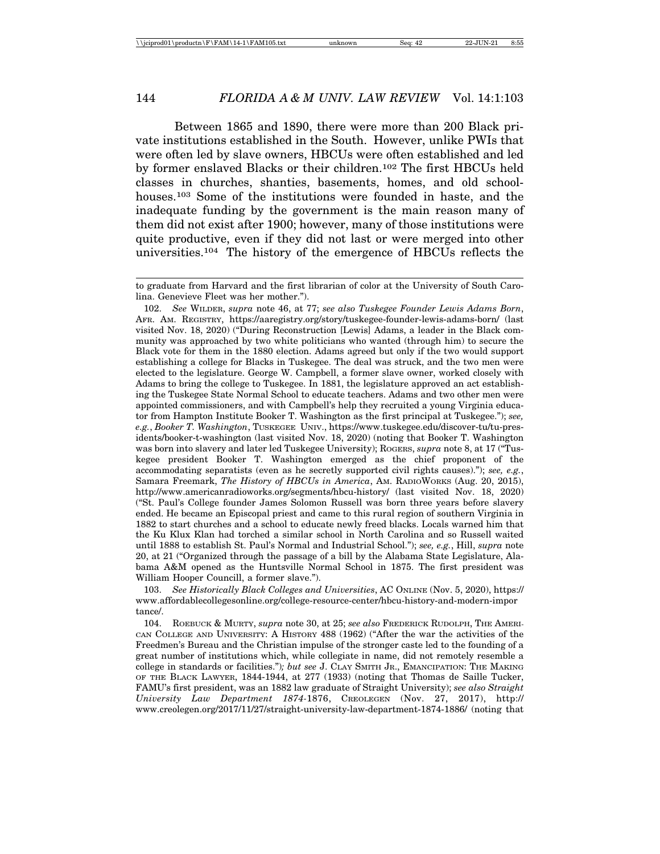Between 1865 and 1890, there were more than 200 Black private institutions established in the South. However, unlike PWIs that were often led by slave owners, HBCUs were often established and led by former enslaved Blacks or their children.102 The first HBCUs held classes in churches, shanties, basements, homes, and old schoolhouses.103 Some of the institutions were founded in haste, and the inadequate funding by the government is the main reason many of them did not exist after 1900; however, many of those institutions were quite productive, even if they did not last or were merged into other universities.104 The history of the emergence of HBCUs reflects the

103. *See Historically Black Colleges and Universities*, AC ONLINE (Nov. 5, 2020), https:// www.affordablecollegesonline.org/college-resource-center/hbcu-history-and-modern-impor tance/.

104. ROEBUCK & MURTY, *supra* note 30, at 25; *see also* FREDERICK RUDOLPH, THE AMERI-CAN COLLEGE AND UNIVERSITY: A HISTORY 488 (1962) ("After the war the activities of the Freedmen's Bureau and the Christian impulse of the stronger caste led to the founding of a great number of institutions which, while collegiate in name, did not remotely resemble a college in standards or facilities.")*; but see* J. CLAY SMITH JR., EMANCIPATION: THE MAKING OF THE BLACK LAWYER, 1844-1944, at 277 (1933) (noting that Thomas de Saille Tucker, FAMU's first president, was an 1882 law graduate of Straight University); *see also Straight University Law Department 1874-*1876, CREOLEGEN (Nov. 27, 2017), http:// www.creolegen.org/2017/11/27/straight-university-law-department-1874-1886/ (noting that

to graduate from Harvard and the first librarian of color at the University of South Carolina. Genevieve Fleet was her mother.").

<sup>102.</sup> *See* WILDER, *supra* note 46, at 77; *see also Tuskegee Founder Lewis Adams Born*, AFR. AM. REGISTRY, https://aaregistry.org/story/tuskegee-founder-lewis-adams-born/ (last visited Nov. 18, 2020) ("During Reconstruction [Lewis] Adams, a leader in the Black community was approached by two white politicians who wanted (through him) to secure the Black vote for them in the 1880 election. Adams agreed but only if the two would support establishing a college for Blacks in Tuskegee. The deal was struck, and the two men were elected to the legislature. George W. Campbell, a former slave owner, worked closely with Adams to bring the college to Tuskegee. In 1881, the legislature approved an act establishing the Tuskegee State Normal School to educate teachers. Adams and two other men were appointed commissioners, and with Campbell's help they recruited a young Virginia educator from Hampton Institute Booker T. Washington as the first principal at Tuskegee."); *see, e.g.*, *Booker T. Washington*, TUSKEGEE UNIV., https://www.tuskegee.edu/discover-tu/tu-presidents/booker-t-washington (last visited Nov. 18, 2020) (noting that Booker T. Washington was born into slavery and later led Tuskegee University); ROGERS, *supra* note 8, at 17 ("Tuskegee president Booker T. Washington emerged as the chief proponent of the accommodating separatists (even as he secretly supported civil rights causes)."); *see, e.g.*, Samara Freemark, *The History of HBCUs in America*, AM. RADIOWORKS (Aug. 20, 2015), http://www.americanradioworks.org/segments/hbcu-history/ (last visited Nov. 18, 2020) ("St. Paul's College founder James Solomon Russell was born three years before slavery ended. He became an Episcopal priest and came to this rural region of southern Virginia in 1882 to start churches and a school to educate newly freed blacks. Locals warned him that the Ku Klux Klan had torched a similar school in North Carolina and so Russell waited until 1888 to establish St. Paul's Normal and Industrial School."); *see, e.g.*, Hill, *supra* note 20, at 21 ("Organized through the passage of a bill by the Alabama State Legislature, Alabama A&M opened as the Huntsville Normal School in 1875. The first president was William Hooper Councill, a former slave.").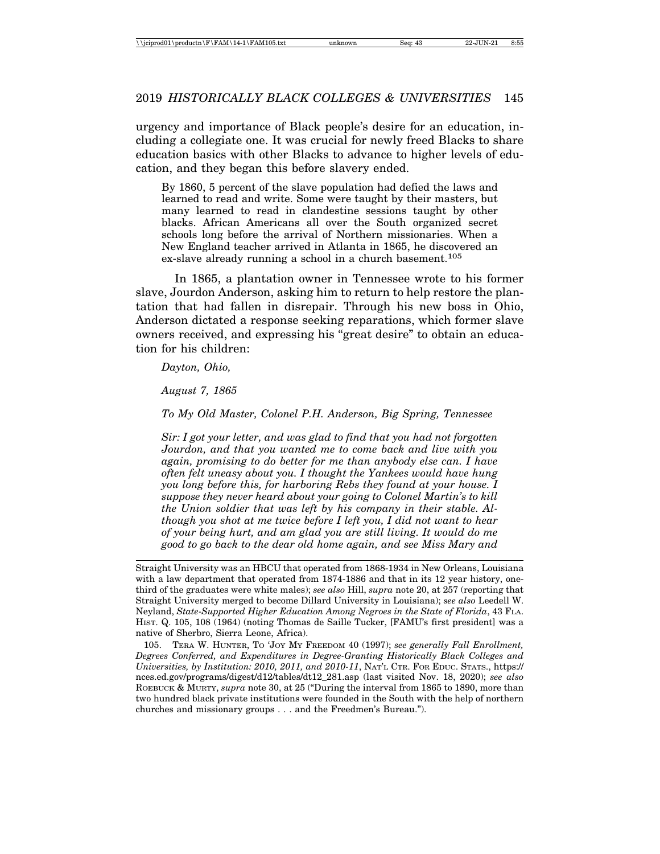urgency and importance of Black people's desire for an education, including a collegiate one. It was crucial for newly freed Blacks to share education basics with other Blacks to advance to higher levels of education, and they began this before slavery ended.

By 1860, 5 percent of the slave population had defied the laws and learned to read and write. Some were taught by their masters, but many learned to read in clandestine sessions taught by other blacks. African Americans all over the South organized secret schools long before the arrival of Northern missionaries. When a New England teacher arrived in Atlanta in 1865, he discovered an ex-slave already running a school in a church basement.<sup>105</sup>

In 1865, a plantation owner in Tennessee wrote to his former slave, Jourdon Anderson, asking him to return to help restore the plantation that had fallen in disrepair. Through his new boss in Ohio, Anderson dictated a response seeking reparations, which former slave owners received, and expressing his "great desire" to obtain an education for his children:

*Dayton, Ohio,*

*August 7, 1865*

*To My Old Master, Colonel P.H. Anderson, Big Spring, Tennessee*

*Sir: I got your letter, and was glad to find that you had not forgotten Jourdon, and that you wanted me to come back and live with you again, promising to do better for me than anybody else can. I have often felt uneasy about you. I thought the Yankees would have hung you long before this, for harboring Rebs they found at your house. I suppose they never heard about your going to Colonel Martin's to kill the Union soldier that was left by his company in their stable. Although you shot at me twice before I left you, I did not want to hear of your being hurt, and am glad you are still living. It would do me good to go back to the dear old home again, and see Miss Mary and*

Straight University was an HBCU that operated from 1868-1934 in New Orleans, Louisiana with a law department that operated from 1874-1886 and that in its 12 year history, onethird of the graduates were white males); *see also* Hill, *supra* note 20, at 257 (reporting that Straight University merged to become Dillard University in Louisiana); *see also* Leedell W. Neyland, *State-Supported Higher Education Among Negroes in the State of Florida*, 43 FLA. HIST. Q. 105, 108 (1964) (noting Thomas de Saille Tucker, [FAMU's first president] was a native of Sherbro, Sierra Leone, Africa).

<sup>105.</sup> TERA W. HUNTER, TO 'JOY MY FREEDOM 40 (1997); *see generally Fall Enrollment, Degrees Conferred, and Expenditures in Degree-Granting Historically Black Colleges and Universities, by Institution: 2010, 2011, and 2010-11*, NAT'L CTR. FOR EDUC. STATS., https:// nces.ed.gov/programs/digest/d12/tables/dt12\_281.asp (last visited Nov. 18, 2020); *see also* ROEBUCK & MURTY, *supra* note 30, at 25 ("During the interval from 1865 to 1890, more than two hundred black private institutions were founded in the South with the help of northern churches and missionary groups . . . and the Freedmen's Bureau.").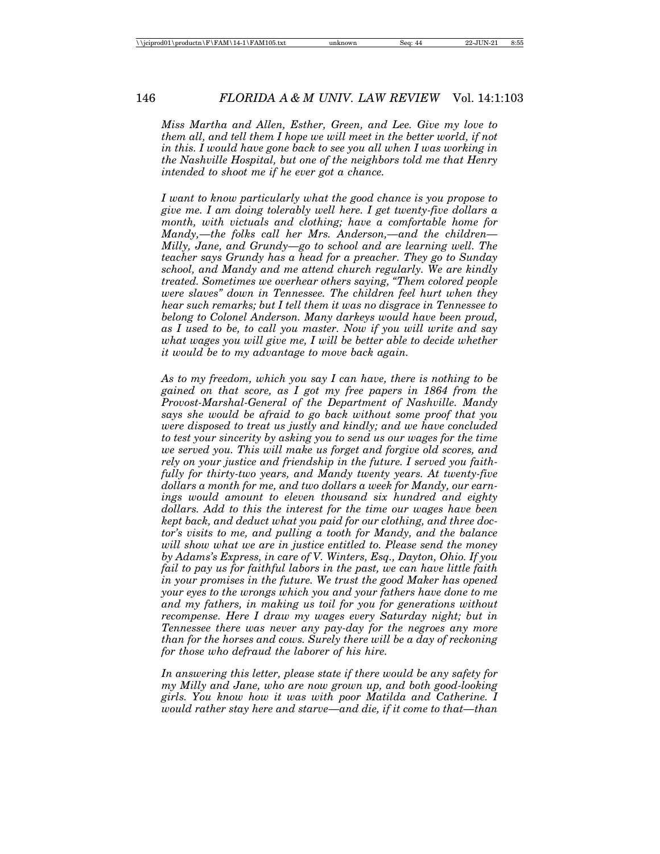*Miss Martha and Allen, Esther, Green, and Lee. Give my love to them all, and tell them I hope we will meet in the better world, if not in this. I would have gone back to see you all when I was working in the Nashville Hospital, but one of the neighbors told me that Henry intended to shoot me if he ever got a chance.*

*I want to know particularly what the good chance is you propose to give me. I am doing tolerably well here. I get twenty-five dollars a month, with victuals and clothing; have a comfortable home for Mandy,—the folks call her Mrs. Anderson,—and the children— Milly, Jane, and Grundy—go to school and are learning well. The teacher says Grundy has a head for a preacher. They go to Sunday school, and Mandy and me attend church regularly. We are kindly treated. Sometimes we overhear others saying, "Them colored people were slaves" down in Tennessee. The children feel hurt when they hear such remarks; but I tell them it was no disgrace in Tennessee to belong to Colonel Anderson. Many darkeys would have been proud, as I used to be, to call you master. Now if you will write and say what wages you will give me, I will be better able to decide whether it would be to my advantage to move back again.*

*As to my freedom, which you say I can have, there is nothing to be gained on that score, as I got my free papers in 1864 from the Provost-Marshal-General of the Department of Nashville. Mandy says she would be afraid to go back without some proof that you were disposed to treat us justly and kindly; and we have concluded to test your sincerity by asking you to send us our wages for the time we served you. This will make us forget and forgive old scores, and rely on your justice and friendship in the future. I served you faithfully for thirty-two years, and Mandy twenty years. At twenty-five dollars a month for me, and two dollars a week for Mandy, our earnings would amount to eleven thousand six hundred and eighty dollars. Add to this the interest for the time our wages have been kept back, and deduct what you paid for our clothing, and three doctor's visits to me, and pulling a tooth for Mandy, and the balance will show what we are in justice entitled to. Please send the money by Adams's Express, in care of V. Winters, Esq., Dayton, Ohio. If you fail to pay us for faithful labors in the past, we can have little faith in your promises in the future. We trust the good Maker has opened your eyes to the wrongs which you and your fathers have done to me and my fathers, in making us toil for you for generations without recompense. Here I draw my wages every Saturday night; but in Tennessee there was never any pay-day for the negroes any more than for the horses and cows. Surely there will be a day of reckoning for those who defraud the laborer of his hire.*

*In answering this letter, please state if there would be any safety for my Milly and Jane, who are now grown up, and both good-looking girls. You know how it was with poor Matilda and Catherine. I would rather stay here and starve—and die, if it come to that—than*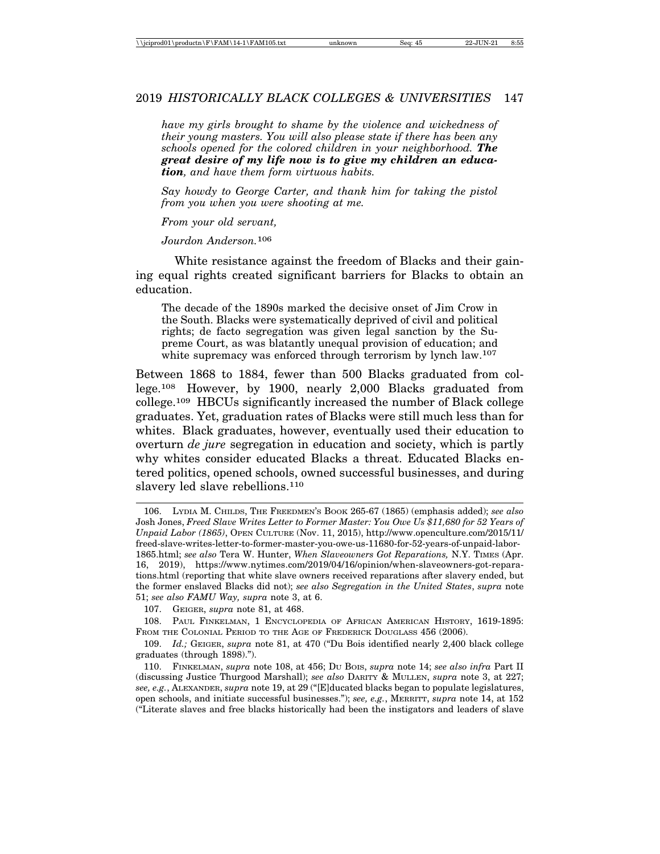*have my girls brought to shame by the violence and wickedness of their young masters. You will also please state if there has been any schools opened for the colored children in your neighborhood. The great desire of my life now is to give my children an education, and have them form virtuous habits.*

*Say howdy to George Carter, and thank him for taking the pistol from you when you were shooting at me.*

*From your old servant,*

#### *Jourdon Anderson.*<sup>106</sup>

White resistance against the freedom of Blacks and their gaining equal rights created significant barriers for Blacks to obtain an education.

The decade of the 1890s marked the decisive onset of Jim Crow in the South. Blacks were systematically deprived of civil and political rights; de facto segregation was given legal sanction by the Supreme Court, as was blatantly unequal provision of education; and white supremacy was enforced through terrorism by lynch law.<sup>107</sup>

Between 1868 to 1884, fewer than 500 Blacks graduated from college.108 However, by 1900, nearly 2,000 Blacks graduated from college.109 HBCUs significantly increased the number of Black college graduates. Yet, graduation rates of Blacks were still much less than for whites. Black graduates, however, eventually used their education to overturn *de jure* segregation in education and society, which is partly why whites consider educated Blacks a threat. Educated Blacks entered politics, opened schools, owned successful businesses, and during slavery led slave rebellions.<sup>110</sup>

<sup>106.</sup> LYDIA M. CHILDS, THE FREEDMEN'S BOOK 265-67 (1865) (emphasis added); *see also* Josh Jones, *Freed Slave Writes Letter to Former Master: You Owe Us \$11,680 for 52 Years of Unpaid Labor (1865)*, OPEN CULTURE (Nov. 11, 2015), http://www.openculture.com/2015/11/ freed-slave-writes-letter-to-former-master-you-owe-us-11680-for-52-years-of-unpaid-labor-1865.html; *see also* Tera W. Hunter, *When Slaveowners Got Reparations,* N.Y. TIMES (Apr. 16, 2019), https://www.nytimes.com/2019/04/16/opinion/when-slaveowners-got-reparations.html (reporting that white slave owners received reparations after slavery ended, but the former enslaved Blacks did not); *see also Segregation in the United States*, *supra* note 51; *see also FAMU Way, supra* note 3, at 6.

<sup>107.</sup> GEIGER, *supra* note 81, at 468.

<sup>108.</sup> PAUL FINKELMAN, 1 ENCYCLOPEDIA OF AFRICAN AMERICAN HISTORY, 1619-1895: FROM THE COLONIAL PERIOD TO THE AGE OF FREDERICK DOUGLASS 456 (2006).

<sup>109.</sup> *Id.;* GEIGER, *supra* note 81, at 470 ("Du Bois identified nearly 2,400 black college graduates (through 1898).").

<sup>110.</sup> FINKELMAN, *supra* note 108, at 456; DU BOIS, *supra* note 14; *see also infra* Part II (discussing Justice Thurgood Marshall); *see also* DARITY & MULLEN, *supra* note 3, at 227; *see, e.g.*, ALEXANDER, *supra* note 19, at 29 ("[E]ducated blacks began to populate legislatures, open schools, and initiate successful businesses."); *see, e.g.*, MERRITT, *supra* note 14, at 152 ("Literate slaves and free blacks historically had been the instigators and leaders of slave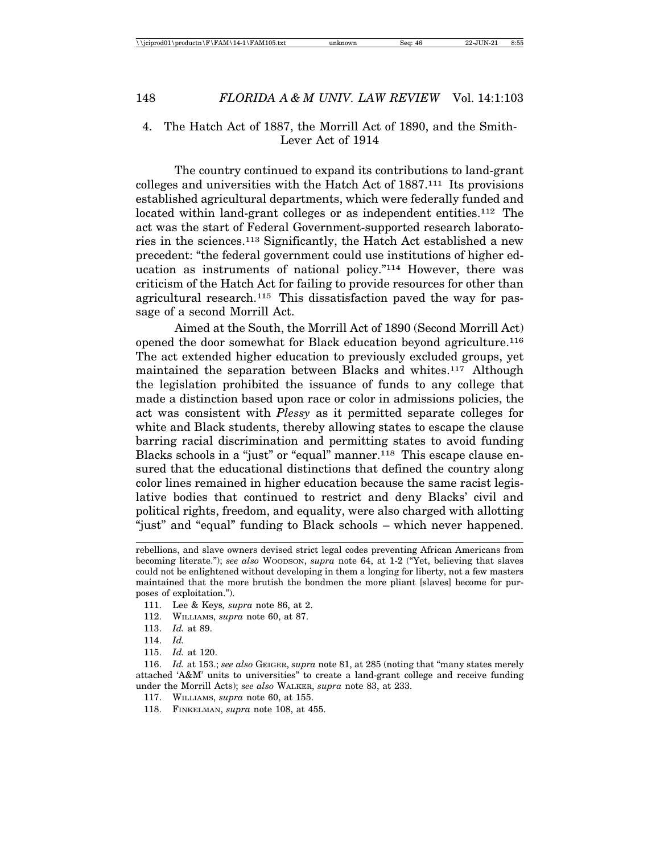# 4. The Hatch Act of 1887, the Morrill Act of 1890, and the Smith-Lever Act of 1914

The country continued to expand its contributions to land-grant colleges and universities with the Hatch Act of 1887.111 Its provisions established agricultural departments, which were federally funded and located within land-grant colleges or as independent entities.<sup>112</sup> The act was the start of Federal Government-supported research laboratories in the sciences.113 Significantly, the Hatch Act established a new precedent: "the federal government could use institutions of higher education as instruments of national policy."114 However, there was criticism of the Hatch Act for failing to provide resources for other than agricultural research.<sup>115</sup> This dissatisfaction paved the way for passage of a second Morrill Act.

Aimed at the South, the Morrill Act of 1890 (Second Morrill Act) opened the door somewhat for Black education beyond agriculture.116 The act extended higher education to previously excluded groups, yet maintained the separation between Blacks and whites.<sup>117</sup> Although the legislation prohibited the issuance of funds to any college that made a distinction based upon race or color in admissions policies, the act was consistent with *Plessy* as it permitted separate colleges for white and Black students, thereby allowing states to escape the clause barring racial discrimination and permitting states to avoid funding Blacks schools in a "just" or "equal" manner.<sup>118</sup> This escape clause ensured that the educational distinctions that defined the country along color lines remained in higher education because the same racist legislative bodies that continued to restrict and deny Blacks' civil and political rights, freedom, and equality, were also charged with allotting "just" and "equal" funding to Black schools – which never happened.

- 111. Lee & Keys*, supra* note 86, at 2.
- 112. WILLIAMS, *supra* note 60, at 87.
- 113. *Id.* at 89.
- 114. *Id.*
- 115. *Id.* at 120.

- 117. WILLIAMS, *supra* note 60, at 155.
- 118. FINKELMAN, *supra* note 108, at 455.

rebellions, and slave owners devised strict legal codes preventing African Americans from becoming literate."); *see also* WOODSON, *supra* note 64, at 1-2 ("Yet, believing that slaves could not be enlightened without developing in them a longing for liberty, not a few masters maintained that the more brutish the bondmen the more pliant [slaves] become for purposes of exploitation.").

<sup>116.</sup> *Id.* at 153.; *see also* GEIGER, *supra* note 81, at 285 (noting that "many states merely attached 'A&M' units to universities" to create a land-grant college and receive funding under the Morrill Acts); *see also* WALKER, *supra* note 83, at 233.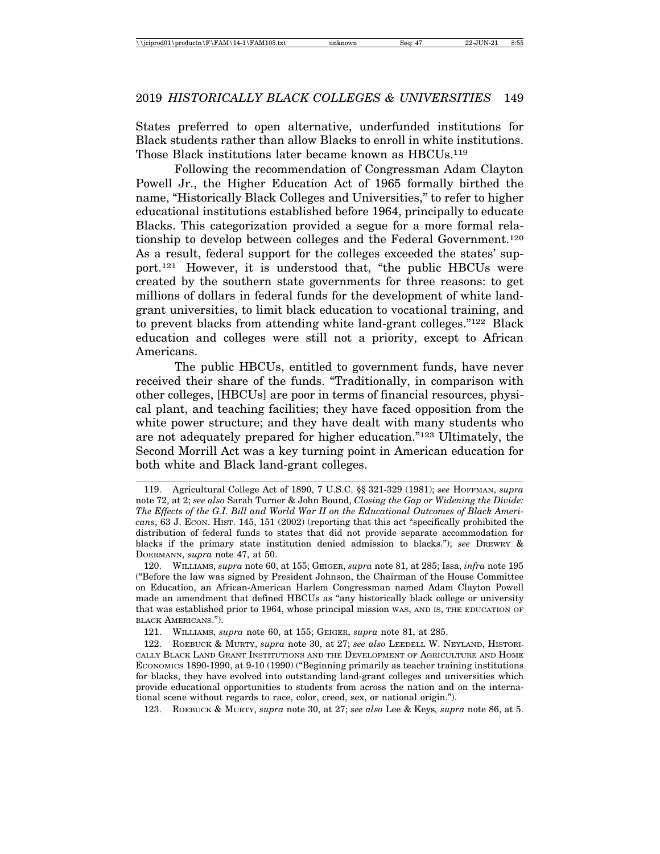States preferred to open alternative, underfunded institutions for Black students rather than allow Blacks to enroll in white institutions. Those Black institutions later became known as HBCUs.119

Following the recommendation of Congressman Adam Clayton Powell Jr., the Higher Education Act of 1965 formally birthed the name, "Historically Black Colleges and Universities," to refer to higher educational institutions established before 1964, principally to educate Blacks. This categorization provided a segue for a more formal relationship to develop between colleges and the Federal Government.120 As a result, federal support for the colleges exceeded the states' support.121 However, it is understood that, "the public HBCUs were created by the southern state governments for three reasons: to get millions of dollars in federal funds for the development of white landgrant universities, to limit black education to vocational training, and to prevent blacks from attending white land-grant colleges."122 Black education and colleges were still not a priority, except to African Americans.

The public HBCUs, entitled to government funds, have never received their share of the funds. "Traditionally, in comparison with other colleges, [HBCUs] are poor in terms of financial resources, physical plant, and teaching facilities; they have faced opposition from the white power structure; and they have dealt with many students who are not adequately prepared for higher education."123 Ultimately, the Second Morrill Act was a key turning point in American education for both white and Black land-grant colleges.

120. WILLIAMS, *supra* note 60, at 155; GEIGER, *supra* note 81, at 285; Issa, *infra* note 195 ("Before the law was signed by President Johnson, the Chairman of the House Committee on Education, an African-American Harlem Congressman named Adam Clayton Powell made an amendment that defined HBCUs as "any historically black college or university that was established prior to 1964, whose principal mission WAS, AND IS, THE EDUCATION OF BLACK AMERICANS.").

121. WILLIAMS, *supra* note 60, at 155; GEIGER, *supra* note 81, at 285.

122. ROEBUCK & MURTY, *supra* note 30, at 27; *see also* LEEDELL W. NEYLAND, HISTORI-CALLY BLACK LAND GRANT INSTITUTIONS AND THE DEVELOPMENT OF AGRICULTURE AND HOME ECONOMICS 1890-1990, at 9-10 (1990) ("Beginning primarily as teacher training institutions for blacks, they have evolved into outstanding land-grant colleges and universities which provide educational opportunities to students from across the nation and on the international scene without regards to race, color, creed, sex, or national origin.").

123. ROEBUCK & MURTY, *supra* note 30, at 27; *see also* Lee & Keys*, supra* note 86, at 5.

<sup>119.</sup> Agricultural College Act of 1890, 7 U.S.C. §§ 321-329 (1981); *see* HOFFMAN, *supra* note 72, at 2; *see also* Sarah Turner & John Bound, *Closing the Gap or Widening the Divide: The Effects of the G.I. Bill and World War II on the Educational Outcomes of Black Americans*, 63 J. ECON. HIST. 145, 151 (2002) (reporting that this act "specifically prohibited the distribution of federal funds to states that did not provide separate accommodation for blacks if the primary state institution denied admission to blacks."); *see* DREWRY & DOERMANN, *supra* note 47, at 50.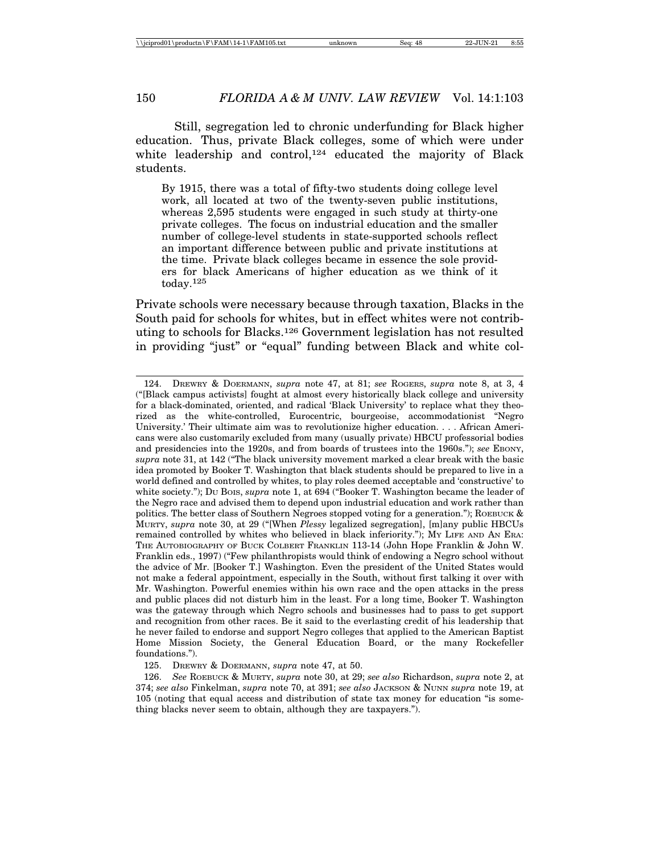Still, segregation led to chronic underfunding for Black higher education. Thus, private Black colleges, some of which were under white leadership and control,<sup>124</sup> educated the majority of Black students.

By 1915, there was a total of fifty-two students doing college level work, all located at two of the twenty-seven public institutions, whereas 2,595 students were engaged in such study at thirty-one private colleges. The focus on industrial education and the smaller number of college-level students in state-supported schools reflect an important difference between public and private institutions at the time. Private black colleges became in essence the sole providers for black Americans of higher education as we think of it today.125

Private schools were necessary because through taxation, Blacks in the South paid for schools for whites, but in effect whites were not contributing to schools for Blacks.126 Government legislation has not resulted in providing "just" or "equal" funding between Black and white col-

<sup>124.</sup> DREWRY & DOERMANN, *supra* note 47, at 81; *see* ROGERS, *supra* note 8, at 3, 4 ("[Black campus activists] fought at almost every historically black college and university for a black-dominated, oriented, and radical 'Black University' to replace what they theorized as the white-controlled, Eurocentric, bourgeoise, accommodationist "Negro University.' Their ultimate aim was to revolutionize higher education. . . . African Americans were also customarily excluded from many (usually private) HBCU professorial bodies and presidencies into the 1920s, and from boards of trustees into the 1960s."); *see* EBONY, *supra* note 31, at 142 ("The black university movement marked a clear break with the basic idea promoted by Booker T. Washington that black students should be prepared to live in a world defined and controlled by whites, to play roles deemed acceptable and 'constructive' to white society."); Du Bois, *supra* note 1, at 694 ("Booker T. Washington became the leader of the Negro race and advised them to depend upon industrial education and work rather than politics. The better class of Southern Negroes stopped voting for a generation."); ROEBUCK & MURTY, *supra* note 30, at 29 ("[When *Plessy* legalized segregation], [m]any public HBCUs remained controlled by whites who believed in black inferiority."); MY LIFE AND AN ERA: THE AUTOBIOGRAPHY OF BUCK COLBERT FRANKLIN 113-14 (John Hope Franklin & John W. Franklin eds., 1997) ("Few philanthropists would think of endowing a Negro school without the advice of Mr. [Booker T.] Washington. Even the president of the United States would not make a federal appointment, especially in the South, without first talking it over with Mr. Washington. Powerful enemies within his own race and the open attacks in the press and public places did not disturb him in the least. For a long time, Booker T. Washington was the gateway through which Negro schools and businesses had to pass to get support and recognition from other races. Be it said to the everlasting credit of his leadership that he never failed to endorse and support Negro colleges that applied to the American Baptist Home Mission Society, the General Education Board, or the many Rockefeller foundations.").

<sup>125.</sup> DREWRY & DOERMANN, *supra* note 47, at 50.

<sup>126.</sup> *See* ROEBUCK & MURTY, *supra* note 30, at 29; *see also* Richardson, *supra* note 2, at 374; *see also* Finkelman, *supra* note 70, at 391; *see also* JACKSON & NUNN *supra* note 19, at 105 (noting that equal access and distribution of state tax money for education "is something blacks never seem to obtain, although they are taxpayers.").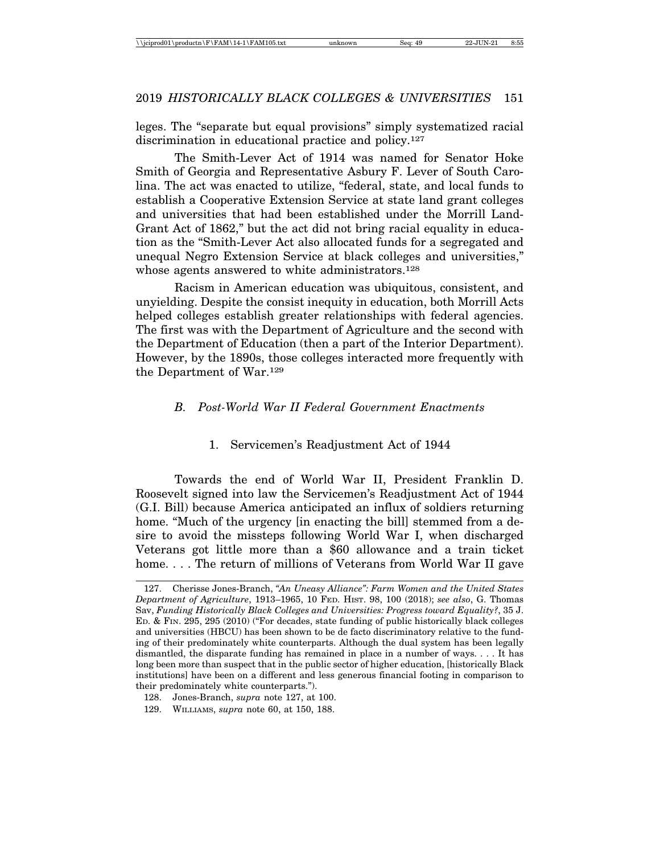leges. The "separate but equal provisions" simply systematized racial discrimination in educational practice and policy.127

The Smith-Lever Act of 1914 was named for Senator Hoke Smith of Georgia and Representative Asbury F. Lever of South Carolina. The act was enacted to utilize, "federal, state, and local funds to establish a Cooperative Extension Service at state land grant colleges and universities that had been established under the Morrill Land-Grant Act of 1862," but the act did not bring racial equality in education as the "Smith-Lever Act also allocated funds for a segregated and unequal Negro Extension Service at black colleges and universities," whose agents answered to white administrators.<sup>128</sup>

Racism in American education was ubiquitous, consistent, and unyielding. Despite the consist inequity in education, both Morrill Acts helped colleges establish greater relationships with federal agencies. The first was with the Department of Agriculture and the second with the Department of Education (then a part of the Interior Department). However, by the 1890s, those colleges interacted more frequently with the Department of War.129

#### *B. Post-World War II Federal Government Enactments*

#### 1. Servicemen's Readjustment Act of 1944

Towards the end of World War II, President Franklin D. Roosevelt signed into law the Servicemen's Readjustment Act of 1944 (G.I. Bill) because America anticipated an influx of soldiers returning home. "Much of the urgency [in enacting the bill] stemmed from a desire to avoid the missteps following World War I, when discharged Veterans got little more than a \$60 allowance and a train ticket home.... The return of millions of Veterans from World War II gave

<sup>127.</sup> Cherisse Jones-Branch, *"An Uneasy Alliance": Farm Women and the United States Department of Agriculture*, 1913–1965, 10 FED. HIST. 98, 100 (2018); *see also*, G. Thomas Sav, *Funding Historically Black Colleges and Universities: Progress toward Equality?*, 35 J. ED. & FIN. 295, 295 (2010) ("For decades, state funding of public historically black colleges and universities (HBCU) has been shown to be de facto discriminatory relative to the funding of their predominately white counterparts. Although the dual system has been legally dismantled, the disparate funding has remained in place in a number of ways. . . . It has long been more than suspect that in the public sector of higher education, [historically Black institutions] have been on a different and less generous financial footing in comparison to their predominately white counterparts.").

<sup>128.</sup> Jones-Branch, *supra* note 127, at 100.

<sup>129.</sup> WILLIAMS, *supra* note 60, at 150, 188.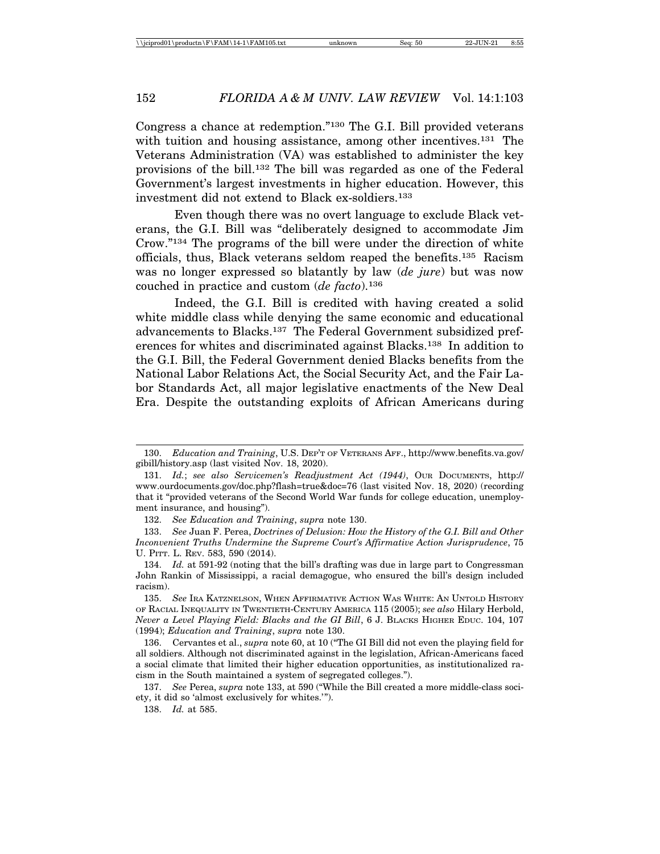Congress a chance at redemption."130 The G.I. Bill provided veterans with tuition and housing assistance, among other incentives.<sup>131</sup> The Veterans Administration (VA) was established to administer the key provisions of the bill.132 The bill was regarded as one of the Federal Government's largest investments in higher education. However, this investment did not extend to Black ex-soldiers.133

Even though there was no overt language to exclude Black veterans, the G.I. Bill was "deliberately designed to accommodate Jim Crow."134 The programs of the bill were under the direction of white officials, thus, Black veterans seldom reaped the benefits.135 Racism was no longer expressed so blatantly by law (*de jure*) but was now couched in practice and custom (*de facto*).136

Indeed, the G.I. Bill is credited with having created a solid white middle class while denying the same economic and educational advancements to Blacks.137 The Federal Government subsidized preferences for whites and discriminated against Blacks.138 In addition to the G.I. Bill, the Federal Government denied Blacks benefits from the National Labor Relations Act, the Social Security Act, and the Fair Labor Standards Act, all major legislative enactments of the New Deal Era. Despite the outstanding exploits of African Americans during

<sup>130.</sup> *Education and Training*, U.S. DEP'T OF VETERANS AFF., http://www.benefits.va.gov/ gibill/history.asp (last visited Nov. 18, 2020).

<sup>131.</sup> *Id.*; *see also Servicemen's Readjustment Act (1944)*, OUR DOCUMENTS, http:// www.ourdocuments.gov/doc.php?flash=true&doc=76 (last visited Nov. 18, 2020) (recording that it "provided veterans of the Second World War funds for college education, unemployment insurance, and housing").

<sup>132.</sup> *See Education and Training*, *supra* note 130.

<sup>133.</sup> *See* Juan F. Perea, *Doctrines of Delusion: How the History of the G.I. Bill and Other Inconvenient Truths Undermine the Supreme Court's Affirmative Action Jurisprudence*, 75 U. PITT. L. REV. 583, 590 (2014).

<sup>134.</sup> *Id.* at 591-92 (noting that the bill's drafting was due in large part to Congressman John Rankin of Mississippi, a racial demagogue, who ensured the bill's design included racism).

<sup>135.</sup> *See* IRA KATZNELSON, WHEN AFFIRMATIVE ACTION WAS WHITE: AN UNTOLD HISTORY OF RACIAL INEQUALITY IN TWENTIETH-CENTURY AMERICA 115 (2005); *see also* Hilary Herbold, *Never a Level Playing Field: Blacks and the GI Bill*, 6 J. BLACKS HIGHER EDUC. 104, 107 (1994); *Education and Training*, *supra* note 130.

<sup>136.</sup> Cervantes et al., *supra* note 60, at 10 ("The GI Bill did not even the playing field for all soldiers. Although not discriminated against in the legislation, African-Americans faced a social climate that limited their higher education opportunities, as institutionalized racism in the South maintained a system of segregated colleges.").

<sup>137.</sup> *See* Perea, *supra* note 133, at 590 ("While the Bill created a more middle-class society, it did so 'almost exclusively for whites.'").

<sup>138.</sup> *Id.* at 585.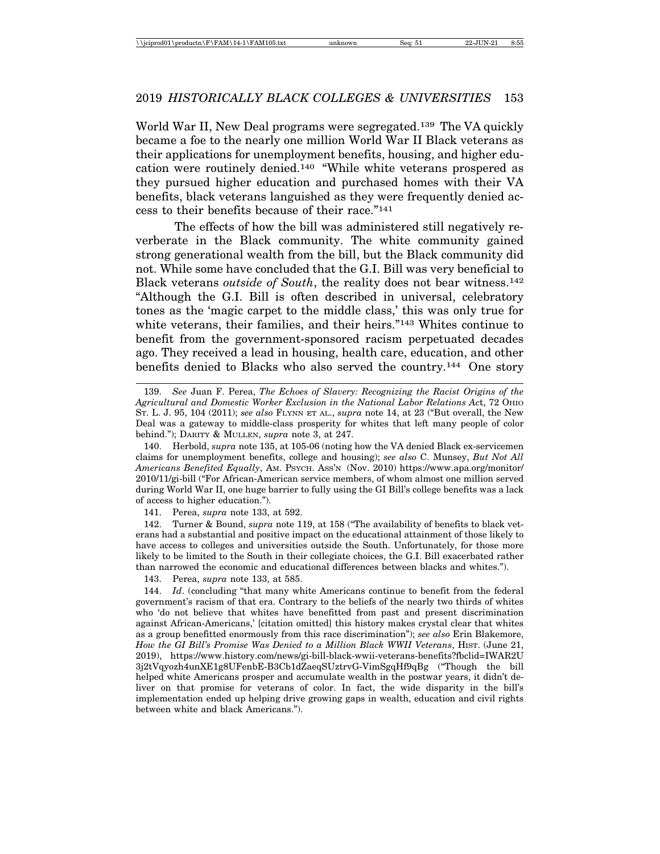World War II, New Deal programs were segregated.<sup>139</sup> The VA quickly became a foe to the nearly one million World War II Black veterans as their applications for unemployment benefits, housing, and higher education were routinely denied.140 "While white veterans prospered as they pursued higher education and purchased homes with their VA benefits, black veterans languished as they were frequently denied access to their benefits because of their race."141

The effects of how the bill was administered still negatively reverberate in the Black community. The white community gained strong generational wealth from the bill, but the Black community did not. While some have concluded that the G.I. Bill was very beneficial to Black veterans *outside of South*, the reality does not bear witness.142 "Although the G.I. Bill is often described in universal, celebratory tones as the 'magic carpet to the middle class,' this was only true for white veterans, their families, and their heirs.<sup>"143</sup> Whites continue to benefit from the government-sponsored racism perpetuated decades ago. They received a lead in housing, health care, education, and other benefits denied to Blacks who also served the country.144 One story

141. Perea, *supra* note 133, at 592.

142. Turner & Bound, *supra* note 119, at 158 ("The availability of benefits to black veterans had a substantial and positive impact on the educational attainment of those likely to have access to colleges and universities outside the South. Unfortunately, for those more likely to be limited to the South in their collegiate choices, the G.I. Bill exacerbated rather than narrowed the economic and educational differences between blacks and whites.").

143. Perea, *supra* note 133, at 585.

<sup>139.</sup> *See* Juan F. Perea, *The Echoes of Slavery: Recognizing the Racist Origins of the Agricultural and Domestic Worker Exclusion in the National Labor Relations Ac*t, 72 OHIO ST. L. J. 95, 104 (2011); *see also* FLYNN ET AL., *supra* note 14, at 23 ("But overall, the New Deal was a gateway to middle-class prosperity for whites that left many people of color behind."); DARITY & MULLEN, *supra* note 3, at 247.

<sup>140.</sup> Herbold, *supra* note 135, at 105-06 (noting how the VA denied Black ex-servicemen claims for unemployment benefits, college and housing); *see also* C. Munsey, *But Not All Americans Benefited Equally*, AM. PSYCH. ASS'N (Nov. 2010) https://www.apa.org/monitor/ 2010/11/gi-bill ("For African-American service members, of whom almost one million served during World War II, one huge barrier to fully using the GI Bill's college benefits was a lack of access to higher education.").

<sup>144.</sup> *Id*. (concluding "that many white Americans continue to benefit from the federal government's racism of that era. Contrary to the beliefs of the nearly two thirds of whites who 'do not believe that whites have benefitted from past and present discrimination against African-Americans,' [citation omitted] this history makes crystal clear that whites as a group benefitted enormously from this race discrimination"); *see also* Erin Blakemore, *How the GI Bill's Promise Was Denied to a Million Black WWII Veterans*, HIST. (June 21, 2019), https://www.history.com/news/gi-bill-black-wwii-veterans-benefits?fbclid=IWAR2U 3j2tVqyozh4unXE1g8UFenbE-B3Cb1dZaeqSUztrvG-VimSgqHf9qBg ("Though the bill helped white Americans prosper and accumulate wealth in the postwar years, it didn't deliver on that promise for veterans of color. In fact, the wide disparity in the bill's implementation ended up helping drive growing gaps in wealth, education and civil rights between white and black Americans.").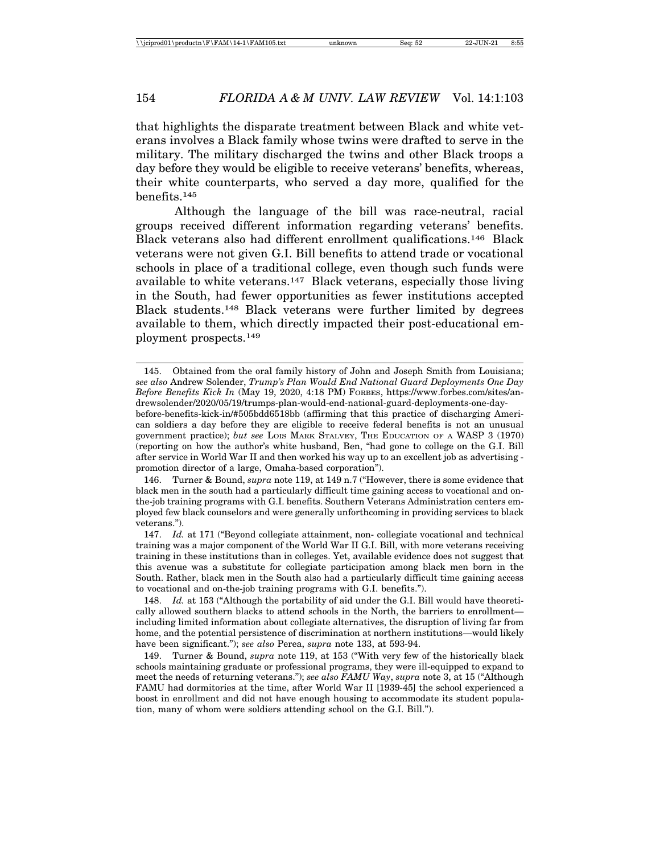that highlights the disparate treatment between Black and white veterans involves a Black family whose twins were drafted to serve in the military. The military discharged the twins and other Black troops a day before they would be eligible to receive veterans' benefits, whereas, their white counterparts, who served a day more, qualified for the benefits.145

Although the language of the bill was race-neutral, racial groups received different information regarding veterans' benefits. Black veterans also had different enrollment qualifications.146 Black veterans were not given G.I. Bill benefits to attend trade or vocational schools in place of a traditional college, even though such funds were available to white veterans.<sup>147</sup> Black veterans, especially those living in the South, had fewer opportunities as fewer institutions accepted Black students.148 Black veterans were further limited by degrees available to them, which directly impacted their post-educational employment prospects.149

<sup>145.</sup> Obtained from the oral family history of John and Joseph Smith from Louisiana; *see also* Andrew Solender, *Trump's Plan Would End National Guard Deployments One Day Before Benefits Kick In* (May 19, 2020, 4:18 PM) FORBES, https://www.forbes.com/sites/andrewsolender/2020/05/19/trumps-plan-would-end-national-guard-deployments-one-day-

before-benefits-kick-in/#505bdd6518bb (affirming that this practice of discharging American soldiers a day before they are eligible to receive federal benefits is not an unusual government practice); *but see* LOIS MARK STALVEY, THE EDUCATION OF A WASP 3 (1970) (reporting on how the author's white husband, Ben, "had gone to college on the G.I. Bill after service in World War II and then worked his way up to an excellent job as advertising promotion director of a large, Omaha-based corporation").

<sup>146.</sup> Turner & Bound, *supra* note 119, at 149 n.7 ("However, there is some evidence that black men in the south had a particularly difficult time gaining access to vocational and onthe-job training programs with G.I. benefits. Southern Veterans Administration centers employed few black counselors and were generally unforthcoming in providing services to black veterans.").

<sup>147.</sup> *Id.* at 171 ("Beyond collegiate attainment, non- collegiate vocational and technical training was a major component of the World War II G.I. Bill, with more veterans receiving training in these institutions than in colleges. Yet, available evidence does not suggest that this avenue was a substitute for collegiate participation among black men born in the South. Rather, black men in the South also had a particularly difficult time gaining access to vocational and on-the-job training programs with G.I. benefits.").

<sup>148.</sup> *Id.* at 153 ("Although the portability of aid under the G.I. Bill would have theoretically allowed southern blacks to attend schools in the North, the barriers to enrollment including limited information about collegiate alternatives, the disruption of living far from home, and the potential persistence of discrimination at northern institutions—would likely have been significant."); *see also* Perea, *supra* note 133, at 593-94.

<sup>149.</sup> Turner & Bound, *supra* note 119, at 153 ("With very few of the historically black schools maintaining graduate or professional programs, they were ill-equipped to expand to meet the needs of returning veterans."); *see also FAMU Way*, *supra* note 3, at 15 ("Although FAMU had dormitories at the time, after World War II [1939-45] the school experienced a boost in enrollment and did not have enough housing to accommodate its student population, many of whom were soldiers attending school on the G.I. Bill.").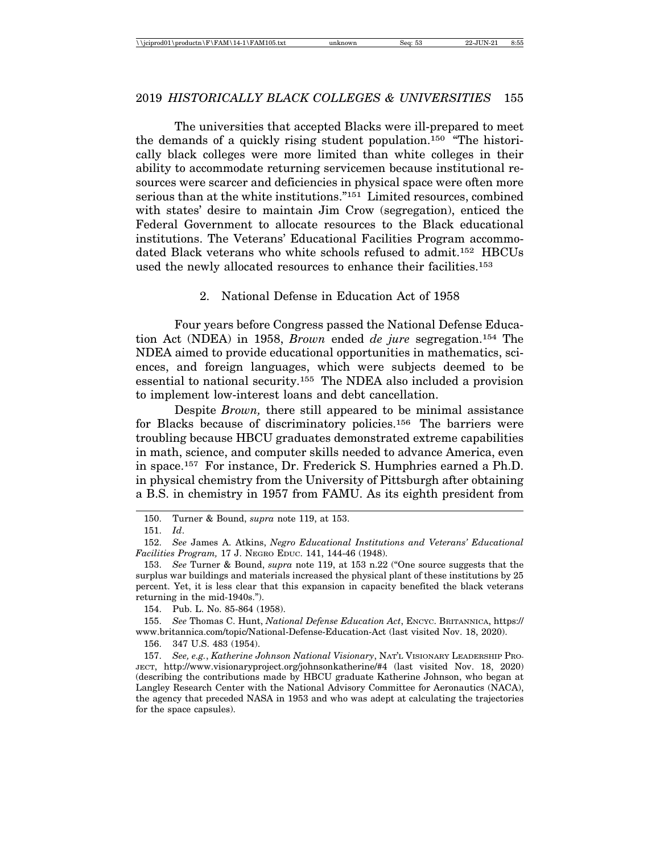The universities that accepted Blacks were ill-prepared to meet the demands of a quickly rising student population.150 "The historically black colleges were more limited than white colleges in their ability to accommodate returning servicemen because institutional resources were scarcer and deficiencies in physical space were often more serious than at the white institutions."151 Limited resources, combined with states' desire to maintain Jim Crow (segregation), enticed the Federal Government to allocate resources to the Black educational institutions. The Veterans' Educational Facilities Program accommodated Black veterans who white schools refused to admit.152 HBCUs used the newly allocated resources to enhance their facilities.153

# 2. National Defense in Education Act of 1958

Four years before Congress passed the National Defense Education Act (NDEA) in 1958, *Brown* ended *de jure* segregation.154 The NDEA aimed to provide educational opportunities in mathematics, sciences, and foreign languages, which were subjects deemed to be essential to national security.155 The NDEA also included a provision to implement low-interest loans and debt cancellation.

Despite *Brown,* there still appeared to be minimal assistance for Blacks because of discriminatory policies.156 The barriers were troubling because HBCU graduates demonstrated extreme capabilities in math, science, and computer skills needed to advance America, even in space.157 For instance, Dr. Frederick S. Humphries earned a Ph.D. in physical chemistry from the University of Pittsburgh after obtaining a B.S. in chemistry in 1957 from FAMU. As its eighth president from

156. 347 U.S. 483 (1954).

157. *See, e.g.*, *Katherine Johnson National Visionary*, NAT'L VISIONARY LEADERSHIP PRO-JECT, http://www.visionaryproject.org/johnsonkatherine/#4 (last visited Nov. 18, 2020) (describing the contributions made by HBCU graduate Katherine Johnson, who began at Langley Research Center with the National Advisory Committee for Aeronautics (NACA), the agency that preceded NASA in 1953 and who was adept at calculating the trajectories for the space capsules).

<sup>150.</sup> Turner & Bound, *supra* note 119, at 153.

<sup>151.</sup> *Id*.

<sup>152.</sup> *See* James A. Atkins, *Negro Educational Institutions and Veterans' Educational Facilities Program,* 17 J. NEGRO EDUC. 141, 144-46 (1948).

<sup>153.</sup> *See* Turner & Bound, *supra* note 119, at 153 n.22 ("One source suggests that the surplus war buildings and materials increased the physical plant of these institutions by 25 percent. Yet, it is less clear that this expansion in capacity benefited the black veterans returning in the mid-1940s.").

<sup>154.</sup> Pub. L. No. 85-864 (1958).

<sup>155.</sup> *See* Thomas C. Hunt, *National Defense Education Act*, ENCYC. BRITANNICA, https:// www.britannica.com/topic/National-Defense-Education-Act (last visited Nov. 18, 2020).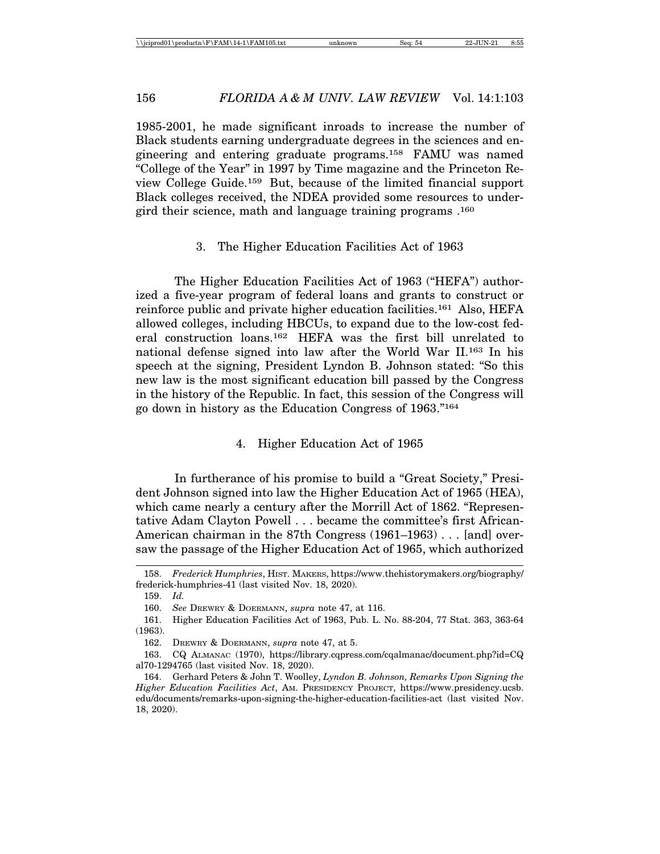1985-2001, he made significant inroads to increase the number of Black students earning undergraduate degrees in the sciences and engineering and entering graduate programs.158 FAMU was named "College of the Year" in 1997 by Time magazine and the Princeton Review College Guide.159 But, because of the limited financial support Black colleges received, the NDEA provided some resources to undergird their science, math and language training programs .160

#### 3. The Higher Education Facilities Act of 1963

The Higher Education Facilities Act of 1963 ("HEFA") authorized a five-year program of federal loans and grants to construct or reinforce public and private higher education facilities.161 Also, HEFA allowed colleges, including HBCUs, to expand due to the low-cost federal construction loans.162 HEFA was the first bill unrelated to national defense signed into law after the World War II.163 In his speech at the signing, President Lyndon B. Johnson stated: "So this new law is the most significant education bill passed by the Congress in the history of the Republic. In fact, this session of the Congress will go down in history as the Education Congress of 1963."164

## 4. Higher Education Act of 1965

In furtherance of his promise to build a "Great Society," President Johnson signed into law the Higher Education Act of 1965 (HEA), which came nearly a century after the Morrill Act of 1862. "Representative Adam Clayton Powell . . . became the committee's first African-American chairman in the 87th Congress (1961–1963) . . . [and] oversaw the passage of the Higher Education Act of 1965, which authorized

<sup>158.</sup> *Frederick Humphries*, HIST. MAKERS, https://www.thehistorymakers.org/biography/ frederick-humphries-41 (last visited Nov. 18, 2020).

<sup>159.</sup> *Id.*

<sup>160.</sup> *See* DREWRY & DOERMANN, *supra* note 47, at 116.

<sup>161.</sup> Higher Education Facilities Act of 1963, Pub. L. No. 88-204, 77 Stat. 363, 363-64 (1963).

<sup>162.</sup> DREWRY & DOERMANN, *supra* note 47, at 5.

<sup>163.</sup> CQ ALMANAC (1970), https://library.cqpress.com/cqalmanac/document.php?id=CQ al70-1294765 (last visited Nov. 18, 2020).

<sup>164.</sup> Gerhard Peters & John T. Woolley, *Lyndon B. Johnson, Remarks Upon Signing the Higher Education Facilities Act*, AM. PRESIDENCY PROJECT, https://www.presidency.ucsb. edu/documents/remarks-upon-signing-the-higher-education-facilities-act (last visited Nov. 18, 2020).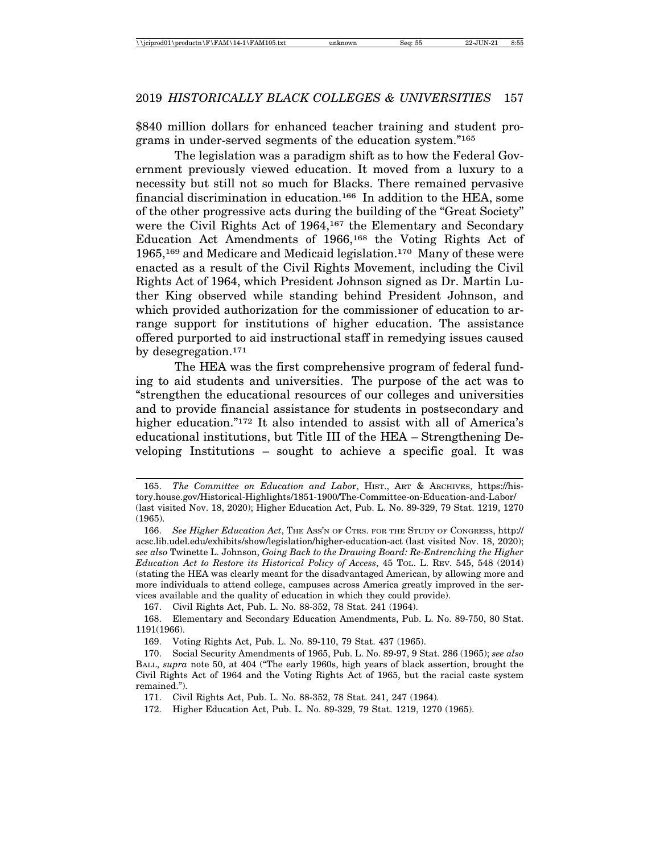\$840 million dollars for enhanced teacher training and student programs in under-served segments of the education system."165

The legislation was a paradigm shift as to how the Federal Government previously viewed education. It moved from a luxury to a necessity but still not so much for Blacks. There remained pervasive financial discrimination in education.166 In addition to the HEA, some of the other progressive acts during the building of the "Great Society" were the Civil Rights Act of 1964,<sup>167</sup> the Elementary and Secondary Education Act Amendments of 1966,168 the Voting Rights Act of  $1965$ <sup>169</sup> and Medicare and Medicaid legislation.<sup>170</sup> Many of these were enacted as a result of the Civil Rights Movement, including the Civil Rights Act of 1964, which President Johnson signed as Dr. Martin Luther King observed while standing behind President Johnson, and which provided authorization for the commissioner of education to arrange support for institutions of higher education. The assistance offered purported to aid instructional staff in remedying issues caused by desegregation.171

The HEA was the first comprehensive program of federal funding to aid students and universities. The purpose of the act was to "strengthen the educational resources of our colleges and universities and to provide financial assistance for students in postsecondary and higher education."<sup>172</sup> It also intended to assist with all of America's educational institutions, but Title III of the HEA – Strengthening Developing Institutions – sought to achieve a specific goal. It was

<sup>165.</sup> *The Committee on Education and Labo*r, HIST., ART & ARCHIVES, https://history.house.gov/Historical-Highlights/1851-1900/The-Committee-on-Education-and-Labor/ (last visited Nov. 18, 2020); Higher Education Act, Pub. L. No. 89-329, 79 Stat. 1219, 1270 (1965).

<sup>166.</sup> *See Higher Education Act*, THE ASS'N OF CTRS. FOR THE STUDY OF CONGRESS, http:// acsc.lib.udel.edu/exhibits/show/legislation/higher-education-act (last visited Nov. 18, 2020); *see also* Twinette L. Johnson, *Going Back to the Drawing Board: Re-Entrenching the Higher Education Act to Restore its Historical Policy of Access*, 45 TOL. L. REV. 545, 548 (2014) (stating the HEA was clearly meant for the disadvantaged American, by allowing more and more individuals to attend college, campuses across America greatly improved in the services available and the quality of education in which they could provide).

<sup>167.</sup> Civil Rights Act, Pub. L. No. 88-352, 78 Stat. 241 (1964).

<sup>168.</sup> Elementary and Secondary Education Amendments, Pub. L. No. 89-750, 80 Stat. 1191(1966).

<sup>169.</sup> Voting Rights Act, Pub. L. No. 89-110, 79 Stat. 437 (1965).

<sup>170.</sup> Social Security Amendments of 1965, Pub. L. No. 89-97, 9 Stat. 286 (1965); *see also* BALL, *supra* note 50, at 404 ("The early 1960s, high years of black assertion, brought the Civil Rights Act of 1964 and the Voting Rights Act of 1965, but the racial caste system remained.").

<sup>171.</sup> Civil Rights Act, Pub. L. No. 88-352, 78 Stat. 241, 247 (1964)*.*

<sup>172.</sup> Higher Education Act, Pub. L. No. 89-329, 79 Stat. 1219, 1270 (1965).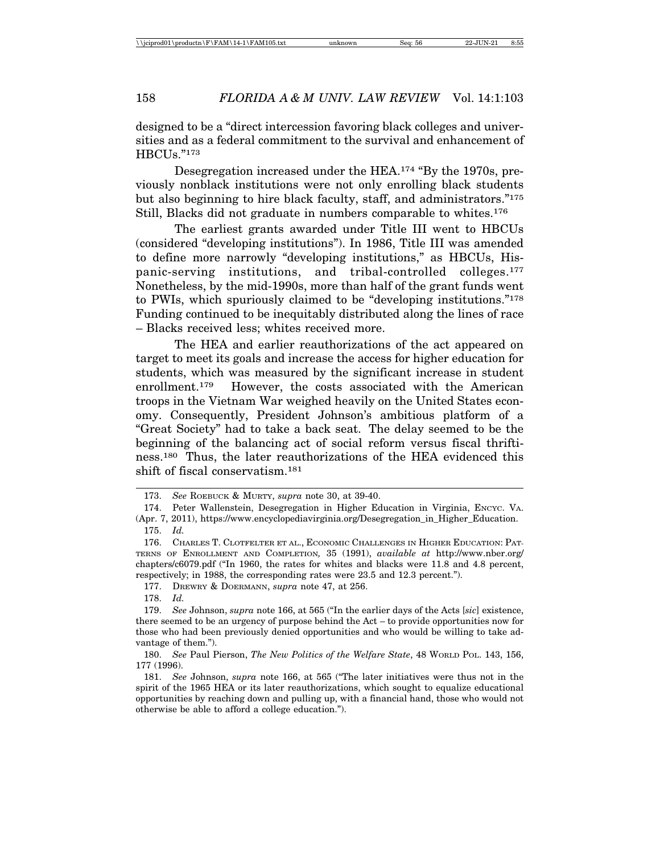designed to be a "direct intercession favoring black colleges and universities and as a federal commitment to the survival and enhancement of HBCUs."173

Desegregation increased under the HEA.174 "By the 1970s, previously nonblack institutions were not only enrolling black students but also beginning to hire black faculty, staff, and administrators."175 Still, Blacks did not graduate in numbers comparable to whites.176

The earliest grants awarded under Title III went to HBCUs (considered "developing institutions"). In 1986, Title III was amended to define more narrowly "developing institutions," as HBCUs, Hispanic-serving institutions, and tribal-controlled colleges.177 Nonetheless, by the mid-1990s, more than half of the grant funds went to PWIs, which spuriously claimed to be "developing institutions."178 Funding continued to be inequitably distributed along the lines of race – Blacks received less; whites received more.

The HEA and earlier reauthorizations of the act appeared on target to meet its goals and increase the access for higher education for students, which was measured by the significant increase in student enrollment.179 However, the costs associated with the American troops in the Vietnam War weighed heavily on the United States economy. Consequently, President Johnson's ambitious platform of a "Great Society" had to take a back seat. The delay seemed to be the beginning of the balancing act of social reform versus fiscal thriftiness.180 Thus, the later reauthorizations of the HEA evidenced this shift of fiscal conservatism.181

<sup>173.</sup> *See* ROEBUCK & MURTY, *supra* note 30, at 39-40.

<sup>174.</sup> Peter Wallenstein, Desegregation in Higher Education in Virginia, ENCYC. VA. (Apr. 7, 2011), https://www.encyclopediavirginia.org/Desegregation\_in\_Higher\_Education. 175. *Id.*

<sup>176.</sup> CHARLES T. CLOTFELTER ET AL., ECONOMIC CHALLENGES IN HIGHER EDUCATION: PAT-TERNS OF ENROLLMENT AND COMPLETION*,* 35 (1991), *available at* http://www.nber.org/ chapters/c6079.pdf ("In 1960, the rates for whites and blacks were 11.8 and 4.8 percent, respectively; in 1988, the corresponding rates were 23.5 and 12.3 percent.").

<sup>177.</sup> DREWRY & DOERMANN, *supra* note 47, at 256.

<sup>178.</sup> *Id.*

<sup>179.</sup> *See* Johnson, *supra* note 166, at 565 ("In the earlier days of the Acts [*sic*] existence, there seemed to be an urgency of purpose behind the Act – to provide opportunities now for those who had been previously denied opportunities and who would be willing to take advantage of them.").

<sup>180.</sup> *See* Paul Pierson, *The New Politics of the Welfare State*, 48 WORLD POL. 143, 156, 177 (1996).

<sup>181.</sup> *See* Johnson, *supra* note 166, at 565 ("The later initiatives were thus not in the spirit of the 1965 HEA or its later reauthorizations, which sought to equalize educational opportunities by reaching down and pulling up, with a financial hand, those who would not otherwise be able to afford a college education.").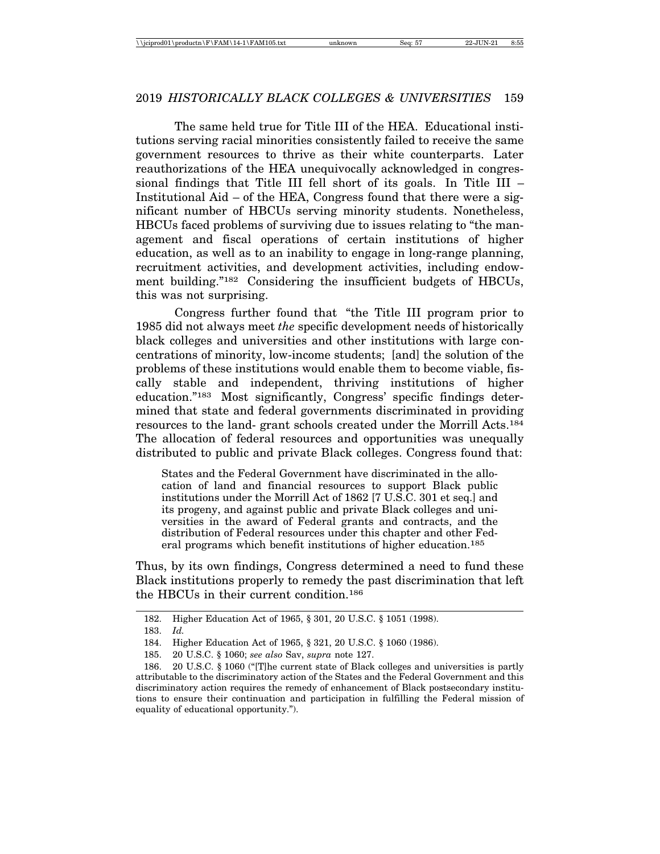The same held true for Title III of the HEA. Educational institutions serving racial minorities consistently failed to receive the same government resources to thrive as their white counterparts. Later reauthorizations of the HEA unequivocally acknowledged in congressional findings that Title III fell short of its goals. In Title III – Institutional Aid – of the HEA, Congress found that there were a significant number of HBCUs serving minority students. Nonetheless, HBCUs faced problems of surviving due to issues relating to "the management and fiscal operations of certain institutions of higher education, as well as to an inability to engage in long-range planning, recruitment activities, and development activities, including endowment building."182 Considering the insufficient budgets of HBCUs, this was not surprising.

Congress further found that "the Title III program prior to 1985 did not always meet *the* specific development needs of historically black colleges and universities and other institutions with large concentrations of minority, low-income students; [and] the solution of the problems of these institutions would enable them to become viable, fiscally stable and independent, thriving institutions of higher education."183 Most significantly, Congress' specific findings determined that state and federal governments discriminated in providing resources to the land- grant schools created under the Morrill Acts.184 The allocation of federal resources and opportunities was unequally distributed to public and private Black colleges. Congress found that:

States and the Federal Government have discriminated in the allocation of land and financial resources to support Black public institutions under the Morrill Act of 1862 [7 U.S.C. 301 et seq.] and its progeny, and against public and private Black colleges and universities in the award of Federal grants and contracts, and the distribution of Federal resources under this chapter and other Federal programs which benefit institutions of higher education.185

Thus, by its own findings, Congress determined a need to fund these Black institutions properly to remedy the past discrimination that left the HBCUs in their current condition.186

<sup>182.</sup> Higher Education Act of 1965, § 301, 20 U.S.C. § 1051 (1998).

<sup>183.</sup> *Id.*

<sup>184.</sup> Higher Education Act of 1965, § 321, 20 U.S.C. § 1060 (1986).

<sup>185. 20</sup> U.S.C. § 1060; *see also* Sav, *supra* note 127.

<sup>186. 20</sup> U.S.C. § 1060 ("[T]he current state of Black colleges and universities is partly attributable to the discriminatory action of the States and the Federal Government and this discriminatory action requires the remedy of enhancement of Black postsecondary institutions to ensure their continuation and participation in fulfilling the Federal mission of equality of educational opportunity.").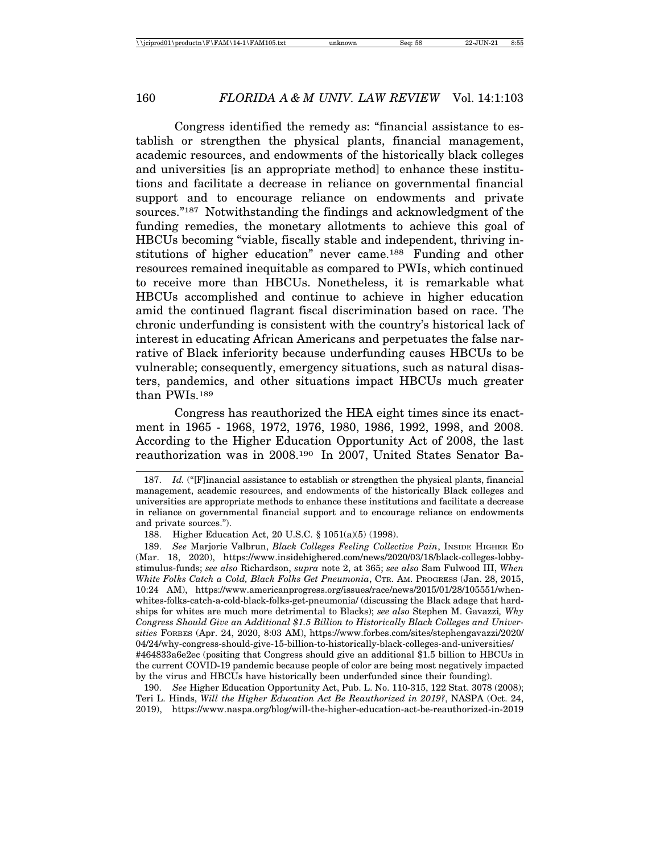Congress identified the remedy as: "financial assistance to establish or strengthen the physical plants, financial management, academic resources, and endowments of the historically black colleges and universities [is an appropriate method] to enhance these institutions and facilitate a decrease in reliance on governmental financial support and to encourage reliance on endowments and private sources."187 Notwithstanding the findings and acknowledgment of the funding remedies, the monetary allotments to achieve this goal of HBCUs becoming "viable, fiscally stable and independent, thriving institutions of higher education" never came.188 Funding and other resources remained inequitable as compared to PWIs, which continued to receive more than HBCUs. Nonetheless, it is remarkable what HBCUs accomplished and continue to achieve in higher education amid the continued flagrant fiscal discrimination based on race. The chronic underfunding is consistent with the country's historical lack of interest in educating African Americans and perpetuates the false narrative of Black inferiority because underfunding causes HBCUs to be vulnerable; consequently, emergency situations, such as natural disasters, pandemics, and other situations impact HBCUs much greater than PWIs.189

Congress has reauthorized the HEA eight times since its enactment in 1965 - 1968, 1972, 1976, 1980, 1986, 1992, 1998, and 2008. According to the Higher Education Opportunity Act of 2008, the last reauthorization was in 2008.190 In 2007, United States Senator Ba-

190. *See* Higher Education Opportunity Act, Pub. L. No. 110-315, 122 Stat. 3078 (2008); Teri L. Hinds, *Will the Higher Education Act Be Reauthorized in 2019?*, NASPA (Oct. 24, 2019), https://www.naspa.org/blog/will-the-higher-education-act-be-reauthorized-in-2019

<sup>187.</sup> *Id.* ("[F]inancial assistance to establish or strengthen the physical plants, financial management, academic resources, and endowments of the historically Black colleges and universities are appropriate methods to enhance these institutions and facilitate a decrease in reliance on governmental financial support and to encourage reliance on endowments and private sources.").

<sup>188.</sup> Higher Education Act, 20 U.S.C. § 1051(a)(5) (1998).

<sup>189.</sup> *See* Marjorie Valbrun, *Black Colleges Feeling Collective Pain*, INSIDE HIGHER ED (Mar. 18, 2020), https://www.insidehighered.com/news/2020/03/18/black-colleges-lobbystimulus-funds; *see also* Richardson, *supra* note 2, at 365; *see also* Sam Fulwood III, *When White Folks Catch a Cold, Black Folks Get Pneumonia*, CTR. AM. PROGRESS (Jan. 28, 2015, 10:24 AM), https://www.americanprogress.org/issues/race/news/2015/01/28/105551/whenwhites-folks-catch-a-cold-black-folks-get-pneumonia/ (discussing the Black adage that hardships for whites are much more detrimental to Blacks); *see also* Stephen M. Gavazzi*, Why Congress Should Give an Additional \$1.5 Billion to Historically Black Colleges and Universities* FORBES (Apr. 24, 2020, 8:03 AM), https://www.forbes.com/sites/stephengavazzi/2020/ 04/24/why-congress-should-give-15-billion-to-historically-black-colleges-and-universities/ #464833a6e2ec (positing that Congress should give an additional \$1.5 billion to HBCUs in the current COVID-19 pandemic because people of color are being most negatively impacted by the virus and HBCUs have historically been underfunded since their founding).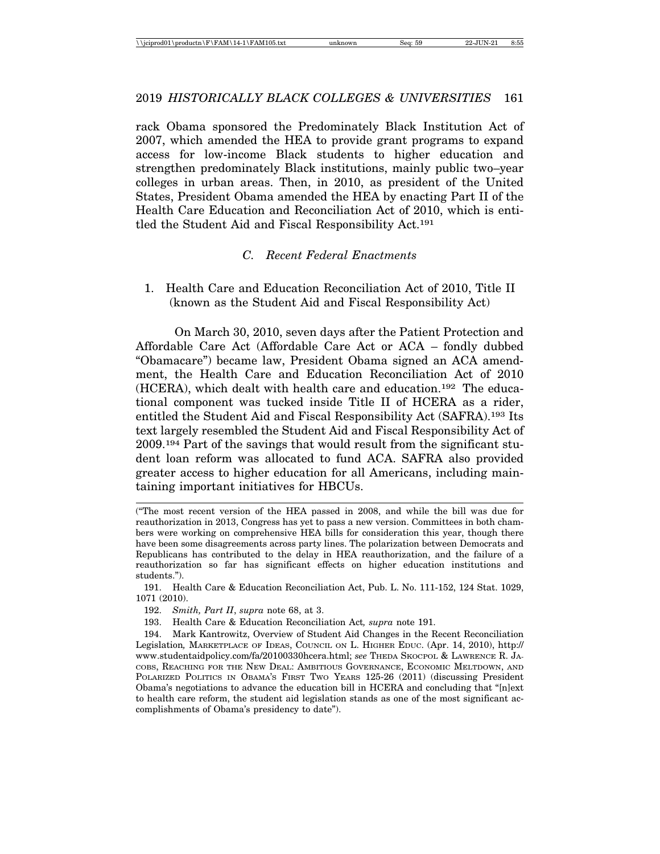rack Obama sponsored the Predominately Black Institution Act of 2007, which amended the HEA to provide grant programs to expand access for low-income Black students to higher education and strengthen predominately Black institutions, mainly public two–year colleges in urban areas. Then, in 2010, as president of the United States, President Obama amended the HEA by enacting Part II of the Health Care Education and Reconciliation Act of 2010, which is entitled the Student Aid and Fiscal Responsibility Act.191

# *C. Recent Federal Enactments*

1. Health Care and Education Reconciliation Act of 2010, Title II (known as the Student Aid and Fiscal Responsibility Act)

On March 30, 2010, seven days after the Patient Protection and Affordable Care Act (Affordable Care Act or ACA – fondly dubbed "Obamacare") became law, President Obama signed an ACA amendment, the Health Care and Education Reconciliation Act of 2010 (HCERA), which dealt with health care and education.192 The educational component was tucked inside Title II of HCERA as a rider, entitled the Student Aid and Fiscal Responsibility Act (SAFRA).193 Its text largely resembled the Student Aid and Fiscal Responsibility Act of 2009.194 Part of the savings that would result from the significant student loan reform was allocated to fund ACA. SAFRA also provided greater access to higher education for all Americans, including maintaining important initiatives for HBCUs.

<sup>(&</sup>quot;The most recent version of the HEA passed in 2008, and while the bill was due for reauthorization in 2013, Congress has yet to pass a new version. Committees in both chambers were working on comprehensive HEA bills for consideration this year, though there have been some disagreements across party lines. The polarization between Democrats and Republicans has contributed to the delay in HEA reauthorization, and the failure of a reauthorization so far has significant effects on higher education institutions and students.").

<sup>191.</sup> Health Care & Education Reconciliation Act, Pub. L. No. 111-152, 124 Stat. 1029, 1071 (2010).

<sup>192.</sup> *Smith, Part II*, *supra* note 68, at 3.

<sup>193.</sup> Health Care & Education Reconciliation Act*, supra* note 191.

<sup>194.</sup> Mark Kantrowitz, Overview of Student Aid Changes in the Recent Reconciliation Legislation*,* MARKETPLACE OF IDEAS, COUNCIL ON L. HIGHER EDUC. (Apr. 14, 2010), http:// www.studentaidpolicy.com/fa/20100330hcera.html; *see* THEDA SKOCPOL & LAWRENCE R. JA-COBS, REACHING FOR THE NEW DEAL: AMBITIOUS GOVERNANCE, ECONOMIC MELTDOWN, AND POLARIZED POLITICS IN OBAMA'S FIRST TWO YEARS 125-26 (2011) (discussing President Obama's negotiations to advance the education bill in HCERA and concluding that "[n]ext to health care reform, the student aid legislation stands as one of the most significant accomplishments of Obama's presidency to date").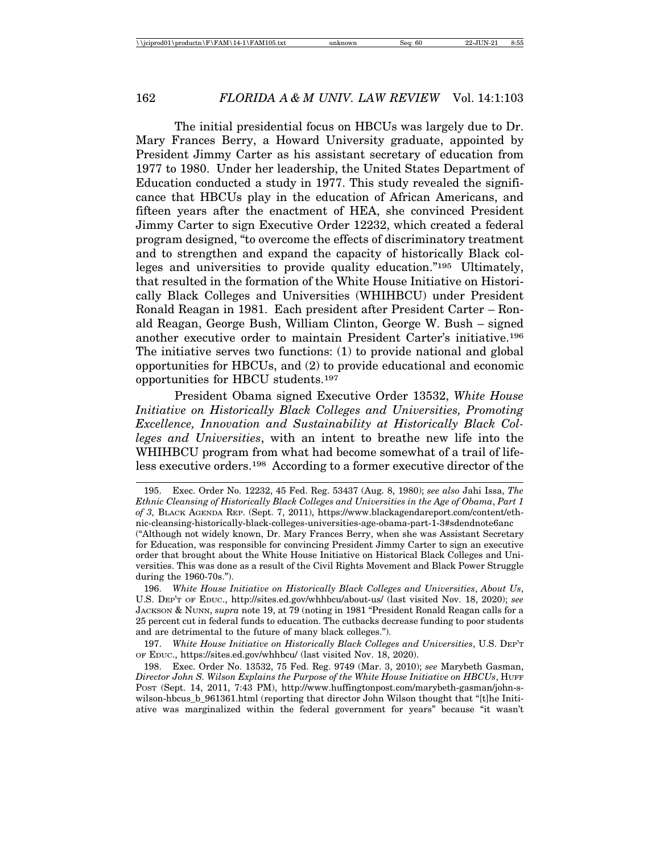The initial presidential focus on HBCUs was largely due to Dr. Mary Frances Berry, a Howard University graduate, appointed by President Jimmy Carter as his assistant secretary of education from 1977 to 1980. Under her leadership, the United States Department of Education conducted a study in 1977. This study revealed the significance that HBCUs play in the education of African Americans, and fifteen years after the enactment of HEA, she convinced President Jimmy Carter to sign Executive Order 12232, which created a federal program designed, "to overcome the effects of discriminatory treatment and to strengthen and expand the capacity of historically Black colleges and universities to provide quality education."195 Ultimately, that resulted in the formation of the White House Initiative on Historically Black Colleges and Universities (WHIHBCU) under President Ronald Reagan in 1981. Each president after President Carter – Ronald Reagan, George Bush, William Clinton, George W. Bush – signed another executive order to maintain President Carter's initiative.196 The initiative serves two functions: (1) to provide national and global opportunities for HBCUs, and (2) to provide educational and economic opportunities for HBCU students.197

President Obama signed Executive Order 13532, *White House Initiative on Historically Black Colleges and Universities, Promoting Excellence, Innovation and Sustainability at Historically Black Colleges and Universities*, with an intent to breathe new life into the WHIHBCU program from what had become somewhat of a trail of lifeless executive orders.198 According to a former executive director of the

197. *White House Initiative on Historically Black Colleges and Universities*, U.S. DEP'T OF EDUC., https://sites.ed.gov/whhbcu/ (last visited Nov. 18, 2020).

198. Exec. Order No. 13532, 75 Fed. Reg. 9749 (Mar. 3, 2010); *see* Marybeth Gasman, *Director John S. Wilson Explains the Purpose of the White House Initiative on HBCUs*, HUFF POST (Sept. 14, 2011, 7:43 PM), http://www.huffingtonpost.com/marybeth-gasman/john-swilson-hbcus\_b\_961361.html (reporting that director John Wilson thought that "[t]he Initiative was marginalized within the federal government for years" because "it wasn't

<sup>195.</sup> Exec. Order No. 12232, 45 Fed. Reg. 53437 (Aug. 8, 1980); *see also* Jahi Issa, *The Ethnic Cleansing of Historically Black Colleges and Universities in the Age of Obama*, *Part 1 of 3,* BLACK AGENDA REP. (Sept. 7, 2011), https://www.blackagendareport.com/content/ethnic-cleansing-historically-black-colleges-universities-age-obama-part-1-3#sdendnote6anc ("Although not widely known, Dr. Mary Frances Berry, when she was Assistant Secretary for Education, was responsible for convincing President Jimmy Carter to sign an executive order that brought about the White House Initiative on Historical Black Colleges and Universities. This was done as a result of the Civil Rights Movement and Black Power Struggle during the 1960-70s.").

<sup>196.</sup> *White House Initiative on Historically Black Colleges and Universities*, *About Us*, U.S. DEP'T OF EDUC., http://sites.ed.gov/whhbcu/about-us/ (last visited Nov. 18, 2020); *see* JACKSON & NUNN, *supra* note 19, at 79 (noting in 1981 "President Ronald Reagan calls for a 25 percent cut in federal funds to education. The cutbacks decrease funding to poor students and are detrimental to the future of many black colleges.").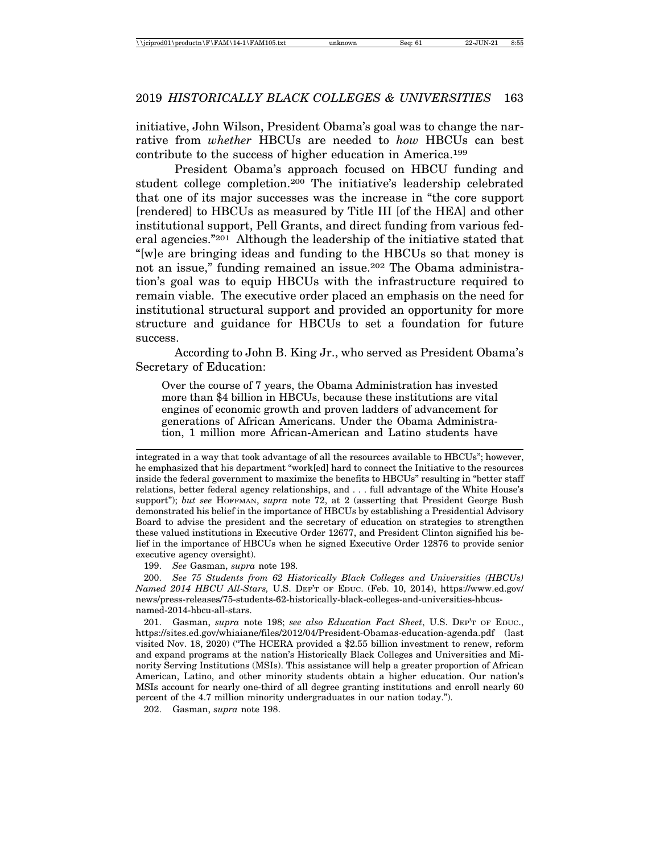initiative, John Wilson, President Obama's goal was to change the narrative from *whether* HBCUs are needed to *how* HBCUs can best contribute to the success of higher education in America.199

President Obama's approach focused on HBCU funding and student college completion.200 The initiative's leadership celebrated that one of its major successes was the increase in "the core support [rendered] to HBCUs as measured by Title III [of the HEA] and other institutional support, Pell Grants, and direct funding from various federal agencies."201 Although the leadership of the initiative stated that "[w]e are bringing ideas and funding to the HBCUs so that money is not an issue," funding remained an issue.202 The Obama administration's goal was to equip HBCUs with the infrastructure required to remain viable. The executive order placed an emphasis on the need for institutional structural support and provided an opportunity for more structure and guidance for HBCUs to set a foundation for future success.

According to John B. King Jr., who served as President Obama's Secretary of Education:

Over the course of 7 years, the Obama Administration has invested more than \$4 billion in HBCUs, because these institutions are vital engines of economic growth and proven ladders of advancement for generations of African Americans. Under the Obama Administration, 1 million more African-American and Latino students have

199. *See* Gasman, *supra* note 198.

200. *See 75 Students from 62 Historically Black Colleges and Universities (HBCUs) Named 2014 HBCU All-Stars,* U.S. DEP'T OF EDUC. (Feb. 10, 2014), https://www.ed.gov/ news/press-releases/75-students-62-historically-black-colleges-and-universities-hbcusnamed-2014-hbcu-all-stars.

201. Gasman, *supra* note 198; *see also Education Fact Sheet*, U.S. DEP'T OF EDUC., https://sites.ed.gov/whiaiane/files/2012/04/President-Obamas-education-agenda.pdf (last visited Nov. 18, 2020) ("The HCERA provided a \$2.55 billion investment to renew, reform and expand programs at the nation's Historically Black Colleges and Universities and Minority Serving Institutions (MSIs). This assistance will help a greater proportion of African American, Latino, and other minority students obtain a higher education. Our nation's MSIs account for nearly one-third of all degree granting institutions and enroll nearly 60 percent of the 4.7 million minority undergraduates in our nation today.").

202. Gasman, *supra* note 198.

integrated in a way that took advantage of all the resources available to HBCUs"; however, he emphasized that his department "work[ed] hard to connect the Initiative to the resources inside the federal government to maximize the benefits to HBCUs" resulting in "better staff relations, better federal agency relationships, and . . . full advantage of the White House's support"); *but see* HOFFMAN, *supra* note 72, at 2 (asserting that President George Bush demonstrated his belief in the importance of HBCUs by establishing a Presidential Advisory Board to advise the president and the secretary of education on strategies to strengthen these valued institutions in Executive Order 12677, and President Clinton signified his belief in the importance of HBCUs when he signed Executive Order 12876 to provide senior executive agency oversight).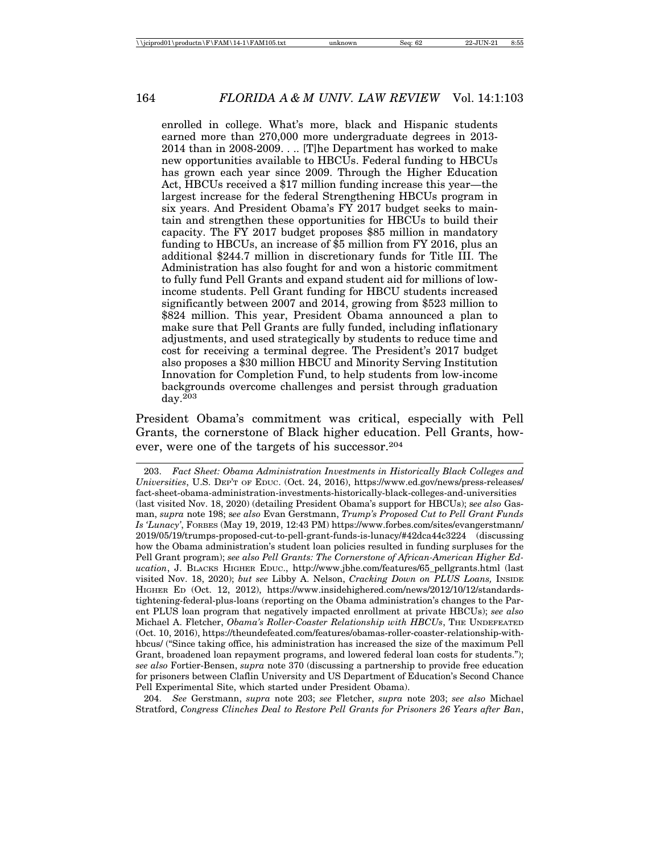enrolled in college. What's more, black and Hispanic students earned more than 270,000 more undergraduate degrees in 2013- 2014 than in 2008-2009. . .. [T]he Department has worked to make new opportunities available to HBCUs. Federal funding to HBCUs has grown each year since 2009. Through the Higher Education Act, HBCUs received a \$17 million funding increase this year—the largest increase for the federal Strengthening HBCUs program in six years. And President Obama's FY 2017 budget seeks to maintain and strengthen these opportunities for HBCUs to build their capacity. The FY 2017 budget proposes \$85 million in mandatory funding to HBCUs, an increase of \$5 million from FY 2016, plus an additional \$244.7 million in discretionary funds for Title III. The Administration has also fought for and won a historic commitment to fully fund Pell Grants and expand student aid for millions of lowincome students. Pell Grant funding for HBCU students increased significantly between 2007 and 2014, growing from \$523 million to \$824 million. This year, President Obama announced a plan to make sure that Pell Grants are fully funded, including inflationary adjustments, and used strategically by students to reduce time and cost for receiving a terminal degree. The President's 2017 budget also proposes a \$30 million HBCU and Minority Serving Institution Innovation for Completion Fund, to help students from low-income backgrounds overcome challenges and persist through graduation day.203

President Obama's commitment was critical, especially with Pell Grants, the cornerstone of Black higher education. Pell Grants, however, were one of the targets of his successor.204

204. *See* Gerstmann, *supra* note 203; *see* Fletcher, *supra* note 203; *see also* Michael Stratford, *Congress Clinches Deal to Restore Pell Grants for Prisoners 26 Years after Ban*,

<sup>203.</sup> *Fact Sheet: Obama Administration Investments in Historically Black Colleges and Universities*, U.S. DEP'T OF EDUC. (Oct. 24, 2016), https://www.ed.gov/news/press-releases/ fact-sheet-obama-administration-investments-historically-black-colleges-and-universities (last visited Nov. 18, 2020) (detailing President Obama's support for HBCUs); s*ee also* Gasman, *supra* note 198; s*ee also* Evan Gerstmann, *Trump's Proposed Cut to Pell Grant Funds Is 'Lunacy'*, FORBES (May 19, 2019, 12:43 PM) https://www.forbes.com/sites/evangerstmann/ 2019/05/19/trumps-proposed-cut-to-pell-grant-funds-is-lunacy/#42dca44c3224 (discussing how the Obama administration's student loan policies resulted in funding surpluses for the Pell Grant program); *see also Pell Grants: The Cornerstone of African-American Higher Education*, J. BLACKS HIGHER EDUC., http://www.jbhe.com/features/65\_pellgrants.html (last visited Nov. 18, 2020); *but see* Libby A. Nelson, *Cracking Down on PLUS Loans,* INSIDE HIGHER ED (Oct. 12, 2012), https://www.insidehighered.com/news/2012/10/12/standardstightening-federal-plus-loans (reporting on the Obama administration's changes to the Parent PLUS loan program that negatively impacted enrollment at private HBCUs); *see also* Michael A. Fletcher, *Obama's Roller-Coaster Relationship with HBCUs*, THE UNDEFEATED (Oct. 10, 2016), https://theundefeated.com/features/obamas-roller-coaster-relationship-withhbcus/ ("Since taking office, his administration has increased the size of the maximum Pell Grant, broadened loan repayment programs, and lowered federal loan costs for students."); *see also* Fortier-Bensen, *supra* note 370 (discussing a partnership to provide free education for prisoners between Claflin University and US Department of Education's Second Chance Pell Experimental Site, which started under President Obama).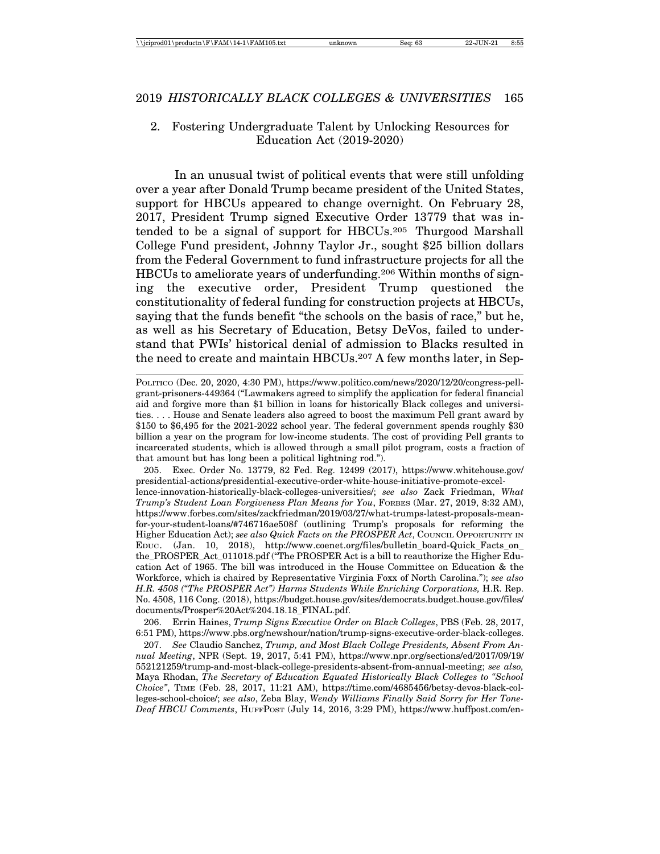# 2. Fostering Undergraduate Talent by Unlocking Resources for Education Act (2019-2020)

In an unusual twist of political events that were still unfolding over a year after Donald Trump became president of the United States, support for HBCUs appeared to change overnight. On February 28, 2017, President Trump signed Executive Order 13779 that was intended to be a signal of support for HBCUs.205 Thurgood Marshall College Fund president, Johnny Taylor Jr., sought \$25 billion dollars from the Federal Government to fund infrastructure projects for all the HBCUs to ameliorate years of underfunding.206 Within months of signing the executive order, President Trump questioned the constitutionality of federal funding for construction projects at HBCUs, saying that the funds benefit "the schools on the basis of race," but he, as well as his Secretary of Education, Betsy DeVos, failed to understand that PWIs' historical denial of admission to Blacks resulted in the need to create and maintain HBCUs.207 A few months later, in Sep-

205. Exec. Order No. 13779, 82 Fed. Reg. 12499 (2017), https://www.whitehouse.gov/ presidential-actions/presidential-executive-order-white-house-initiative-promote-excellence-innovation-historically-black-colleges-universities/; *see also* Zack Friedman, *What Trump's Student Loan Forgiveness Plan Means for You*, FORBES (Mar. 27, 2019, 8:32 AM), https://www.forbes.com/sites/zackfriedman/2019/03/27/what-trumps-latest-proposals-meanfor-your-student-loans/#746716ae508f (outlining Trump's proposals for reforming the Higher Education Act); see also Quick Facts on the PROSPER Act, COUNCIL OPPORTUNITY IN EDUC. (Jan. 10, 2018), http://www.coenet.org/files/bulletin\_board-Quick\_Facts\_on\_ the\_PROSPER\_Act\_011018.pdf ("The PROSPER Act is a bill to reauthorize the Higher Education Act of 1965. The bill was introduced in the House Committee on Education & the Workforce, which is chaired by Representative Virginia Foxx of North Carolina."); *see also H.R. 4508 ("The PROSPER Act") Harms Students While Enriching Corporations,* H.R. Rep. No. 4508, 116 Cong. (2018), https://budget.house.gov/sites/democrats.budget.house.gov/files/ documents/Prosper%20Act%204.18.18\_FINAL.pdf.

206. Errin Haines, *Trump Signs Executive Order on Black Colleges*, PBS (Feb. 28, 2017, 6:51 PM), https://www.pbs.org/newshour/nation/trump-signs-executive-order-black-colleges.

207. *See* Claudio Sanchez, *Trump, and Most Black College Presidents, Absent From Annual Meeting*, NPR (Sept. 19, 2017, 5:41 PM), https://www.npr.org/sections/ed/2017/09/19/ 552121259/trump-and-most-black-college-presidents-absent-from-annual-meeting; *see also,* Maya Rhodan, *The Secretary of Education Equated Historically Black Colleges to "School Choice"*, TIME (Feb. 28, 2017, 11:21 AM), https://time.com/4685456/betsy-devos-black-colleges-school-choice/; *see also*, Zeba Blay, *Wendy Williams Finally Said Sorry for Her Tone-Deaf HBCU Comments*, HUFFPOST (July 14, 2016, 3:29 PM), https://www.huffpost.com/en-

POLITICO (Dec. 20, 2020, 4:30 PM), https://www.politico.com/news/2020/12/20/congress-pellgrant-prisoners-449364 ("Lawmakers agreed to simplify the application for federal financial aid and forgive more than \$1 billion in loans for historically Black colleges and universities. . . . House and Senate leaders also agreed to boost the maximum Pell grant award by \$150 to \$6,495 for the 2021-2022 school year. The federal government spends roughly \$30 billion a year on the program for low-income students. The cost of providing Pell grants to incarcerated students, which is allowed through a small pilot program, costs a fraction of that amount but has long been a political lightning rod.").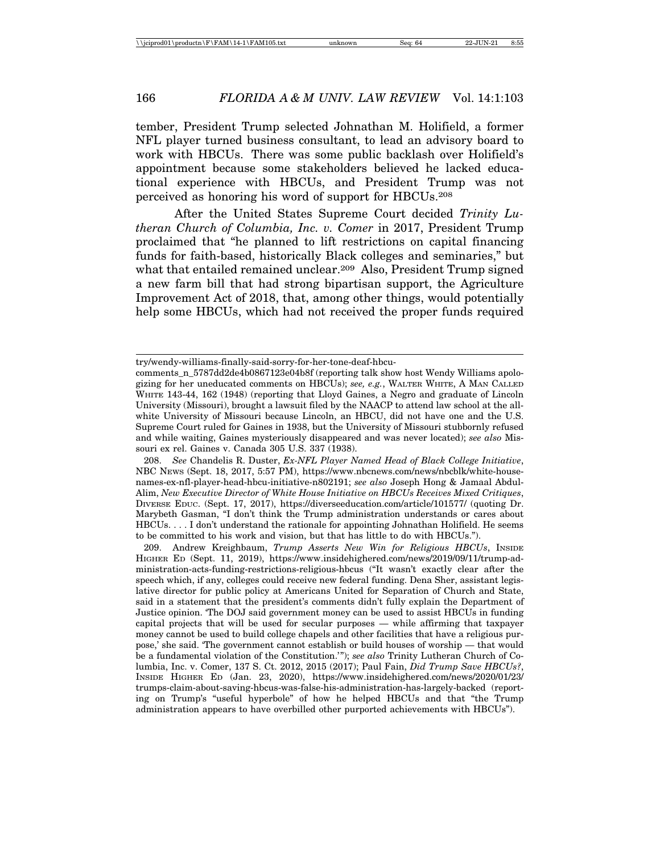tember, President Trump selected Johnathan M. Holifield, a former NFL player turned business consultant, to lead an advisory board to work with HBCUs. There was some public backlash over Holifield's appointment because some stakeholders believed he lacked educational experience with HBCUs, and President Trump was not perceived as honoring his word of support for HBCUs.208

After the United States Supreme Court decided *Trinity Lutheran Church of Columbia, Inc. v. Comer* in 2017, President Trump proclaimed that "he planned to lift restrictions on capital financing funds for faith-based, historically Black colleges and seminaries," but what that entailed remained unclear.<sup>209</sup> Also, President Trump signed a new farm bill that had strong bipartisan support, the Agriculture Improvement Act of 2018, that, among other things, would potentially help some HBCUs, which had not received the proper funds required

208. *See* Chandelis R. Duster, *Ex-NFL Player Named Head of Black College Initiative*, NBC NEWS (Sept. 18, 2017, 5:57 PM), https://www.nbcnews.com/news/nbcblk/white-housenames-ex-nfl-player-head-hbcu-initiative-n802191; *see also* Joseph Hong & Jamaal Abdul-Alim, *New Executive Director of White House Initiative on HBCUs Receives Mixed Critiques*, DIVERSE EDUC. (Sept. 17, 2017), https://diverseeducation.com/article/101577/ (quoting Dr. Marybeth Gasman, "I don't think the Trump administration understands or cares about HBCUs. . . . I don't understand the rationale for appointing Johnathan Holifield. He seems to be committed to his work and vision, but that has little to do with HBCUs.").

try/wendy-williams-finally-said-sorry-for-her-tone-deaf-hbcu-

comments\_n\_5787dd2de4b0867123e04b8f (reporting talk show host Wendy Williams apologizing for her uneducated comments on HBCUs); *see, e.g.*, WALTER WHITE, A MAN CALLED WHITE 143-44, 162 (1948) (reporting that Lloyd Gaines, a Negro and graduate of Lincoln University (Missouri), brought a lawsuit filed by the NAACP to attend law school at the allwhite University of Missouri because Lincoln, an HBCU, did not have one and the U.S. Supreme Court ruled for Gaines in 1938, but the University of Missouri stubbornly refused and while waiting, Gaines mysteriously disappeared and was never located); *see also* Missouri ex rel. Gaines v. Canada 305 U.S. 337 (1938).

<sup>209.</sup> Andrew Kreighbaum, *Trump Asserts New Win for Religious HBCUs*, INSIDE HIGHER ED (Sept. 11, 2019), https://www.insidehighered.com/news/2019/09/11/trump-administration-acts-funding-restrictions-religious-hbcus ("It wasn't exactly clear after the speech which, if any, colleges could receive new federal funding. Dena Sher, assistant legislative director for public policy at Americans United for Separation of Church and State, said in a statement that the president's comments didn't fully explain the Department of Justice opinion. 'The DOJ said government money can be used to assist HBCUs in funding capital projects that will be used for secular purposes — while affirming that taxpayer money cannot be used to build college chapels and other facilities that have a religious purpose,' she said. 'The government cannot establish or build houses of worship — that would be a fundamental violation of the Constitution.'"); *see also* Trinity Lutheran Church of Columbia, Inc. v. Comer, 137 S. Ct. 2012, 2015 (2017); Paul Fain, *Did Trump Save HBCUs?*, INSIDE HIGHER ED (Jan. 23, 2020), https://www.insidehighered.com/news/2020/01/23/ trumps-claim-about-saving-hbcus-was-false-his-administration-has-largely-backed (reporting on Trump's "useful hyperbole" of how he helped HBCUs and that "the Trump administration appears to have overbilled other purported achievements with HBCUs").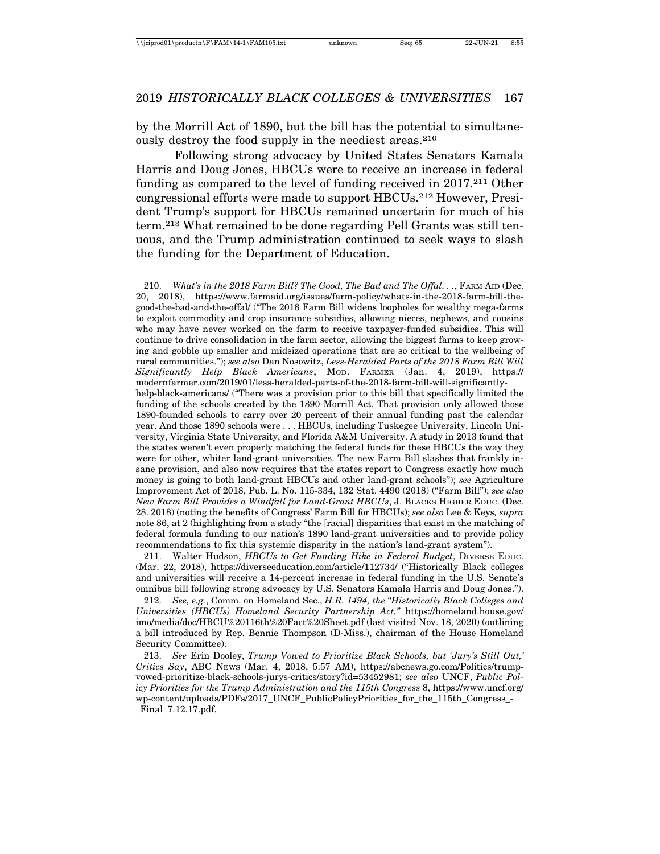by the Morrill Act of 1890, but the bill has the potential to simultaneously destroy the food supply in the neediest areas.210

Following strong advocacy by United States Senators Kamala Harris and Doug Jones, HBCUs were to receive an increase in federal funding as compared to the level of funding received in 2017.211 Other congressional efforts were made to support HBCUs.212 However, President Trump's support for HBCUs remained uncertain for much of his term.213 What remained to be done regarding Pell Grants was still tenuous, and the Trump administration continued to seek ways to slash the funding for the Department of Education.

211. Walter Hudson, *HBCUs to Get Funding Hike in Federal Budget*, DIVERSE EDUC. (Mar. 22, 2018), https://diverseeducation.com/article/112734/ ("Historically Black colleges and universities will receive a 14-percent increase in federal funding in the U.S. Senate's omnibus bill following strong advocacy by U.S. Senators Kamala Harris and Doug Jones.").

212. *See, e.g.*, Comm. on Homeland Sec., *H.R. 1494, the "Historically Black Colleges and Universities (HBCUs) Homeland Security Partnership Act,"* https://homeland.house.gov/ imo/media/doc/HBCU%20116th%20Fact%20Sheet.pdf (last visited Nov. 18, 2020) (outlining a bill introduced by Rep. Bennie Thompson (D-Miss.), chairman of the House Homeland Security Committee).

213. *See* Erin Dooley, *Trump Vowed to Prioritize Black Schools, but 'Jury's Still Out,' Critics Say*, ABC NEWS (Mar. 4, 2018, 5:57 AM), https://abcnews.go.com/Politics/trumpvowed-prioritize-black-schools-jurys-critics/story?id=53452981; *see also* UNCF, *Public Policy Priorities for the Trump Administration and the 115th Congress* 8, https://www.uncf.org/ wp-content/uploads/PDFs/2017\_UNCF\_PublicPolicyPriorities\_for\_the\_115th\_Congress\_- \_Final\_7.12.17.pdf.

<sup>210.</sup> *What's in the 2018 Farm Bill? The Good, The Bad and The Offal...*, FARM AID (Dec. 20, 2018), https://www.farmaid.org/issues/farm-policy/whats-in-the-2018-farm-bill-thegood-the-bad-and-the-offal/ ("The 2018 Farm Bill widens loopholes for wealthy mega-farms to exploit commodity and crop insurance subsidies, allowing nieces, nephews, and cousins who may have never worked on the farm to receive taxpayer-funded subsidies. This will continue to drive consolidation in the farm sector, allowing the biggest farms to keep growing and gobble up smaller and midsized operations that are so critical to the wellbeing of rural communities."); *see also* Dan Nosowitz, *Less-Heralded Parts of the 2018 Farm Bill Will Significantly Help Black Americans*, MOD. FARMER (Jan. 4, 2019), https:// modernfarmer.com/2019/01/less-heralded-parts-of-the-2018-farm-bill-will-significantlyhelp-black-americans/ ("There was a provision prior to this bill that specifically limited the funding of the schools created by the 1890 Morrill Act. That provision only allowed those 1890-founded schools to carry over 20 percent of their annual funding past the calendar year. And those 1890 schools were . . . HBCUs, including Tuskegee University, Lincoln University, Virginia State University, and Florida A&M University. A study in 2013 found that the states weren't even properly matching the federal funds for these HBCUs the way they were for other, whiter land-grant universities. The new Farm Bill slashes that frankly insane provision, and also now requires that the states report to Congress exactly how much money is going to both land-grant HBCUs and other land-grant schools"); *see* Agriculture Improvement Act of 2018, Pub. L. No. 115-334, 132 Stat. 4490 (2018) ("Farm Bill"); *see also New Farm Bill Provides a Windfall for Land-Grant HBCUs*, J. BLACKS HIGHER EDUC. (Dec. 28. 2018) (noting the benefits of Congress' Farm Bill for HBCUs); *see also* Lee & Keys*, supra* note 86, at 2 (highlighting from a study "the [racial] disparities that exist in the matching of federal formula funding to our nation's 1890 land-grant universities and to provide policy recommendations to fix this systemic disparity in the nation's land-grant system").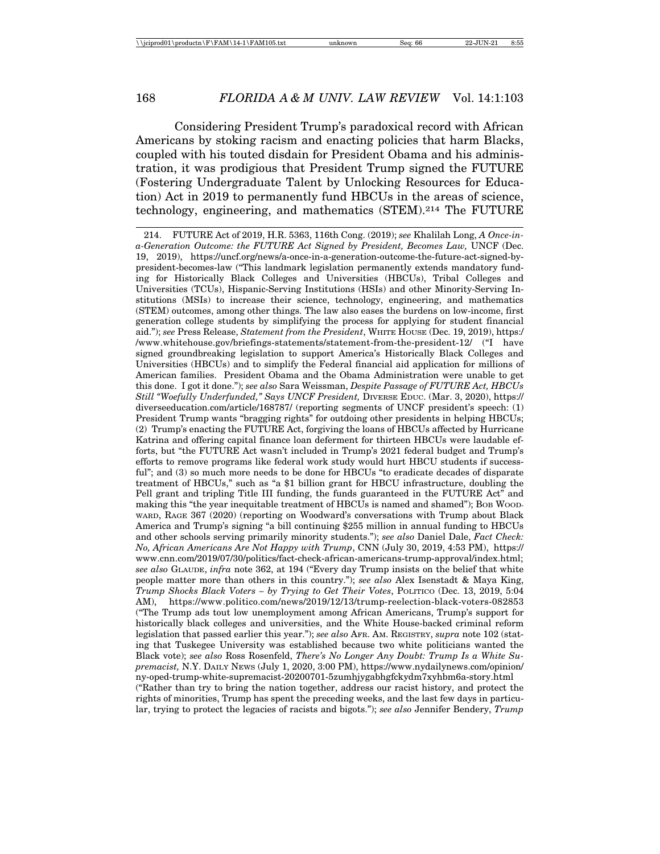Considering President Trump's paradoxical record with African Americans by stoking racism and enacting policies that harm Blacks, coupled with his touted disdain for President Obama and his administration, it was prodigious that President Trump signed the FUTURE (Fostering Undergraduate Talent by Unlocking Resources for Education) Act in 2019 to permanently fund HBCUs in the areas of science, technology, engineering, and mathematics (STEM).214 The FUTURE

<sup>214.</sup> FUTURE Act of 2019, H.R. 5363, 116th Cong. (2019); *see* Khalilah Long, *A Once-ina-Generation Outcome: the FUTURE Act Signed by President, Becomes Law,* UNCF (Dec. 19, 2019), https://uncf.org/news/a-once-in-a-generation-outcome-the-future-act-signed-bypresident-becomes-law ("This landmark legislation permanently extends mandatory funding for Historically Black Colleges and Universities (HBCUs), Tribal Colleges and Universities (TCUs), Hispanic-Serving Institutions (HSIs) and other Minority-Serving Institutions (MSIs) to increase their science, technology, engineering, and mathematics (STEM) outcomes, among other things. The law also eases the burdens on low-income, first generation college students by simplifying the process for applying for student financial aid."); *see* Press Release, *Statement from the President*, WHITE HOUSE (Dec. 19, 2019), https:/ /www.whitehouse.gov/briefings-statements/statement-from-the-president-12/ ("I have signed groundbreaking legislation to support America's Historically Black Colleges and Universities (HBCUs) and to simplify the Federal financial aid application for millions of American families. President Obama and the Obama Administration were unable to get this done. I got it done."); *see also* Sara Weissman, *Despite Passage of FUTURE Act, HBCUs Still "Woefully Underfunded," Says UNCF President,* DIVERSE EDUC. (Mar. 3, 2020), https:// diverseeducation.com/article/168787/ (reporting segments of UNCF president's speech: (1) President Trump wants "bragging rights" for outdoing other presidents in helping HBCUs; (2) Trump's enacting the FUTURE Act, forgiving the loans of HBCUs affected by Hurricane Katrina and offering capital finance loan deferment for thirteen HBCUs were laudable efforts, but "the FUTURE Act wasn't included in Trump's 2021 federal budget and Trump's efforts to remove programs like federal work study would hurt HBCU students if successful"; and (3) so much more needs to be done for HBCUs "to eradicate decades of disparate treatment of HBCUs," such as "a \$1 billion grant for HBCU infrastructure, doubling the Pell grant and tripling Title III funding, the funds guaranteed in the FUTURE Act" and making this "the year inequitable treatment of HBCUs is named and shamed"); Bob Wood-WARD, RAGE 367 (2020) (reporting on Woodward's conversations with Trump about Black America and Trump's signing "a bill continuing \$255 million in annual funding to HBCUs and other schools serving primarily minority students."); *see also* Daniel Dale, *Fact Check: No, African Americans Are Not Happy with Trump*, CNN (July 30, 2019, 4:53 PM), https:// www.cnn.com/2019/07/30/politics/fact-check-african-americans-trump-approval/index.html; *see also* GLAUDE, *infra* note 362, at 194 ("Every day Trump insists on the belief that white people matter more than others in this country."); *see also* Alex Isenstadt & Maya King, *Trump Shocks Black Voters – by Trying to Get Their Votes*, POLITICO (Dec. 13, 2019, 5:04 AM), https://www.politico.com/news/2019/12/13/trump-reelection-black-voters-082853 ("The Trump ads tout low unemployment among African Americans, Trump's support for historically black colleges and universities, and the White House-backed criminal reform legislation that passed earlier this year."); *see also* AFR. AM. REGISTRY, *supra* note 102 (stating that Tuskegee University was established because two white politicians wanted the Black vote); *see also* Ross Rosenfeld, *There's No Longer Any Doubt: Trump Is a White Supremacist,* N.Y. DAILY NEWS (July 1, 2020, 3:00 PM), https://www.nydailynews.com/opinion/ ny-oped-trump-white-supremacist-20200701-5zumhjygabhgfckydm7xyhbm6a-story.html ("Rather than try to bring the nation together, address our racist history, and protect the rights of minorities, Trump has spent the preceding weeks, and the last few days in particular, trying to protect the legacies of racists and bigots."); *see also* Jennifer Bendery, *Trump*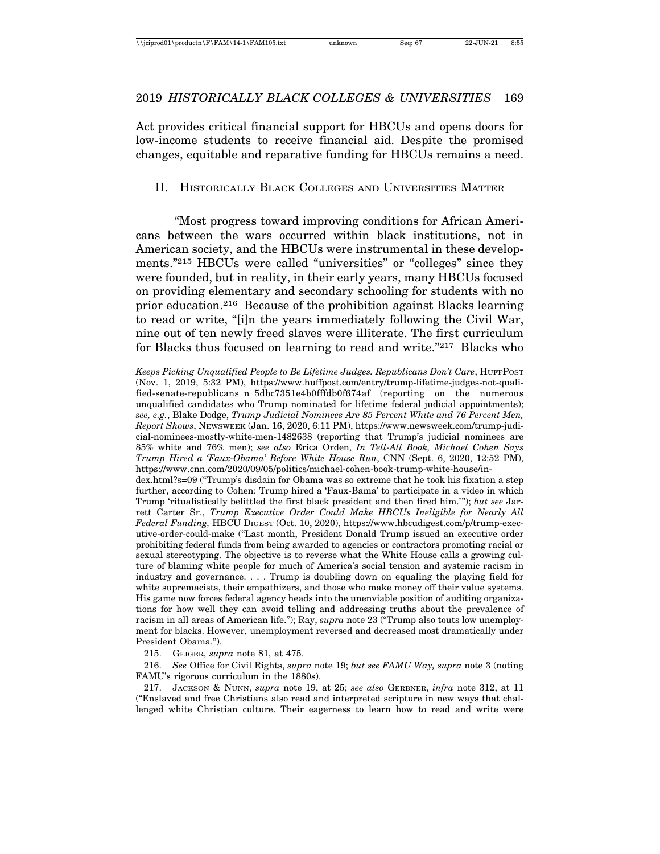Act provides critical financial support for HBCUs and opens doors for low-income students to receive financial aid. Despite the promised changes, equitable and reparative funding for HBCUs remains a need.

#### II. HISTORICALLY BLACK COLLEGES AND UNIVERSITIES MATTER

"Most progress toward improving conditions for African Americans between the wars occurred within black institutions, not in American society, and the HBCUs were instrumental in these developments."215 HBCUs were called "universities" or "colleges" since they were founded, but in reality, in their early years, many HBCUs focused on providing elementary and secondary schooling for students with no prior education.216 Because of the prohibition against Blacks learning to read or write, "[i]n the years immediately following the Civil War, nine out of ten newly freed slaves were illiterate. The first curriculum for Blacks thus focused on learning to read and write."217 Blacks who

215. GEIGER, *supra* note 81, at 475.

216. *See* Office for Civil Rights, *supra* note 19; *but see FAMU Way, supra* note 3 (noting FAMU's rigorous curriculum in the 1880s).

217. JACKSON & NUNN, *supra* note 19, at 25; *see also* GERBNER, *infra* note 312, at 11 ("Enslaved and free Christians also read and interpreted scripture in new ways that challenged white Christian culture. Their eagerness to learn how to read and write were

*Keeps Picking Unqualified People to Be Lifetime Judges. Republicans Don't Care*, HUFFPOST (Nov. 1, 2019, 5:32 PM), https://www.huffpost.com/entry/trump-lifetime-judges-not-qualified-senate-republicans\_n\_5dbc7351e4b0fffdb0f674af (reporting on the numerous unqualified candidates who Trump nominated for lifetime federal judicial appointments); *see, e.g.*, Blake Dodge, *Trump Judicial Nominees Are 85 Percent White and 76 Percent Men, Report Shows*, NEWSWEEK (Jan. 16, 2020, 6:11 PM), https://www.newsweek.com/trump-judicial-nominees-mostly-white-men-1482638 (reporting that Trump's judicial nominees are 85% white and 76% men); *see also* Erica Orden, *In Tell-All Book, Michael Cohen Says Trump Hired a 'Faux-Obama' Before White House Run*, CNN (Sept. 6, 2020, 12:52 PM), https://www.cnn.com/2020/09/05/politics/michael-cohen-book-trump-white-house/index.html?s=09 ("Trump's disdain for Obama was so extreme that he took his fixation a step further, according to Cohen: Trump hired a 'Faux-Bama' to participate in a video in which Trump 'ritualistically belittled the first black president and then fired him.'"); *but see* Jarrett Carter Sr., *Trump Executive Order Could Make HBCUs Ineligible for Nearly All Federal Funding,* HBCU DIGEST (Oct. 10, 2020), https://www.hbcudigest.com/p/trump-executive-order-could-make ("Last month, President Donald Trump issued an executive order prohibiting federal funds from being awarded to agencies or contractors promoting racial or sexual stereotyping. The objective is to reverse what the White House calls a growing culture of blaming white people for much of America's social tension and systemic racism in industry and governance. . . . Trump is doubling down on equaling the playing field for white supremacists, their empathizers, and those who make money off their value systems. His game now forces federal agency heads into the unenviable position of auditing organizations for how well they can avoid telling and addressing truths about the prevalence of racism in all areas of American life."); Ray, *supra* note 23 ("Trump also touts low unemployment for blacks. However, unemployment reversed and decreased most dramatically under President Obama.").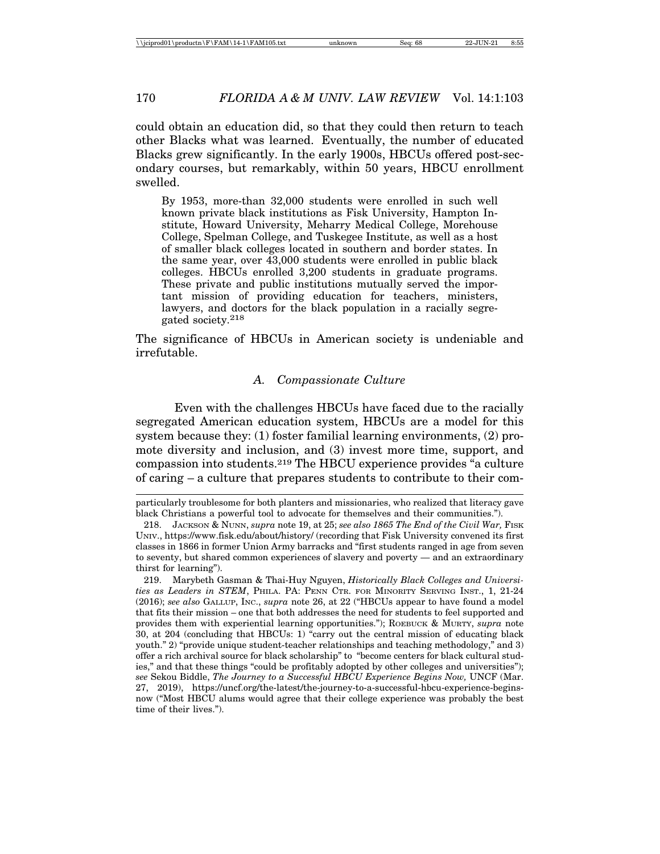could obtain an education did, so that they could then return to teach other Blacks what was learned. Eventually, the number of educated Blacks grew significantly. In the early 1900s, HBCUs offered post-secondary courses, but remarkably, within 50 years, HBCU enrollment swelled.

By 1953, more-than 32,000 students were enrolled in such well known private black institutions as Fisk University, Hampton Institute, Howard University, Meharry Medical College, Morehouse College, Spelman College, and Tuskegee Institute, as well as a host of smaller black colleges located in southern and border states. In the same year, over 43,000 students were enrolled in public black colleges. HBCUs enrolled 3,200 students in graduate programs. These private and public institutions mutually served the important mission of providing education for teachers, ministers, lawyers, and doctors for the black population in a racially segregated society.218

The significance of HBCUs in American society is undeniable and irrefutable.

## *A. Compassionate Culture*

Even with the challenges HBCUs have faced due to the racially segregated American education system, HBCUs are a model for this system because they: (1) foster familial learning environments, (2) promote diversity and inclusion, and (3) invest more time, support, and compassion into students.219 The HBCU experience provides "a culture of caring – a culture that prepares students to contribute to their com-

particularly troublesome for both planters and missionaries, who realized that literacy gave black Christians a powerful tool to advocate for themselves and their communities.").

<sup>218.</sup> JACKSON & NUNN, *supra* note 19, at 25; *see also 1865 The End of the Civil War,* FISK UNIV., https://www.fisk.edu/about/history/ (recording that Fisk University convened its first classes in 1866 in former Union Army barracks and "first students ranged in age from seven to seventy, but shared common experiences of slavery and poverty — and an extraordinary thirst for learning").

<sup>219.</sup> Marybeth Gasman & Thai-Huy Nguyen, *Historically Black Colleges and Universities as Leaders in STEM*, PHILA. PA: PENN CTR. FOR MINORITY SERVING INST., 1, 21-24 (2016); *see also* GALLUP, INC., *supra* note 26, at 22 ("HBCUs appear to have found a model that fits their mission – one that both addresses the need for students to feel supported and provides them with experiential learning opportunities."); ROEBUCK & MURTY, *supra* note 30, at 204 (concluding that HBCUs: 1) "carry out the central mission of educating black youth." 2) "provide unique student-teacher relationships and teaching methodology," and 3) offer a rich archival source for black scholarship" to "become centers for black cultural studies," and that these things "could be profitably adopted by other colleges and universities"); *see* Sekou Biddle, *The Journey to a Successful HBCU Experience Begins Now,* UNCF (Mar. 27, 2019), https://uncf.org/the-latest/the-journey-to-a-successful-hbcu-experience-beginsnow ("Most HBCU alums would agree that their college experience was probably the best time of their lives.").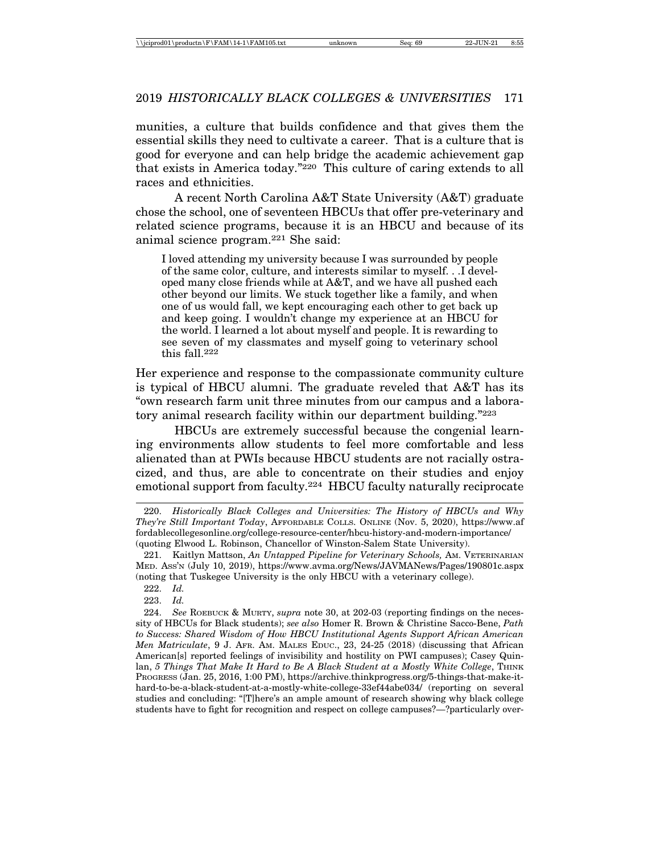munities, a culture that builds confidence and that gives them the essential skills they need to cultivate a career. That is a culture that is good for everyone and can help bridge the academic achievement gap that exists in America today."220 This culture of caring extends to all races and ethnicities.

A recent North Carolina A&T State University (A&T) graduate chose the school, one of seventeen HBCUs that offer pre-veterinary and related science programs, because it is an HBCU and because of its animal science program.221 She said:

I loved attending my university because I was surrounded by people of the same color, culture, and interests similar to myself. . .I developed many close friends while at A&T, and we have all pushed each other beyond our limits. We stuck together like a family, and when one of us would fall, we kept encouraging each other to get back up and keep going. I wouldn't change my experience at an HBCU for the world. I learned a lot about myself and people. It is rewarding to see seven of my classmates and myself going to veterinary school this fall.222

Her experience and response to the compassionate community culture is typical of HBCU alumni. The graduate reveled that A&T has its "own research farm unit three minutes from our campus and a laboratory animal research facility within our department building."223

HBCUs are extremely successful because the congenial learning environments allow students to feel more comfortable and less alienated than at PWIs because HBCU students are not racially ostracized, and thus, are able to concentrate on their studies and enjoy emotional support from faculty.224 HBCU faculty naturally reciprocate

<sup>220.</sup> *Historically Black Colleges and Universities: The History of HBCUs and Why They're Still Important Today*, AFFORDABLE COLLS. ONLINE (Nov. 5, 2020), https://www.af fordablecollegesonline.org/college-resource-center/hbcu-history-and-modern-importance/ (quoting Elwood L. Robinson, Chancellor of Winston-Salem State University).

<sup>221.</sup> Kaitlyn Mattson, *An Untapped Pipeline for Veterinary Schools,* AM. VETERINARIAN MED. ASS'N (July 10, 2019), https://www.avma.org/News/JAVMANews/Pages/190801c.aspx (noting that Tuskegee University is the only HBCU with a veterinary college).

<sup>222.</sup> *Id.*

<sup>223.</sup> *Id.*

<sup>224.</sup> *See* ROEBUCK & MURTY, *supra* note 30, at 202-03 (reporting findings on the necessity of HBCUs for Black students); *see also* Homer R. Brown & Christine Sacco-Bene, *Path to Success: Shared Wisdom of How HBCU Institutional Agents Support African American Men Matriculate*, 9 J. AFR. AM. MALES EDUC., 23, 24-25 (2018) (discussing that African American[s] reported feelings of invisibility and hostility on PWI campuses); Casey Quinlan, 5 Things That Make It Hard to Be A Black Student at a Mostly White College, THINK PROGRESS (Jan. 25, 2016, 1:00 PM), https://archive.thinkprogress.org/5-things-that-make-ithard-to-be-a-black-student-at-a-mostly-white-college-33ef44abe034/ (reporting on several studies and concluding: "[T]here's an ample amount of research showing why black college students have to fight for recognition and respect on college campuses?—?particularly over-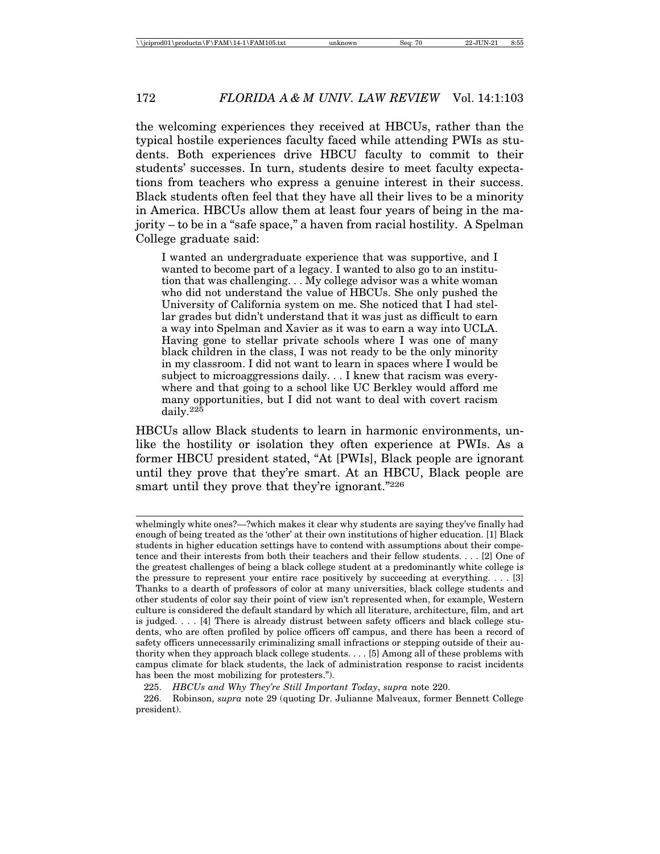the welcoming experiences they received at HBCUs, rather than the typical hostile experiences faculty faced while attending PWIs as students. Both experiences drive HBCU faculty to commit to their students' successes. In turn, students desire to meet faculty expectations from teachers who express a genuine interest in their success. Black students often feel that they have all their lives to be a minority in America. HBCUs allow them at least four years of being in the majority – to be in a "safe space," a haven from racial hostility. A Spelman College graduate said:

I wanted an undergraduate experience that was supportive, and I wanted to become part of a legacy. I wanted to also go to an institution that was challenging. . . My college advisor was a white woman who did not understand the value of HBCUs. She only pushed the University of California system on me. She noticed that I had stellar grades but didn't understand that it was just as difficult to earn a way into Spelman and Xavier as it was to earn a way into UCLA. Having gone to stellar private schools where I was one of many black children in the class, I was not ready to be the only minority in my classroom. I did not want to learn in spaces where I would be subject to microaggressions daily. . . I knew that racism was everywhere and that going to a school like UC Berkley would afford me many opportunities, but I did not want to deal with covert racism daily.225

HBCUs allow Black students to learn in harmonic environments, unlike the hostility or isolation they often experience at PWIs. As a former HBCU president stated, "At [PWIs], Black people are ignorant until they prove that they're smart. At an HBCU, Black people are smart until they prove that they're ignorant."<sup>226</sup>

whelmingly white ones?—?which makes it clear why students are saying they've finally had enough of being treated as the 'other' at their own institutions of higher education. [1] Black students in higher education settings have to contend with assumptions about their competence and their interests from both their teachers and their fellow students. . . . [2] One of the greatest challenges of being a black college student at a predominantly white college is the pressure to represent your entire race positively by succeeding at everything. . . . [3] Thanks to a dearth of professors of color at many universities, black college students and other students of color say their point of view isn't represented when, for example, Western culture is considered the default standard by which all literature, architecture, film, and art is judged. . . . [4] There is already distrust between safety officers and black college students, who are often profiled by police officers off campus, and there has been a record of safety officers unnecessarily criminalizing small infractions or stepping outside of their authority when they approach black college students. . . . [5] Among all of these problems with campus climate for black students, the lack of administration response to racist incidents has been the most mobilizing for protesters.").

<sup>225.</sup> *HBCUs and Why They're Still Important Today*, *supra* note 220.

<sup>226.</sup> Robinson, *supra* note 29 (quoting Dr. Julianne Malveaux, former Bennett College president).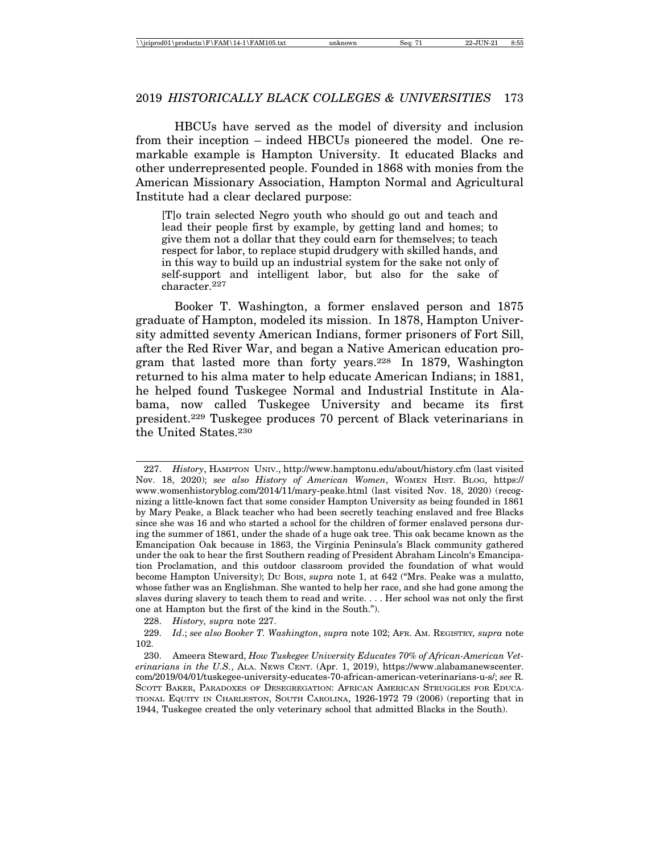HBCUs have served as the model of diversity and inclusion from their inception – indeed HBCUs pioneered the model. One remarkable example is Hampton University. It educated Blacks and other underrepresented people. Founded in 1868 with monies from the American Missionary Association, Hampton Normal and Agricultural Institute had a clear declared purpose:

[T]o train selected Negro youth who should go out and teach and lead their people first by example, by getting land and homes; to give them not a dollar that they could earn for themselves; to teach respect for labor, to replace stupid drudgery with skilled hands, and in this way to build up an industrial system for the sake not only of self-support and intelligent labor, but also for the sake of character.227

Booker T. Washington, a former enslaved person and 1875 graduate of Hampton, modeled its mission. In 1878, Hampton University admitted seventy American Indians, former prisoners of Fort Sill, after the Red River War, and began a Native American education program that lasted more than forty years.228 In 1879, Washington returned to his alma mater to help educate American Indians; in 1881, he helped found Tuskegee Normal and Industrial Institute in Alabama, now called Tuskegee University and became its first president.229 Tuskegee produces 70 percent of Black veterinarians in the United States.230

<sup>227.</sup> *History*, HAMPTON UNIV., http://www.hamptonu.edu/about/history.cfm (last visited Nov. 18, 2020); *see also History of American Women*, WOMEN HIST. BLOG, https:// www.womenhistoryblog.com/2014/11/mary-peake.html (last visited Nov. 18, 2020) (recognizing a little-known fact that some consider Hampton University as being founded in 1861 by Mary Peake, a Black teacher who had been secretly teaching enslaved and free Blacks since she was 16 and who started a school for the children of former enslaved persons during the summer of 1861, under the shade of a huge oak tree. This oak became known as the Emancipation Oak because in 1863, the Virginia Peninsula's Black community gathered under the oak to hear the first Southern reading of President Abraham Lincoln's Emancipation Proclamation, and this outdoor classroom provided the foundation of what would become Hampton University); DU BOIS, *supra* note 1, at 642 ("Mrs. Peake was a mulatto, whose father was an Englishman. She wanted to help her race, and she had gone among the slaves during slavery to teach them to read and write. . . . Her school was not only the first one at Hampton but the first of the kind in the South.").

<sup>228.</sup> *History, supra* note 227.

<sup>229.</sup> *Id*.; *see also Booker T. Washington*, *supra* note 102; AFR. AM. REGISTRY*, supra* note 102.

<sup>230.</sup> Ameera Steward, *How Tuskegee University Educates 70% of African-American Veterinarians in the U.S.*, ALA. NEWS CENT. (Apr. 1, 2019), https://www.alabamanewscenter. com/2019/04/01/tuskegee-university-educates-70-african-american-veterinarians-u-s/; *see* R. SCOTT BAKER, PARADOXES OF DESEGREGATION: AFRICAN AMERICAN STRUGGLES FOR EDUCA-TIONAL EQUITY IN CHARLESTON, SOUTH CAROLINA, 1926-1972 79 (2006) (reporting that in 1944, Tuskegee created the only veterinary school that admitted Blacks in the South).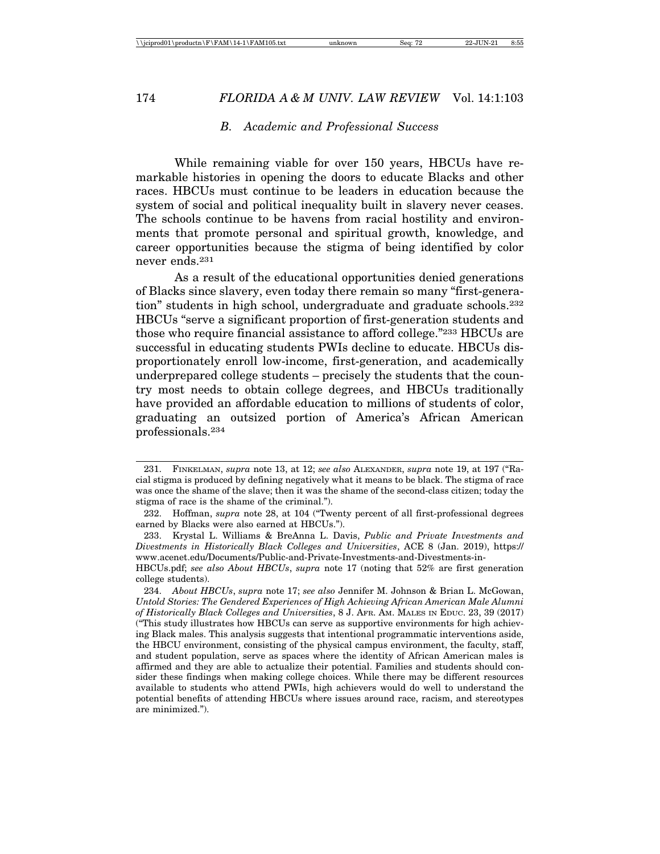### *B. Academic and Professional Success*

While remaining viable for over 150 years, HBCUs have remarkable histories in opening the doors to educate Blacks and other races. HBCUs must continue to be leaders in education because the system of social and political inequality built in slavery never ceases. The schools continue to be havens from racial hostility and environments that promote personal and spiritual growth, knowledge, and career opportunities because the stigma of being identified by color never ends.231

As a result of the educational opportunities denied generations of Blacks since slavery, even today there remain so many "first-generation" students in high school, undergraduate and graduate schools.232 HBCUs "serve a significant proportion of first-generation students and those who require financial assistance to afford college."233 HBCUs are successful in educating students PWIs decline to educate. HBCUs disproportionately enroll low-income, first-generation, and academically underprepared college students – precisely the students that the country most needs to obtain college degrees, and HBCUs traditionally have provided an affordable education to millions of students of color, graduating an outsized portion of America's African American professionals.234

<sup>231.</sup> FINKELMAN, *supra* note 13, at 12; *see also* ALEXANDER, *supra* note 19, at 197 ("Racial stigma is produced by defining negatively what it means to be black. The stigma of race was once the shame of the slave; then it was the shame of the second-class citizen; today the stigma of race is the shame of the criminal.").

<sup>232.</sup> Hoffman, *supra* note 28, at 104 ("Twenty percent of all first-professional degrees earned by Blacks were also earned at HBCUs.").

<sup>233.</sup> Krystal L. Williams & BreAnna L. Davis, *Public and Private Investments and Divestments in Historically Black Colleges and Universities*, ACE 8 (Jan. 2019), https:// www.acenet.edu/Documents/Public-and-Private-Investments-and-Divestments-in-

HBCUs.pdf; *see also About HBCUs*, *supra* note 17 (noting that 52% are first generation college students).

<sup>234.</sup> *About HBCUs*, *supra* note 17; *see also* Jennifer M. Johnson & Brian L. McGowan, *Untold Stories: The Gendered Experiences of High Achieving African American Male Alumni of Historically Black Colleges and Universities*, 8 J. AFR. AM. MALES IN EDUC. 23, 39 (2017) ("This study illustrates how HBCUs can serve as supportive environments for high achieving Black males. This analysis suggests that intentional programmatic interventions aside, the HBCU environment, consisting of the physical campus environment, the faculty, staff, and student population, serve as spaces where the identity of African American males is affirmed and they are able to actualize their potential. Families and students should consider these findings when making college choices. While there may be different resources available to students who attend PWIs, high achievers would do well to understand the potential benefits of attending HBCUs where issues around race, racism, and stereotypes are minimized.").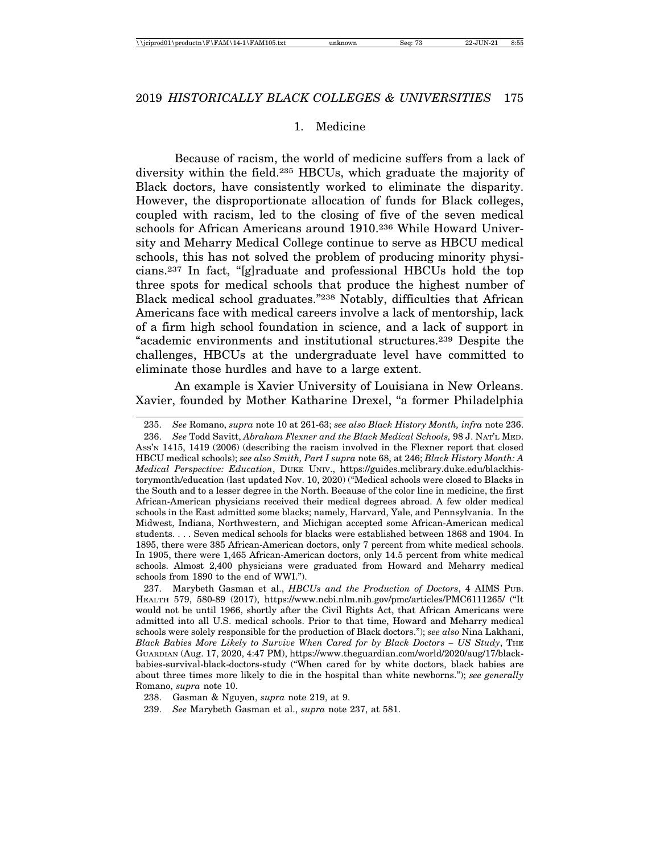### 1. Medicine

Because of racism, the world of medicine suffers from a lack of diversity within the field.235 HBCUs, which graduate the majority of Black doctors, have consistently worked to eliminate the disparity. However, the disproportionate allocation of funds for Black colleges, coupled with racism, led to the closing of five of the seven medical schools for African Americans around 1910.236 While Howard University and Meharry Medical College continue to serve as HBCU medical schools, this has not solved the problem of producing minority physicians.237 In fact, "[g]raduate and professional HBCUs hold the top three spots for medical schools that produce the highest number of Black medical school graduates."238 Notably, difficulties that African Americans face with medical careers involve a lack of mentorship, lack of a firm high school foundation in science, and a lack of support in "academic environments and institutional structures.239 Despite the challenges, HBCUs at the undergraduate level have committed to eliminate those hurdles and have to a large extent.

An example is Xavier University of Louisiana in New Orleans. Xavier, founded by Mother Katharine Drexel, "a former Philadelphia

237. Marybeth Gasman et al., *HBCUs and the Production of Doctors*, 4 AIMS PUB. HEALTH 579, 580-89 (2017), https://www.ncbi.nlm.nih.gov/pmc/articles/PMC6111265/ ("It would not be until 1966, shortly after the Civil Rights Act, that African Americans were admitted into all U.S. medical schools. Prior to that time, Howard and Meharry medical schools were solely responsible for the production of Black doctors."); *see also* Nina Lakhani, *Black Babies More Likely to Survive When Cared for by Black Doctors – US Study*, THE GUARDIAN (Aug. 17, 2020, 4:47 PM), https://www.theguardian.com/world/2020/aug/17/blackbabies-survival-black-doctors-study ("When cared for by white doctors, black babies are about three times more likely to die in the hospital than white newborns."); *see generally* Romano, *supra* note 10.

<sup>235.</sup> *See* Romano, *supra* note 10 at 261-63; *see also Black History Month, infra* note 236.

<sup>236.</sup> *See* Todd Savitt, *Abraham Flexner and the Black Medical Schools,* 98 J. NAT'L MED. ASS'N 1415, 1419 (2006) (describing the racism involved in the Flexner report that closed HBCU medical schools); *see also Smith, Part I supra* note 68, at 246; *Black History Month: A Medical Perspective: Education*, DUKE UNIV., https://guides.mclibrary.duke.edu/blackhistorymonth/education (last updated Nov. 10, 2020) ("Medical schools were closed to Blacks in the South and to a lesser degree in the North. Because of the color line in medicine, the first African-American physicians received their medical degrees abroad. A few older medical schools in the East admitted some blacks; namely, Harvard, Yale, and Pennsylvania. In the Midwest, Indiana, Northwestern, and Michigan accepted some African-American medical students. . . . Seven medical schools for blacks were established between 1868 and 1904. In 1895, there were 385 African-American doctors, only 7 percent from white medical schools. In 1905, there were 1,465 African-American doctors, only 14.5 percent from white medical schools. Almost 2,400 physicians were graduated from Howard and Meharry medical schools from 1890 to the end of WWI.").

<sup>238.</sup> Gasman & Nguyen, *supra* note 219, at 9.

<sup>239.</sup> *See* Marybeth Gasman et al., *supra* note 237, at 581.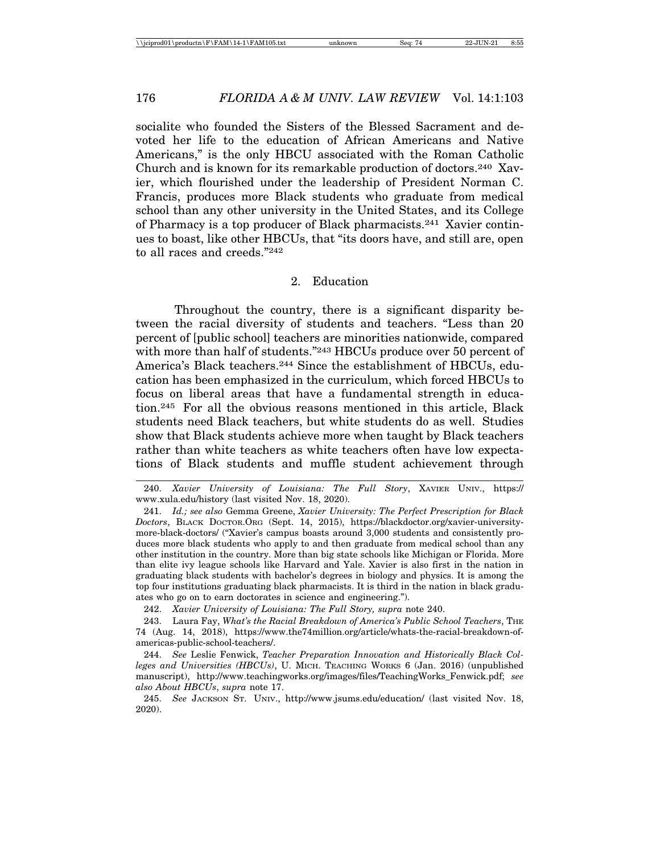socialite who founded the Sisters of the Blessed Sacrament and devoted her life to the education of African Americans and Native Americans," is the only HBCU associated with the Roman Catholic Church and is known for its remarkable production of doctors.240 Xavier, which flourished under the leadership of President Norman C. Francis, produces more Black students who graduate from medical school than any other university in the United States, and its College of Pharmacy is a top producer of Black pharmacists.241 Xavier continues to boast, like other HBCUs, that "its doors have, and still are, open to all races and creeds."242

#### 2. Education

Throughout the country, there is a significant disparity between the racial diversity of students and teachers. "Less than 20 percent of [public school] teachers are minorities nationwide, compared with more than half of students."<sup>243</sup> HBCUs produce over 50 percent of America's Black teachers.244 Since the establishment of HBCUs, education has been emphasized in the curriculum, which forced HBCUs to focus on liberal areas that have a fundamental strength in education.245 For all the obvious reasons mentioned in this article, Black students need Black teachers, but white students do as well. Studies show that Black students achieve more when taught by Black teachers rather than white teachers as white teachers often have low expectations of Black students and muffle student achievement through

242. *Xavier University of Louisiana: The Full Story, supra* note 240.

243. Laura Fay, *What's the Racial Breakdown of America's Public School Teachers*, THE 74 (Aug. 14, 2018), https://www.the74million.org/article/whats-the-racial-breakdown-ofamericas-public-school-teachers/.

244. *See* Leslie Fenwick, *Teacher Preparation Innovation and Historically Black Colleges and Universities (HBCUs)*, U. MICH. TEACHING WORKS 6 (Jan. 2016) (unpublished manuscript), http://www.teachingworks.org/images/files/TeachingWorks\_Fenwick.pdf; *see also About HBCUs*, *supra* note 17.

245. *See* JACKSON ST. UNIV., http://www.jsums.edu/education/ (last visited Nov. 18, 2020).

<sup>240.</sup> *Xavier University of Louisiana: The Full Story*, XAVIER UNIV., https:// www.xula.edu/history (last visited Nov. 18, 2020).

<sup>241.</sup> *Id.; see also* Gemma Greene, *Xavier University: The Perfect Prescription for Black Doctors*, BLACK DOCTOR.ORG (Sept. 14, 2015), https://blackdoctor.org/xavier-universitymore-black-doctors/ ("Xavier's campus boasts around 3,000 students and consistently produces more black students who apply to and then graduate from medical school than any other institution in the country. More than big state schools like Michigan or Florida. More than elite ivy league schools like Harvard and Yale. Xavier is also first in the nation in graduating black students with bachelor's degrees in biology and physics. It is among the top four institutions graduating black pharmacists. It is third in the nation in black graduates who go on to earn doctorates in science and engineering.").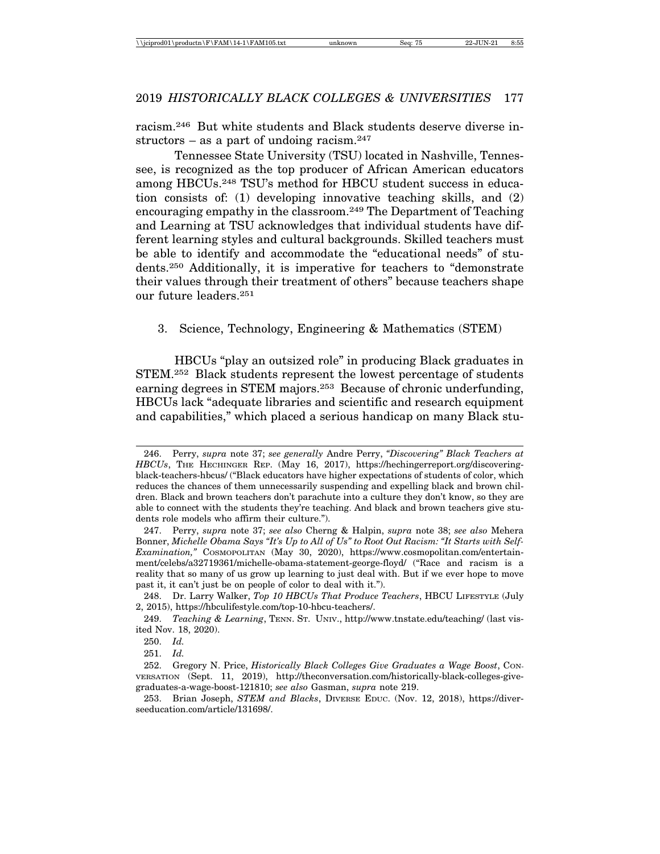racism.246 But white students and Black students deserve diverse instructors – as a part of undoing racism. $247$ 

Tennessee State University (TSU) located in Nashville, Tennessee, is recognized as the top producer of African American educators among HBCUs.248 TSU's method for HBCU student success in education consists of: (1) developing innovative teaching skills, and (2) encouraging empathy in the classroom.249 The Department of Teaching and Learning at TSU acknowledges that individual students have different learning styles and cultural backgrounds. Skilled teachers must be able to identify and accommodate the "educational needs" of students.250 Additionally, it is imperative for teachers to "demonstrate their values through their treatment of others" because teachers shape our future leaders.251

3. Science, Technology, Engineering & Mathematics (STEM)

HBCUs "play an outsized role" in producing Black graduates in STEM.252 Black students represent the lowest percentage of students earning degrees in STEM majors.253 Because of chronic underfunding, HBCUs lack "adequate libraries and scientific and research equipment and capabilities," which placed a serious handicap on many Black stu-

<sup>246.</sup> Perry, *supra* note 37; *see generally* Andre Perry, *"Discovering" Black Teachers at HBCUs*, THE HECHINGER REP. (May 16, 2017), https://hechingerreport.org/discoveringblack-teachers-hbcus/ ("Black educators have higher expectations of students of color, which reduces the chances of them unnecessarily suspending and expelling black and brown children. Black and brown teachers don't parachute into a culture they don't know, so they are able to connect with the students they're teaching. And black and brown teachers give students role models who affirm their culture.").

<sup>247.</sup> Perry, *supra* note 37; *see also* Cherng & Halpin, *supra* note 38; *see also* Mehera Bonner, *Michelle Obama Says "It's Up to All of Us" to Root Out Racism: "It Starts with Self-Examination,"* COSMOPOLITAN (May 30, 2020), https://www.cosmopolitan.com/entertainment/celebs/a32719361/michelle-obama-statement-george-floyd/ ("Race and racism is a reality that so many of us grow up learning to just deal with. But if we ever hope to move past it, it can't just be on people of color to deal with it.").

<sup>248.</sup> Dr. Larry Walker, *Top 10 HBCUs That Produce Teachers*, HBCU LIFESTYLE (July 2, 2015), https://hbculifestyle.com/top-10-hbcu-teachers/.

<sup>249.</sup> *Teaching & Learning*, TENN. ST. UNIV., http://www.tnstate.edu/teaching/ (last visited Nov. 18, 2020).

<sup>250.</sup> *Id.*

<sup>251.</sup> *Id.*

<sup>252.</sup> Gregory N. Price, *Historically Black Colleges Give Graduates a Wage Boost*, CON-VERSATION (Sept. 11, 2019), http://theconversation.com/historically-black-colleges-givegraduates-a-wage-boost-121810; *see also* Gasman, *supra* note 219.

<sup>253.</sup> Brian Joseph, *STEM and Blacks*, DIVERSE EDUC. (Nov. 12, 2018), https://diverseeducation.com/article/131698/.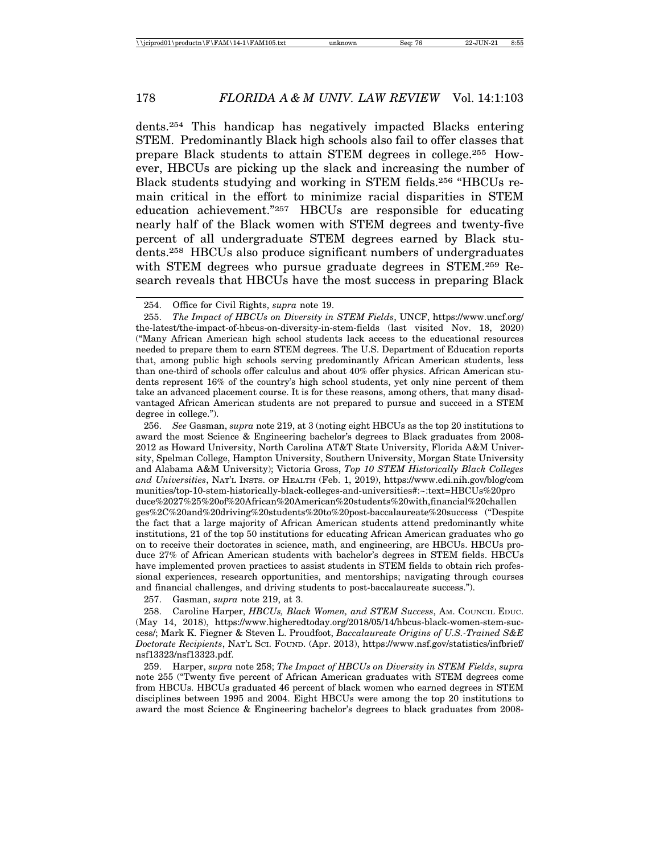dents.254 This handicap has negatively impacted Blacks entering STEM. Predominantly Black high schools also fail to offer classes that prepare Black students to attain STEM degrees in college.255 However, HBCUs are picking up the slack and increasing the number of Black students studying and working in STEM fields.256 "HBCUs remain critical in the effort to minimize racial disparities in STEM education achievement."257 HBCUs are responsible for educating nearly half of the Black women with STEM degrees and twenty-five percent of all undergraduate STEM degrees earned by Black students.258 HBCUs also produce significant numbers of undergraduates with STEM degrees who pursue graduate degrees in STEM.<sup>259</sup> Research reveals that HBCUs have the most success in preparing Black

256. *See* Gasman, *supra* note 219, at 3 (noting eight HBCUs as the top 20 institutions to award the most Science & Engineering bachelor's degrees to Black graduates from 2008- 2012 as Howard University, North Carolina AT&T State University, Florida A&M University, Spelman College, Hampton University, Southern University, Morgan State University and Alabama A&M University); Victoria Gross, *Top 10 STEM Historically Black Colleges and Universities*, NAT'L INSTS. OF HEALTH (Feb. 1, 2019), https://www.edi.nih.gov/blog/com munities/top-10-stem-historically-black-colleges-and-universities#:~:text=HBCUs%20pro duce%2027%25%20of%20African%20American%20students%20with,financial%20challen ges%2C%20and%20driving%20students%20to%20post-baccalaureate%20success ("Despite the fact that a large majority of African American students attend predominantly white institutions, 21 of the top 50 institutions for educating African American graduates who go on to receive their doctorates in science, math, and engineering, are HBCUs. HBCUs produce 27% of African American students with bachelor's degrees in STEM fields. HBCUs have implemented proven practices to assist students in STEM fields to obtain rich professional experiences, research opportunities, and mentorships; navigating through courses and financial challenges, and driving students to post-baccalaureate success.").

257. Gasman, *supra* note 219, at 3.

258. Caroline Harper, *HBCUs, Black Women, and STEM Success*, AM. COUNCIL EDUC. (May 14, 2018), https://www.higheredtoday.org/2018/05/14/hbcus-black-women-stem-success/; Mark K. Fiegner & Steven L. Proudfoot, *Baccalaureate Origins of U.S.-Trained S&E Doctorate Recipients*, NAT'L SCI. FOUND. (Apr. 2013), https://www.nsf.gov/statistics/infbrief/ nsf13323/nsf13323.pdf.

259. Harper, *supra* note 258; *The Impact of HBCUs on Diversity in STEM Fields*, *supra* note 255 ("Twenty five percent of African American graduates with STEM degrees come from HBCUs. HBCUs graduated 46 percent of black women who earned degrees in STEM disciplines between 1995 and 2004. Eight HBCUs were among the top 20 institutions to award the most Science & Engineering bachelor's degrees to black graduates from 2008-

<sup>254.</sup> Office for Civil Rights, *supra* note 19.

<sup>255.</sup> *The Impact of HBCUs on Diversity in STEM Fields*, UNCF, https://www.uncf.org/ the-latest/the-impact-of-hbcus-on-diversity-in-stem-fields (last visited Nov. 18, 2020) ("Many African American high school students lack access to the educational resources needed to prepare them to earn STEM degrees. The U.S. Department of Education reports that, among public high schools serving predominantly African American students, less than one-third of schools offer calculus and about 40% offer physics. African American students represent 16% of the country's high school students, yet only nine percent of them take an advanced placement course. It is for these reasons, among others, that many disadvantaged African American students are not prepared to pursue and succeed in a STEM degree in college.").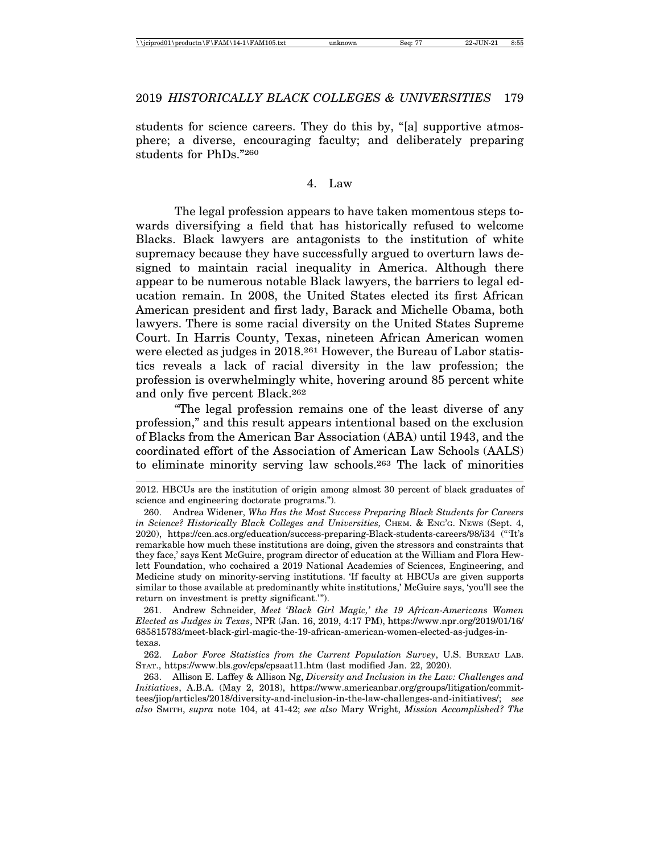students for science careers. They do this by, "[a] supportive atmosphere; a diverse, encouraging faculty; and deliberately preparing students for PhDs."260

## 4. Law

The legal profession appears to have taken momentous steps towards diversifying a field that has historically refused to welcome Blacks. Black lawyers are antagonists to the institution of white supremacy because they have successfully argued to overturn laws designed to maintain racial inequality in America. Although there appear to be numerous notable Black lawyers, the barriers to legal education remain. In 2008, the United States elected its first African American president and first lady, Barack and Michelle Obama, both lawyers. There is some racial diversity on the United States Supreme Court. In Harris County, Texas, nineteen African American women were elected as judges in 2018.<sup>261</sup> However, the Bureau of Labor statistics reveals a lack of racial diversity in the law profession; the profession is overwhelmingly white, hovering around 85 percent white and only five percent Black.262

"The legal profession remains one of the least diverse of any profession," and this result appears intentional based on the exclusion of Blacks from the American Bar Association (ABA) until 1943, and the coordinated effort of the Association of American Law Schools (AALS) to eliminate minority serving law schools.263 The lack of minorities

261. Andrew Schneider, *Meet 'Black Girl Magic,' the 19 African-Americans Women Elected as Judges in Texas*, NPR (Jan. 16, 2019, 4:17 PM), https://www.npr.org/2019/01/16/ 685815783/meet-black-girl-magic-the-19-african-american-women-elected-as-judges-intexas.

262. *Labor Force Statistics from the Current Population Survey*, U.S. BUREAU LAB. STAT., https://www.bls.gov/cps/cpsaat11.htm (last modified Jan. 22, 2020).

263. Allison E. Laffey & Allison Ng, *Diversity and Inclusion in the Law: Challenges and Initiatives*, A.B.A. (May 2, 2018), https://www.americanbar.org/groups/litigation/committees/jiop/articles/2018/diversity-and-inclusion-in-the-law-challenges-and-initiatives/; *see also* SMITH, *supra* note 104, at 41-42; *see also* Mary Wright, *Mission Accomplished? The*

<sup>2012.</sup> HBCUs are the institution of origin among almost 30 percent of black graduates of science and engineering doctorate programs.").

<sup>260.</sup> Andrea Widener, *Who Has the Most Success Preparing Black Students for Careers in Science? Historically Black Colleges and Universities,* CHEM. & ENG'G. NEWS (Sept. 4, 2020), https://cen.acs.org/education/success-preparing-Black-students-careers/98/i34 ("'It's remarkable how much these institutions are doing, given the stressors and constraints that they face,' says Kent McGuire, program director of education at the William and Flora Hewlett Foundation, who cochaired a 2019 National Academies of Sciences, Engineering, and Medicine study on minority-serving institutions. 'If faculty at HBCUs are given supports similar to those available at predominantly white institutions,' McGuire says, 'you'll see the return on investment is pretty significant.'").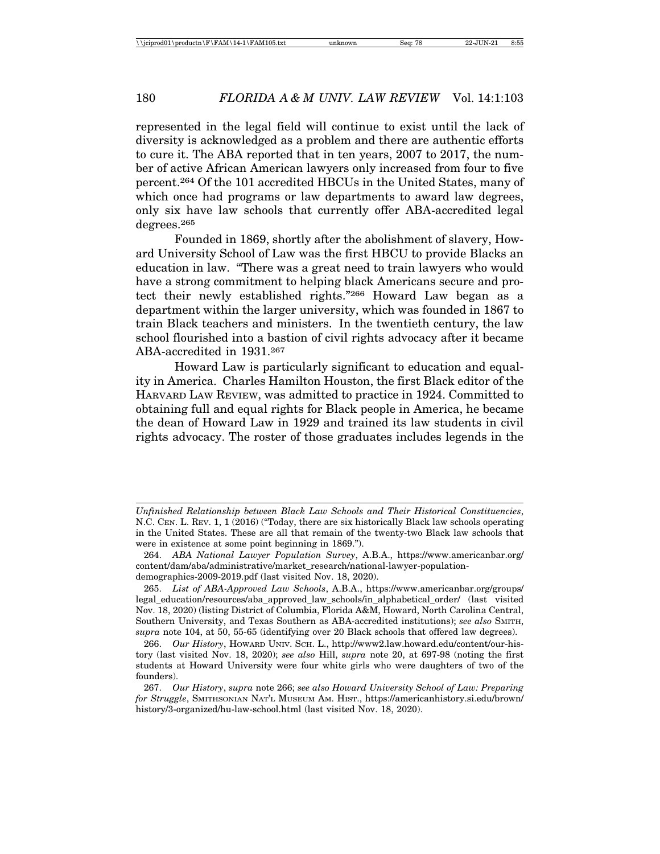represented in the legal field will continue to exist until the lack of diversity is acknowledged as a problem and there are authentic efforts to cure it. The ABA reported that in ten years, 2007 to 2017, the number of active African American lawyers only increased from four to five percent.264 Of the 101 accredited HBCUs in the United States, many of which once had programs or law departments to award law degrees, only six have law schools that currently offer ABA-accredited legal degrees.265

Founded in 1869, shortly after the abolishment of slavery, Howard University School of Law was the first HBCU to provide Blacks an education in law. "There was a great need to train lawyers who would have a strong commitment to helping black Americans secure and protect their newly established rights."266 Howard Law began as a department within the larger university, which was founded in 1867 to train Black teachers and ministers. In the twentieth century, the law school flourished into a bastion of civil rights advocacy after it became ABA-accredited in 1931.267

Howard Law is particularly significant to education and equality in America. Charles Hamilton Houston, the first Black editor of the HARVARD LAW REVIEW, was admitted to practice in 1924. Committed to obtaining full and equal rights for Black people in America, he became the dean of Howard Law in 1929 and trained its law students in civil rights advocacy. The roster of those graduates includes legends in the

*Unfinished Relationship between Black Law Schools and Their Historical Constituencies*, N.C. CEN. L. REV. 1, 1 (2016) ("Today, there are six historically Black law schools operating in the United States. These are all that remain of the twenty-two Black law schools that were in existence at some point beginning in 1869.").

<sup>264.</sup> *ABA National Lawyer Population Survey*, A.B.A., https://www.americanbar.org/ content/dam/aba/administrative/market\_research/national-lawyer-populationdemographics-2009-2019.pdf (last visited Nov. 18, 2020).

<sup>265.</sup> *List of ABA-Approved Law Schools*, A.B.A., https://www.americanbar.org/groups/ legal\_education/resources/aba\_approved\_law\_schools/in\_alphabetical\_order/ (last visited Nov. 18, 2020) (listing District of Columbia, Florida A&M, Howard, North Carolina Central, Southern University, and Texas Southern as ABA-accredited institutions); *see also* SMITH, *supra* note 104, at 50, 55-65 (identifying over 20 Black schools that offered law degrees).

<sup>266.</sup> *Our History*, HOWARD UNIV. SCH. L., http://www2.law.howard.edu/content/our-history (last visited Nov. 18, 2020); *see also* Hill, *supra* note 20, at 697-98 (noting the first students at Howard University were four white girls who were daughters of two of the founders).

<sup>267.</sup> *Our History*, *supra* note 266; *see also Howard University School of Law: Preparing for Struggle*, SMITHSONIAN NAT'L MUSEUM AM. HIST., https://americanhistory.si.edu/brown/ history/3-organized/hu-law-school.html (last visited Nov. 18, 2020).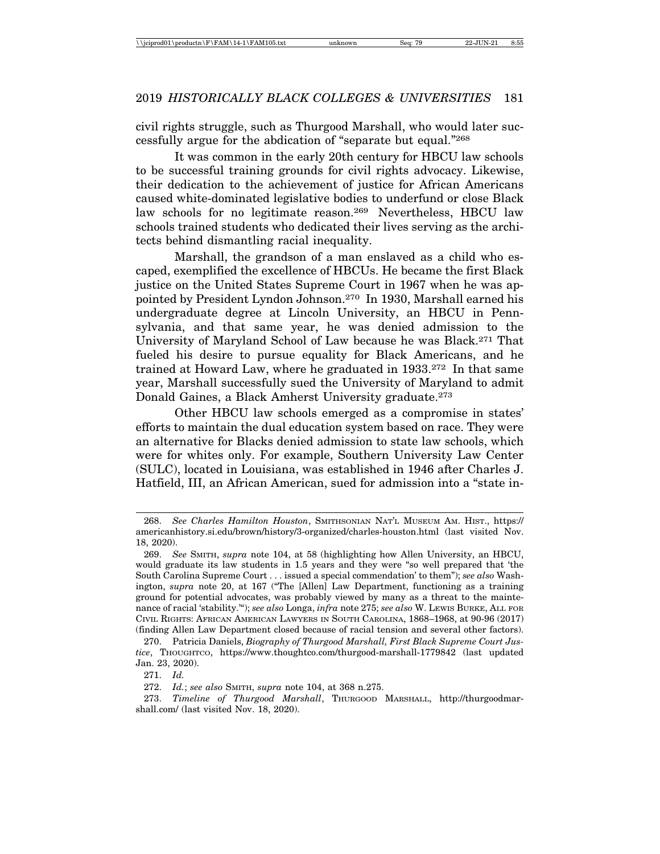civil rights struggle, such as Thurgood Marshall, who would later successfully argue for the abdication of "separate but equal."268

It was common in the early 20th century for HBCU law schools to be successful training grounds for civil rights advocacy. Likewise, their dedication to the achievement of justice for African Americans caused white-dominated legislative bodies to underfund or close Black law schools for no legitimate reason.<sup>269</sup> Nevertheless, HBCU law schools trained students who dedicated their lives serving as the architects behind dismantling racial inequality.

Marshall, the grandson of a man enslaved as a child who escaped, exemplified the excellence of HBCUs. He became the first Black justice on the United States Supreme Court in 1967 when he was appointed by President Lyndon Johnson.270 In 1930, Marshall earned his undergraduate degree at Lincoln University, an HBCU in Pennsylvania, and that same year, he was denied admission to the University of Maryland School of Law because he was Black.271 That fueled his desire to pursue equality for Black Americans, and he trained at Howard Law, where he graduated in 1933.272 In that same year, Marshall successfully sued the University of Maryland to admit Donald Gaines, a Black Amherst University graduate.273

Other HBCU law schools emerged as a compromise in states' efforts to maintain the dual education system based on race. They were an alternative for Blacks denied admission to state law schools, which were for whites only. For example, Southern University Law Center (SULC), located in Louisiana, was established in 1946 after Charles J. Hatfield, III, an African American, sued for admission into a "state in-

273. *Timeline of Thurgood Marshall*, THURGOOD MARSHALL, http://thurgoodmarshall.com/ (last visited Nov. 18, 2020).

<sup>268.</sup> *See Charles Hamilton Houston*, SMITHSONIAN NAT'L MUSEUM AM. HIST., https:// americanhistory.si.edu/brown/history/3-organized/charles-houston.html (last visited Nov. 18, 2020).

<sup>269.</sup> *See* SMITH, *supra* note 104, at 58 (highlighting how Allen University, an HBCU, would graduate its law students in 1.5 years and they were "so well prepared that 'the South Carolina Supreme Court . . . issued a special commendation' to them"); *see also* Washington, *supra* note 20, at 167 ("The [Allen] Law Department, functioning as a training ground for potential advocates, was probably viewed by many as a threat to the maintenance of racial 'stability.'"); *see also* Longa, *infra* note 275; *see also* W. LEWIS BURKE, ALL FOR CIVIL RIGHTS: AFRICAN AMERICAN LAWYERS IN SOUTH CAROLINA, 1868–1968, at 90-96 (2017) (finding Allen Law Department closed because of racial tension and several other factors).

<sup>270.</sup> Patricia Daniels, *Biography of Thurgood Marshall, First Black Supreme Court Justice*, THOUGHTCO, https://www.thoughtco.com/thurgood-marshall-1779842 (last updated Jan. 23, 2020).

<sup>271.</sup> *Id.*

<sup>272.</sup> *Id.*; *see also* SMITH, *supra* note 104, at 368 n.275.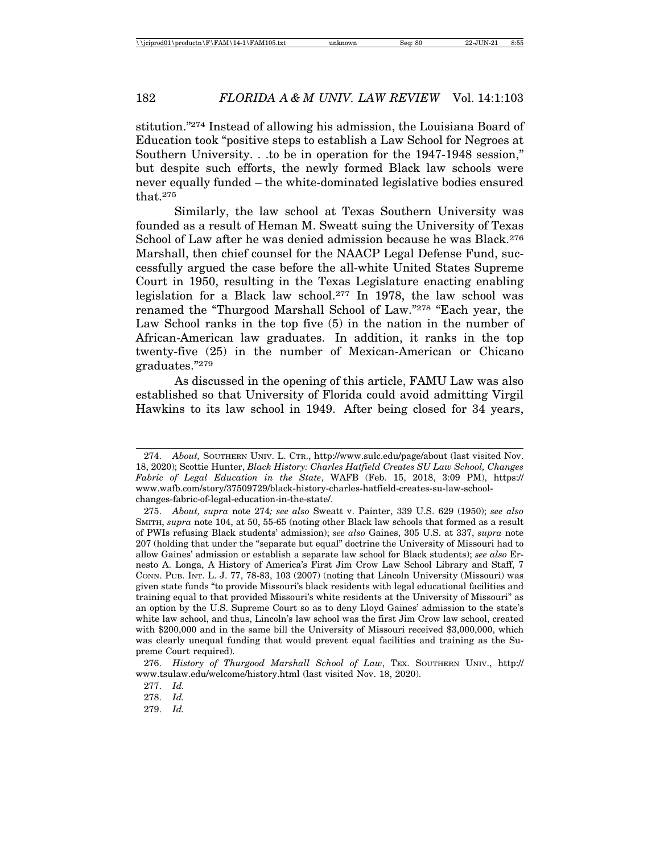stitution."274 Instead of allowing his admission, the Louisiana Board of Education took "positive steps to establish a Law School for Negroes at Southern University. . .to be in operation for the 1947-1948 session," but despite such efforts, the newly formed Black law schools were never equally funded – the white-dominated legislative bodies ensured that.275

Similarly, the law school at Texas Southern University was founded as a result of Heman M. Sweatt suing the University of Texas School of Law after he was denied admission because he was Black.<sup>276</sup> Marshall, then chief counsel for the NAACP Legal Defense Fund, successfully argued the case before the all-white United States Supreme Court in 1950, resulting in the Texas Legislature enacting enabling legislation for a Black law school.277 In 1978, the law school was renamed the "Thurgood Marshall School of Law."278 "Each year, the Law School ranks in the top five (5) in the nation in the number of African-American law graduates. In addition, it ranks in the top twenty-five (25) in the number of Mexican-American or Chicano graduates."279

As discussed in the opening of this article, FAMU Law was also established so that University of Florida could avoid admitting Virgil Hawkins to its law school in 1949. After being closed for 34 years,

<sup>274.</sup> *About,* SOUTHERN UNIV. L. CTR., http://www.sulc.edu/page/about (last visited Nov. 18, 2020); Scottie Hunter, *Black History: Charles Hatfield Creates SU Law School, Changes Fabric of Legal Education in the State*, WAFB (Feb. 15, 2018, 3:09 PM), https:// www.wafb.com/story/37509729/black-history-charles-hatfield-creates-su-law-schoolchanges-fabric-of-legal-education-in-the-state/.

<sup>275.</sup> *About, supra* note 274*; see also* Sweatt v. Painter, 339 U.S. 629 (1950); *see also* SMITH, *supra* note 104, at 50, 55-65 (noting other Black law schools that formed as a result of PWIs refusing Black students' admission); *see also* Gaines, 305 U.S. at 337, *supra* note 207 (holding that under the "separate but equal" doctrine the University of Missouri had to allow Gaines' admission or establish a separate law school for Black students); *see also* Ernesto A. Longa, A History of America's First Jim Crow Law School Library and Staff, 7 CONN. PUB. INT. L. J. 77, 78-83, 103 (2007) (noting that Lincoln University (Missouri) was given state funds "to provide Missouri's black residents with legal educational facilities and training equal to that provided Missouri's white residents at the University of Missouri" as an option by the U.S. Supreme Court so as to deny Lloyd Gaines' admission to the state's white law school, and thus, Lincoln's law school was the first Jim Crow law school, created with \$200,000 and in the same bill the University of Missouri received \$3,000,000, which was clearly unequal funding that would prevent equal facilities and training as the Supreme Court required).

<sup>276.</sup> *History of Thurgood Marshall School of Law*, TEX. SOUTHERN UNIV., http:// www.tsulaw.edu/welcome/history.html (last visited Nov. 18, 2020).

<sup>277.</sup> *Id.*

<sup>278.</sup> *Id.*

<sup>279.</sup> *Id.*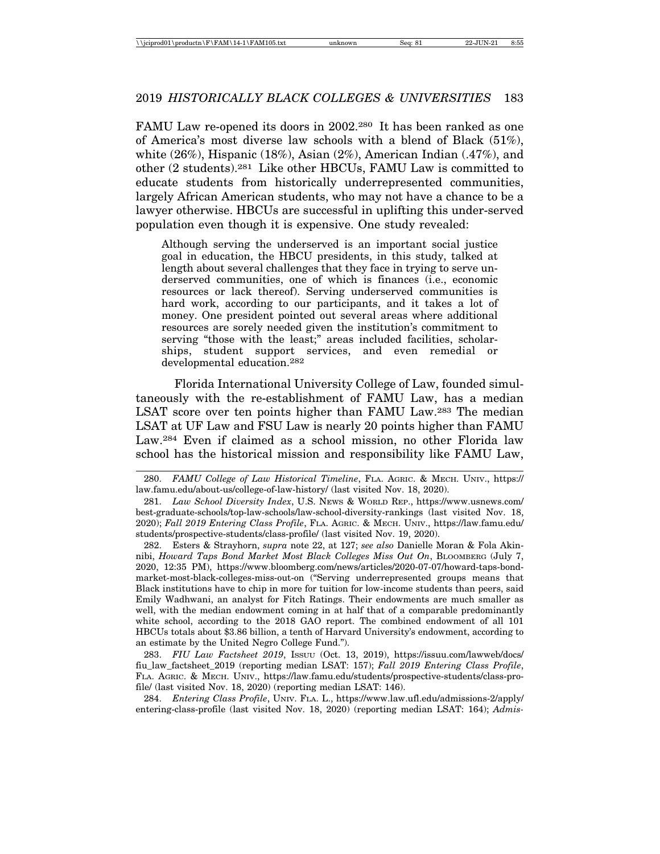FAMU Law re-opened its doors in 2002.280 It has been ranked as one of America's most diverse law schools with a blend of Black (51%), white (26%), Hispanic (18%), Asian (2%), American Indian (.47%), and other (2 students).281 Like other HBCUs, FAMU Law is committed to educate students from historically underrepresented communities, largely African American students, who may not have a chance to be a lawyer otherwise. HBCUs are successful in uplifting this under-served population even though it is expensive. One study revealed:

Although serving the underserved is an important social justice goal in education, the HBCU presidents, in this study, talked at length about several challenges that they face in trying to serve underserved communities, one of which is finances (i.e., economic resources or lack thereof). Serving underserved communities is hard work, according to our participants, and it takes a lot of money. One president pointed out several areas where additional resources are sorely needed given the institution's commitment to serving "those with the least;" areas included facilities, scholarships, student support services, and even remedial or developmental education.282

Florida International University College of Law, founded simultaneously with the re-establishment of FAMU Law, has a median LSAT score over ten points higher than FAMU Law.283 The median LSAT at UF Law and FSU Law is nearly 20 points higher than FAMU Law.284 Even if claimed as a school mission, no other Florida law school has the historical mission and responsibility like FAMU Law,

283. *FIU Law Factsheet 2019*, ISSUU (Oct. 13, 2019), https://issuu.com/lawweb/docs/ fiu\_law\_factsheet\_2019 (reporting median LSAT: 157); *Fall 2019 Entering Class Profile*, FLA. AGRIC. & MECH. UNIV., https://law.famu.edu/students/prospective-students/class-profile/ (last visited Nov. 18, 2020) (reporting median LSAT: 146).

284. *Entering Class Profile*, UNIV. FLA. L., https://www.law.ufl.edu/admissions-2/apply/ entering-class-profile (last visited Nov. 18, 2020) (reporting median LSAT: 164); *Admis-*

<sup>280.</sup> *FAMU College of Law Historical Timeline*, FLA. AGRIC. & MECH. UNIV., https:// law.famu.edu/about-us/college-of-law-history/ (last visited Nov. 18, 2020).

<sup>281.</sup> *Law School Diversity Index*, U.S. NEWS & WORLD REP., https://www.usnews.com/ best-graduate-schools/top-law-schools/law-school-diversity-rankings (last visited Nov. 18, 2020); *Fall 2019 Entering Class Profile*, FLA. AGRIC. & MECH. UNIV., https://law.famu.edu/ students/prospective-students/class-profile/ (last visited Nov. 19, 2020).

<sup>282.</sup> Esters & Strayhorn, *supra* note 22, at 127; *see also* Danielle Moran & Fola Akinnibi, *Howard Taps Bond Market Most Black Colleges Miss Out On*, BLOOMBERG (July 7, 2020, 12:35 PM), https://www.bloomberg.com/news/articles/2020-07-07/howard-taps-bondmarket-most-black-colleges-miss-out-on ("Serving underrepresented groups means that Black institutions have to chip in more for tuition for low-income students than peers, said Emily Wadhwani, an analyst for Fitch Ratings. Their endowments are much smaller as well, with the median endowment coming in at half that of a comparable predominantly white school, according to the 2018 GAO report. The combined endowment of all 101 HBCUs totals about \$3.86 billion, a tenth of Harvard University's endowment, according to an estimate by the United Negro College Fund.").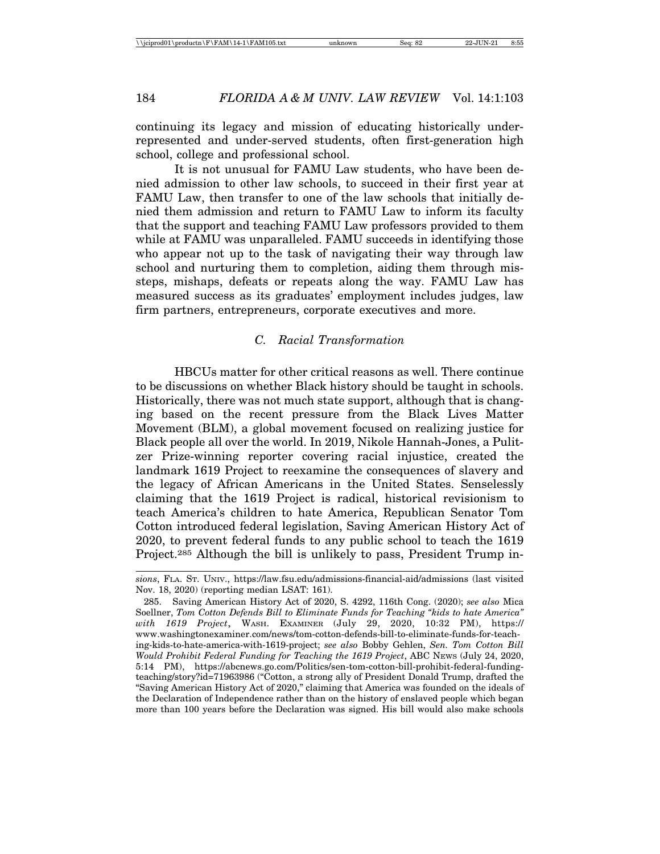continuing its legacy and mission of educating historically underrepresented and under-served students, often first-generation high school, college and professional school.

It is not unusual for FAMU Law students, who have been denied admission to other law schools, to succeed in their first year at FAMU Law, then transfer to one of the law schools that initially denied them admission and return to FAMU Law to inform its faculty that the support and teaching FAMU Law professors provided to them while at FAMU was unparalleled. FAMU succeeds in identifying those who appear not up to the task of navigating their way through law school and nurturing them to completion, aiding them through missteps, mishaps, defeats or repeats along the way. FAMU Law has measured success as its graduates' employment includes judges, law firm partners, entrepreneurs, corporate executives and more.

### *C. Racial Transformation*

HBCUs matter for other critical reasons as well. There continue to be discussions on whether Black history should be taught in schools. Historically, there was not much state support, although that is changing based on the recent pressure from the Black Lives Matter Movement (BLM), a global movement focused on realizing justice for Black people all over the world. In 2019, Nikole Hannah-Jones, a Pulitzer Prize-winning reporter covering racial injustice, created the landmark 1619 Project to reexamine the consequences of slavery and the legacy of African Americans in the United States. Senselessly claiming that the 1619 Project is radical, historical revisionism to teach America's children to hate America, Republican Senator Tom Cotton introduced federal legislation, Saving American History Act of 2020, to prevent federal funds to any public school to teach the 1619 Project.285 Although the bill is unlikely to pass, President Trump in-

*sions*, FLA. ST. UNIV., https://law.fsu.edu/admissions-financial-aid/admissions (last visited Nov. 18, 2020) (reporting median LSAT: 161).

<sup>285.</sup> Saving American History Act of 2020, S. 4292, 116th Cong. (2020); *see also* Mica Soellner, *Tom Cotton Defends Bill to Eliminate Funds for Teaching "kids to hate America" with 1619 Project*, WASH. EXAMINER (July 29, 2020, 10:32 PM), https:// www.washingtonexaminer.com/news/tom-cotton-defends-bill-to-eliminate-funds-for-teaching-kids-to-hate-america-with-1619-project; *see also* Bobby Gehlen, *Sen. Tom Cotton Bill Would Prohibit Federal Funding for Teaching the 1619 Project*, ABC NEWS (July 24, 2020, 5:14 PM), https://abcnews.go.com/Politics/sen-tom-cotton-bill-prohibit-federal-fundingteaching/story?id=71963986 ("Cotton, a strong ally of President Donald Trump, drafted the "Saving American History Act of 2020," claiming that America was founded on the ideals of the Declaration of Independence rather than on the history of enslaved people which began more than 100 years before the Declaration was signed. His bill would also make schools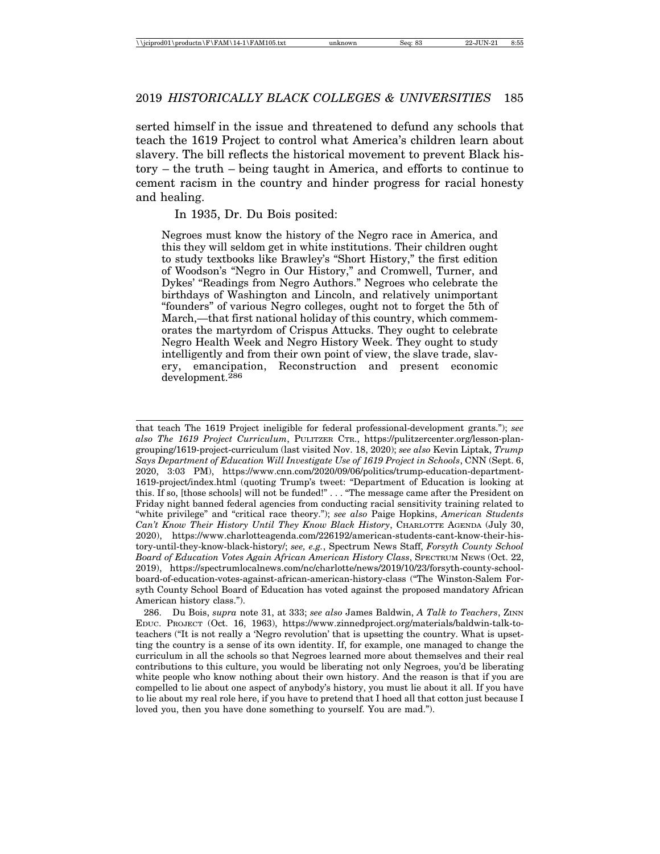serted himself in the issue and threatened to defund any schools that teach the 1619 Project to control what America's children learn about slavery. The bill reflects the historical movement to prevent Black history – the truth – being taught in America, and efforts to continue to cement racism in the country and hinder progress for racial honesty and healing.

#### In 1935, Dr. Du Bois posited:

Negroes must know the history of the Negro race in America, and this they will seldom get in white institutions. Their children ought to study textbooks like Brawley's "Short History," the first edition of Woodson's "Negro in Our History," and Cromwell, Turner, and Dykes' "Readings from Negro Authors." Negroes who celebrate the birthdays of Washington and Lincoln, and relatively unimportant "founders" of various Negro colleges, ought not to forget the 5th of March,—that first national holiday of this country, which commemorates the martyrdom of Crispus Attucks. They ought to celebrate Negro Health Week and Negro History Week. They ought to study intelligently and from their own point of view, the slave trade, slavery, emancipation, Reconstruction and present economic development.<sup>286</sup>

that teach The 1619 Project ineligible for federal professional-development grants."); *see also The 1619 Project Curriculum*, PULITZER CTR., https://pulitzercenter.org/lesson-plangrouping/1619-project-curriculum (last visited Nov. 18, 2020); *see also* Kevin Liptak, *Trump Says Department of Education Will Investigate Use of 1619 Project in Schools*, CNN (Sept. 6, 2020, 3:03 PM), https://www.cnn.com/2020/09/06/politics/trump-education-department-1619-project/index.html (quoting Trump's tweet: "Department of Education is looking at this. If so, [those schools] will not be funded!" . . . "The message came after the President on Friday night banned federal agencies from conducting racial sensitivity training related to "white privilege" and "critical race theory."); *see also* Paige Hopkins, *American Students Can't Know Their History Until They Know Black History*, CHARLOTTE AGENDA (July 30, 2020), https://www.charlotteagenda.com/226192/american-students-cant-know-their-history-until-they-know-black-history/; *see, e.g.*, Spectrum News Staff, *Forsyth County School Board of Education Votes Again African American History Class*, SPECTRUM NEWS (Oct. 22, 2019), https://spectrumlocalnews.com/nc/charlotte/news/2019/10/23/forsyth-county-schoolboard-of-education-votes-against-african-american-history-class ("The Winston-Salem Forsyth County School Board of Education has voted against the proposed mandatory African American history class.").

<sup>286.</sup> Du Bois, *supra* note 31, at 333; *see also* James Baldwin, *A Talk to Teachers*, ZINN EDUC. PROJECT (Oct. 16, 1963), https://www.zinnedproject.org/materials/baldwin-talk-toteachers ("It is not really a 'Negro revolution' that is upsetting the country. What is upsetting the country is a sense of its own identity. If, for example, one managed to change the curriculum in all the schools so that Negroes learned more about themselves and their real contributions to this culture, you would be liberating not only Negroes, you'd be liberating white people who know nothing about their own history. And the reason is that if you are compelled to lie about one aspect of anybody's history, you must lie about it all. If you have to lie about my real role here, if you have to pretend that I hoed all that cotton just because I loved you, then you have done something to yourself. You are mad.").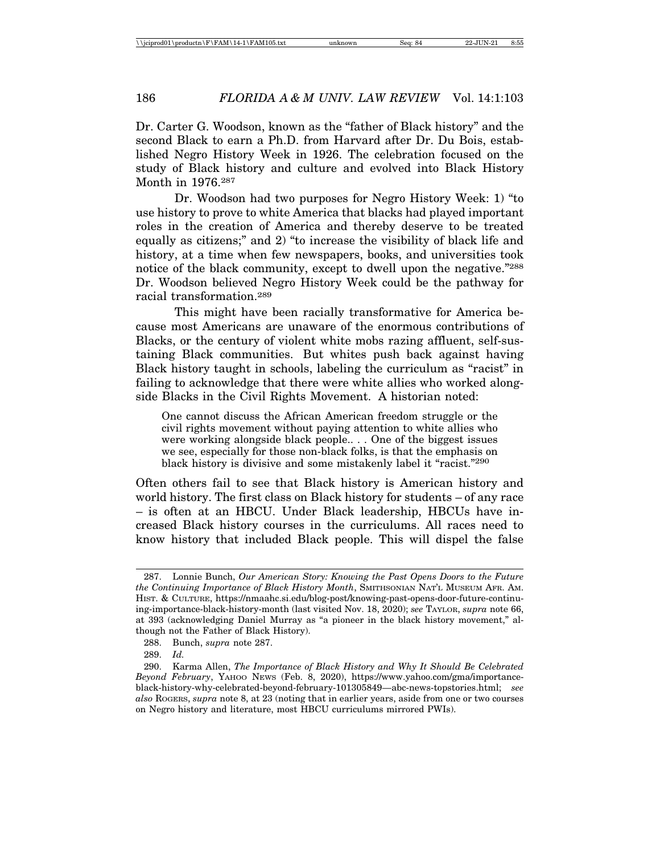Dr. Carter G. Woodson, known as the "father of Black history" and the second Black to earn a Ph.D. from Harvard after Dr. Du Bois, established Negro History Week in 1926. The celebration focused on the study of Black history and culture and evolved into Black History Month in 1976.287

Dr. Woodson had two purposes for Negro History Week: 1) "to use history to prove to white America that blacks had played important roles in the creation of America and thereby deserve to be treated equally as citizens;" and 2) "to increase the visibility of black life and history, at a time when few newspapers, books, and universities took notice of the black community, except to dwell upon the negative."288 Dr. Woodson believed Negro History Week could be the pathway for racial transformation.289

This might have been racially transformative for America because most Americans are unaware of the enormous contributions of Blacks, or the century of violent white mobs razing affluent, self-sustaining Black communities. But whites push back against having Black history taught in schools, labeling the curriculum as "racist" in failing to acknowledge that there were white allies who worked alongside Blacks in the Civil Rights Movement. A historian noted:

One cannot discuss the African American freedom struggle or the civil rights movement without paying attention to white allies who were working alongside black people.. . . One of the biggest issues we see, especially for those non-black folks, is that the emphasis on black history is divisive and some mistakenly label it "racist."290

Often others fail to see that Black history is American history and world history. The first class on Black history for students – of any race – is often at an HBCU. Under Black leadership, HBCUs have increased Black history courses in the curriculums. All races need to know history that included Black people. This will dispel the false

<sup>287.</sup> Lonnie Bunch, *Our American Story: Knowing the Past Opens Doors to the Future the Continuing Importance of Black History Month*, SMITHSONIAN NAT'L MUSEUM AFR. AM. HIST. & CULTURE, https://nmaahc.si.edu/blog-post/knowing-past-opens-door-future-continuing-importance-black-history-month (last visited Nov. 18, 2020); *see* TAYLOR, *supra* note 66, at 393 (acknowledging Daniel Murray as "a pioneer in the black history movement," although not the Father of Black History).

<sup>288.</sup> Bunch, *supra* note 287.

<sup>289.</sup> *Id.*

<sup>290.</sup> Karma Allen, *The Importance of Black History and Why It Should Be Celebrated Beyond February*, YAHOO NEWS (Feb. 8, 2020), https://www.yahoo.com/gma/importanceblack-history-why-celebrated-beyond-february-101305849—abc-news-topstories.html; *see also* ROGERS, *supra* note 8, at 23 (noting that in earlier years, aside from one or two courses on Negro history and literature, most HBCU curriculums mirrored PWIs).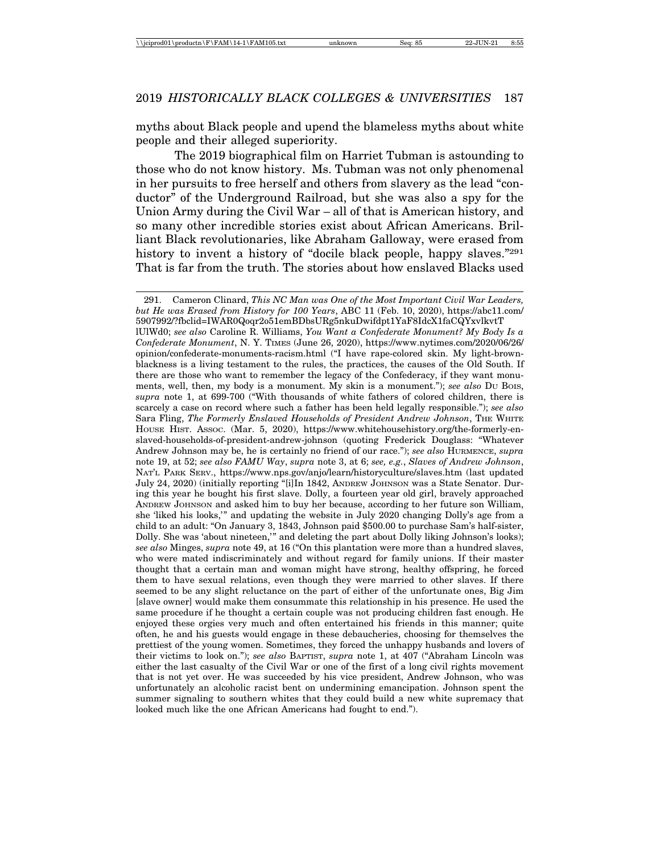myths about Black people and upend the blameless myths about white people and their alleged superiority.

The 2019 biographical film on Harriet Tubman is astounding to those who do not know history. Ms. Tubman was not only phenomenal in her pursuits to free herself and others from slavery as the lead "conductor" of the Underground Railroad, but she was also a spy for the Union Army during the Civil War – all of that is American history, and so many other incredible stories exist about African Americans. Brilliant Black revolutionaries, like Abraham Galloway, were erased from history to invent a history of "docile black people, happy slaves."<sup>291</sup> That is far from the truth. The stories about how enslaved Blacks used

<sup>291.</sup> Cameron Clinard, *This NC Man was One of the Most Important Civil War Leaders, but He was Erased from History for 100 Years*, ABC 11 (Feb. 10, 2020), https://abc11.com/ 5907992/?fbclid=IWAR0Qoqr2o51emBDbsURg5nkuDwifdpt1YaF8IdcX1faCQYxvlkvtT lUlWd0; *see also* Caroline R. Williams, *You Want a Confederate Monument? My Body Is a Confederate Monument*, N. Y. TIMES (June 26, 2020), https://www.nytimes.com/2020/06/26/ opinion/confederate-monuments-racism.html ("I have rape-colored skin. My light-brownblackness is a living testament to the rules, the practices, the causes of the Old South. If there are those who want to remember the legacy of the Confederacy, if they want monuments, well, then, my body is a monument. My skin is a monument."); *see also* Du Bois, *supra* note 1, at 699-700 ("With thousands of white fathers of colored children, there is scarcely a case on record where such a father has been held legally responsible."); *see also* Sara Fling, *The Formerly Enslaved Households of President Andrew Johnson*, THE WHITE HOUSE HIST. ASSOC. (Mar. 5, 2020), https://www.whitehousehistory.org/the-formerly-enslaved-households-of-president-andrew-johnson (quoting Frederick Douglass: "Whatever Andrew Johnson may be, he is certainly no friend of our race."); *see also* HURMENCE, *supra* note 19, at 52; *see also FAMU Way*, *supra* note 3, at 6; *see, e.g.*, *Slaves of Andrew Johnson*, NAT'L PARK SERV., https://www.nps.gov/anjo/learn/historyculture/slaves.htm (last updated July 24, 2020) (initially reporting "[i]In 1842, ANDREW JOHNSON was a State Senator. During this year he bought his first slave. Dolly, a fourteen year old girl, bravely approached ANDREW JOHNSON and asked him to buy her because, according to her future son William, she 'liked his looks,'" and updating the website in July 2020 changing Dolly's age from a child to an adult: "On January 3, 1843, Johnson paid \$500.00 to purchase Sam's half-sister, Dolly. She was 'about nineteen,'" and deleting the part about Dolly liking Johnson's looks); *see also* Minges, *supra* note 49, at 16 ("On this plantation were more than a hundred slaves, who were mated indiscriminately and without regard for family unions. If their master thought that a certain man and woman might have strong, healthy offspring, he forced them to have sexual relations, even though they were married to other slaves. If there seemed to be any slight reluctance on the part of either of the unfortunate ones, Big Jim [slave owner] would make them consummate this relationship in his presence. He used the same procedure if he thought a certain couple was not producing children fast enough. He enjoyed these orgies very much and often entertained his friends in this manner; quite often, he and his guests would engage in these debaucheries, choosing for themselves the prettiest of the young women. Sometimes, they forced the unhappy husbands and lovers of their victims to look on."); *see also* BAPTIST, *supra* note 1, at 407 ("Abraham Lincoln was either the last casualty of the Civil War or one of the first of a long civil rights movement that is not yet over. He was succeeded by his vice president, Andrew Johnson, who was unfortunately an alcoholic racist bent on undermining emancipation. Johnson spent the summer signaling to southern whites that they could build a new white supremacy that looked much like the one African Americans had fought to end.").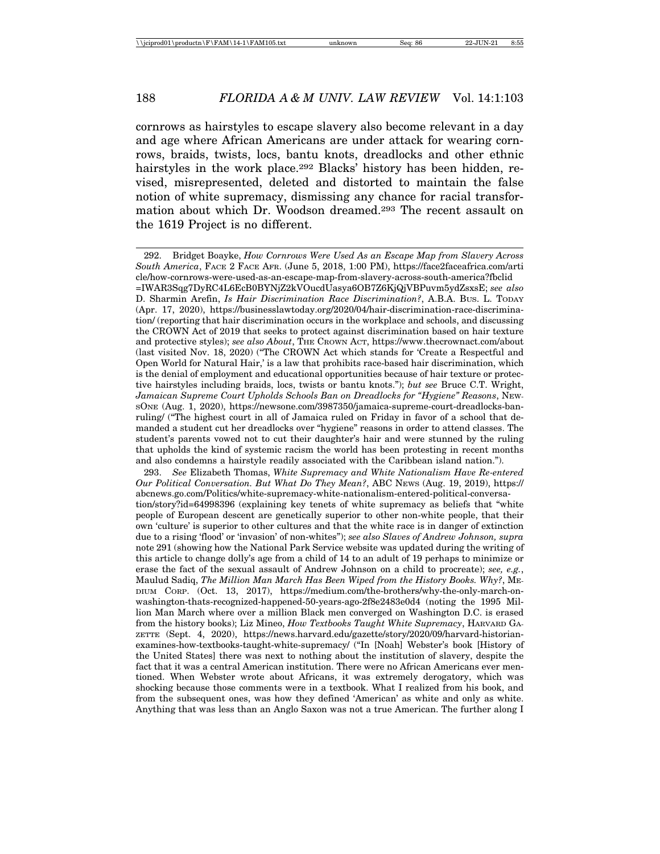cornrows as hairstyles to escape slavery also become relevant in a day and age where African Americans are under attack for wearing cornrows, braids, twists, locs, bantu knots, dreadlocks and other ethnic hairstyles in the work place.<sup>292</sup> Blacks' history has been hidden, revised, misrepresented, deleted and distorted to maintain the false notion of white supremacy, dismissing any chance for racial transformation about which Dr. Woodson dreamed.293 The recent assault on the 1619 Project is no different.

293. *See* Elizabeth Thomas, *White Supremacy and White Nationalism Have Re-entered Our Political Conversation. But What Do They Mean?*, ABC NEWS (Aug. 19, 2019), https:// abcnews.go.com/Politics/white-supremacy-white-nationalism-entered-political-conversation/story?id=64998396 (explaining key tenets of white supremacy as beliefs that "white people of European descent are genetically superior to other non-white people, that their own 'culture' is superior to other cultures and that the white race is in danger of extinction due to a rising 'flood' or 'invasion' of non-whites"); *see also Slaves of Andrew Johnson, supra* note 291 (showing how the National Park Service website was updated during the writing of this article to change dolly's age from a child of 14 to an adult of 19 perhaps to minimize or erase the fact of the sexual assault of Andrew Johnson on a child to procreate); *see, e.g.*, Maulud Sadiq, *The Million Man March Has Been Wiped from the History Books. Why?*, ME-DIUM CORP. (Oct. 13, 2017), https://medium.com/the-brothers/why-the-only-march-onwashington-thats-recognized-happened-50-years-ago-2f8e2483e0d4 (noting the 1995 Million Man March where over a million Black men converged on Washington D.C. is erased from the history books); Liz Mineo, *How Textbooks Taught White Supremacy*, HARVARD GA-ZETTE (Sept. 4, 2020), https://news.harvard.edu/gazette/story/2020/09/harvard-historianexamines-how-textbooks-taught-white-supremacy/ ("In [Noah] Webster's book [History of the United States] there was next to nothing about the institution of slavery, despite the fact that it was a central American institution. There were no African Americans ever mentioned. When Webster wrote about Africans, it was extremely derogatory, which was shocking because those comments were in a textbook. What I realized from his book, and from the subsequent ones, was how they defined 'American' as white and only as white. Anything that was less than an Anglo Saxon was not a true American. The further along I

<sup>292.</sup> Bridget Boayke, *How Cornrows Were Used As an Escape Map from Slavery Across South America*, FACE 2 FACE AFR. (June 5, 2018, 1:00 PM), https://face2faceafrica.com/arti cle/how-cornrows-were-used-as-an-escape-map-from-slavery-across-south-america?fbclid =IWAR3Sqg7DyRC4L6EcB0BYNjZ2kVOucdUasya6OB7Z6KjQjVBPuvm5ydZsxsE; *see also* D. Sharmin Arefin, *Is Hair Discrimination Race Discrimination?*, A.B.A. BUS. L. TODAY (Apr. 17, 2020), https://businesslawtoday.org/2020/04/hair-discrimination-race-discrimination/ (reporting that hair discrimination occurs in the workplace and schools, and discussing the CROWN Act of 2019 that seeks to protect against discrimination based on hair texture and protective styles); *see also About*, THE CROWN ACT, https://www.thecrownact.com/about (last visited Nov. 18, 2020) ("The CROWN Act which stands for 'Create a Respectful and Open World for Natural Hair,' is a law that prohibits race-based hair discrimination, which is the denial of employment and educational opportunities because of hair texture or protective hairstyles including braids, locs, twists or bantu knots."); *but see* Bruce C.T. Wright, *Jamaican Supreme Court Upholds Schools Ban on Dreadlocks for "Hygiene" Reasons*, NEW-SONE (Aug. 1, 2020), https://newsone.com/3987350/jamaica-supreme-court-dreadlocks-banruling/ ("The highest court in all of Jamaica ruled on Friday in favor of a school that demanded a student cut her dreadlocks over "hygiene" reasons in order to attend classes. The student's parents vowed not to cut their daughter's hair and were stunned by the ruling that upholds the kind of systemic racism the world has been protesting in recent months and also condemns a hairstyle readily associated with the Caribbean island nation.").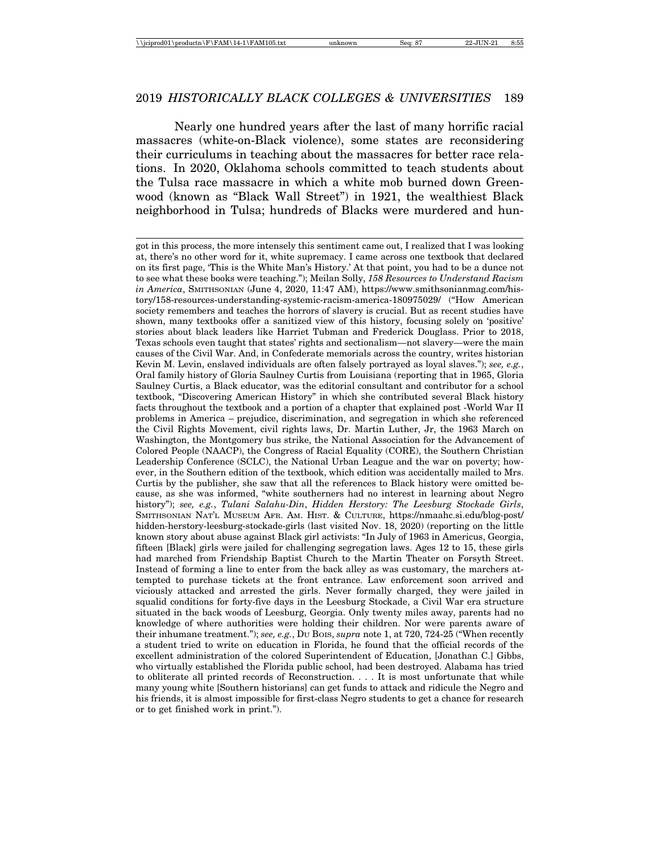Nearly one hundred years after the last of many horrific racial massacres (white-on-Black violence), some states are reconsidering their curriculums in teaching about the massacres for better race relations. In 2020, Oklahoma schools committed to teach students about the Tulsa race massacre in which a white mob burned down Greenwood (known as "Black Wall Street") in 1921, the wealthiest Black neighborhood in Tulsa; hundreds of Blacks were murdered and hun-

got in this process, the more intensely this sentiment came out, I realized that I was looking at, there's no other word for it, white supremacy. I came across one textbook that declared on its first page, 'This is the White Man's History.' At that point, you had to be a dunce not to see what these books were teaching."); Meilan Solly, *158 Resources to Understand Racism in America*, SMITHSONIAN (June 4, 2020, 11:47 AM), https://www.smithsonianmag.com/history/158-resources-understanding-systemic-racism-america-180975029/ ("How American society remembers and teaches the horrors of slavery is crucial. But as recent studies have shown, many textbooks offer a sanitized view of this history, focusing solely on 'positive' stories about black leaders like Harriet Tubman and Frederick Douglass. Prior to 2018, Texas schools even taught that states' rights and sectionalism—not slavery—were the main causes of the Civil War. And, in Confederate memorials across the country, writes historian Kevin M. Levin, enslaved individuals are often falsely portrayed as loyal slaves."); *see, e.g.*, Oral family history of Gloria Saulney Curtis from Louisiana (reporting that in 1965, Gloria Saulney Curtis, a Black educator, was the editorial consultant and contributor for a school textbook, "Discovering American History" in which she contributed several Black history facts throughout the textbook and a portion of a chapter that explained post -World War II problems in America – prejudice, discrimination, and segregation in which she referenced the Civil Rights Movement, civil rights laws, Dr. Martin Luther, Jr, the 1963 March on Washington, the Montgomery bus strike, the National Association for the Advancement of Colored People (NAACP), the Congress of Racial Equality (CORE), the Southern Christian Leadership Conference (SCLC), the National Urban League and the war on poverty; however, in the Southern edition of the textbook, which edition was accidentally mailed to Mrs. Curtis by the publisher, she saw that all the references to Black history were omitted because, as she was informed, "white southerners had no interest in learning about Negro history"); *see, e.g.*, *Tulani Salahu-Din*, *Hidden Herstory: The Leesburg Stockade Girls*, SMITHSONIAN NAT'L MUSEUM AFR. AM. HIST. & CULTURE, https://nmaahc.si.edu/blog-post/ hidden-herstory-leesburg-stockade-girls (last visited Nov. 18, 2020) (reporting on the little known story about abuse against Black girl activists: "In July of 1963 in Americus, Georgia, fifteen [Black] girls were jailed for challenging segregation laws. Ages 12 to 15, these girls had marched from Friendship Baptist Church to the Martin Theater on Forsyth Street. Instead of forming a line to enter from the back alley as was customary, the marchers attempted to purchase tickets at the front entrance. Law enforcement soon arrived and viciously attacked and arrested the girls. Never formally charged, they were jailed in squalid conditions for forty-five days in the Leesburg Stockade, a Civil War era structure situated in the back woods of Leesburg, Georgia. Only twenty miles away, parents had no knowledge of where authorities were holding their children. Nor were parents aware of their inhumane treatment."); *see, e.g.*, DU BOIS, *supra* note 1, at 720, 724-25 ("When recently a student tried to write on education in Florida, he found that the official records of the excellent administration of the colored Superintendent of Education, [Jonathan C.] Gibbs, who virtually established the Florida public school, had been destroyed. Alabama has tried to obliterate all printed records of Reconstruction. . . . It is most unfortunate that while many young white [Southern historians] can get funds to attack and ridicule the Negro and his friends, it is almost impossible for first-class Negro students to get a chance for research or to get finished work in print.").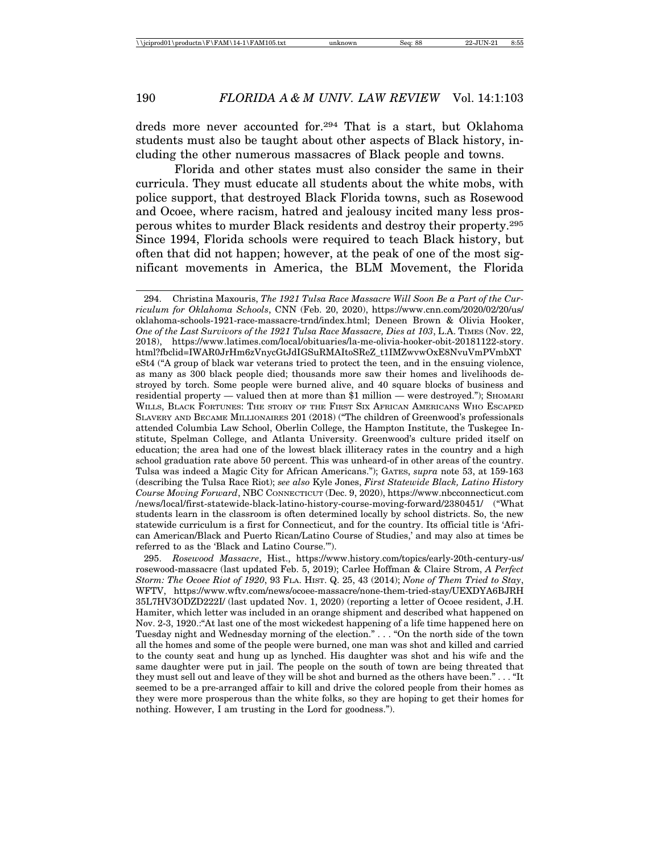dreds more never accounted for.294 That is a start, but Oklahoma students must also be taught about other aspects of Black history, including the other numerous massacres of Black people and towns.

Florida and other states must also consider the same in their curricula. They must educate all students about the white mobs, with police support, that destroyed Black Florida towns, such as Rosewood and Ocoee, where racism, hatred and jealousy incited many less prosperous whites to murder Black residents and destroy their property.295 Since 1994, Florida schools were required to teach Black history, but often that did not happen; however, at the peak of one of the most significant movements in America, the BLM Movement, the Florida

<sup>294.</sup> Christina Maxouris, *The 1921 Tulsa Race Massacre Will Soon Be a Part of the Curriculum for Oklahoma Schools*, CNN (Feb. 20, 2020), https://www.cnn.com/2020/02/20/us/ oklahoma-schools-1921-race-massacre-trnd/index.html; Deneen Brown & Olivia Hooker, *One of the Last Survivors of the 1921 Tulsa Race Massacre, Dies at 103*, L.A. TIMES (Nov. 22, 2018), https://www.latimes.com/local/obituaries/la-me-olivia-hooker-obit-20181122-story. html?fbclid=IWAR0JrHm6zVnycGtJdIGSuRMAItoSReZ\_t1IMZwvwOxE8NvuVmPVmbXT eSt4 ("A group of black war veterans tried to protect the teen, and in the ensuing violence, as many as 300 black people died; thousands more saw their homes and livelihoods destroyed by torch. Some people were burned alive, and 40 square blocks of business and residential property — valued then at more than  $$1$  million — were destroyed."); SHOMARI WILLS, BLACK FORTUNES: THE STORY OF THE FIRST SIX AFRICAN AMERICANS WHO ESCAPED SLAVERY AND BECAME MILLIONAIRES 201 (2018) ("The children of Greenwood's professionals attended Columbia Law School, Oberlin College, the Hampton Institute, the Tuskegee Institute, Spelman College, and Atlanta University. Greenwood's culture prided itself on education; the area had one of the lowest black illiteracy rates in the country and a high school graduation rate above 50 percent. This was unheard-of in other areas of the country. Tulsa was indeed a Magic City for African Americans."); GATES, *supra* note 53, at 159-163 (describing the Tulsa Race Riot); *see also* Kyle Jones, *First Statewide Black, Latino History Course Moving Forward*, NBC CONNECTICUT (Dec. 9, 2020), https://www.nbcconnecticut.com /news/local/first-statewide-black-latino-history-course-moving-forward/2380451/ ("What students learn in the classroom is often determined locally by school districts. So, the new statewide curriculum is a first for Connecticut, and for the country. Its official title is 'African American/Black and Puerto Rican/Latino Course of Studies,' and may also at times be referred to as the 'Black and Latino Course.'").

<sup>295.</sup> *Rosewood Massacre*, Hist., https://www.history.com/topics/early-20th-century-us/ rosewood-massacre (last updated Feb. 5, 2019); Carlee Hoffman & Claire Strom, *A Perfect Storm: The Ocoee Riot of 1920*, 93 FLA. HIST. Q. 25, 43 (2014); *None of Them Tried to Stay*, WFTV, https://www.wftv.com/news/ocoee-massacre/none-them-tried-stay/UEXDYA6BJRH 35L7HV3ODZD222I/ (last updated Nov. 1, 2020) (reporting a letter of Ocoee resident, J.H. Hamiter, which letter was included in an orange shipment and described what happened on Nov. 2-3, 1920.:"At last one of the most wickedest happening of a life time happened here on Tuesday night and Wednesday morning of the election." . . . "On the north side of the town all the homes and some of the people were burned, one man was shot and killed and carried to the county seat and hung up as lynched. His daughter was shot and his wife and the same daughter were put in jail. The people on the south of town are being threated that they must sell out and leave of they will be shot and burned as the others have been." . . . "It seemed to be a pre-arranged affair to kill and drive the colored people from their homes as they were more prosperous than the white folks, so they are hoping to get their homes for nothing. However, I am trusting in the Lord for goodness.").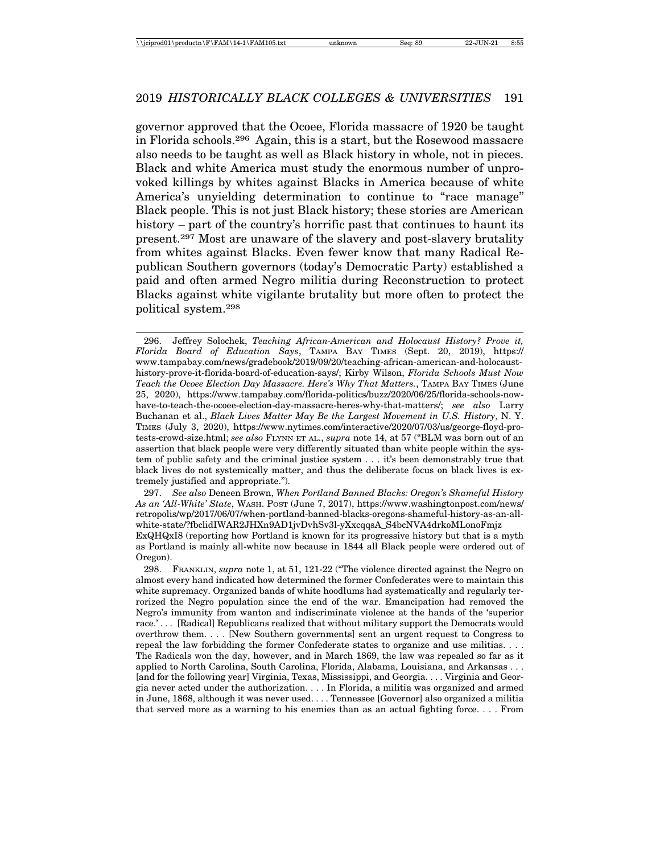governor approved that the Ocoee, Florida massacre of 1920 be taught in Florida schools.296 Again, this is a start, but the Rosewood massacre also needs to be taught as well as Black history in whole, not in pieces. Black and white America must study the enormous number of unprovoked killings by whites against Blacks in America because of white America's unyielding determination to continue to "race manage" Black people. This is not just Black history; these stories are American history – part of the country's horrific past that continues to haunt its present.297 Most are unaware of the slavery and post-slavery brutality from whites against Blacks. Even fewer know that many Radical Republican Southern governors (today's Democratic Party) established a paid and often armed Negro militia during Reconstruction to protect Blacks against white vigilante brutality but more often to protect the political system.298

297. *See also* Deneen Brown, *When Portland Banned Blacks: Oregon's Shameful History As an 'All-White' State*, WASH. POST (June 7, 2017), https://www.washingtonpost.com/news/ retropolis/wp/2017/06/07/when-portland-banned-blacks-oregons-shameful-history-as-an-allwhite-state/?fbclidIWAR2JHXn9AD1jvDvhSv3l-yXxcqqsA\_S4bcNVA4drkoMLonoFmjz ExQHQxI8 (reporting how Portland is known for its progressive history but that is a myth as Portland is mainly all-white now because in 1844 all Black people were ordered out of Oregon).

<sup>296.</sup> Jeffrey Solochek, *Teaching African-American and Holocaust History? Prove it, Florida Board of Education Says*, TAMPA BAY TIMES (Sept. 20, 2019), https:// www.tampabay.com/news/gradebook/2019/09/20/teaching-african-american-and-holocausthistory-prove-it-florida-board-of-education-says/; Kirby Wilson, *Florida Schools Must Now Teach the Ocoee Election Day Massacre. Here's Why That Matters.*, TAMPA BAY TIMES (June 25, 2020), https://www.tampabay.com/florida-politics/buzz/2020/06/25/florida-schools-nowhave-to-teach-the-ocoee-election-day-massacre-heres-why-that-matters/; *see also* Larry Buchanan et al., *Black Lives Matter May Be the Largest Movement in U.S. History*, N. Y. TIMES (July 3, 2020), https://www.nytimes.com/interactive/2020/07/03/us/george-floyd-protests-crowd-size.html; *see also* FLYNN ET AL., *supra* note 14, at 57 ("BLM was born out of an assertion that black people were very differently situated than white people within the system of public safety and the criminal justice system . . . it's been demonstrably true that black lives do not systemically matter, and thus the deliberate focus on black lives is extremely justified and appropriate.").

<sup>298.</sup> FRANKLIN, *supra* note 1, at 51, 121-22 ("The violence directed against the Negro on almost every hand indicated how determined the former Confederates were to maintain this white supremacy. Organized bands of white hoodlums had systematically and regularly terrorized the Negro population since the end of the war. Emancipation had removed the Negro's immunity from wanton and indiscriminate violence at the hands of the 'superior race.' . . . [Radical] Republicans realized that without military support the Democrats would overthrow them. . . . [New Southern governments] sent an urgent request to Congress to repeal the law forbidding the former Confederate states to organize and use militias. . . . The Radicals won the day, however, and in March 1869, the law was repealed so far as it applied to North Carolina, South Carolina, Florida, Alabama, Louisiana, and Arkansas . . . [and for the following year] Virginia, Texas, Mississippi, and Georgia. . . . Virginia and Georgia never acted under the authorization. . . . In Florida, a militia was organized and armed in June, 1868, although it was never used. . . . Tennessee [Governor] also organized a militia that served more as a warning to his enemies than as an actual fighting force. . . . From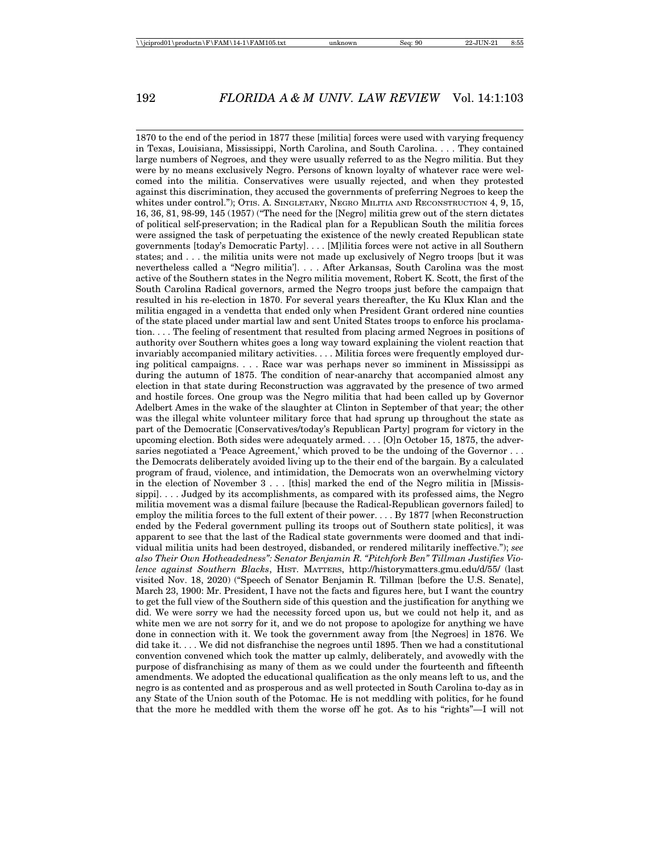1870 to the end of the period in 1877 these [militia] forces were used with varying frequency in Texas, Louisiana, Mississippi, North Carolina, and South Carolina. . . . They contained large numbers of Negroes, and they were usually referred to as the Negro militia. But they were by no means exclusively Negro. Persons of known loyalty of whatever race were welcomed into the militia. Conservatives were usually rejected, and when they protested against this discrimination, they accused the governments of preferring Negroes to keep the whites under control."); OTIS. A. SINGLETARY, NEGRO MILITIA AND RECONSTRUCTION 4, 9, 15, 16, 36, 81, 98-99, 145 (1957) ("The need for the [Negro] militia grew out of the stern dictates of political self-preservation; in the Radical plan for a Republican South the militia forces were assigned the task of perpetuating the existence of the newly created Republican state governments [today's Democratic Party]. . . . [M]ilitia forces were not active in all Southern states; and . . . the militia units were not made up exclusively of Negro troops [but it was nevertheless called a "Negro militia']. . . . After Arkansas, South Carolina was the most active of the Southern states in the Negro militia movement, Robert K. Scott, the first of the South Carolina Radical governors, armed the Negro troops just before the campaign that resulted in his re-election in 1870. For several years thereafter, the Ku Klux Klan and the militia engaged in a vendetta that ended only when President Grant ordered nine counties of the state placed under martial law and sent United States troops to enforce his proclamation. . . . The feeling of resentment that resulted from placing armed Negroes in positions of authority over Southern whites goes a long way toward explaining the violent reaction that invariably accompanied military activities. . . . Militia forces were frequently employed during political campaigns. . . . Race war was perhaps never so imminent in Mississippi as during the autumn of 1875. The condition of near-anarchy that accompanied almost any election in that state during Reconstruction was aggravated by the presence of two armed and hostile forces. One group was the Negro militia that had been called up by Governor Adelbert Ames in the wake of the slaughter at Clinton in September of that year; the other was the illegal white volunteer military force that had sprung up throughout the state as part of the Democratic [Conservatives/today's Republican Party] program for victory in the upcoming election. Both sides were adequately armed. . . . [O]n October 15, 1875, the adversaries negotiated a 'Peace Agreement,' which proved to be the undoing of the Governor . . . the Democrats deliberately avoided living up to the their end of the bargain. By a calculated program of fraud, violence, and intimidation, the Democrats won an overwhelming victory in the election of November  $3 \ldots$  [this] marked the end of the Negro militia in [Mississippi]. . . . Judged by its accomplishments, as compared with its professed aims, the Negro militia movement was a dismal failure [because the Radical-Republican governors failed] to employ the militia forces to the full extent of their power. . . . By 1877 [when Reconstruction ended by the Federal government pulling its troops out of Southern state politics], it was apparent to see that the last of the Radical state governments were doomed and that individual militia units had been destroyed, disbanded, or rendered militarily ineffective."); *see also Their Own Hotheadedness": Senator Benjamin R. "Pitchfork Ben" Tillman Justifies Violence against Southern Blacks*, HIST. MATTERS, http://historymatters.gmu.edu/d/55/ (last visited Nov. 18, 2020) ("Speech of Senator Benjamin R. Tillman [before the U.S. Senate], March 23, 1900: Mr. President, I have not the facts and figures here, but I want the country to get the full view of the Southern side of this question and the justification for anything we did. We were sorry we had the necessity forced upon us, but we could not help it, and as white men we are not sorry for it, and we do not propose to apologize for anything we have done in connection with it. We took the government away from [the Negroes] in 1876. We did take it. . . . We did not disfranchise the negroes until 1895. Then we had a constitutional convention convened which took the matter up calmly, deliberately, and avowedly with the purpose of disfranchising as many of them as we could under the fourteenth and fifteenth amendments. We adopted the educational qualification as the only means left to us, and the negro is as contented and as prosperous and as well protected in South Carolina to-day as in any State of the Union south of the Potomac. He is not meddling with politics, for he found that the more he meddled with them the worse off he got. As to his "rights"—I will not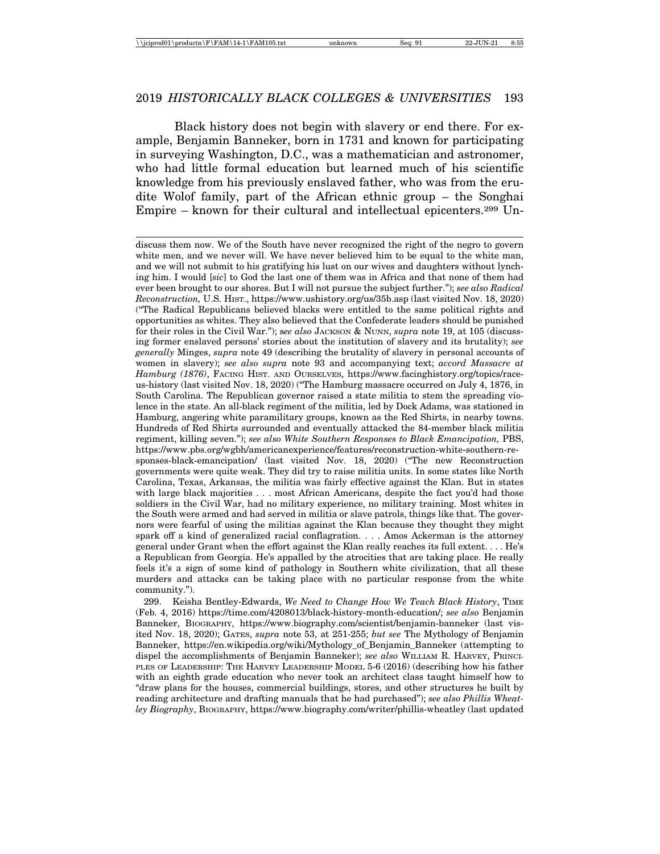Black history does not begin with slavery or end there. For example, Benjamin Banneker, born in 1731 and known for participating in surveying Washington, D.C., was a mathematician and astronomer, who had little formal education but learned much of his scientific knowledge from his previously enslaved father, who was from the erudite Wolof family, part of the African ethnic group – the Songhai Empire – known for their cultural and intellectual epicenters.299 Un-

299. Keisha Bentley-Edwards, *We Need to Change How We Teach Black History*, TIME (Feb. 4, 2016) https://time.com/4208013/black-history-month-education/; *see also* Benjamin Banneker, BIOGRAPHY, https://www.biography.com/scientist/benjamin-banneker (last visited Nov. 18, 2020); GATES, *supra* note 53, at 251-255; *but see* The Mythology of Benjamin Banneker, https://en.wikipedia.org/wiki/Mythology\_of\_Benjamin\_Banneker (attempting to dispel the accomplishments of Benjamin Banneker); *see also* WILLIAM R. HARVEY, PRINCI-PLES OF LEADERSHIP: THE HARVEY LEADERSHIP MODEL 5-6 (2016) (describing how his father with an eighth grade education who never took an architect class taught himself how to "draw plans for the houses, commercial buildings, stores, and other structures he built by reading architecture and drafting manuals that he had purchased"); *see also Phillis Wheatley Biography*, BIOGRAPHY, https://www.biography.com/writer/phillis-wheatley (last updated

discuss them now. We of the South have never recognized the right of the negro to govern white men, and we never will. We have never believed him to be equal to the white man, and we will not submit to his gratifying his lust on our wives and daughters without lynching him. I would [*sic*] to God the last one of them was in Africa and that none of them had ever been brought to our shores. But I will not pursue the subject further."); *see also Radical Reconstruction,* U.S. HIST., https://www.ushistory.org/us/35b.asp (last visited Nov. 18, 2020) ("The Radical Republicans believed blacks were entitled to the same political rights and opportunities as whites. They also believed that the Confederate leaders should be punished for their roles in the Civil War."); s*ee also* JACKSON & NUNN, *supra* note 19, at 105 (discussing former enslaved persons' stories about the institution of slavery and its brutality); *see generally* Minges, *supra* note 49 (describing the brutality of slavery in personal accounts of women in slavery); *see also supra* note 93 and accompanying text; *accord Massacre at Hamburg (1876)*, FACING HIST. AND OURSELVES, https://www.facinghistory.org/topics/raceus-history (last visited Nov. 18, 2020) ("The Hamburg massacre occurred on July 4, 1876, in South Carolina. The Republican governor raised a state militia to stem the spreading violence in the state. An all-black regiment of the militia, led by Dock Adams, was stationed in Hamburg, angering white paramilitary groups, known as the Red Shirts, in nearby towns. Hundreds of Red Shirts surrounded and eventually attacked the 84-member black militia regiment, killing seven."); *see also White Southern Responses to Black Emancipation,* PBS, https://www.pbs.org/wgbh/americanexperience/features/reconstruction-white-southern-responses-black-emancipation/ (last visited Nov. 18, 2020) ("The new Reconstruction governments were quite weak. They did try to raise militia units. In some states like North Carolina, Texas, Arkansas, the militia was fairly effective against the Klan. But in states with large black majorities . . . most African Americans, despite the fact you'd had those soldiers in the Civil War, had no military experience, no military training. Most whites in the South were armed and had served in militia or slave patrols, things like that. The governors were fearful of using the militias against the Klan because they thought they might spark off a kind of generalized racial conflagration. . . . Amos Ackerman is the attorney general under Grant when the effort against the Klan really reaches its full extent. . . . He's a Republican from Georgia. He's appalled by the atrocities that are taking place. He really feels it's a sign of some kind of pathology in Southern white civilization, that all these murders and attacks can be taking place with no particular response from the white community.").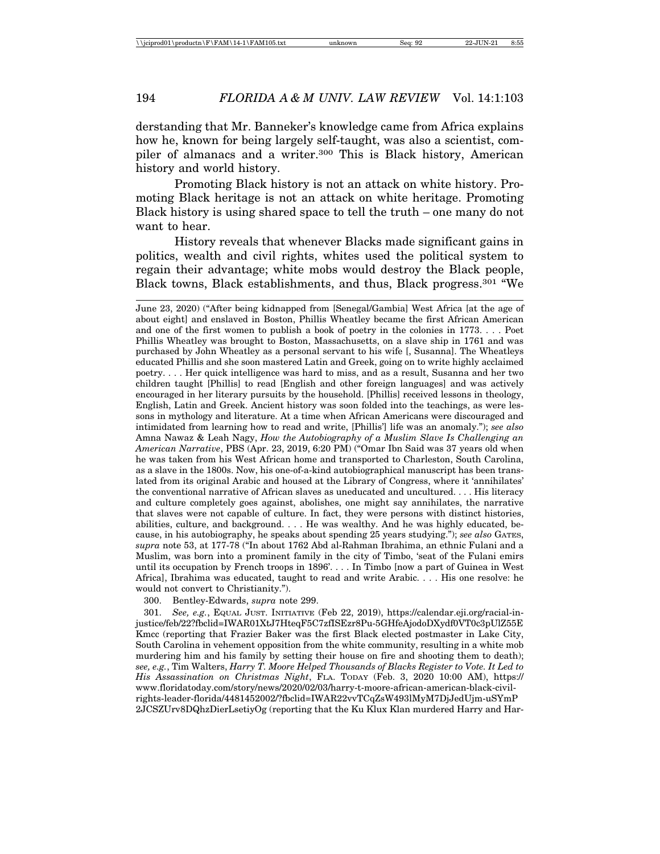derstanding that Mr. Banneker's knowledge came from Africa explains how he, known for being largely self-taught, was also a scientist, compiler of almanacs and a writer.300 This is Black history, American history and world history.

Promoting Black history is not an attack on white history. Promoting Black heritage is not an attack on white heritage. Promoting Black history is using shared space to tell the truth – one many do not want to hear.

History reveals that whenever Blacks made significant gains in politics, wealth and civil rights, whites used the political system to regain their advantage; white mobs would destroy the Black people, Black towns, Black establishments, and thus, Black progress.301 "We

300. Bentley-Edwards, *supra* note 299.

301. *See, e.g.*, EQUAL JUST. INITIATIVE (Feb 22, 2019), https://calendar.eji.org/racial-injustice/feb/22?fbclid=IWAR01XtJ7HteqF5C7zfISEzr8Pu-5GHfeAjodoDXydf0VT0c3pUlZ55E Kmcc (reporting that Frazier Baker was the first Black elected postmaster in Lake City, South Carolina in vehement opposition from the white community, resulting in a white mob murdering him and his family by setting their house on fire and shooting them to death); *see, e.g.*, Tim Walters, *Harry T. Moore Helped Thousands of Blacks Register to Vote. It Led to His Assassination on Christmas Night*, FLA. TODAY (Feb. 3, 2020 10:00 AM), https:// www.floridatoday.com/story/news/2020/02/03/harry-t-moore-african-american-black-civilrights-leader-florida/4481452002/?fbclid=IWAR22vvTCqZsW493lMyM7DjJedUjm-uSYmP 2JCSZUrv8DQhzDierLsetiyOg (reporting that the Ku Klux Klan murdered Harry and Har-

June 23, 2020) ("After being kidnapped from [Senegal/Gambia] West Africa [at the age of about eight] and enslaved in Boston, Phillis Wheatley became the first African American and one of the first women to publish a book of poetry in the colonies in 1773. . . . Poet Phillis Wheatley was brought to Boston, Massachusetts, on a slave ship in 1761 and was purchased by John Wheatley as a personal servant to his wife [, Susanna]. The Wheatleys educated Phillis and she soon mastered Latin and Greek, going on to write highly acclaimed poetry. . . . Her quick intelligence was hard to miss, and as a result, Susanna and her two children taught [Phillis] to read [English and other foreign languages] and was actively encouraged in her literary pursuits by the household. [Phillis] received lessons in theology, English, Latin and Greek. Ancient history was soon folded into the teachings, as were lessons in mythology and literature. At a time when African Americans were discouraged and intimidated from learning how to read and write, [Phillis'] life was an anomaly."); *see also* Amna Nawaz & Leah Nagy, *How the Autobiography of a Muslim Slave Is Challenging an American Narrative*, PBS (Apr. 23, 2019, 6:20 PM) ("Omar Ibn Said was 37 years old when he was taken from his West African home and transported to Charleston, South Carolina, as a slave in the 1800s. Now, his one-of-a-kind autobiographical manuscript has been translated from its original Arabic and housed at the Library of Congress, where it 'annihilates' the conventional narrative of African slaves as uneducated and uncultured. . . . His literacy and culture completely goes against, abolishes, one might say annihilates, the narrative that slaves were not capable of culture. In fact, they were persons with distinct histories, abilities, culture, and background. . . . He was wealthy. And he was highly educated, because, in his autobiography, he speaks about spending 25 years studying."); *see also* GATES, *supra* note 53, at 177-78 ("In about 1762 Abd al-Rahman Ibrahima, an ethnic Fulani and a Muslim, was born into a prominent family in the city of Timbo, 'seat of the Fulani emirs until its occupation by French troops in 1896'. . . . In Timbo [now a part of Guinea in West Africa], Ibrahima was educated, taught to read and write Arabic. . . . His one resolve: he would not convert to Christianity.").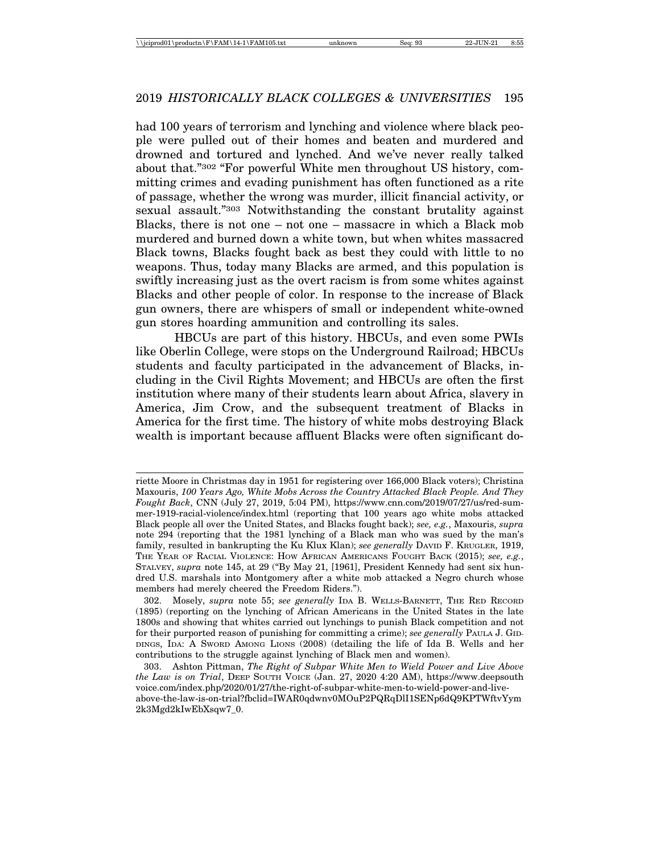had 100 years of terrorism and lynching and violence where black people were pulled out of their homes and beaten and murdered and drowned and tortured and lynched. And we've never really talked about that."302 "For powerful White men throughout US history, committing crimes and evading punishment has often functioned as a rite of passage, whether the wrong was murder, illicit financial activity, or sexual assault."303 Notwithstanding the constant brutality against Blacks, there is not one – not one – massacre in which a Black mob murdered and burned down a white town, but when whites massacred Black towns, Blacks fought back as best they could with little to no weapons. Thus, today many Blacks are armed, and this population is swiftly increasing just as the overt racism is from some whites against Blacks and other people of color. In response to the increase of Black gun owners, there are whispers of small or independent white-owned gun stores hoarding ammunition and controlling its sales.

HBCUs are part of this history. HBCUs, and even some PWIs like Oberlin College, were stops on the Underground Railroad; HBCUs students and faculty participated in the advancement of Blacks, including in the Civil Rights Movement; and HBCUs are often the first institution where many of their students learn about Africa, slavery in America, Jim Crow, and the subsequent treatment of Blacks in America for the first time. The history of white mobs destroying Black wealth is important because affluent Blacks were often significant do-

riette Moore in Christmas day in 1951 for registering over 166,000 Black voters); Christina Maxouris, *100 Years Ago, White Mobs Across the Country Attacked Black People. And They Fought Back*, CNN (July 27, 2019, 5:04 PM), https://www.cnn.com/2019/07/27/us/red-summer-1919-racial-violence/index.html (reporting that 100 years ago white mobs attacked Black people all over the United States, and Blacks fought back); *see, e.g.*, Maxouris, *supra* note 294 (reporting that the 1981 lynching of a Black man who was sued by the man's family, resulted in bankrupting the Ku Klux Klan); *see generally* DAVID F. KRUGLER, 1919, THE YEAR OF RACIAL VIOLENCE: HOW AFRICAN AMERICANS FOUGHT BACK (2015); *see, e.g.*, STALVEY, *supra* note 145, at 29 ("By May 21, [1961], President Kennedy had sent six hundred U.S. marshals into Montgomery after a white mob attacked a Negro church whose members had merely cheered the Freedom Riders.").

<sup>302.</sup> Mosely, *supra* note 55; *see generally* IDA B. WELLS-BARNETT, THE RED RECORD (1895) (reporting on the lynching of African Americans in the United States in the late 1800s and showing that whites carried out lynchings to punish Black competition and not for their purported reason of punishing for committing a crime); *see generally* PAULA J. GID-DINGS, IDA: A SWORD AMONG LIONS (2008) (detailing the life of Ida B. Wells and her contributions to the struggle against lynching of Black men and women).

<sup>303.</sup> Ashton Pittman, *The Right of Subpar White Men to Wield Power and Live Above the Law is on Trial*, DEEP SOUTH VOICE (Jan. 27, 2020 4:20 AM), https://www.deepsouth voice.com/index.php/2020/01/27/the-right-of-subpar-white-men-to-wield-power-and-liveabove-the-law-is-on-trial?fbclid=IWAR0qdwnv0MOuP2PQRqDlI1SENp6dQ9KPTWftvYym 2k3Mgd2kIwEbXsqw7\_0.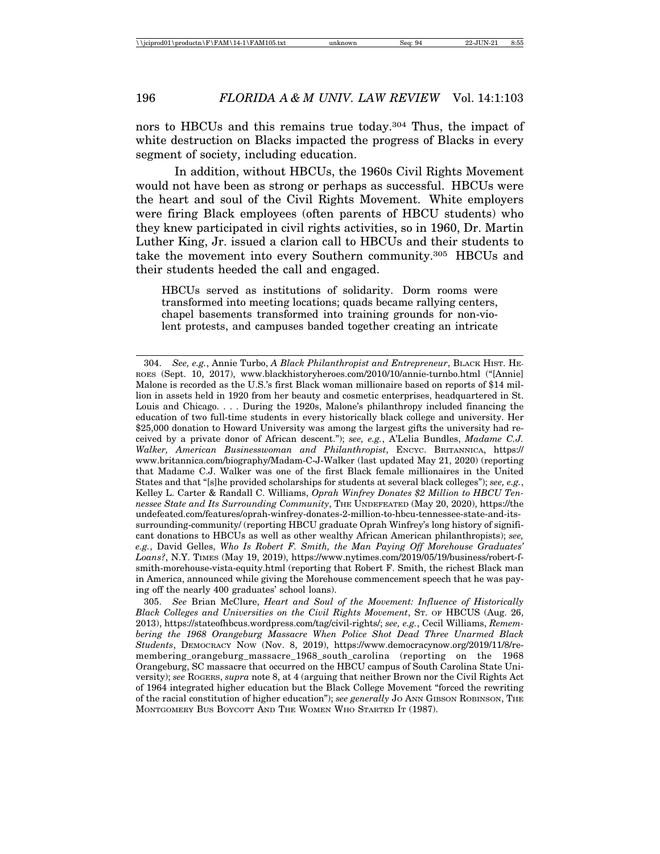nors to HBCUs and this remains true today.304 Thus, the impact of white destruction on Blacks impacted the progress of Blacks in every segment of society, including education.

In addition, without HBCUs, the 1960s Civil Rights Movement would not have been as strong or perhaps as successful. HBCUs were the heart and soul of the Civil Rights Movement. White employers were firing Black employees (often parents of HBCU students) who they knew participated in civil rights activities, so in 1960, Dr. Martin Luther King, Jr. issued a clarion call to HBCUs and their students to take the movement into every Southern community.305 HBCUs and their students heeded the call and engaged.

HBCUs served as institutions of solidarity. Dorm rooms were transformed into meeting locations; quads became rallying centers, chapel basements transformed into training grounds for non-violent protests, and campuses banded together creating an intricate

<sup>304.</sup> *See, e.g.*, Annie Turbo, *A Black Philanthropist and Entrepreneur*, BLACK HIST. HE-ROES (Sept. 10, 2017), www.blackhistoryheroes.com/2010/10/annie-turnbo.html ("[Annie] Malone is recorded as the U.S.'s first Black woman millionaire based on reports of \$14 million in assets held in 1920 from her beauty and cosmetic enterprises, headquartered in St. Louis and Chicago. . . . During the 1920s, Malone's philanthropy included financing the education of two full-time students in every historically black college and university. Her \$25,000 donation to Howard University was among the largest gifts the university had received by a private donor of African descent."); *see, e.g.*, A'Lelia Bundles, *Madame C.J. Walker, American Businesswoman and Philanthropist*, ENCYC. BRITANNICA, https:// www.britannica.com/biography/Madam-C-J-Walker (last updated May 21, 2020) (reporting that Madame C.J. Walker was one of the first Black female millionaires in the United States and that "[s]he provided scholarships for students at several black colleges"); *see, e.g.*, Kelley L. Carter & Randall C. Williams, *Oprah Winfrey Donates \$2 Million to HBCU Tennessee State and Its Surrounding Community*, THE UNDEFEATED (May 20, 2020), https://the undefeated.com/features/oprah-winfrey-donates-2-million-to-hbcu-tennessee-state-and-itssurrounding-community/ (reporting HBCU graduate Oprah Winfrey's long history of significant donations to HBCUs as well as other wealthy African American philanthropists); *see, e.g.*, David Gelles, *Who Is Robert F. Smith, the Man Paying Off Morehouse Graduates' Loans?*, N.Y. TIMES (May 19, 2019), https://www.nytimes.com/2019/05/19/business/robert-fsmith-morehouse-vista-equity.html (reporting that Robert F. Smith, the richest Black man in America, announced while giving the Morehouse commencement speech that he was paying off the nearly 400 graduates' school loans).

<sup>305.</sup> *See* Brian McClure, *Heart and Soul of the Movement: Influence of Historically Black Colleges and Universities on the Civil Rights Movement*, ST. OF HBCUS (Aug. 26, 2013), https://stateofhbcus.wordpress.com/tag/civil-rights/; *see, e.g.*, Cecil Williams, *Remembering the 1968 Orangeburg Massacre When Police Shot Dead Three Unarmed Black Students*, DEMOCRACY NOW (Nov. 8, 2019), https://www.democracynow.org/2019/11/8/remembering\_orangeburg\_massacre\_1968\_south\_carolina (reporting on the 1968 Orangeburg, SC massacre that occurred on the HBCU campus of South Carolina State University); *see* ROGERS, *supra* note 8, at 4 (arguing that neither Brown nor the Civil Rights Act of 1964 integrated higher education but the Black College Movement "forced the rewriting of the racial constitution of higher education"); *see generally* JO ANN GIBSON ROBINSON, THE MONTGOMERY BUS BOYCOTT AND THE WOMEN WHO STARTED IT (1987).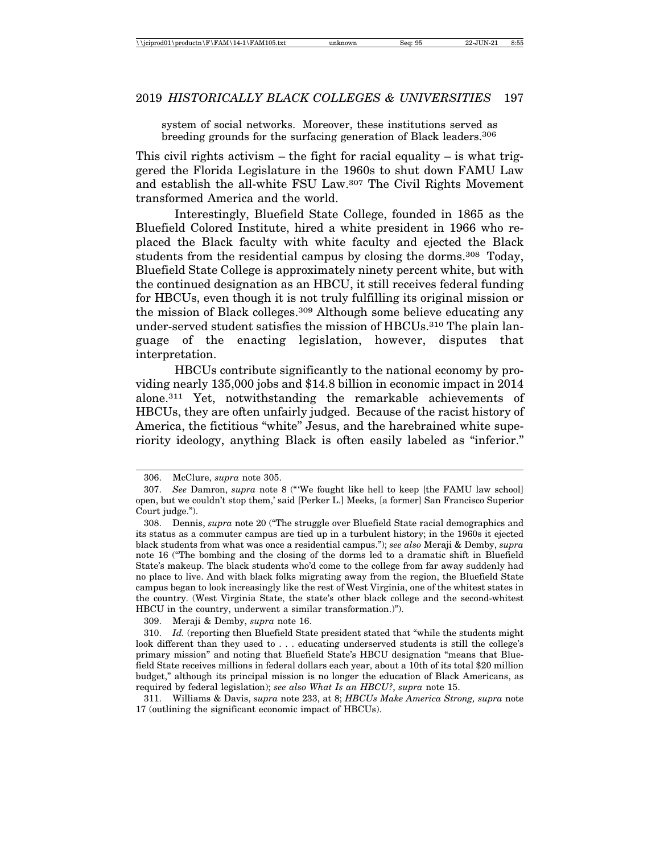system of social networks. Moreover, these institutions served as breeding grounds for the surfacing generation of Black leaders.306

This civil rights activism – the fight for racial equality – is what triggered the Florida Legislature in the 1960s to shut down FAMU Law and establish the all-white FSU Law.307 The Civil Rights Movement transformed America and the world.

Interestingly, Bluefield State College, founded in 1865 as the Bluefield Colored Institute, hired a white president in 1966 who replaced the Black faculty with white faculty and ejected the Black students from the residential campus by closing the dorms.<sup>308</sup> Today, Bluefield State College is approximately ninety percent white, but with the continued designation as an HBCU, it still receives federal funding for HBCUs, even though it is not truly fulfilling its original mission or the mission of Black colleges.309 Although some believe educating any under-served student satisfies the mission of HBCUs.310 The plain language of the enacting legislation, however, disputes that interpretation.

HBCUs contribute significantly to the national economy by providing nearly 135,000 jobs and \$14.8 billion in economic impact in 2014 alone.311 Yet, notwithstanding the remarkable achievements of HBCUs, they are often unfairly judged. Because of the racist history of America, the fictitious "white" Jesus, and the harebrained white superiority ideology, anything Black is often easily labeled as "inferior."

309. Meraji & Demby, *supra* note 16.

<sup>306.</sup> McClure, *supra* note 305.

<sup>307.</sup> *See* Damron, *supra* note 8 ("'We fought like hell to keep [the FAMU law school] open, but we couldn't stop them,' said [Perker L.] Meeks, [a former] San Francisco Superior Court judge.").

<sup>308.</sup> Dennis, *supra* note 20 ("The struggle over Bluefield State racial demographics and its status as a commuter campus are tied up in a turbulent history; in the 1960s it ejected black students from what was once a residential campus."); *see also* Meraji & Demby, *supra* note 16 ("The bombing and the closing of the dorms led to a dramatic shift in Bluefield State's makeup. The black students who'd come to the college from far away suddenly had no place to live. And with black folks migrating away from the region, the Bluefield State campus began to look increasingly like the rest of West Virginia, one of the whitest states in the country. (West Virginia State, the state's other black college and the second-whitest HBCU in the country, underwent a similar transformation.)").

<sup>310.</sup> *Id.* (reporting then Bluefield State president stated that "while the students might look different than they used to . . . educating underserved students is still the college's primary mission" and noting that Bluefield State's HBCU designation "means that Bluefield State receives millions in federal dollars each year, about a 10th of its total \$20 million budget," although its principal mission is no longer the education of Black Americans, as required by federal legislation); *see also What Is an HBCU?*, *supra* note 15.

<sup>311.</sup> Williams & Davis, *supra* note 233, at 8; *HBCUs Make America Strong, supra* note 17 (outlining the significant economic impact of HBCUs).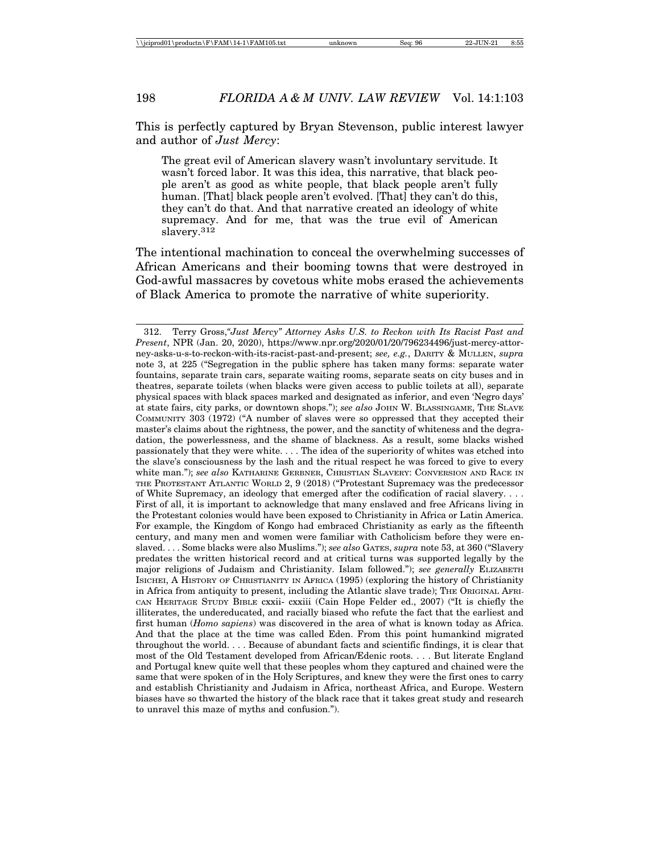This is perfectly captured by Bryan Stevenson, public interest lawyer and author of *Just Mercy*:

The great evil of American slavery wasn't involuntary servitude. It wasn't forced labor. It was this idea, this narrative, that black people aren't as good as white people, that black people aren't fully human. [That] black people aren't evolved. [That] they can't do this, they can't do that. And that narrative created an ideology of white supremacy. And for me, that was the true evil of American slavery.<sup>312</sup>

The intentional machination to conceal the overwhelming successes of African Americans and their booming towns that were destroyed in God-awful massacres by covetous white mobs erased the achievements of Black America to promote the narrative of white superiority.

<sup>312.</sup> Terry Gross,*"Just Mercy" Attorney Asks U.S. to Reckon with Its Racist Past and Present*, NPR (Jan. 20, 2020), https://www.npr.org/2020/01/20/796234496/just-mercy-attorney-asks-u-s-to-reckon-with-its-racist-past-and-present; *see, e.g.*, DARITY & MULLEN, *supra* note 3, at 225 ("Segregation in the public sphere has taken many forms: separate water fountains, separate train cars, separate waiting rooms, separate seats on city buses and in theatres, separate toilets (when blacks were given access to public toilets at all), separate physical spaces with black spaces marked and designated as inferior, and even 'Negro days' at state fairs, city parks, or downtown shops."); *see also* JOHN W. BLASSINGAME, THE SLAVE COMMUNITY 303 (1972) ("A number of slaves were so oppressed that they accepted their master's claims about the rightness, the power, and the sanctity of whiteness and the degradation, the powerlessness, and the shame of blackness. As a result, some blacks wished passionately that they were white. . . . The idea of the superiority of whites was etched into the slave's consciousness by the lash and the ritual respect he was forced to give to every white man."); *see also* KATHARINE GERBNER, CHRISTIAN SLAVERY: CONVERSION AND RACE IN THE PROTESTANT ATLANTIC WORLD 2, 9 (2018) ("Protestant Supremacy was the predecessor of White Supremacy, an ideology that emerged after the codification of racial slavery. . . . First of all, it is important to acknowledge that many enslaved and free Africans living in the Protestant colonies would have been exposed to Christianity in Africa or Latin America. For example, the Kingdom of Kongo had embraced Christianity as early as the fifteenth century, and many men and women were familiar with Catholicism before they were enslaved. . . . Some blacks were also Muslims."); *see also* GATES, *supra* note 53, at 360 ("Slavery predates the written historical record and at critical turns was supported legally by the major religions of Judaism and Christianity. Islam followed."); *see generally* ELIZABETH ISICHEI, A HISTORY OF CHRISTIANITY IN AFRICA (1995) (exploring the history of Christianity in Africa from antiquity to present, including the Atlantic slave trade); THE ORIGINAL AFRI-CAN HERITAGE STUDY BIBLE cxxii- cxxiii (Cain Hope Felder ed., 2007) ("It is chiefly the illiterates, the undereducated, and racially biased who refute the fact that the earliest and first human (*Homo sapiens*) was discovered in the area of what is known today as Africa. And that the place at the time was called Eden. From this point humankind migrated throughout the world. . . . Because of abundant facts and scientific findings, it is clear that most of the Old Testament developed from African/Edenic roots. . . . But literate England and Portugal knew quite well that these peoples whom they captured and chained were the same that were spoken of in the Holy Scriptures, and knew they were the first ones to carry and establish Christianity and Judaism in Africa, northeast Africa, and Europe. Western biases have so thwarted the history of the black race that it takes great study and research to unravel this maze of myths and confusion.").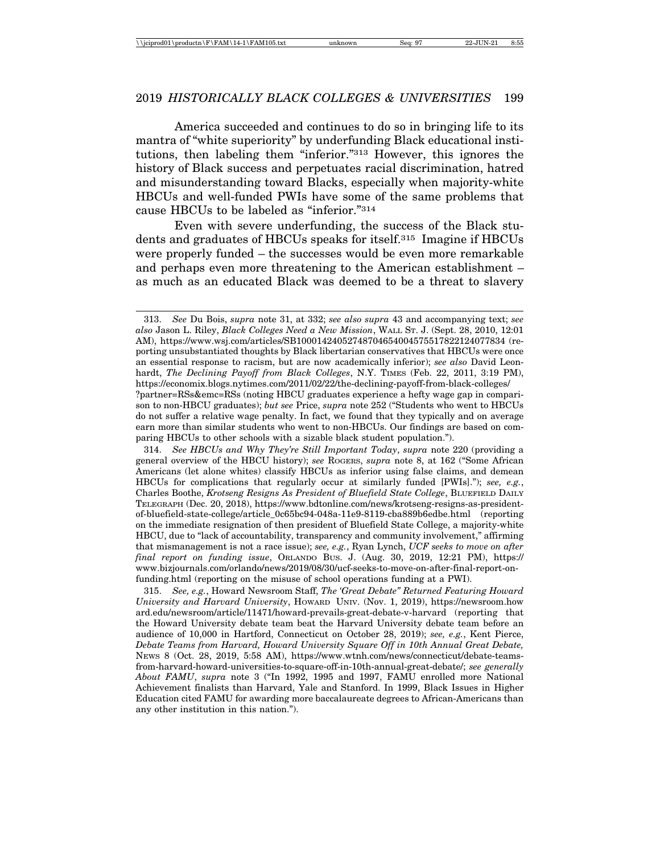America succeeded and continues to do so in bringing life to its mantra of "white superiority" by underfunding Black educational institutions, then labeling them "inferior."313 However, this ignores the history of Black success and perpetuates racial discrimination, hatred and misunderstanding toward Blacks, especially when majority-white HBCUs and well-funded PWIs have some of the same problems that cause HBCUs to be labeled as "inferior."314

Even with severe underfunding, the success of the Black students and graduates of HBCUs speaks for itself.315 Imagine if HBCUs were properly funded – the successes would be even more remarkable and perhaps even more threatening to the American establishment – as much as an educated Black was deemed to be a threat to slavery

<sup>313.</sup> *See* Du Bois, *supra* note 31, at 332; *see also supra* 43 and accompanying text; *see also* Jason L. Riley, *Black Colleges Need a New Mission*, WALL ST. J. (Sept. 28, 2010, 12:01 AM), https://www.wsj.com/articles/SB10001424052748704654004575517822124077834 (reporting unsubstantiated thoughts by Black libertarian conservatives that HBCUs were once an essential response to racism, but are now academically inferior); *see also* David Leonhardt, *The Declining Payoff from Black Colleges*, N.Y. TIMES (Feb. 22, 2011, 3:19 PM), https://economix.blogs.nytimes.com/2011/02/22/the-declining-payoff-from-black-colleges/ ?partner=RSs&emc=RSs (noting HBCU graduates experience a hefty wage gap in comparison to non-HBCU graduates); *but see* Price, *supra* note 252 ("Students who went to HBCUs do not suffer a relative wage penalty. In fact, we found that they typically and on average earn more than similar students who went to non-HBCUs. Our findings are based on comparing HBCUs to other schools with a sizable black student population.").

<sup>314.</sup> *See HBCUs and Why They're Still Important Today*, *supra* note 220 (providing a general overview of the HBCU history); *see* ROGERS, *supra* note 8, at 162 ("Some African Americans (let alone whites) classify HBCUs as inferior using false claims, and demean HBCUs for complications that regularly occur at similarly funded [PWIs]."); *see, e.g.*, Charles Boothe, *Krotseng Resigns As President of Bluefield State College*, BLUEFIELD DAILY TELEGRAPH (Dec. 20, 2018), https://www.bdtonline.com/news/krotseng-resigns-as-presidentof-bluefield-state-college/article\_0c65bc94-048a-11e9-8119-cba889b6edbe.html (reporting on the immediate resignation of then president of Bluefield State College, a majority-white HBCU, due to "lack of accountability, transparency and community involvement," affirming that mismanagement is not a race issue); *see, e.g.*, Ryan Lynch, *UCF seeks to move on after final report on funding issue*, ORLANDO BUS. J. (Aug. 30, 2019, 12:21 PM), https:// www.bizjournals.com/orlando/news/2019/08/30/ucf-seeks-to-move-on-after-final-report-onfunding.html (reporting on the misuse of school operations funding at a PWI).

<sup>315.</sup> *See, e.g.*, Howard Newsroom Staff, *The 'Great Debate" Returned Featuring Howard University and Harvard University*, HOWARD UNIV. (Nov. 1, 2019), https://newsroom.how ard.edu/newsroom/article/11471/howard-prevails-great-debate-v-harvard (reporting that the Howard University debate team beat the Harvard University debate team before an audience of 10,000 in Hartford, Connecticut on October 28, 2019); *see, e.g.*, Kent Pierce, *Debate Teams from Harvard, Howard University Square Off in 10th Annual Great Debate,* NEWS 8 (Oct. 28, 2019, 5:58 AM), https://www.wtnh.com/news/connecticut/debate-teamsfrom-harvard-howard-universities-to-square-off-in-10th-annual-great-debate/; *see generally About FAMU*, *supra* note 3 ("In 1992, 1995 and 1997, FAMU enrolled more National Achievement finalists than Harvard, Yale and Stanford. In 1999, Black Issues in Higher Education cited FAMU for awarding more baccalaureate degrees to African-Americans than any other institution in this nation.").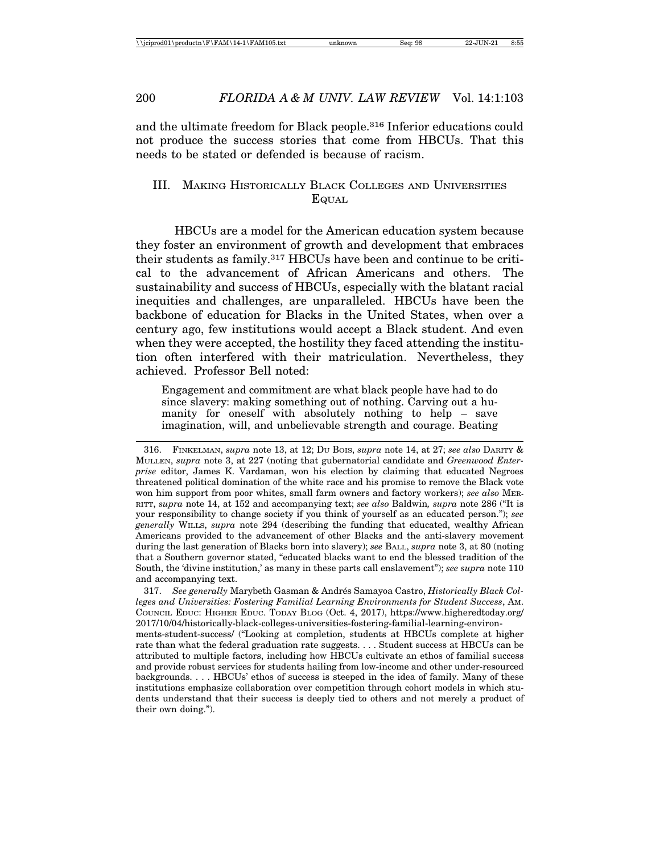and the ultimate freedom for Black people.316 Inferior educations could not produce the success stories that come from HBCUs. That this needs to be stated or defended is because of racism.

## III. MAKING HISTORICALLY BLACK COLLEGES AND UNIVERSITIES EQUAL

HBCUs are a model for the American education system because they foster an environment of growth and development that embraces their students as family.317 HBCUs have been and continue to be critical to the advancement of African Americans and others. The sustainability and success of HBCUs, especially with the blatant racial inequities and challenges, are unparalleled. HBCUs have been the backbone of education for Blacks in the United States, when over a century ago, few institutions would accept a Black student. And even when they were accepted, the hostility they faced attending the institution often interfered with their matriculation. Nevertheless, they achieved. Professor Bell noted:

Engagement and commitment are what black people have had to do since slavery: making something out of nothing. Carving out a humanity for oneself with absolutely nothing to help – save imagination, will, and unbelievable strength and courage. Beating

317. See generally Marybeth Gasman & Andrés Samayoa Castro, *Historically Black Colleges and Universities: Fostering Familial Learning Environments for Student Success*, AM. COUNCIL EDUC: HIGHER EDUC. TODAY BLOG (Oct. 4, 2017), https://www.higheredtoday.org/ 2017/10/04/historically-black-colleges-universities-fostering-familial-learning-environments-student-success/ ("Looking at completion, students at HBCUs complete at higher rate than what the federal graduation rate suggests. . . . Student success at HBCUs can be attributed to multiple factors, including how HBCUs cultivate an ethos of familial success and provide robust services for students hailing from low-income and other under-resourced backgrounds. . . . HBCUs' ethos of success is steeped in the idea of family. Many of these institutions emphasize collaboration over competition through cohort models in which students understand that their success is deeply tied to others and not merely a product of their own doing.").

<sup>316.</sup> FINKELMAN, *supra* note 13, at 12; DU BOIS, *supra* note 14, at 27; *see also* DARITY & MULLEN, *supra* note 3, at 227 (noting that gubernatorial candidate and *Greenwood Enterprise* editor, James K. Vardaman, won his election by claiming that educated Negroes threatened political domination of the white race and his promise to remove the Black vote won him support from poor whites, small farm owners and factory workers); *see also* MER-RITT, *supra* note 14, at 152 and accompanying text; *see also* Baldwin*, supra* note 286 ("It is your responsibility to change society if you think of yourself as an educated person."); *see generally* WILLS, *supra* note 294 (describing the funding that educated, wealthy African Americans provided to the advancement of other Blacks and the anti-slavery movement during the last generation of Blacks born into slavery); *see* BALL, *supra* note 3, at 80 (noting that a Southern governor stated, "educated blacks want to end the blessed tradition of the South, the 'divine institution,' as many in these parts call enslavement"); *see supra* note 110 and accompanying text.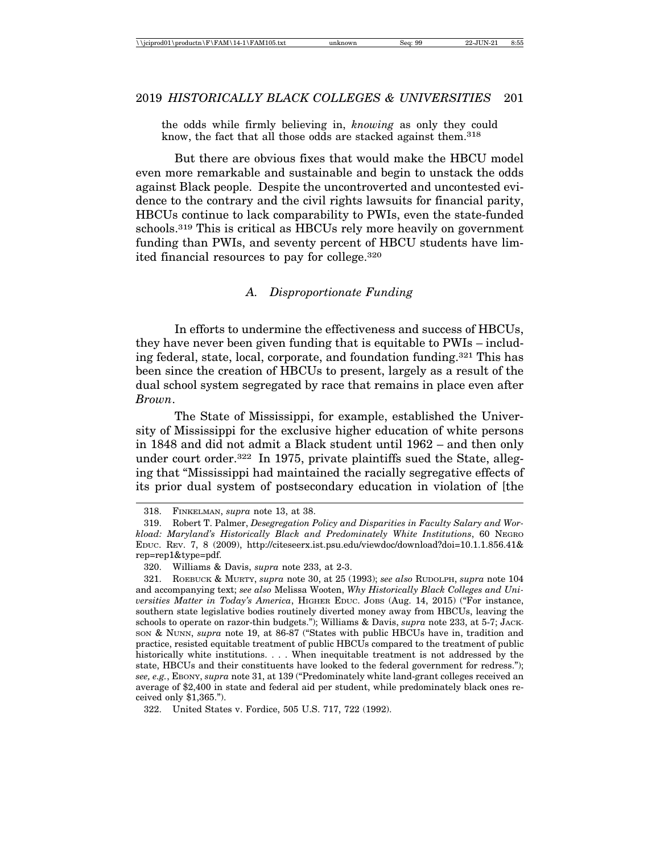the odds while firmly believing in, *knowing* as only they could know, the fact that all those odds are stacked against them.<sup>318</sup>

But there are obvious fixes that would make the HBCU model even more remarkable and sustainable and begin to unstack the odds against Black people. Despite the uncontroverted and uncontested evidence to the contrary and the civil rights lawsuits for financial parity, HBCUs continue to lack comparability to PWIs, even the state-funded schools.319 This is critical as HBCUs rely more heavily on government funding than PWIs, and seventy percent of HBCU students have limited financial resources to pay for college.320

## *A. Disproportionate Funding*

In efforts to undermine the effectiveness and success of HBCUs, they have never been given funding that is equitable to PWIs – including federal, state, local, corporate, and foundation funding.321 This has been since the creation of HBCUs to present, largely as a result of the dual school system segregated by race that remains in place even after *Brown*.

The State of Mississippi, for example, established the University of Mississippi for the exclusive higher education of white persons in 1848 and did not admit a Black student until 1962 – and then only under court order.322 In 1975, private plaintiffs sued the State, alleging that "Mississippi had maintained the racially segregative effects of its prior dual system of postsecondary education in violation of [the

<sup>318.</sup> FINKELMAN, *supra* note 13, at 38.

<sup>319.</sup> Robert T. Palmer, *Desegregation Policy and Disparities in Faculty Salary and Workload: Maryland's Historically Black and Predominately White Institutions*, 60 NEGRO EDUC. REV. 7, 8 (2009), http://citeseerx.ist.psu.edu/viewdoc/download?doi=10.1.1.856.41& rep=rep1&type=pdf.

<sup>320.</sup> Williams & Davis, *supra* note 233, at 2-3.

<sup>321.</sup> ROEBUCK & MURTY, *supra* note 30, at 25 (1993); *see also* RUDOLPH, *supra* note 104 and accompanying text; *see also* Melissa Wooten, *Why Historically Black Colleges and Universities Matter in Today's America*, HIGHER EDUC. JOBS (Aug. 14, 2015) ("For instance, southern state legislative bodies routinely diverted money away from HBCUs, leaving the schools to operate on razor-thin budgets."); Williams & Davis, *supra* note 233, at 5-7; JACK-SON & NUNN, *supra* note 19, at 86-87 ("States with public HBCUs have in, tradition and practice, resisted equitable treatment of public HBCUs compared to the treatment of public historically white institutions. . . . When inequitable treatment is not addressed by the state, HBCUs and their constituents have looked to the federal government for redress."); *see, e.g.*, EBONY, *supra* note 31, at 139 ("Predominately white land-grant colleges received an average of \$2,400 in state and federal aid per student, while predominately black ones received only \$1,365.").

<sup>322.</sup> United States v. Fordice, 505 U.S. 717, 722 (1992).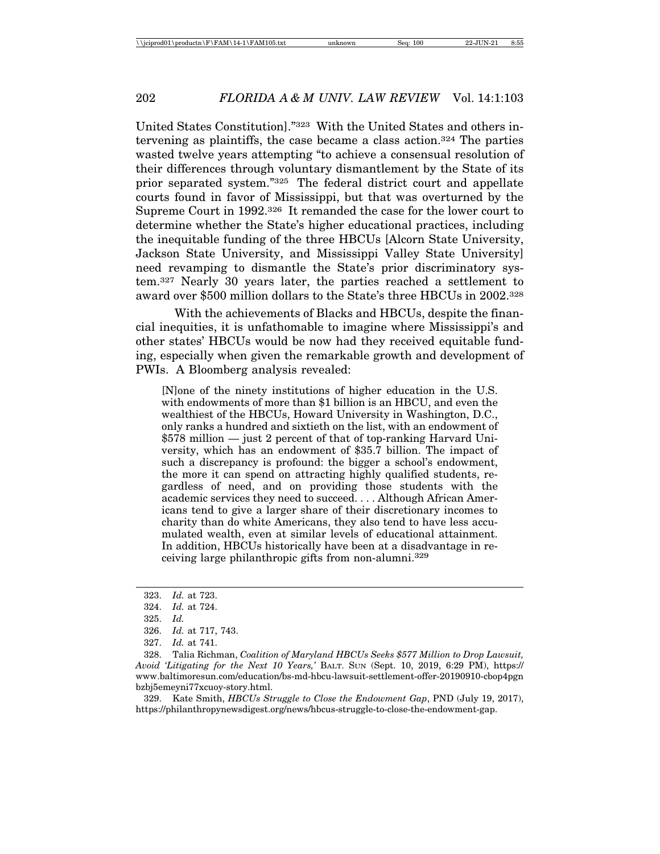United States Constitution]."323 With the United States and others intervening as plaintiffs, the case became a class action.324 The parties wasted twelve years attempting "to achieve a consensual resolution of their differences through voluntary dismantlement by the State of its prior separated system."325 The federal district court and appellate courts found in favor of Mississippi, but that was overturned by the Supreme Court in 1992.326 It remanded the case for the lower court to determine whether the State's higher educational practices, including the inequitable funding of the three HBCUs [Alcorn State University, Jackson State University, and Mississippi Valley State University] need revamping to dismantle the State's prior discriminatory system.327 Nearly 30 years later, the parties reached a settlement to award over \$500 million dollars to the State's three HBCUs in 2002.328

With the achievements of Blacks and HBCUs, despite the financial inequities, it is unfathomable to imagine where Mississippi's and other states' HBCUs would be now had they received equitable funding, especially when given the remarkable growth and development of PWIs. A Bloomberg analysis revealed:

[N]one of the ninety institutions of higher education in the U.S. with endowments of more than \$1 billion is an HBCU, and even the wealthiest of the HBCUs, Howard University in Washington, D.C., only ranks a hundred and sixtieth on the list, with an endowment of \$578 million — just 2 percent of that of top-ranking Harvard University, which has an endowment of \$35.7 billion. The impact of such a discrepancy is profound: the bigger a school's endowment, the more it can spend on attracting highly qualified students, regardless of need, and on providing those students with the academic services they need to succeed. . . . Although African Americans tend to give a larger share of their discretionary incomes to charity than do white Americans, they also tend to have less accumulated wealth, even at similar levels of educational attainment. In addition, HBCUs historically have been at a disadvantage in receiving large philanthropic gifts from non-alumni.329

329. Kate Smith, *HBCUs Struggle to Close the Endowment Gap*, PND (July 19, 2017), https://philanthropynewsdigest.org/news/hbcus-struggle-to-close-the-endowment-gap.

<sup>323.</sup> *Id.* at 723.

<sup>324.</sup> *Id.* at 724.

<sup>325.</sup> *Id.*

<sup>326.</sup> *Id.* at 717, 743.

<sup>327.</sup> *Id.* at 741.

<sup>328.</sup> Talia Richman, *Coalition of Maryland HBCUs Seeks \$577 Million to Drop Lawsuit, Avoid 'Litigating for the Next 10 Years,'* BALT. SUN (Sept. 10, 2019, 6:29 PM), https:// www.baltimoresun.com/education/bs-md-hbcu-lawsuit-settlement-offer-20190910-cbop4pgn bzbj5emeyni77xcuoy-story.html.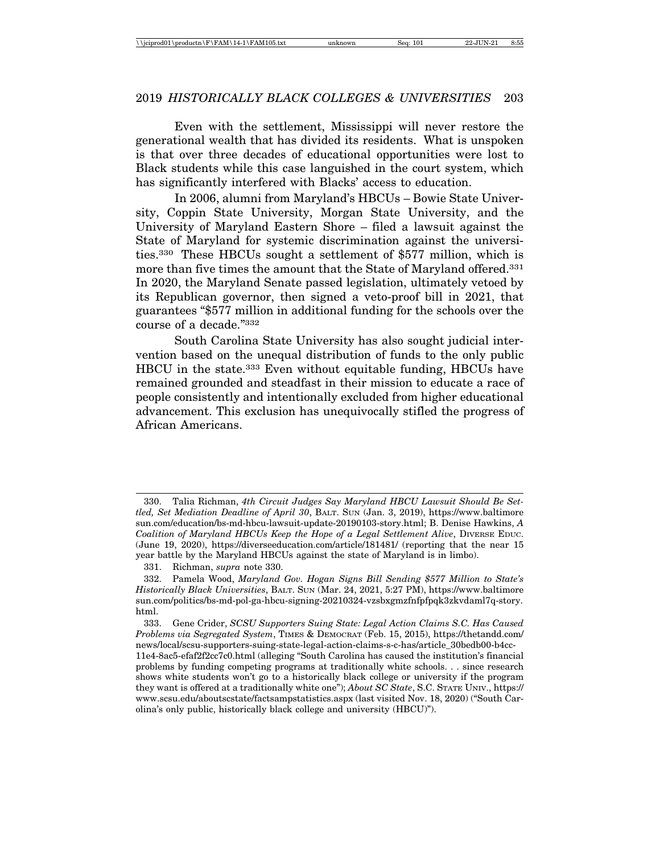Even with the settlement, Mississippi will never restore the generational wealth that has divided its residents. What is unspoken is that over three decades of educational opportunities were lost to Black students while this case languished in the court system, which has significantly interfered with Blacks' access to education.

In 2006, alumni from Maryland's HBCUs – Bowie State University, Coppin State University, Morgan State University, and the University of Maryland Eastern Shore – filed a lawsuit against the State of Maryland for systemic discrimination against the universities.330 These HBCUs sought a settlement of \$577 million, which is more than five times the amount that the State of Maryland offered.331 In 2020, the Maryland Senate passed legislation, ultimately vetoed by its Republican governor, then signed a veto-proof bill in 2021, that guarantees "\$577 million in additional funding for the schools over the course of a decade."332

South Carolina State University has also sought judicial intervention based on the unequal distribution of funds to the only public HBCU in the state.333 Even without equitable funding, HBCUs have remained grounded and steadfast in their mission to educate a race of people consistently and intentionally excluded from higher educational advancement. This exclusion has unequivocally stifled the progress of African Americans.

<sup>330.</sup> Talia Richman, *4th Circuit Judges Say Maryland HBCU Lawsuit Should Be Settled, Set Mediation Deadline of April 30*, BALT. SUN (Jan. 3, 2019), https://www.baltimore sun.com/education/bs-md-hbcu-lawsuit-update-20190103-story.html; B. Denise Hawkins, *A Coalition of Maryland HBCUs Keep the Hope of a Legal Settlement Alive*, DIVERSE EDUC. (June 19, 2020), https://diverseeducation.com/article/181481/ (reporting that the near 15 year battle by the Maryland HBCUs against the state of Maryland is in limbo).

<sup>331.</sup> Richman, *supra* note 330.

<sup>332.</sup> Pamela Wood, *Maryland Gov. Hogan Signs Bill Sending \$577 Million to State's Historically Black Universities*, BALT. SUN (Mar. 24, 2021, 5:27 PM), https://www.baltimore sun.com/politics/bs-md-pol-ga-hbcu-signing-20210324-vzsbxgmzfnfpfpqk3zkvdaml7q-story. html.

<sup>333.</sup> Gene Crider, *SCSU Supporters Suing State: Legal Action Claims S.C. Has Caused Problems via Segregated System*, TIMES & DEMOCRAT (Feb. 15, 2015), https://thetandd.com/ news/local/scsu-supporters-suing-state-legal-action-claims-s-c-has/article\_30bedb00-b4cc-11e4-8ac5-efaf2f2cc7c0.html (alleging "South Carolina has caused the institution's financial problems by funding competing programs at traditionally white schools. . . since research shows white students won't go to a historically black college or university if the program they want is offered at a traditionally white one"); *About SC State*, S.C. STATE UNIV., https:// www.scsu.edu/aboutscstate/factsampstatistics.aspx (last visited Nov. 18, 2020) ("South Carolina's only public, historically black college and university (HBCU)").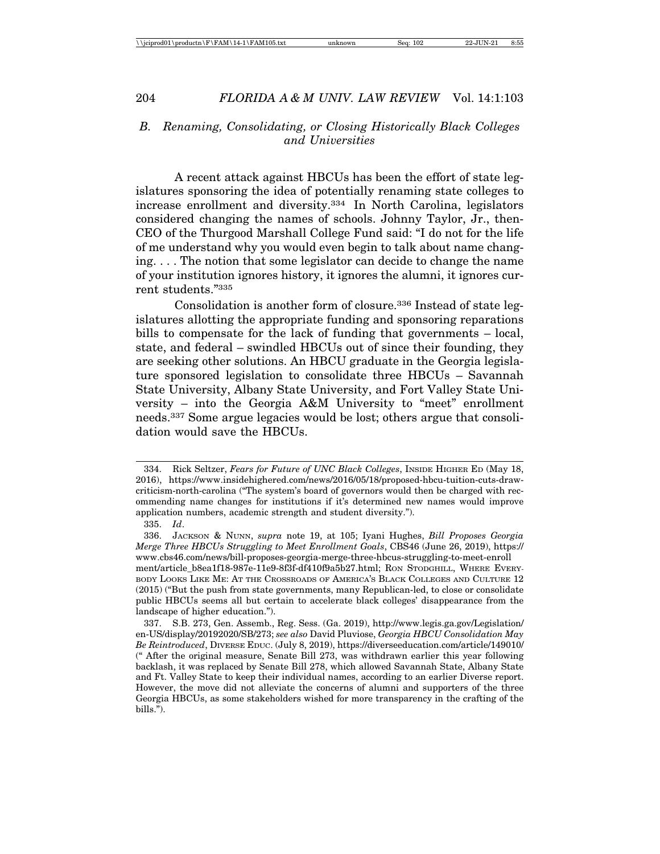## *B. Renaming, Consolidating, or Closing Historically Black Colleges and Universities*

A recent attack against HBCUs has been the effort of state legislatures sponsoring the idea of potentially renaming state colleges to increase enrollment and diversity.334 In North Carolina, legislators considered changing the names of schools. Johnny Taylor, Jr., then-CEO of the Thurgood Marshall College Fund said: "I do not for the life of me understand why you would even begin to talk about name changing. . . . The notion that some legislator can decide to change the name of your institution ignores history, it ignores the alumni, it ignores current students."335

Consolidation is another form of closure.336 Instead of state legislatures allotting the appropriate funding and sponsoring reparations bills to compensate for the lack of funding that governments – local, state, and federal – swindled HBCUs out of since their founding, they are seeking other solutions. An HBCU graduate in the Georgia legislature sponsored legislation to consolidate three HBCUs – Savannah State University, Albany State University, and Fort Valley State University – into the Georgia A&M University to "meet" enrollment needs.337 Some argue legacies would be lost; others argue that consolidation would save the HBCUs.

<sup>334.</sup> Rick Seltzer, *Fears for Future of UNC Black Colleges*, INSIDE HIGHER ED (May 18, 2016), https://www.insidehighered.com/news/2016/05/18/proposed-hbcu-tuition-cuts-drawcriticism-north-carolina ("The system's board of governors would then be charged with recommending name changes for institutions if it's determined new names would improve application numbers, academic strength and student diversity.").

<sup>335.</sup> *Id*.

<sup>336.</sup> JACKSON & NUNN, *supra* note 19, at 105; Iyani Hughes, *Bill Proposes Georgia Merge Three HBCUs Struggling to Meet Enrollment Goals*, CBS46 (June 26, 2019), https:// www.cbs46.com/news/bill-proposes-georgia-merge-three-hbcus-struggling-to-meet-enroll ment/article\_b8ea1f18-987e-11e9-8f3f-df410f9a5b27.html; RON STODGHILL, WHERE EVERY-BODY LOOKS LIKE ME: AT THE CROSSROADS OF AMERICA'S BLACK COLLEGES AND CULTURE 12 (2015) ("But the push from state governments, many Republican-led, to close or consolidate public HBCUs seems all but certain to accelerate black colleges' disappearance from the landscape of higher education.").

<sup>337.</sup> S.B. 273, Gen. Assemb., Reg. Sess. (Ga. 2019), http://www.legis.ga.gov/Legislation/ en-US/display/20192020/SB/273; *see also* David Pluviose, *Georgia HBCU Consolidation May Be Reintroduced*, DIVERSE EDUC. (July 8, 2019), https://diverseeducation.com/article/149010/ (" After the original measure, Senate Bill 273, was withdrawn earlier this year following backlash, it was replaced by Senate Bill 278, which allowed Savannah State, Albany State and Ft. Valley State to keep their individual names, according to an earlier Diverse report. However, the move did not alleviate the concerns of alumni and supporters of the three Georgia HBCUs, as some stakeholders wished for more transparency in the crafting of the bills.").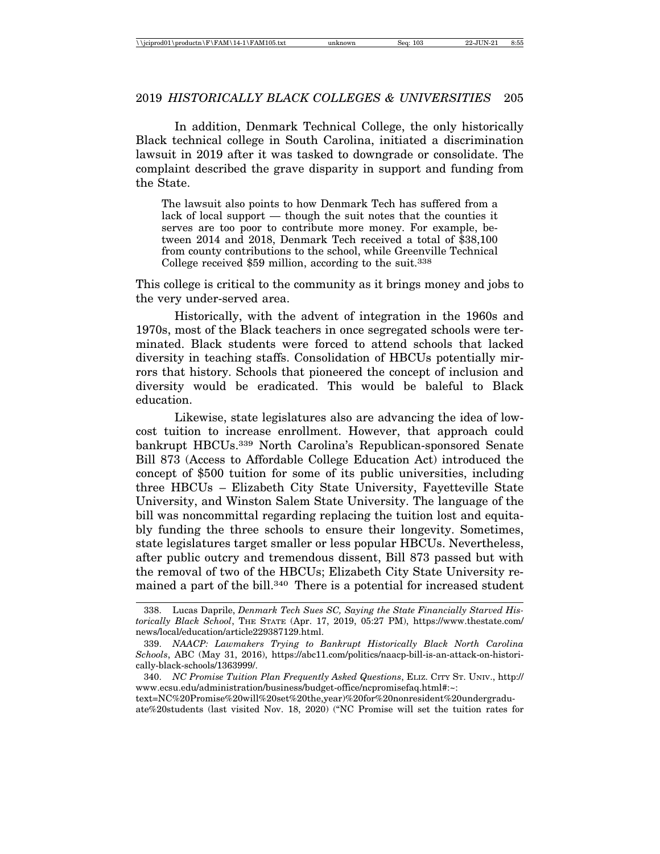In addition, Denmark Technical College, the only historically Black technical college in South Carolina, initiated a discrimination lawsuit in 2019 after it was tasked to downgrade or consolidate. The complaint described the grave disparity in support and funding from the State.

The lawsuit also points to how Denmark Tech has suffered from a lack of local support — though the suit notes that the counties it serves are too poor to contribute more money. For example, between 2014 and 2018, Denmark Tech received a total of \$38,100 from county contributions to the school, while Greenville Technical College received \$59 million, according to the suit.<sup>338</sup>

This college is critical to the community as it brings money and jobs to the very under-served area.

Historically, with the advent of integration in the 1960s and 1970s, most of the Black teachers in once segregated schools were terminated. Black students were forced to attend schools that lacked diversity in teaching staffs. Consolidation of HBCUs potentially mirrors that history. Schools that pioneered the concept of inclusion and diversity would be eradicated. This would be baleful to Black education.

Likewise, state legislatures also are advancing the idea of lowcost tuition to increase enrollment. However, that approach could bankrupt HBCUs.339 North Carolina's Republican-sponsored Senate Bill 873 (Access to Affordable College Education Act) introduced the concept of \$500 tuition for some of its public universities, including three HBCUs – Elizabeth City State University, Fayetteville State University, and Winston Salem State University. The language of the bill was noncommittal regarding replacing the tuition lost and equitably funding the three schools to ensure their longevity. Sometimes, state legislatures target smaller or less popular HBCUs. Nevertheless, after public outcry and tremendous dissent, Bill 873 passed but with the removal of two of the HBCUs; Elizabeth City State University remained a part of the bill.<sup>340</sup> There is a potential for increased student

text=NC%20Promise%20will%20set%20the,year)%20for%20nonresident%20undergraduate%20students (last visited Nov. 18, 2020) ("NC Promise will set the tuition rates for

<sup>338.</sup> Lucas Daprile, *Denmark Tech Sues SC, Saying the State Financially Starved Historically Black School*, THE STATE (Apr. 17, 2019, 05:27 PM), https://www.thestate.com/ news/local/education/article229387129.html.

<sup>339.</sup> *NAACP: Lawmakers Trying to Bankrupt Historically Black North Carolina Schools*, ABC (May 31, 2016), https://abc11.com/politics/naacp-bill-is-an-attack-on-historically-black-schools/1363999/.

<sup>340.</sup> *NC Promise Tuition Plan Frequently Asked Questions*, ELIZ. CITY ST. UNIV., http:// www.ecsu.edu/administration/business/budget-office/ncpromisefaq.html#:~: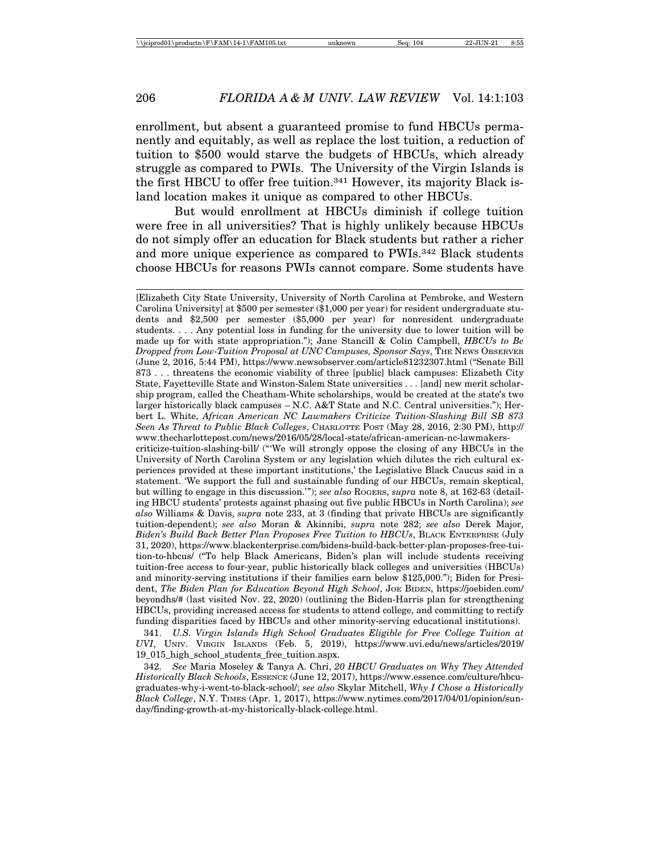enrollment, but absent a guaranteed promise to fund HBCUs permanently and equitably, as well as replace the lost tuition, a reduction of tuition to \$500 would starve the budgets of HBCUs, which already struggle as compared to PWIs. The University of the Virgin Islands is the first HBCU to offer free tuition.341 However, its majority Black island location makes it unique as compared to other HBCUs.

But would enrollment at HBCUs diminish if college tuition were free in all universities? That is highly unlikely because HBCUs do not simply offer an education for Black students but rather a richer and more unique experience as compared to PWIs.342 Black students choose HBCUs for reasons PWIs cannot compare. Some students have

341. *U.S. Virgin Islands High School Graduates Eligible for Free College Tuition at UVI*, UNIV. VIRGIN ISLANDS (Feb. 5, 2019), https://www.uvi.edu/news/articles/2019/ 19\_015\_high\_school\_students\_free\_tuition.aspx.

342. *See* Maria Moseley & Tanya A. Chri, *20 HBCU Graduates on Why They Attended Historically Black Schools*, ESSENCE (June 12, 2017), https://www.essence.com/culture/hbcugraduates-why-i-went-to-black-school/; *see also* Skylar Mitchell, *Why I Chose a Historically Black College*, N.Y. TIMES (Apr. 1, 2017), https://www.nytimes.com/2017/04/01/opinion/sunday/finding-growth-at-my-historically-black-college.html.

<sup>[</sup>Elizabeth City State University, University of North Carolina at Pembroke, and Western Carolina University] at \$500 per semester (\$1,000 per year) for resident undergraduate students and \$2,500 per semester (\$5,000 per year) for nonresident undergraduate students. . . . Any potential loss in funding for the university due to lower tuition will be made up for with state appropriation."); Jane Stancill & Colin Campbell, *HBCUs to Be Dropped from Low-Tuition Proposal at UNC Campuses, Sponsor Says*, THE NEWS OBSERVER (June 2, 2016, 5:44 PM), https://www.newsobserver.com/article81232307.html ("Senate Bill 873 . . . threatens the economic viability of three [public] black campuses: Elizabeth City State, Fayetteville State and Winston-Salem State universities . . . [and] new merit scholarship program, called the Cheatham-White scholarships, would be created at the state's two larger historically black campuses – N.C. A&T State and N.C. Central universities."); Herbert L. White, *African American NC Lawmakers Criticize Tuition-Slashing Bill SB 873 Seen As Threat to Public Black Colleges*, CHARLOTTE POST (May 28, 2016, 2:30 PM), http:// www.thecharlottepost.com/news/2016/05/28/local-state/african-american-nc-lawmakerscriticize-tuition-slashing-bill/ ("'We will strongly oppose the closing of any HBCUs in the University of North Carolina System or any legislation which dilutes the rich cultural experiences provided at these important institutions,' the Legislative Black Caucus said in a statement. 'We support the full and sustainable funding of our HBCUs, remain skeptical, but willing to engage in this discussion.'"); *see also* ROGERS, *supra* note 8, at 162-63 (detailing HBCU students' protests against phasing out five public HBCUs in North Carolina); *see also* Williams & Davis, *supra* note 233, at 3 (finding that private HBCUs are significantly tuition-dependent); *see also* Moran & Akinnibi, *supra* note 282; *see also* Derek Major, *Biden's Build Back Better Plan Proposes Free Tuition to HBCUs*, BLACK ENTERPRISE (July 31, 2020), https://www.blackenterprise.com/bidens-build-back-better-plan-proposes-free-tuition-to-hbcus/ ("To help Black Americans, Biden's plan will include students receiving tuition-free access to four-year, public historically black colleges and universities (HBCUs) and minority-serving institutions if their families earn below \$125,000."); Biden for President, *The Biden Plan for Education Beyond High School*, JOE BIDEN, https://joebiden.com/ beyondhs/# (last visited Nov. 22, 2020) (outlining the Biden-Harris plan for strengthening HBCUs, providing increased access for students to attend college, and committing to rectify funding disparities faced by HBCUs and other minority-serving educational institutions).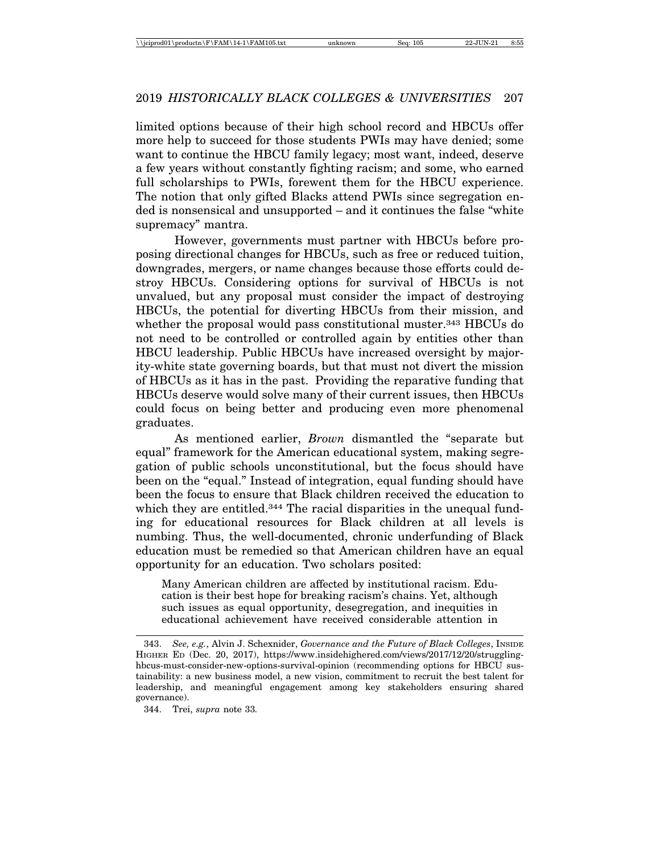limited options because of their high school record and HBCUs offer more help to succeed for those students PWIs may have denied; some want to continue the HBCU family legacy; most want, indeed, deserve a few years without constantly fighting racism; and some, who earned full scholarships to PWIs, forewent them for the HBCU experience. The notion that only gifted Blacks attend PWIs since segregation ended is nonsensical and unsupported – and it continues the false "white supremacy" mantra.

However, governments must partner with HBCUs before proposing directional changes for HBCUs, such as free or reduced tuition, downgrades, mergers, or name changes because those efforts could destroy HBCUs. Considering options for survival of HBCUs is not unvalued, but any proposal must consider the impact of destroying HBCUs, the potential for diverting HBCUs from their mission, and whether the proposal would pass constitutional muster.<sup>343</sup> HBCUs do not need to be controlled or controlled again by entities other than HBCU leadership. Public HBCUs have increased oversight by majority-white state governing boards, but that must not divert the mission of HBCUs as it has in the past. Providing the reparative funding that HBCUs deserve would solve many of their current issues, then HBCUs could focus on being better and producing even more phenomenal graduates.

As mentioned earlier, *Brown* dismantled the "separate but equal" framework for the American educational system, making segregation of public schools unconstitutional, but the focus should have been on the "equal." Instead of integration, equal funding should have been the focus to ensure that Black children received the education to which they are entitled.<sup>344</sup> The racial disparities in the unequal funding for educational resources for Black children at all levels is numbing. Thus, the well-documented, chronic underfunding of Black education must be remedied so that American children have an equal opportunity for an education. Two scholars posited:

Many American children are affected by institutional racism. Education is their best hope for breaking racism's chains. Yet, although such issues as equal opportunity, desegregation, and inequities in educational achievement have received considerable attention in

<sup>343.</sup> *See, e.g.*, Alvin J. Schexnider, *Governance and the Future of Black Colleges*, INSIDE HIGHER ED (Dec. 20, 2017), https://www.insidehighered.com/views/2017/12/20/strugglinghbcus-must-consider-new-options-survival-opinion (recommending options for HBCU sustainability: a new business model, a new vision, commitment to recruit the best talent for leadership, and meaningful engagement among key stakeholders ensuring shared governance).

<sup>344.</sup> Trei, *supra* note 33*.*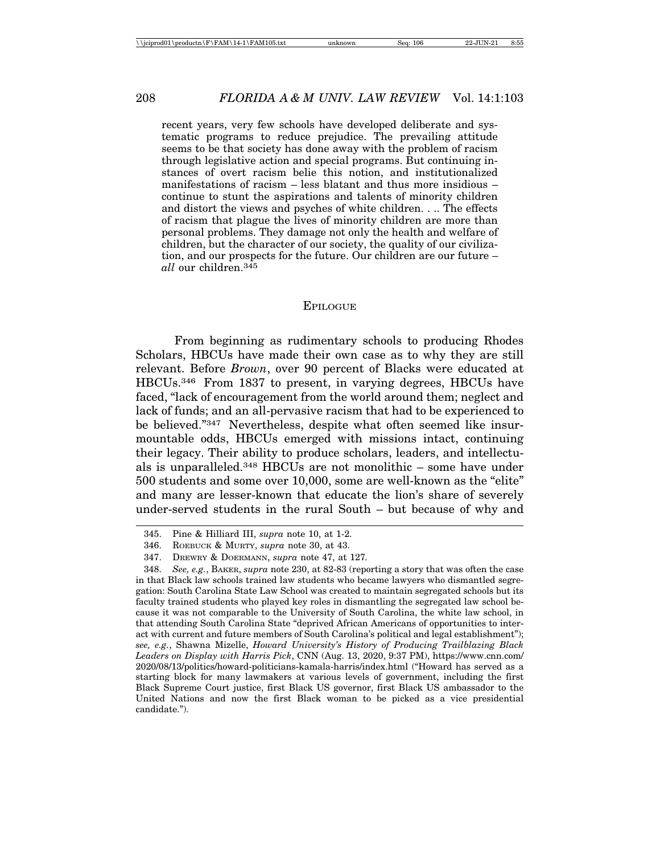recent years, very few schools have developed deliberate and systematic programs to reduce prejudice. The prevailing attitude seems to be that society has done away with the problem of racism through legislative action and special programs. But continuing instances of overt racism belie this notion, and institutionalized manifestations of racism – less blatant and thus more insidious – continue to stunt the aspirations and talents of minority children and distort the views and psyches of white children. . .. The effects of racism that plague the lives of minority children are more than personal problems. They damage not only the health and welfare of children, but the character of our society, the quality of our civilization, and our prospects for the future. Our children are our future – *all* our children.<sup>345</sup>

#### EPILOGUE

From beginning as rudimentary schools to producing Rhodes Scholars, HBCUs have made their own case as to why they are still relevant. Before *Brown*, over 90 percent of Blacks were educated at HBCUs.346 From 1837 to present, in varying degrees, HBCUs have faced, "lack of encouragement from the world around them; neglect and lack of funds; and an all-pervasive racism that had to be experienced to be believed."347 Nevertheless, despite what often seemed like insurmountable odds, HBCUs emerged with missions intact, continuing their legacy. Their ability to produce scholars, leaders, and intellectuals is unparalleled.348 HBCUs are not monolithic – some have under 500 students and some over 10,000, some are well-known as the "elite" and many are lesser-known that educate the lion's share of severely under-served students in the rural South – but because of why and

<sup>345.</sup> Pine & Hilliard III, *supra* note 10, at 1-2.

<sup>346.</sup> ROEBUCK & MURTY, *supra* note 30, at 43.

<sup>347.</sup> DREWRY & DOERMANN, *supra* note 47, at 127*.*

<sup>348.</sup> *See, e.g.*, BAKER, *supra* note 230, at 82-83 (reporting a story that was often the case in that Black law schools trained law students who became lawyers who dismantled segregation: South Carolina State Law School was created to maintain segregated schools but its faculty trained students who played key roles in dismantling the segregated law school because it was not comparable to the University of South Carolina, the white law school, in that attending South Carolina State "deprived African Americans of opportunities to interact with current and future members of South Carolina's political and legal establishment"); *see, e.g.*, Shawna Mizelle, *Howard University's History of Producing Trailblazing Black Leaders on Display with Harris Pick*, CNN (Aug. 13, 2020, 9:37 PM), https://www.cnn.com/ 2020/08/13/politics/howard-politicians-kamala-harris/index.html ("Howard has served as a starting block for many lawmakers at various levels of government, including the first Black Supreme Court justice, first Black US governor, first Black US ambassador to the United Nations and now the first Black woman to be picked as a vice presidential candidate.").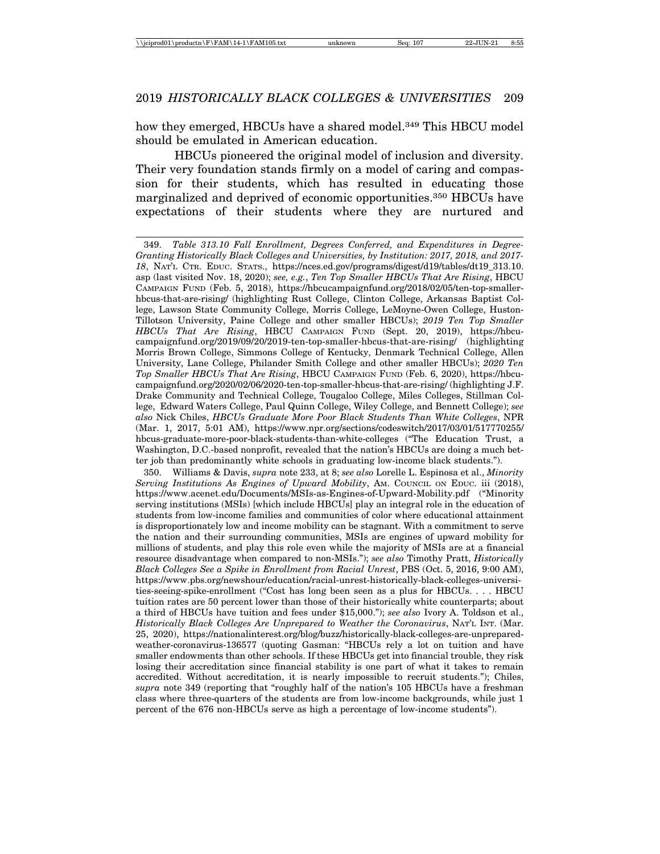how they emerged, HBCUs have a shared model.<sup>349</sup> This HBCU model should be emulated in American education.

HBCUs pioneered the original model of inclusion and diversity. Their very foundation stands firmly on a model of caring and compassion for their students, which has resulted in educating those marginalized and deprived of economic opportunities.350 HBCUs have expectations of their students where they are nurtured and

350. Williams & Davis, *supra* note 233, at 8; *see also* Lorelle L. Espinosa et al., *Minority Serving Institutions As Engines of Upward Mobility*, AM. COUNCIL ON EDUC. iii (2018), https://www.acenet.edu/Documents/MSIs-as-Engines-of-Upward-Mobility.pdf ("Minority serving institutions (MSIs) [which include HBCUs] play an integral role in the education of students from low-income families and communities of color where educational attainment is disproportionately low and income mobility can be stagnant. With a commitment to serve the nation and their surrounding communities, MSIs are engines of upward mobility for millions of students, and play this role even while the majority of MSIs are at a financial resource disadvantage when compared to non-MSIs."); *see also* Timothy Pratt, *Historically Black Colleges See a Spike in Enrollment from Racial Unrest*, PBS (Oct. 5, 2016, 9:00 AM), https://www.pbs.org/newshour/education/racial-unrest-historically-black-colleges-universities-seeing-spike-enrollment ("Cost has long been seen as a plus for HBCUs. . . . HBCU tuition rates are 50 percent lower than those of their historically white counterparts; about a third of HBCUs have tuition and fees under \$15,000."); *see also* Ivory A. Toldson et al., *Historically Black Colleges Are Unprepared to Weather the Coronavirus*, NAT'L INT. (Mar. 25, 2020), https://nationalinterest.org/blog/buzz/historically-black-colleges-are-unpreparedweather-coronavirus-136577 (quoting Gasman: "HBCUs rely a lot on tuition and have smaller endowments than other schools. If these HBCUs get into financial trouble, they risk losing their accreditation since financial stability is one part of what it takes to remain accredited. Without accreditation, it is nearly impossible to recruit students."); Chiles, *supra* note 349 (reporting that "roughly half of the nation's 105 HBCUs have a freshman class where three-quarters of the students are from low-income backgrounds, while just 1 percent of the 676 non-HBCUs serve as high a percentage of low-income students").

<sup>349.</sup> *Table 313.10 Fall Enrollment, Degrees Conferred, and Expenditures in Degree-Granting Historically Black Colleges and Universities, by Institution: 2017, 2018, and 2017- 18*, NAT'L CTR. EDUC. STATS., https://nces.ed.gov/programs/digest/d19/tables/dt19\_313.10. asp (last visited Nov. 18, 2020); *see, e.g.*, *Ten Top Smaller HBCUs That Are Rising*, HBCU CAMPAIGN FUND (Feb. 5, 2018), https://hbcucampaignfund.org/2018/02/05/ten-top-smallerhbcus-that-are-rising/ (highlighting Rust College, Clinton College, Arkansas Baptist College, Lawson State Community College, Morris College, LeMoyne-Owen College, Huston-Tillotson University, Paine College and other smaller HBCUs); *2019 Ten Top Smaller HBCUs That Are Rising*, HBCU CAMPAIGN FUND (Sept. 20, 2019), https://hbcucampaignfund.org/2019/09/20/2019-ten-top-smaller-hbcus-that-are-rising/ (highlighting Morris Brown College, Simmons College of Kentucky, Denmark Technical College, Allen University, Lane College, Philander Smith College and other smaller HBCUs); *2020 Ten Top Smaller HBCUs That Are Rising*, HBCU CAMPAIGN FUND (Feb. 6, 2020), https://hbcucampaignfund.org/2020/02/06/2020-ten-top-smaller-hbcus-that-are-rising/ (highlighting J.F. Drake Community and Technical College, Tougaloo College, Miles Colleges, Stillman College, Edward Waters College, Paul Quinn College, Wiley College, and Bennett College); *see also* Nick Chiles, *HBCUs Graduate More Poor Black Students Than White Colleges*, NPR (Mar. 1, 2017, 5:01 AM), https://www.npr.org/sections/codeswitch/2017/03/01/517770255/ hbcus-graduate-more-poor-black-students-than-white-colleges ("The Education Trust, a Washington, D.C.-based nonprofit, revealed that the nation's HBCUs are doing a much better job than predominantly white schools in graduating low-income black students.").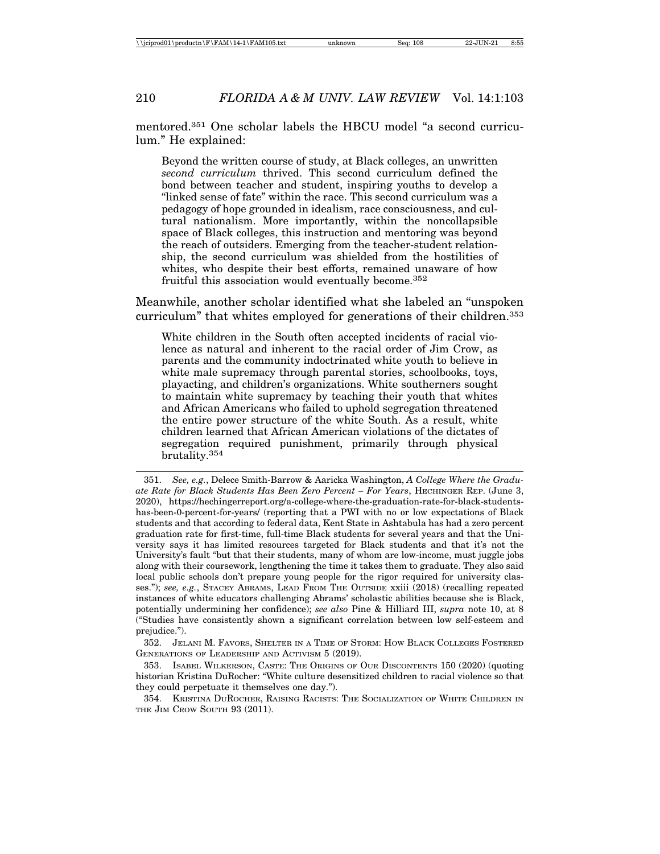mentored.351 One scholar labels the HBCU model "a second curriculum." He explained:

Beyond the written course of study, at Black colleges, an unwritten *second curriculum* thrived. This second curriculum defined the bond between teacher and student, inspiring youths to develop a "linked sense of fate" within the race. This second curriculum was a pedagogy of hope grounded in idealism, race consciousness, and cultural nationalism. More importantly, within the noncollapsible space of Black colleges, this instruction and mentoring was beyond the reach of outsiders. Emerging from the teacher-student relationship, the second curriculum was shielded from the hostilities of whites, who despite their best efforts, remained unaware of how fruitful this association would eventually become.352

Meanwhile, another scholar identified what she labeled an "unspoken curriculum" that whites employed for generations of their children.353

White children in the South often accepted incidents of racial violence as natural and inherent to the racial order of Jim Crow, as parents and the community indoctrinated white youth to believe in white male supremacy through parental stories, schoolbooks, toys, playacting, and children's organizations. White southerners sought to maintain white supremacy by teaching their youth that whites and African Americans who failed to uphold segregation threatened the entire power structure of the white South. As a result, white children learned that African American violations of the dictates of segregation required punishment, primarily through physical brutality.354

353. ISABEL WILKERSON, CASTE: THE ORIGINS OF OUR DISCONTENTS 150 (2020) (quoting historian Kristina DuRocher: "White culture desensitized children to racial violence so that they could perpetuate it themselves one day.").

354. KRISTINA DUROCHER, RAISING RACISTS: THE SOCIALIZATION OF WHITE CHILDREN IN THE JIM CROW SOUTH 93 (2011).

<sup>351.</sup> *See, e.g.*, Delece Smith-Barrow & Aaricka Washington, *A College Where the Graduate Rate for Black Students Has Been Zero Percent – For Years*, HECHINGER REP. (June 3, 2020), https://hechingerreport.org/a-college-where-the-graduation-rate-for-black-studentshas-been-0-percent-for-years/ (reporting that a PWI with no or low expectations of Black students and that according to federal data, Kent State in Ashtabula has had a zero percent graduation rate for first-time, full-time Black students for several years and that the University says it has limited resources targeted for Black students and that it's not the University's fault "but that their students, many of whom are low-income, must juggle jobs along with their coursework, lengthening the time it takes them to graduate. They also said local public schools don't prepare young people for the rigor required for university classes."); *see, e.g.*, STACEY ABRAMS, LEAD FROM THE OUTSIDE xxiii (2018) (recalling repeated instances of white educators challenging Abrams' scholastic abilities because she is Black, potentially undermining her confidence); *see also* Pine & Hilliard III, *supra* note 10, at 8 ("Studies have consistently shown a significant correlation between low self-esteem and prejudice.").

<sup>352.</sup> JELANI M. FAVORS, SHELTER IN A TIME OF STORM: HOW BLACK COLLEGES FOSTERED GENERATIONS OF LEADERSHIP AND ACTIVISM 5 (2019).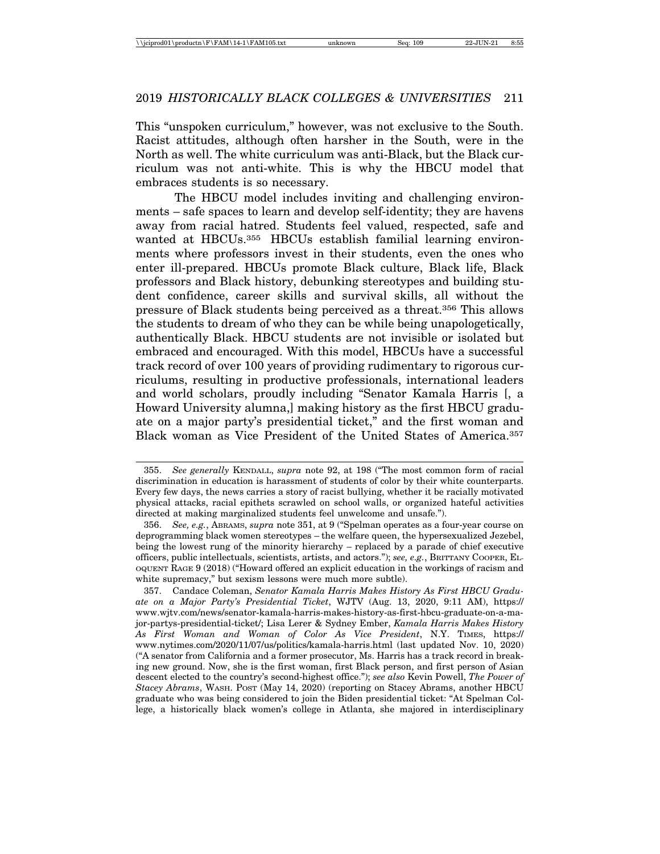This "unspoken curriculum," however, was not exclusive to the South. Racist attitudes, although often harsher in the South, were in the North as well. The white curriculum was anti-Black, but the Black curriculum was not anti-white. This is why the HBCU model that embraces students is so necessary.

The HBCU model includes inviting and challenging environments – safe spaces to learn and develop self-identity; they are havens away from racial hatred. Students feel valued, respected, safe and wanted at HBCUs.<sup>355</sup> HBCUs establish familial learning environments where professors invest in their students, even the ones who enter ill-prepared. HBCUs promote Black culture, Black life, Black professors and Black history, debunking stereotypes and building student confidence, career skills and survival skills, all without the pressure of Black students being perceived as a threat.356 This allows the students to dream of who they can be while being unapologetically, authentically Black. HBCU students are not invisible or isolated but embraced and encouraged. With this model, HBCUs have a successful track record of over 100 years of providing rudimentary to rigorous curriculums, resulting in productive professionals, international leaders and world scholars, proudly including "Senator Kamala Harris [, a Howard University alumna,] making history as the first HBCU graduate on a major party's presidential ticket," and the first woman and Black woman as Vice President of the United States of America.357

357. Candace Coleman, *Senator Kamala Harris Makes History As First HBCU Graduate on a Major Party's Presidential Ticket*, WJTV (Aug. 13, 2020, 9:11 AM), https:// www.wjtv.com/news/senator-kamala-harris-makes-history-as-first-hbcu-graduate-on-a-major-partys-presidential-ticket/; Lisa Lerer & Sydney Ember, *Kamala Harris Makes History As First Woman and Woman of Color As Vice President*, N.Y. TIMES, https:// www.nytimes.com/2020/11/07/us/politics/kamala-harris.html (last updated Nov. 10, 2020) ("A senator from California and a former prosecutor, Ms. Harris has a track record in breaking new ground. Now, she is the first woman, first Black person, and first person of Asian descent elected to the country's second-highest office."); *see also* Kevin Powell, *The Power of Stacey Abrams*, WASH. POST (May 14, 2020) (reporting on Stacey Abrams, another HBCU graduate who was being considered to join the Biden presidential ticket: "At Spelman College, a historically black women's college in Atlanta, she majored in interdisciplinary

<sup>355.</sup> *See generally* KENDALL, *supra* note 92, at 198 ("The most common form of racial discrimination in education is harassment of students of color by their white counterparts. Every few days, the news carries a story of racist bullying, whether it be racially motivated physical attacks, racial epithets scrawled on school walls, or organized hateful activities directed at making marginalized students feel unwelcome and unsafe.").

<sup>356.</sup> *See, e.g.*, ABRAMS, *supra* note 351, at 9 ("Spelman operates as a four-year course on deprogramming black women stereotypes – the welfare queen, the hypersexualized Jezebel, being the lowest rung of the minority hierarchy – replaced by a parade of chief executive officers, public intellectuals, scientists, artists, and actors."); *see, e.g.*, BRITTANY COOPER, EL-OQUENT RAGE 9 (2018) ("Howard offered an explicit education in the workings of racism and white supremacy," but sexism lessons were much more subtle).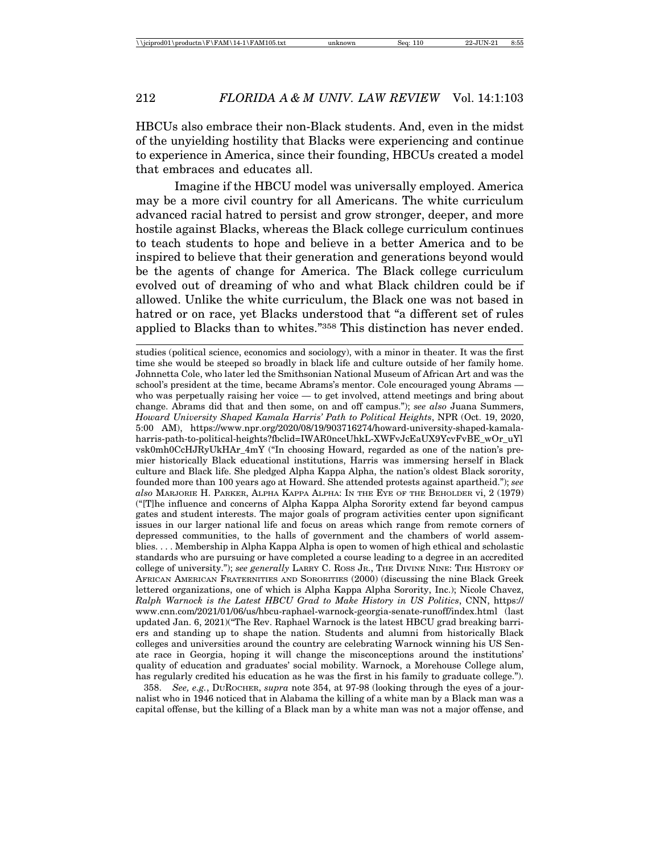HBCUs also embrace their non-Black students. And, even in the midst of the unyielding hostility that Blacks were experiencing and continue to experience in America, since their founding, HBCUs created a model that embraces and educates all.

Imagine if the HBCU model was universally employed. America may be a more civil country for all Americans. The white curriculum advanced racial hatred to persist and grow stronger, deeper, and more hostile against Blacks, whereas the Black college curriculum continues to teach students to hope and believe in a better America and to be inspired to believe that their generation and generations beyond would be the agents of change for America. The Black college curriculum evolved out of dreaming of who and what Black children could be if allowed. Unlike the white curriculum, the Black one was not based in hatred or on race, yet Blacks understood that "a different set of rules applied to Blacks than to whites."358 This distinction has never ended.

358. *See, e.g.*, DUROCHER, *supra* note 354, at 97-98 (looking through the eyes of a journalist who in 1946 noticed that in Alabama the killing of a white man by a Black man was a capital offense, but the killing of a Black man by a white man was not a major offense, and

studies (political science, economics and sociology), with a minor in theater. It was the first time she would be steeped so broadly in black life and culture outside of her family home. Johnnetta Cole, who later led the Smithsonian National Museum of African Art and was the school's president at the time, became Abrams's mentor. Cole encouraged young Abrams who was perpetually raising her voice — to get involved, attend meetings and bring about change. Abrams did that and then some, on and off campus."); *see also* Juana Summers, *Howard University Shaped Kamala Harris' Path to Political Heights*, NPR (Oct. 19, 2020, 5:00 AM), https://www.npr.org/2020/08/19/903716274/howard-university-shaped-kamalaharris-path-to-political-heights?fbclid=IWAR0nceUhkL-XWFvJcEaUX9YcvFvBE\_wOr\_uYl vsk0mh0CcHJRyUkHAr\_4mY ("In choosing Howard, regarded as one of the nation's premier historically Black educational institutions, Harris was immersing herself in Black culture and Black life. She pledged Alpha Kappa Alpha, the nation's oldest Black sorority, founded more than 100 years ago at Howard. She attended protests against apartheid."); *see also* MARJORIE H. PARKER, ALPHA KAPPA ALPHA: IN THE EYE OF THE BEHOLDER vi, 2 (1979) ("[T]he influence and concerns of Alpha Kappa Alpha Sorority extend far beyond campus gates and student interests. The major goals of program activities center upon significant issues in our larger national life and focus on areas which range from remote corners of depressed communities, to the halls of government and the chambers of world assemblies. . . . Membership in Alpha Kappa Alpha is open to women of high ethical and scholastic standards who are pursuing or have completed a course leading to a degree in an accredited college of university."); *see generally* LARRY C. ROSS JR., THE DIVINE NINE: THE HISTORY OF AFRICAN AMERICAN FRATERNITIES AND SORORITIES (2000) (discussing the nine Black Greek lettered organizations, one of which is Alpha Kappa Alpha Sorority, Inc.); Nicole Chavez, *Ralph Warnock is the Latest HBCU Grad to Make History in US Politics*, CNN, https:// www.cnn.com/2021/01/06/us/hbcu-raphael-warnock-georgia-senate-runoff/index.html (last updated Jan. 6, 2021)("The Rev. Raphael Warnock is the latest HBCU grad breaking barriers and standing up to shape the nation. Students and alumni from historically Black colleges and universities around the country are celebrating Warnock winning his US Senate race in Georgia, hoping it will change the misconceptions around the institutions' quality of education and graduates' social mobility. Warnock, a Morehouse College alum, has regularly credited his education as he was the first in his family to graduate college.").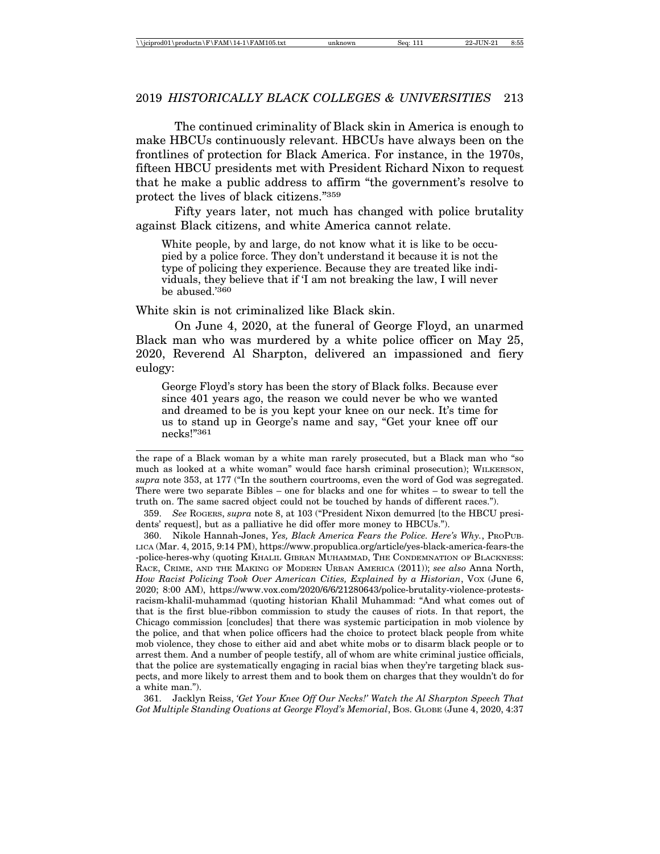The continued criminality of Black skin in America is enough to make HBCUs continuously relevant. HBCUs have always been on the frontlines of protection for Black America. For instance, in the 1970s, fifteen HBCU presidents met with President Richard Nixon to request that he make a public address to affirm "the government's resolve to protect the lives of black citizens."359

Fifty years later, not much has changed with police brutality against Black citizens, and white America cannot relate.

White people, by and large, do not know what it is like to be occupied by a police force. They don't understand it because it is not the type of policing they experience. Because they are treated like individuals, they believe that if 'I am not breaking the law, I will never be abused.'<sup>360</sup>

White skin is not criminalized like Black skin.

On June 4, 2020, at the funeral of George Floyd, an unarmed Black man who was murdered by a white police officer on May 25, 2020, Reverend Al Sharpton, delivered an impassioned and fiery eulogy:

George Floyd's story has been the story of Black folks. Because ever since 401 years ago, the reason we could never be who we wanted and dreamed to be is you kept your knee on our neck. It's time for us to stand up in George's name and say, "Get your knee off our necks!"361

the rape of a Black woman by a white man rarely prosecuted, but a Black man who "so much as looked at a white woman" would face harsh criminal prosecution); WILKERSON, *supra* note 353, at 177 ("In the southern courtrooms, even the word of God was segregated. There were two separate Bibles – one for blacks and one for whites – to swear to tell the truth on. The same sacred object could not be touched by hands of different races.").

<sup>359.</sup> *See* ROGERS, *supra* note 8, at 103 ("President Nixon demurred [to the HBCU presidents' request], but as a palliative he did offer more money to HBCUs.").

<sup>360.</sup> Nikole Hannah-Jones, *Yes, Black America Fears the Police. Here's Why.*, PROPUB-LICA (Mar. 4, 2015, 9:14 PM), https://www.propublica.org/article/yes-black-america-fears-the -police-heres-why (quoting KHALIL GIBRAN MUHAMMAD, THE CONDEMNATION OF BLACKNESS: RACE, CRIME, AND THE MAKING OF MODERN URBAN AMERICA (2011)); *see also* Anna North, *How Racist Policing Took Over American Cities, Explained by a Historian, Vox (June 6,* 2020; 8:00 AM), https://www.vox.com/2020/6/6/21280643/police-brutality-violence-protestsracism-khalil-muhammad (quoting historian Khalil Muhammad: "And what comes out of that is the first blue-ribbon commission to study the causes of riots. In that report, the Chicago commission [concludes] that there was systemic participation in mob violence by the police, and that when police officers had the choice to protect black people from white mob violence, they chose to either aid and abet white mobs or to disarm black people or to arrest them. And a number of people testify, all of whom are white criminal justice officials, that the police are systematically engaging in racial bias when they're targeting black suspects, and more likely to arrest them and to book them on charges that they wouldn't do for a white man.").

<sup>361.</sup> Jacklyn Reiss, *'Get Your Knee Off Our Necks!' Watch the Al Sharpton Speech That Got Multiple Standing Ovations at George Floyd's Memorial*, BOS. GLOBE (June 4, 2020, 4:37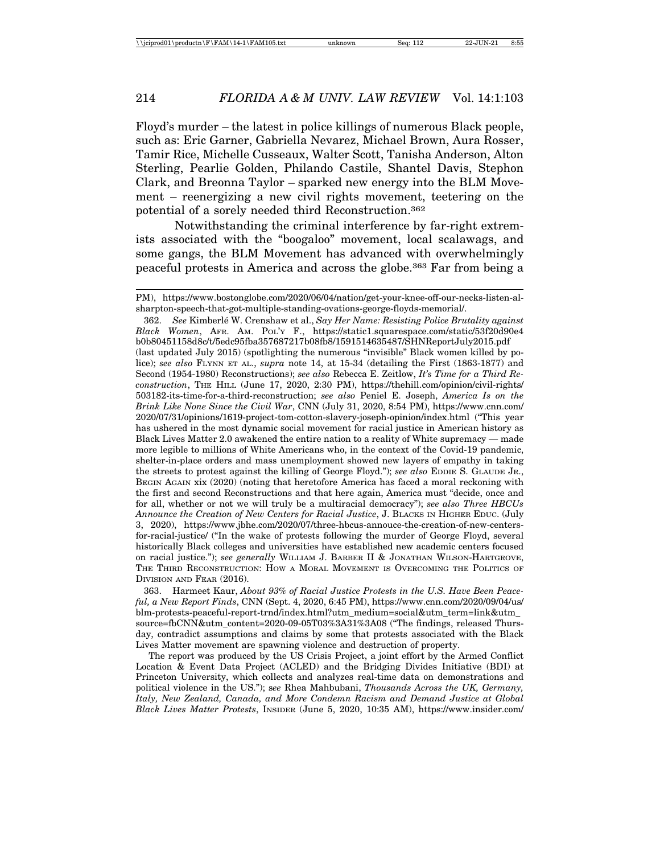Floyd's murder – the latest in police killings of numerous Black people, such as: Eric Garner, Gabriella Nevarez, Michael Brown, Aura Rosser, Tamir Rice, Michelle Cusseaux, Walter Scott, Tanisha Anderson, Alton Sterling, Pearlie Golden, Philando Castile, Shantel Davis, Stephon Clark, and Breonna Taylor – sparked new energy into the BLM Movement – reenergizing a new civil rights movement, teetering on the potential of a sorely needed third Reconstruction.362

Notwithstanding the criminal interference by far-right extremists associated with the "boogaloo" movement, local scalawags, and some gangs, the BLM Movement has advanced with overwhelmingly peaceful protests in America and across the globe.363 Far from being a

363. Harmeet Kaur, *About 93% of Racial Justice Protests in the U.S. Have Been Peaceful, a New Report Finds*, CNN (Sept. 4, 2020, 6:45 PM), https://www.cnn.com/2020/09/04/us/ blm-protests-peaceful-report-trnd/index.html?utm\_medium=social&utm\_term=link&utm\_ source=fbCNN&utm\_content=2020-09-05T03%3A31%3A08 ("The findings, released Thursday, contradict assumptions and claims by some that protests associated with the Black Lives Matter movement are spawning violence and destruction of property.

The report was produced by the US Crisis Project, a joint effort by the Armed Conflict Location & Event Data Project (ACLED) and the Bridging Divides Initiative (BDI) at Princeton University, which collects and analyzes real-time data on demonstrations and political violence in the US."); s*ee* Rhea Mahbubani, *Thousands Across the UK, Germany, Italy, New Zealand, Canada, and More Condemn Racism and Demand Justice at Global Black Lives Matter Protests*, INSIDER (June 5, 2020, 10:35 AM), https://www.insider.com/

PM), https://www.bostonglobe.com/2020/06/04/nation/get-your-knee-off-our-necks-listen-alsharpton-speech-that-got-multiple-standing-ovations-george-floyds-memorial/.

<sup>362.</sup> *See* Kimberl´e W. Crenshaw et al., *Say Her Name: Resisting Police Brutality against Black Women*, AFR. AM. POL'Y F., https://static1.squarespace.com/static/53f20d90e4 b0b80451158d8c/t/5edc95fba357687217b08fb8/1591514635487/SHNReportJuly2015.pdf (last updated July 2015) (spotlighting the numerous "invisible" Black women killed by police); *see also* FLYNN ET AL., *supra* note 14, at 15-34 (detailing the First (1863-1877) and Second (1954-1980) Reconstructions); *see also* Rebecca E. Zeitlow, *It's Time for a Third Reconstruction*, THE HILL (June 17, 2020, 2:30 PM), https://thehill.com/opinion/civil-rights/ 503182-its-time-for-a-third-reconstruction; *see also* Peniel E. Joseph, *America Is on the Brink Like None Since the Civil War*, CNN (July 31, 2020, 8:54 PM), https://www.cnn.com/ 2020/07/31/opinions/1619-project-tom-cotton-slavery-joseph-opinion/index.html ("This year has ushered in the most dynamic social movement for racial justice in American history as Black Lives Matter 2.0 awakened the entire nation to a reality of White supremacy — made more legible to millions of White Americans who, in the context of the Covid-19 pandemic, shelter-in-place orders and mass unemployment showed new layers of empathy in taking the streets to protest against the killing of George Floyd."); *see also* EDDIE S. GLAUDE JR., BEGIN AGAIN xix (2020) (noting that heretofore America has faced a moral reckoning with the first and second Reconstructions and that here again, America must "decide, once and for all, whether or not we will truly be a multiracial democracy"); *see also Three HBCUs Announce the Creation of New Centers for Racial Justice*, J. BLACKS IN HIGHER EDUC. (July 3, 2020), https://www.jbhe.com/2020/07/three-hbcus-annouce-the-creation-of-new-centersfor-racial-justice/ ("In the wake of protests following the murder of George Floyd, several historically Black colleges and universities have established new academic centers focused on racial justice."); *see generally* WILLIAM J. BARBER II & JONATHAN WILSON-HARTGROVE, THE THIRD RECONSTRUCTION: HOW A MORAL MOVEMENT IS OVERCOMING THE POLITICS OF DIVISION AND FEAR (2016).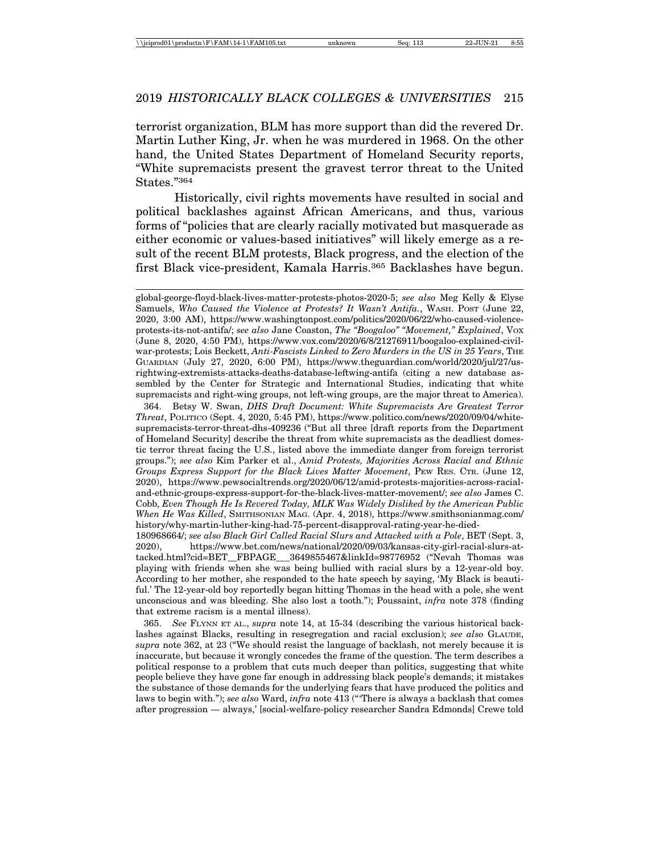terrorist organization, BLM has more support than did the revered Dr. Martin Luther King, Jr. when he was murdered in 1968. On the other hand, the United States Department of Homeland Security reports, "White supremacists present the gravest terror threat to the United States."364

Historically, civil rights movements have resulted in social and political backlashes against African Americans, and thus, various forms of "policies that are clearly racially motivated but masquerade as either economic or values-based initiatives" will likely emerge as a result of the recent BLM protests, Black progress, and the election of the first Black vice-president, Kamala Harris.365 Backlashes have begun.

364. Betsy W. Swan, *DHS Draft Document: White Supremacists Are Greatest Terror Threat*, POLITICO (Sept. 4, 2020, 5:45 PM), https://www.politico.com/news/2020/09/04/whitesupremacists-terror-threat-dhs-409236 ("But all three [draft reports from the Department of Homeland Security] describe the threat from white supremacists as the deadliest domestic terror threat facing the U.S., listed above the immediate danger from foreign terrorist groups."); *see also* Kim Parker et al., *Amid Protests, Majorities Across Racial and Ethnic Groups Express Support for the Black Lives Matter Movement*, PEW RES. CTR. (June 12, 2020), https://www.pewsocialtrends.org/2020/06/12/amid-protests-majorities-across-racialand-ethnic-groups-express-support-for-the-black-lives-matter-movement/; *see also* James C. Cobb, *Even Though He Is Revered Today, MLK Was Widely Disliked by the American Public When He Was Killed*, SMITHSONIAN MAG. (Apr. 4, 2018), https://www.smithsonianmag.com/ history/why-martin-luther-king-had-75-percent-disapproval-rating-year-he-died-

180968664/; *see also Black Girl Called Racial Slurs and Attacked with a Pole*, BET (Sept. 3, 2020), https://www.bet.com/news/national/2020/09/03/kansas-city-girl-racial-slurs-attacked.html?cid=BET\_\_FBPAGE\_\_\_3649855467&linkId=98776952 ("Nevah Thomas was playing with friends when she was being bullied with racial slurs by a 12-year-old boy. According to her mother, she responded to the hate speech by saying, 'My Black is beautiful.' The 12-year-old boy reportedly began hitting Thomas in the head with a pole, she went unconscious and was bleeding. She also lost a tooth."); Poussaint, *infra* note 378 (finding that extreme racism is a mental illness).

365. *See* FLYNN ET AL., *supra* note 14, at 15-34 (describing the various historical backlashes against Blacks, resulting in resegregation and racial exclusion); *see also* GLAUDE, *supra* note 362, at 23 ("We should resist the language of backlash, not merely because it is inaccurate, but because it wrongly concedes the frame of the question. The term describes a political response to a problem that cuts much deeper than politics, suggesting that white people believe they have gone far enough in addressing black people's demands; it mistakes the substance of those demands for the underlying fears that have produced the politics and laws to begin with."); *see also* Ward, *infra* note 413 ("'There is always a backlash that comes after progression — always,' [social-welfare-policy researcher Sandra Edmonds] Crewe told

global-george-floyd-black-lives-matter-protests-photos-2020-5; *see also* Meg Kelly & Elyse Samuels, *Who Caused the Violence at Protests? It Wasn't Antifa.*, WASH. POST (June 22, 2020, 3:00 AM), https://www.washingtonpost.com/politics/2020/06/22/who-caused-violenceprotests-its-not-antifa/; *see also* Jane Coaston, *The "Boogaloo" "Movement," Explained*, VOX (June 8, 2020, 4:50 PM), https://www.vox.com/2020/6/8/21276911/boogaloo-explained-civilwar-protests; Lois Beckett, *Anti-Fascists Linked to Zero Murders in the US in 25 Years*, THE GUARDIAN (July 27, 2020, 6:00 PM), https://www.theguardian.com/world/2020/jul/27/usrightwing-extremists-attacks-deaths-database-leftwing-antifa (citing a new database assembled by the Center for Strategic and International Studies, indicating that white supremacists and right-wing groups, not left-wing groups, are the major threat to America).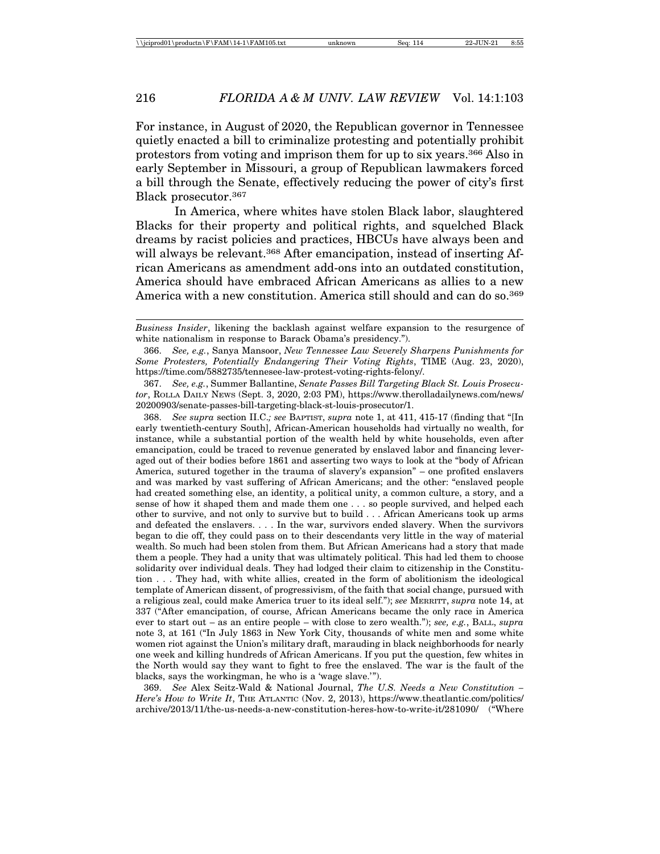For instance, in August of 2020, the Republican governor in Tennessee quietly enacted a bill to criminalize protesting and potentially prohibit protestors from voting and imprison them for up to six years.366 Also in early September in Missouri, a group of Republican lawmakers forced a bill through the Senate, effectively reducing the power of city's first Black prosecutor.367

In America, where whites have stolen Black labor, slaughtered Blacks for their property and political rights, and squelched Black dreams by racist policies and practices, HBCUs have always been and will always be relevant.<sup>368</sup> After emancipation, instead of inserting African Americans as amendment add-ons into an outdated constitution, America should have embraced African Americans as allies to a new America with a new constitution. America still should and can do so.<sup>369</sup>

367. *See, e.g.*, Summer Ballantine, *Senate Passes Bill Targeting Black St. Louis Prosecutor*, ROLLA DAILY NEWS (Sept. 3, 2020, 2:03 PM), https://www.therolladailynews.com/news/ 20200903/senate-passes-bill-targeting-black-st-louis-prosecutor/1.

368. *See supra* section II.C.*; see* BAPTIST, *supra* note 1, at 411, 415-17 (finding that "[In early twentieth-century South], African-American households had virtually no wealth, for instance, while a substantial portion of the wealth held by white households, even after emancipation, could be traced to revenue generated by enslaved labor and financing leveraged out of their bodies before 1861 and asserting two ways to look at the "body of African America, sutured together in the trauma of slavery's expansion" – one profited enslavers and was marked by vast suffering of African Americans; and the other: "enslaved people had created something else, an identity, a political unity, a common culture, a story, and a sense of how it shaped them and made them one . . . so people survived, and helped each other to survive, and not only to survive but to build . . . African Americans took up arms and defeated the enslavers. . . . In the war, survivors ended slavery. When the survivors began to die off, they could pass on to their descendants very little in the way of material wealth. So much had been stolen from them. But African Americans had a story that made them a people. They had a unity that was ultimately political. This had led them to choose solidarity over individual deals. They had lodged their claim to citizenship in the Constitution . . . They had, with white allies, created in the form of abolitionism the ideological template of American dissent, of progressivism, of the faith that social change, pursued with a religious zeal, could make America truer to its ideal self."); *see* MERRITT, *supra* note 14, at 337 ("After emancipation, of course, African Americans became the only race in America ever to start out – as an entire people – with close to zero wealth."); *see, e.g.*, BALL, *supra* note 3, at 161 ("In July 1863 in New York City, thousands of white men and some white women riot against the Union's military draft, marauding in black neighborhoods for nearly one week and killing hundreds of African Americans. If you put the question, few whites in the North would say they want to fight to free the enslaved. The war is the fault of the blacks, says the workingman, he who is a 'wage slave.'").

369. *See* Alex Seitz-Wald & National Journal, *The U.S. Needs a New Constitution – Here's How to Write It*, THE ATLANTIC (Nov. 2, 2013), https://www.theatlantic.com/politics/ archive/2013/11/the-us-needs-a-new-constitution-heres-how-to-write-it/281090/ ("Where

*Business Insider*, likening the backlash against welfare expansion to the resurgence of white nationalism in response to Barack Obama's presidency.").

<sup>366.</sup> *See, e.g.*, Sanya Mansoor, *New Tennessee Law Severely Sharpens Punishments for Some Protesters, Potentially Endangering Their Voting Rights*, TIME (Aug. 23, 2020), https://time.com/5882735/tennesee-law-protest-voting-rights-felony/.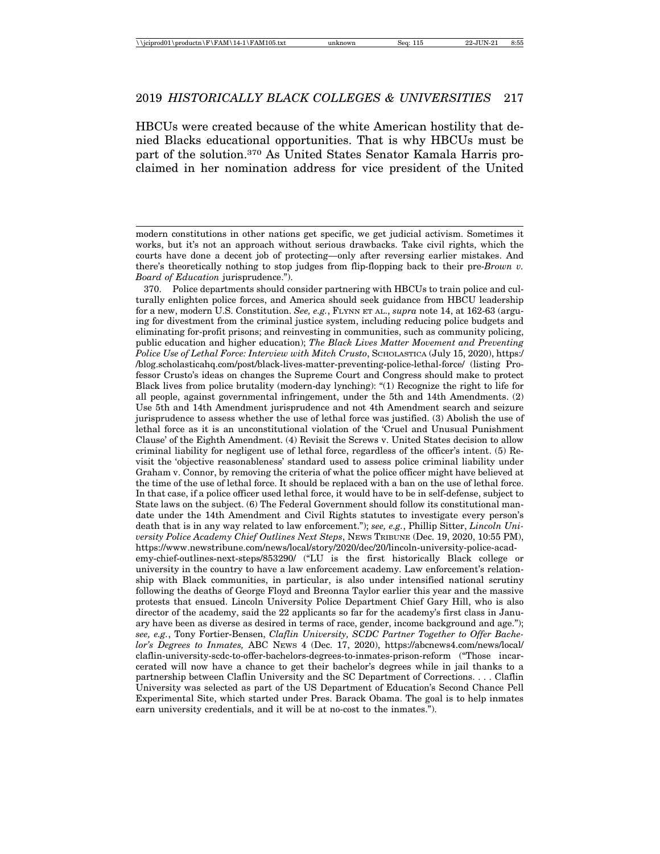HBCUs were created because of the white American hostility that denied Blacks educational opportunities. That is why HBCUs must be part of the solution.370 As United States Senator Kamala Harris proclaimed in her nomination address for vice president of the United

modern constitutions in other nations get specific, we get judicial activism. Sometimes it works, but it's not an approach without serious drawbacks. Take civil rights, which the courts have done a decent job of protecting—only after reversing earlier mistakes. And there's theoretically nothing to stop judges from flip-flopping back to their pre-*Brown v. Board of Education* jurisprudence.").

<sup>370.</sup> Police departments should consider partnering with HBCUs to train police and culturally enlighten police forces, and America should seek guidance from HBCU leadership for a new, modern U.S. Constitution. *See, e.g.*, FLYNN ET AL., *supra* note 14, at 162-63 (arguing for divestment from the criminal justice system, including reducing police budgets and eliminating for-profit prisons; and reinvesting in communities, such as community policing, public education and higher education); *The Black Lives Matter Movement and Preventing Police Use of Lethal Force: Interview with Mitch Crusto*, SCHOLASTICA (July 15, 2020), https:/ /blog.scholasticahq.com/post/black-lives-matter-preventing-police-lethal-force/ (listing Professor Crusto's ideas on changes the Supreme Court and Congress should make to protect Black lives from police brutality (modern-day lynching): "(1) Recognize the right to life for all people, against governmental infringement, under the 5th and 14th Amendments. (2) Use 5th and 14th Amendment jurisprudence and not 4th Amendment search and seizure jurisprudence to assess whether the use of lethal force was justified. (3) Abolish the use of lethal force as it is an unconstitutional violation of the 'Cruel and Unusual Punishment Clause' of the Eighth Amendment. (4) Revisit the Screws v. United States decision to allow criminal liability for negligent use of lethal force, regardless of the officer's intent. (5) Revisit the 'objective reasonableness' standard used to assess police criminal liability under Graham v. Connor, by removing the criteria of what the police officer might have believed at the time of the use of lethal force. It should be replaced with a ban on the use of lethal force. In that case, if a police officer used lethal force, it would have to be in self-defense, subject to State laws on the subject. (6) The Federal Government should follow its constitutional mandate under the 14th Amendment and Civil Rights statutes to investigate every person's death that is in any way related to law enforcement."); *see, e.g.*, Phillip Sitter, *Lincoln University Police Academy Chief Outlines Next Steps*, NEWS TRIBUNE (Dec. 19, 2020, 10:55 PM), https://www.newstribune.com/news/local/story/2020/dec/20/lincoln-university-police-academy-chief-outlines-next-steps/853290/ ("LU is the first historically Black college or university in the country to have a law enforcement academy. Law enforcement's relationship with Black communities, in particular, is also under intensified national scrutiny following the deaths of George Floyd and Breonna Taylor earlier this year and the massive protests that ensued. Lincoln University Police Department Chief Gary Hill, who is also director of the academy, said the 22 applicants so far for the academy's first class in January have been as diverse as desired in terms of race, gender, income background and age."); *see, e.g.*, Tony Fortier-Bensen, *Claflin University, SCDC Partner Together to Offer Bachelor's Degrees to Inmates,* ABC NEWS 4 (Dec. 17, 2020), https://abcnews4.com/news/local/ claflin-university-scdc-to-offer-bachelors-degrees-to-inmates-prison-reform ("Those incarcerated will now have a chance to get their bachelor's degrees while in jail thanks to a partnership between Claflin University and the SC Department of Corrections. . . . Claflin University was selected as part of the US Department of Education's Second Chance Pell Experimental Site, which started under Pres. Barack Obama. The goal is to help inmates earn university credentials, and it will be at no-cost to the inmates.").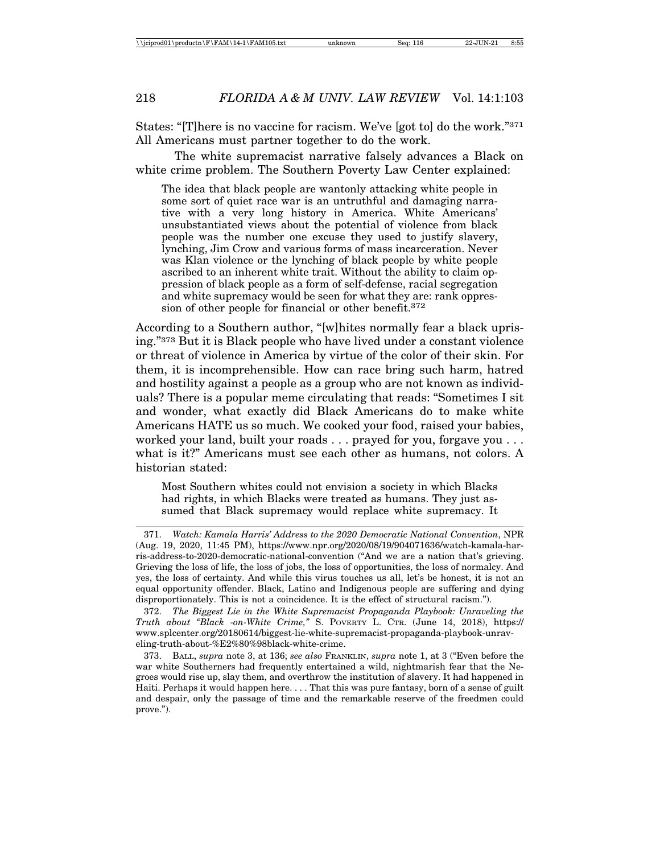States: "[T]here is no vaccine for racism. We've [got to] do the work."371 All Americans must partner together to do the work.

The white supremacist narrative falsely advances a Black on white crime problem. The Southern Poverty Law Center explained:

The idea that black people are wantonly attacking white people in some sort of quiet race war is an untruthful and damaging narrative with a very long history in America. White Americans' unsubstantiated views about the potential of violence from black people was the number one excuse they used to justify slavery, lynching, Jim Crow and various forms of mass incarceration. Never was Klan violence or the lynching of black people by white people ascribed to an inherent white trait. Without the ability to claim oppression of black people as a form of self-defense, racial segregation and white supremacy would be seen for what they are: rank oppression of other people for financial or other benefit.<sup>372</sup>

According to a Southern author, "[w]hites normally fear a black uprising."373 But it is Black people who have lived under a constant violence or threat of violence in America by virtue of the color of their skin. For them, it is incomprehensible. How can race bring such harm, hatred and hostility against a people as a group who are not known as individuals? There is a popular meme circulating that reads: "Sometimes I sit and wonder, what exactly did Black Americans do to make white Americans HATE us so much. We cooked your food, raised your babies, worked your land, built your roads . . . prayed for you, forgave you . . . what is it?" Americans must see each other as humans, not colors. A historian stated:

Most Southern whites could not envision a society in which Blacks had rights, in which Blacks were treated as humans. They just assumed that Black supremacy would replace white supremacy. It

<sup>371.</sup> *Watch: Kamala Harris' Address to the 2020 Democratic National Convention*, NPR (Aug. 19, 2020, 11:45 PM), https://www.npr.org/2020/08/19/904071636/watch-kamala-harris-address-to-2020-democratic-national-convention ("And we are a nation that's grieving. Grieving the loss of life, the loss of jobs, the loss of opportunities, the loss of normalcy. And yes, the loss of certainty. And while this virus touches us all, let's be honest, it is not an equal opportunity offender. Black, Latino and Indigenous people are suffering and dying disproportionately. This is not a coincidence. It is the effect of structural racism.").

<sup>372.</sup> *The Biggest Lie in the White Supremacist Propaganda Playbook: Unraveling the Truth about "Black -on-White Crime,"* S. POVERTY L. CTR. (June 14, 2018), https:// www.splcenter.org/20180614/biggest-lie-white-supremacist-propaganda-playbook-unraveling-truth-about-%E2%80%98black-white-crime.

<sup>373.</sup> BALL, *supra* note 3, at 136; *see also* FRANKLIN, *supra* note 1, at 3 ("Even before the war white Southerners had frequently entertained a wild, nightmarish fear that the Negroes would rise up, slay them, and overthrow the institution of slavery. It had happened in Haiti. Perhaps it would happen here. . . . That this was pure fantasy, born of a sense of guilt and despair, only the passage of time and the remarkable reserve of the freedmen could prove.").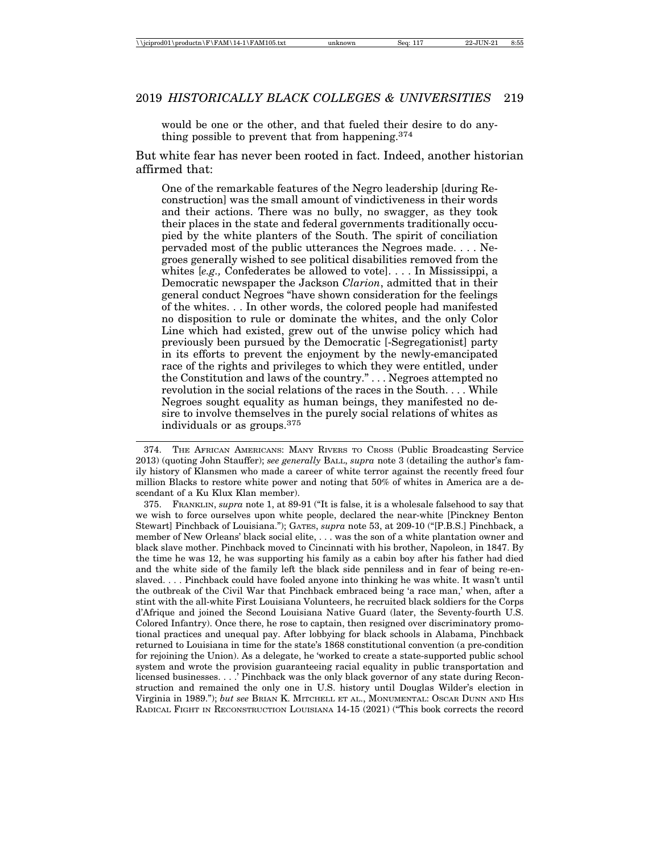would be one or the other, and that fueled their desire to do anything possible to prevent that from happening.374

But white fear has never been rooted in fact. Indeed, another historian affirmed that:

One of the remarkable features of the Negro leadership [during Reconstruction] was the small amount of vindictiveness in their words and their actions. There was no bully, no swagger, as they took their places in the state and federal governments traditionally occupied by the white planters of the South. The spirit of conciliation pervaded most of the public utterances the Negroes made. . . . Negroes generally wished to see political disabilities removed from the whites [*e.g.,* Confederates be allowed to vote]. . . . In Mississippi, a Democratic newspaper the Jackson *Clarion*, admitted that in their general conduct Negroes "have shown consideration for the feelings of the whites. . . In other words, the colored people had manifested no disposition to rule or dominate the whites, and the only Color Line which had existed, grew out of the unwise policy which had previously been pursued by the Democratic [-Segregationist] party in its efforts to prevent the enjoyment by the newly-emancipated race of the rights and privileges to which they were entitled, under the Constitution and laws of the country." . . . Negroes attempted no revolution in the social relations of the races in the South. . . . While Negroes sought equality as human beings, they manifested no desire to involve themselves in the purely social relations of whites as individuals or as groups.375

<sup>374.</sup> THE AFRICAN AMERICANS: MANY RIVERS TO CROSS (Public Broadcasting Service 2013) (quoting John Stauffer); *see generally* BALL, *supra* note 3 (detailing the author's family history of Klansmen who made a career of white terror against the recently freed four million Blacks to restore white power and noting that 50% of whites in America are a descendant of a Ku Klux Klan member).

<sup>375.</sup> FRANKLIN, *supra* note 1, at 89-91 ("It is false, it is a wholesale falsehood to say that we wish to force ourselves upon white people, declared the near-white [Pinckney Benton Stewart] Pinchback of Louisiana."); GATES, *supra* note 53, at 209-10 ("[P.B.S.] Pinchback, a member of New Orleans' black social elite, . . . was the son of a white plantation owner and black slave mother. Pinchback moved to Cincinnati with his brother, Napoleon, in 1847. By the time he was 12, he was supporting his family as a cabin boy after his father had died and the white side of the family left the black side penniless and in fear of being re-enslaved. . . . Pinchback could have fooled anyone into thinking he was white. It wasn't until the outbreak of the Civil War that Pinchback embraced being 'a race man,' when, after a stint with the all-white First Louisiana Volunteers, he recruited black soldiers for the Corps d'Afrique and joined the Second Louisiana Native Guard (later, the Seventy-fourth U.S. Colored Infantry). Once there, he rose to captain, then resigned over discriminatory promotional practices and unequal pay. After lobbying for black schools in Alabama, Pinchback returned to Louisiana in time for the state's 1868 constitutional convention (a pre-condition for rejoining the Union). As a delegate, he 'worked to create a state-supported public school system and wrote the provision guaranteeing racial equality in public transportation and licensed businesses. . . .' Pinchback was the only black governor of any state during Reconstruction and remained the only one in U.S. history until Douglas Wilder's election in Virginia in 1989."); *but see* BRIAN K. MITCHELL ET AL., MONUMENTAL: OSCAR DUNN AND HIS RADICAL FIGHT IN RECONSTRUCTION LOUISIANA 14-15 (2021) ("This book corrects the record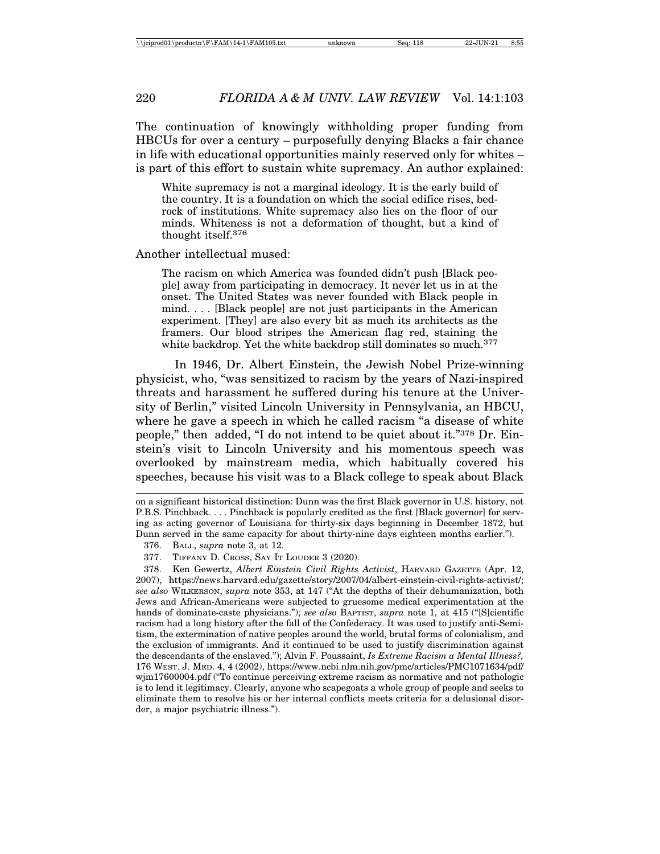The continuation of knowingly withholding proper funding from HBCUs for over a century – purposefully denying Blacks a fair chance in life with educational opportunities mainly reserved only for whites – is part of this effort to sustain white supremacy. An author explained:

White supremacy is not a marginal ideology. It is the early build of the country. It is a foundation on which the social edifice rises, bedrock of institutions. White supremacy also lies on the floor of our minds. Whiteness is not a deformation of thought, but a kind of thought itself.376

#### Another intellectual mused:

The racism on which America was founded didn't push [Black people] away from participating in democracy. It never let us in at the onset. The United States was never founded with Black people in mind. . . . [Black people] are not just participants in the American experiment. [They] are also every bit as much its architects as the framers. Our blood stripes the American flag red, staining the white backdrop. Yet the white backdrop still dominates so much.<sup>377</sup>

In 1946, Dr. Albert Einstein, the Jewish Nobel Prize-winning physicist, who, "was sensitized to racism by the years of Nazi-inspired threats and harassment he suffered during his tenure at the University of Berlin," visited Lincoln University in Pennsylvania, an HBCU, where he gave a speech in which he called racism "a disease of white people," then added, "I do not intend to be quiet about it."378 Dr. Einstein's visit to Lincoln University and his momentous speech was overlooked by mainstream media, which habitually covered his speeches, because his visit was to a Black college to speak about Black

on a significant historical distinction: Dunn was the first Black governor in U.S. history, not P.B.S. Pinchback. . . . Pinchback is popularly credited as the first [Black governor] for serving as acting governor of Louisiana for thirty-six days beginning in December 1872, but Dunn served in the same capacity for about thirty-nine days eighteen months earlier.").

<sup>376.</sup> BALL, *supra* note 3, at 12.

<sup>377.</sup> TIFFANY D. CROSS, SAY IT LOUDER 3 (2020).

<sup>378.</sup> Ken Gewertz, *Albert Einstein Civil Rights Activist*, HARVARD GAZETTE (Apr. 12, 2007), https://news.harvard.edu/gazette/story/2007/04/albert-einstein-civil-rights-activist/; *see also* WILKERSON, *supra* note 353, at 147 ("At the depths of their dehumanization, both Jews and African-Americans were subjected to gruesome medical experimentation at the hands of dominate-caste physicians."); *see also* BAPTIST, *supra* note 1, at 415 ("[S]cientific racism had a long history after the fall of the Confederacy. It was used to justify anti-Semitism, the extermination of native peoples around the world, brutal forms of colonialism, and the exclusion of immigrants. And it continued to be used to justify discrimination against the descendants of the enslaved."); Alvin F. Poussaint, *Is Extreme Racism a Mental Illness?,* 176 WEST. J. MED. 4, 4 (2002), https://www.ncbi.nlm.nih.gov/pmc/articles/PMC1071634/pdf/ wjm17600004.pdf ("To continue perceiving extreme racism as normative and not pathologic is to lend it legitimacy. Clearly, anyone who scapegoats a whole group of people and seeks to eliminate them to resolve his or her internal conflicts meets criteria for a delusional disorder, a major psychiatric illness.").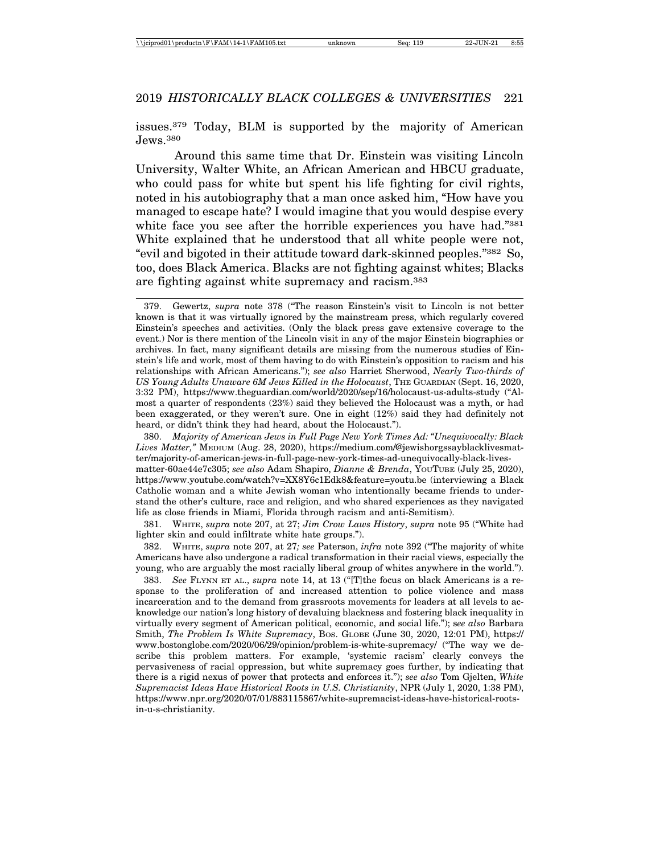issues.379 Today, BLM is supported by the majority of American Jews.380

Around this same time that Dr. Einstein was visiting Lincoln University, Walter White, an African American and HBCU graduate, who could pass for white but spent his life fighting for civil rights, noted in his autobiography that a man once asked him, "How have you managed to escape hate? I would imagine that you would despise every white face you see after the horrible experiences you have had."381 White explained that he understood that all white people were not, "evil and bigoted in their attitude toward dark-skinned peoples."382 So, too, does Black America. Blacks are not fighting against whites; Blacks are fighting against white supremacy and racism.383

380. *Majority of American Jews in Full Page New York Times Ad: "Unequivocally: Black Lives Matter,"* MEDIUM (Aug. 28, 2020), https://medium.com/@jewishorgssayblacklivesmatter/majority-of-american-jews-in-full-page-new-york-times-ad-unequivocally-black-livesmatter-60ae44e7c305; *see also* Adam Shapiro, *Dianne & Brenda*, YOUTUBE (July 25, 2020), https://www.youtube.com/watch?v=XX8Y6c1Edk8&feature=youtu.be (interviewing a Black Catholic woman and a white Jewish woman who intentionally became friends to understand the other's culture, race and religion, and who shared experiences as they navigated life as close friends in Miami, Florida through racism and anti-Semitism).

381. WHITE, *supra* note 207, at 27; *Jim Crow Laws History*, *supra* note 95 ("White had lighter skin and could infiltrate white hate groups.").

382. WHITE, *supra* note 207, at 27*; see* Paterson, *infra* note 392 ("The majority of white Americans have also undergone a radical transformation in their racial views, especially the young, who are arguably the most racially liberal group of whites anywhere in the world.").

383. *See* FLYNN ET AL., *supra* note 14, at 13 ("[T]the focus on black Americans is a response to the proliferation of and increased attention to police violence and mass incarceration and to the demand from grassroots movements for leaders at all levels to acknowledge our nation's long history of devaluing blackness and fostering black inequality in virtually every segment of American political, economic, and social life."); s*ee also* Barbara Smith, *The Problem Is White Supremacy*, BOS. GLOBE (June 30, 2020, 12:01 PM), https:// www.bostonglobe.com/2020/06/29/opinion/problem-is-white-supremacy/ ("The way we describe this problem matters. For example, 'systemic racism' clearly conveys the pervasiveness of racial oppression, but white supremacy goes further, by indicating that there is a rigid nexus of power that protects and enforces it."); *see also* Tom Gjelten, *White Supremacist Ideas Have Historical Roots in U.S. Christianity*, NPR (July 1, 2020, 1:38 PM), https://www.npr.org/2020/07/01/883115867/white-supremacist-ideas-have-historical-rootsin-u-s-christianity.

<sup>379.</sup> Gewertz, *supra* note 378 ("The reason Einstein's visit to Lincoln is not better known is that it was virtually ignored by the mainstream press, which regularly covered Einstein's speeches and activities. (Only the black press gave extensive coverage to the event.) Nor is there mention of the Lincoln visit in any of the major Einstein biographies or archives. In fact, many significant details are missing from the numerous studies of Einstein's life and work, most of them having to do with Einstein's opposition to racism and his relationships with African Americans."); *see also* Harriet Sherwood, *Nearly Two-thirds of US Young Adults Unaware 6M Jews Killed in the Holocaust*, THE GUARDIAN (Sept. 16, 2020, 3:32 PM), https://www.theguardian.com/world/2020/sep/16/holocaust-us-adults-study ("Almost a quarter of respondents (23%) said they believed the Holocaust was a myth, or had been exaggerated, or they weren't sure. One in eight (12%) said they had definitely not heard, or didn't think they had heard, about the Holocaust.").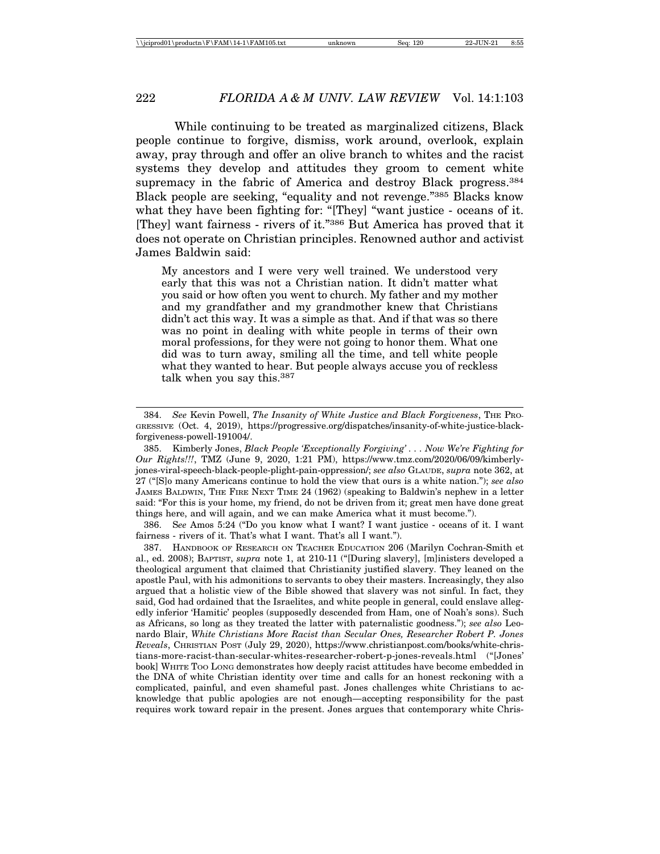While continuing to be treated as marginalized citizens, Black people continue to forgive, dismiss, work around, overlook, explain away, pray through and offer an olive branch to whites and the racist systems they develop and attitudes they groom to cement white supremacy in the fabric of America and destroy Black progress.384 Black people are seeking, "equality and not revenge."385 Blacks know what they have been fighting for: "[They] "want justice - oceans of it. [They] want fairness - rivers of it."386 But America has proved that it does not operate on Christian principles. Renowned author and activist James Baldwin said:

My ancestors and I were very well trained. We understood very early that this was not a Christian nation. It didn't matter what you said or how often you went to church. My father and my mother and my grandfather and my grandmother knew that Christians didn't act this way. It was a simple as that. And if that was so there was no point in dealing with white people in terms of their own moral professions, for they were not going to honor them. What one did was to turn away, smiling all the time, and tell white people what they wanted to hear. But people always accuse you of reckless talk when you say this.387

386. S*ee* Amos 5:24 ("Do you know what I want? I want justice - oceans of it. I want fairness - rivers of it. That's what I want. That's all I want.").

387. HANDBOOK OF RESEARCH ON TEACHER EDUCATION 206 (Marilyn Cochran-Smith et al., ed. 2008); BAPTIST, *supra* note 1, at 210-11 ("[During slavery], [m]inisters developed a theological argument that claimed that Christianity justified slavery. They leaned on the apostle Paul, with his admonitions to servants to obey their masters. Increasingly, they also argued that a holistic view of the Bible showed that slavery was not sinful. In fact, they said, God had ordained that the Israelites, and white people in general, could enslave allegedly inferior 'Hamitic' peoples (supposedly descended from Ham, one of Noah's sons). Such as Africans, so long as they treated the latter with paternalistic goodness."); *see also* Leonardo Blair, *White Christians More Racist than Secular Ones, Researcher Robert P. Jones Reveals*, CHRISTIAN POST (July 29, 2020), https://www.christianpost.com/books/white-christians-more-racist-than-secular-whites-researcher-robert-p-jones-reveals.html ("[Jones' book] WHITE TOO LONG demonstrates how deeply racist attitudes have become embedded in the DNA of white Christian identity over time and calls for an honest reckoning with a complicated, painful, and even shameful past. Jones challenges white Christians to acknowledge that public apologies are not enough—accepting responsibility for the past requires work toward repair in the present. Jones argues that contemporary white Chris-

<sup>384.</sup> *See* Kevin Powell, *The Insanity of White Justice and Black Forgiveness*, THE PRO-GRESSIVE (Oct. 4, 2019), https://progressive.org/dispatches/insanity-of-white-justice-blackforgiveness-powell-191004/.

<sup>385.</sup> Kimberly Jones, *Black People 'Exceptionally Forgiving' . . . Now We're Fighting for Our Rights!!!*, TMZ (June 9, 2020, 1:21 PM), https://www.tmz.com/2020/06/09/kimberlyjones-viral-speech-black-people-plight-pain-oppression/; *see also* GLAUDE, *supra* note 362, at 27 ("[S]o many Americans continue to hold the view that ours is a white nation."); *see also* JAMES BALDWIN, THE FIRE NEXT TIME 24 (1962) (speaking to Baldwin's nephew in a letter said: "For this is your home, my friend, do not be driven from it; great men have done great things here, and will again, and we can make America what it must become.").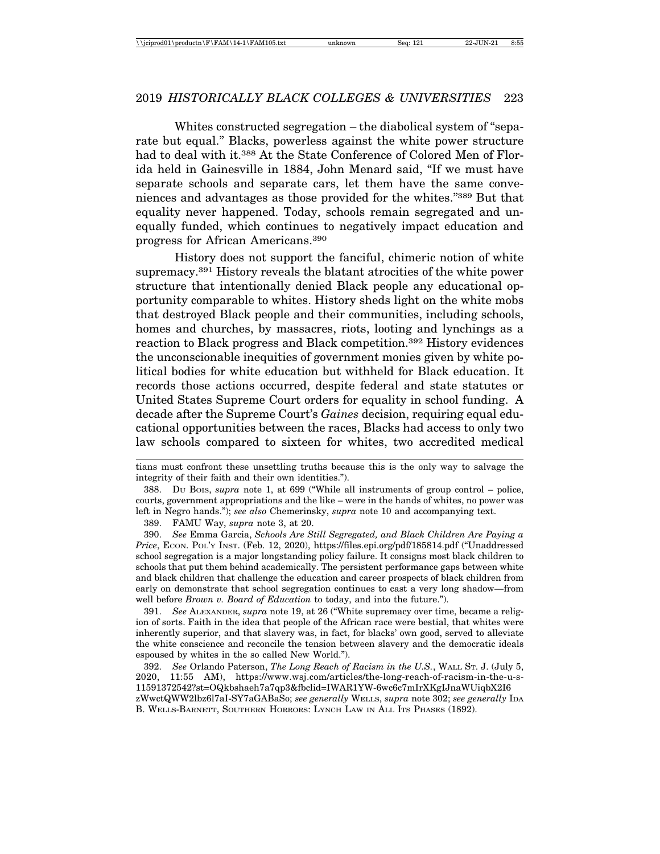Whites constructed segregation – the diabolical system of "separate but equal." Blacks, powerless against the white power structure had to deal with it.388 At the State Conference of Colored Men of Florida held in Gainesville in 1884, John Menard said, "If we must have separate schools and separate cars, let them have the same conveniences and advantages as those provided for the whites."389 But that equality never happened. Today, schools remain segregated and unequally funded, which continues to negatively impact education and progress for African Americans.390

History does not support the fanciful, chimeric notion of white supremacy.391 History reveals the blatant atrocities of the white power structure that intentionally denied Black people any educational opportunity comparable to whites. History sheds light on the white mobs that destroyed Black people and their communities, including schools, homes and churches, by massacres, riots, looting and lynchings as a reaction to Black progress and Black competition.392 History evidences the unconscionable inequities of government monies given by white political bodies for white education but withheld for Black education. It records those actions occurred, despite federal and state statutes or United States Supreme Court orders for equality in school funding. A decade after the Supreme Court's *Gaines* decision, requiring equal educational opportunities between the races, Blacks had access to only two law schools compared to sixteen for whites, two accredited medical

389. FAMU Way, *supra* note 3, at 20.

390. *See* Emma Garcia, *Schools Are Still Segregated, and Black Children Are Paying a Price*, ECON. POL'Y INST. (Feb. 12, 2020), https://files.epi.org/pdf/185814.pdf ("Unaddressed school segregation is a major longstanding policy failure. It consigns most black children to schools that put them behind academically. The persistent performance gaps between white and black children that challenge the education and career prospects of black children from early on demonstrate that school segregation continues to cast a very long shadow—from well before *Brown v. Board of Education* to today, and into the future.").

391. *See* ALEXANDER, *supra* note 19, at 26 ("White supremacy over time, became a religion of sorts. Faith in the idea that people of the African race were bestial, that whites were inherently superior, and that slavery was, in fact, for blacks' own good, served to alleviate the white conscience and reconcile the tension between slavery and the democratic ideals espoused by whites in the so called New World.").

392. *See* Orlando Paterson, *The Long Reach of Racism in the U.S.*, WALL ST. J. (July 5, 2020, 11:55 AM), https://www.wsj.com/articles/the-long-reach-of-racism-in-the-u-s-11591372542?st=OQkbshaeh7a7qp3&fbclid=IWAR1YW-6wc6c7mIrXKgIJnaWUiqbX2I6 zWwctQWW2lbz6l7aI-SY7aGABaSo; *see generally* WELLS, *supra* note 302; *see generally* IDA B. WELLS-BARNETT, SOUTHERN HORRORS: LYNCH LAW IN ALL ITS PHASES (1892).

tians must confront these unsettling truths because this is the only way to salvage the integrity of their faith and their own identities.").

<sup>388.</sup> DU BOIS, *supra* note 1, at 699 ("While all instruments of group control – police, courts, government appropriations and the like – were in the hands of whites, no power was left in Negro hands."); *see also* Chemerinsky, *supra* note 10 and accompanying text.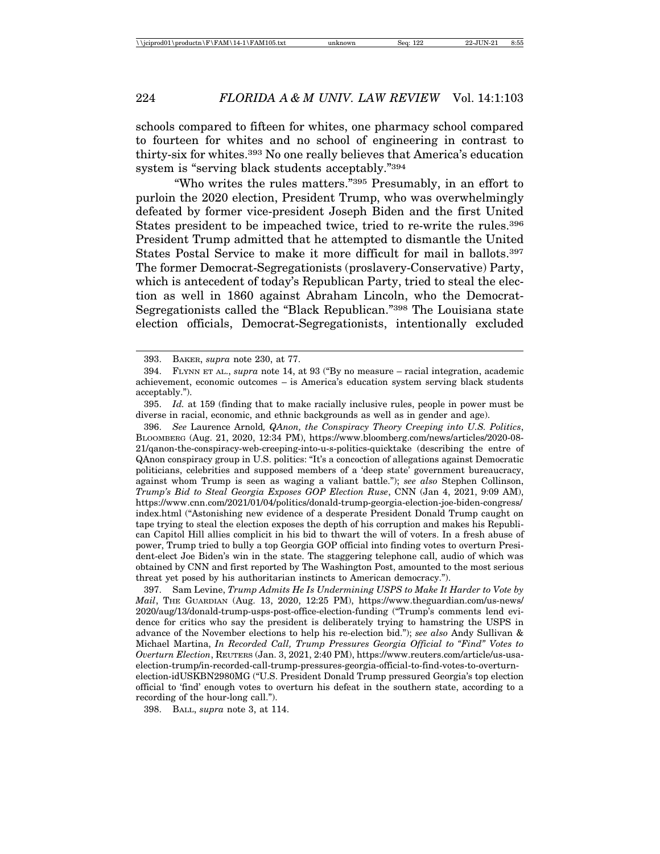schools compared to fifteen for whites, one pharmacy school compared to fourteen for whites and no school of engineering in contrast to thirty-six for whites.393 No one really believes that America's education system is "serving black students acceptably."394

"Who writes the rules matters."395 Presumably, in an effort to purloin the 2020 election, President Trump, who was overwhelmingly defeated by former vice-president Joseph Biden and the first United States president to be impeached twice, tried to re-write the rules.<sup>396</sup> President Trump admitted that he attempted to dismantle the United States Postal Service to make it more difficult for mail in ballots.397 The former Democrat-Segregationists (proslavery-Conservative) Party, which is antecedent of today's Republican Party, tried to steal the election as well in 1860 against Abraham Lincoln, who the Democrat-Segregationists called the "Black Republican."398 The Louisiana state election officials, Democrat-Segregationists, intentionally excluded

396. *See* Laurence Arnold*, QAnon, the Conspiracy Theory Creeping into U.S. Politics*, BLOOMBERG (Aug. 21, 2020, 12:34 PM), https://www.bloomberg.com/news/articles/2020-08- 21/qanon-the-conspiracy-web-creeping-into-u-s-politics-quicktake (describing the entre of QAnon conspiracy group in U.S. politics: "It's a concoction of allegations against Democratic politicians, celebrities and supposed members of a 'deep state' government bureaucracy, against whom Trump is seen as waging a valiant battle."); *see also* Stephen Collinson, *Trump's Bid to Steal Georgia Exposes GOP Election Ruse*, CNN (Jan 4, 2021, 9:09 AM), https://www.cnn.com/2021/01/04/politics/donald-trump-georgia-election-joe-biden-congress/ index.html ("Astonishing new evidence of a desperate President Donald Trump caught on tape trying to steal the election exposes the depth of his corruption and makes his Republican Capitol Hill allies complicit in his bid to thwart the will of voters. In a fresh abuse of power, Trump tried to bully a top Georgia GOP official into finding votes to overturn President-elect Joe Biden's win in the state. The staggering telephone call, audio of which was obtained by CNN and first reported by The Washington Post, amounted to the most serious threat yet posed by his authoritarian instincts to American democracy.").

397. Sam Levine, *Trump Admits He Is Undermining USPS to Make It Harder to Vote by Mail*, THE GUARDIAN (Aug. 13, 2020, 12:25 PM), https://www.theguardian.com/us-news/ 2020/aug/13/donald-trump-usps-post-office-election-funding ("Trump's comments lend evidence for critics who say the president is deliberately trying to hamstring the USPS in advance of the November elections to help his re-election bid."); *see also* Andy Sullivan & Michael Martina, *In Recorded Call, Trump Pressures Georgia Official to "Find" Votes to Overturn Election*, REUTERS (Jan. 3, 2021, 2:40 PM), https://www.reuters.com/article/us-usaelection-trump/in-recorded-call-trump-pressures-georgia-official-to-find-votes-to-overturnelection-idUSKBN2980MG ("U.S. President Donald Trump pressured Georgia's top election official to 'find' enough votes to overturn his defeat in the southern state, according to a recording of the hour-long call.").

398. BALL, *supra* note 3, at 114.

<sup>393.</sup> BAKER, *supra* note 230, at 77.

<sup>394.</sup> FLYNN ET AL., *supra* note 14, at 93 ("By no measure – racial integration, academic achievement, economic outcomes – is America's education system serving black students acceptably.").

<sup>395.</sup> *Id.* at 159 (finding that to make racially inclusive rules, people in power must be diverse in racial, economic, and ethnic backgrounds as well as in gender and age).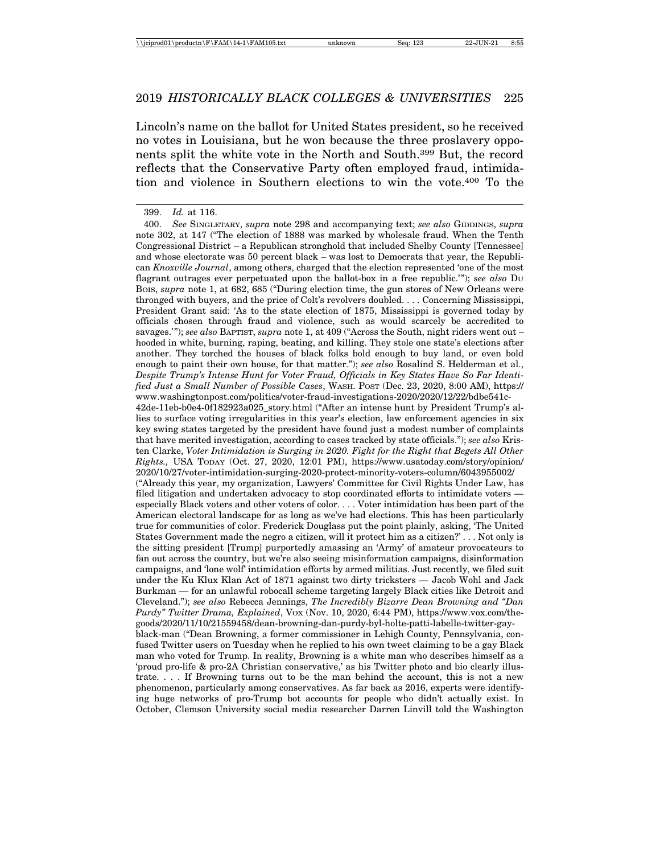Lincoln's name on the ballot for United States president, so he received no votes in Louisiana, but he won because the three proslavery opponents split the white vote in the North and South.399 But, the record reflects that the Conservative Party often employed fraud, intimidation and violence in Southern elections to win the vote.400 To the

<sup>399.</sup> *Id.* at 116.

<sup>400.</sup> *See* SINGLETARY, *supra* note 298 and accompanying text; *see also* GIDDINGS, *supra* note 302, at 147 ("The election of 1888 was marked by wholesale fraud. When the Tenth Congressional District – a Republican stronghold that included Shelby County [Tennessee] and whose electorate was 50 percent black – was lost to Democrats that year, the Republican *Knoxville Journal*, among others, charged that the election represented 'one of the most flagrant outrages ever perpetuated upon the ballot-box in a free republic.'"); *see also* DU BOIS, *supra* note 1, at 682, 685 ("During election time, the gun stores of New Orleans were thronged with buyers, and the price of Colt's revolvers doubled. . . . Concerning Mississippi, President Grant said: 'As to the state election of 1875, Mississippi is governed today by officials chosen through fraud and violence, such as would scarcely be accredited to savages.'"); *see also* BAPTIST, *supra* note 1, at 409 ("Across the South, night riders went out – hooded in white, burning, raping, beating, and killing. They stole one state's elections after another. They torched the houses of black folks bold enough to buy land, or even bold enough to paint their own house, for that matter."); *see also* Rosalind S. Helderman et al., *Despite Trump's Intense Hunt for Voter Fraud, Officials in Key States Have So Far Identified Just a Small Number of Possible Cases*, WASH. POST (Dec. 23, 2020, 8:00 AM), https:// www.washingtonpost.com/politics/voter-fraud-investigations-2020/2020/12/22/bdbe541c-42de-11eb-b0e4-0f182923a025\_story.html ("After an intense hunt by President Trump's allies to surface voting irregularities in this year's election, law enforcement agencies in six key swing states targeted by the president have found just a modest number of complaints that have merited investigation, according to cases tracked by state officials."); *see also* Kristen Clarke, *Voter Intimidation is Surging in 2020. Fight for the Right that Begets All Other Rights.,* USA TODAY (Oct. 27, 2020, 12:01 PM), https://www.usatoday.com/story/opinion/ 2020/10/27/voter-intimidation-surging-2020-protect-minority-voters-column/6043955002/ ("Already this year, my organization, Lawyers' Committee for Civil Rights Under Law, has filed litigation and undertaken advocacy to stop coordinated efforts to intimidate voters especially Black voters and other voters of color. . . . Voter intimidation has been part of the American electoral landscape for as long as we've had elections. This has been particularly true for communities of color. Frederick Douglass put the point plainly, asking, 'The United States Government made the negro a citizen, will it protect him as a citizen?' . . . Not only is the sitting president [Trump] purportedly amassing an 'Army' of amateur provocateurs to fan out across the country, but we're also seeing misinformation campaigns, disinformation campaigns, and 'lone wolf' intimidation efforts by armed militias. Just recently, we filed suit under the Ku Klux Klan Act of 1871 against two dirty tricksters — Jacob Wohl and Jack Burkman — for an unlawful robocall scheme targeting largely Black cities like Detroit and Cleveland."); *see also* Rebecca Jennings, *The Incredibly Bizarre Dean Browning and "Dan Purdy" Twitter Drama, Explained, Vox (Nov. 10, 2020, 6:44 PM), https://www.vox.com/the*goods/2020/11/10/21559458/dean-browning-dan-purdy-byl-holte-patti-labelle-twitter-gayblack-man ("Dean Browning, a former commissioner in Lehigh County, Pennsylvania, confused Twitter users on Tuesday when he replied to his own tweet claiming to be a gay Black man who voted for Trump. In reality, Browning is a white man who describes himself as a 'proud pro-life & pro-2A Christian conservative,' as his Twitter photo and bio clearly illustrate. . . . If Browning turns out to be the man behind the account, this is not a new phenomenon, particularly among conservatives. As far back as 2016, experts were identifying huge networks of pro-Trump bot accounts for people who didn't actually exist. In October, Clemson University social media researcher Darren Linvill told the Washington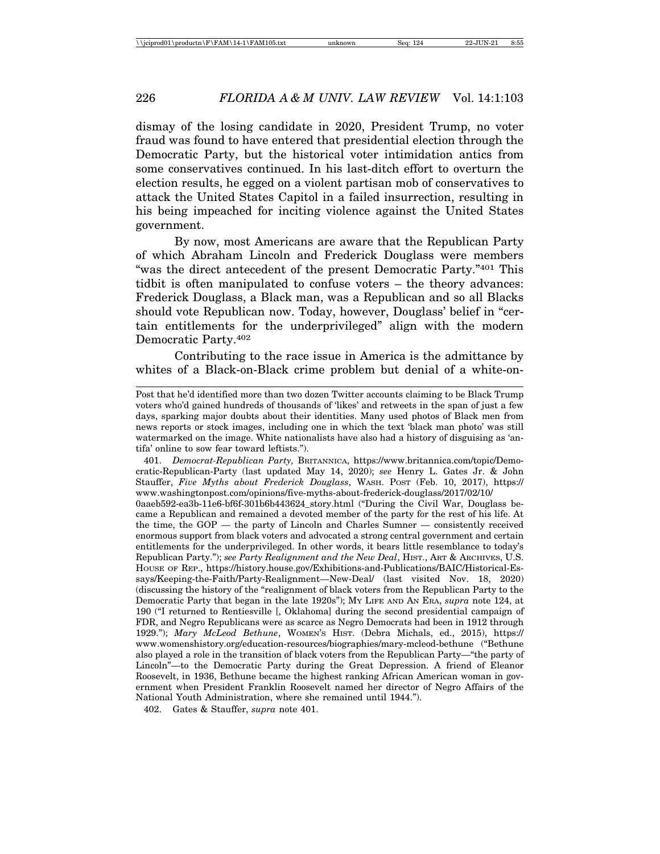dismay of the losing candidate in 2020, President Trump, no voter fraud was found to have entered that presidential election through the Democratic Party, but the historical voter intimidation antics from some conservatives continued. In his last-ditch effort to overturn the election results, he egged on a violent partisan mob of conservatives to attack the United States Capitol in a failed insurrection, resulting in his being impeached for inciting violence against the United States government.

By now, most Americans are aware that the Republican Party of which Abraham Lincoln and Frederick Douglass were members "was the direct antecedent of the present Democratic Party."401 This tidbit is often manipulated to confuse voters – the theory advances: Frederick Douglass, a Black man, was a Republican and so all Blacks should vote Republican now. Today, however, Douglass' belief in "certain entitlements for the underprivileged" align with the modern Democratic Party.402

Contributing to the race issue in America is the admittance by whites of a Black-on-Black crime problem but denial of a white-on-

401. *Democrat-Republican Party,* BRITANNICA, https://www.britannica.com/topic/Democratic-Republican-Party (last updated May 14, 2020); *see* Henry L. Gates Jr. & John Stauffer, *Five Myths about Frederick Douglass*, WASH. POST (Feb. 10, 2017), https:// www.washingtonpost.com/opinions/five-myths-about-frederick-douglass/2017/02/10/

0aaeb592-ea3b-11e6-bf6f-301b6b443624\_story.html ("During the Civil War, Douglass became a Republican and remained a devoted member of the party for the rest of his life. At the time, the GOP — the party of Lincoln and Charles Sumner — consistently received enormous support from black voters and advocated a strong central government and certain entitlements for the underprivileged. In other words, it bears little resemblance to today's Republican Party."); *see Party Realignment and the New Deal*, HIST., ART & ARCHIVES, U.S. HOUSE OF REP., https://history.house.gov/Exhibitions-and-Publications/BAIC/Historical-Essays/Keeping-the-Faith/Party-Realignment—New-Deal/ (last visited Nov. 18, 2020) (discussing the history of the "realignment of black voters from the Republican Party to the Democratic Party that began in the late 1920s"); MY LIFE AND AN ERA, *supra* note 124, at 190 ("I returned to Rentiesville [, Oklahoma] during the second presidential campaign of FDR, and Negro Republicans were as scarce as Negro Democrats had been in 1912 through 1929."); *Mary McLeod Bethune*, WOMEN'S HIST. (Debra Michals, ed., 2015), https:// www.womenshistory.org/education-resources/biographies/mary-mcleod-bethune ("Bethune also played a role in the transition of black voters from the Republican Party—"the party of Lincoln"—to the Democratic Party during the Great Depression. A friend of Eleanor Roosevelt, in 1936, Bethune became the highest ranking African American woman in government when President Franklin Roosevelt named her director of Negro Affairs of the National Youth Administration, where she remained until 1944.").

402. Gates & Stauffer, *supra* note 401.

Post that he'd identified more than two dozen Twitter accounts claiming to be Black Trump voters who'd gained hundreds of thousands of 'likes' and retweets in the span of just a few days, sparking major doubts about their identities. Many used photos of Black men from news reports or stock images, including one in which the text 'black man photo' was still watermarked on the image. White nationalists have also had a history of disguising as 'antifa' online to sow fear toward leftists.").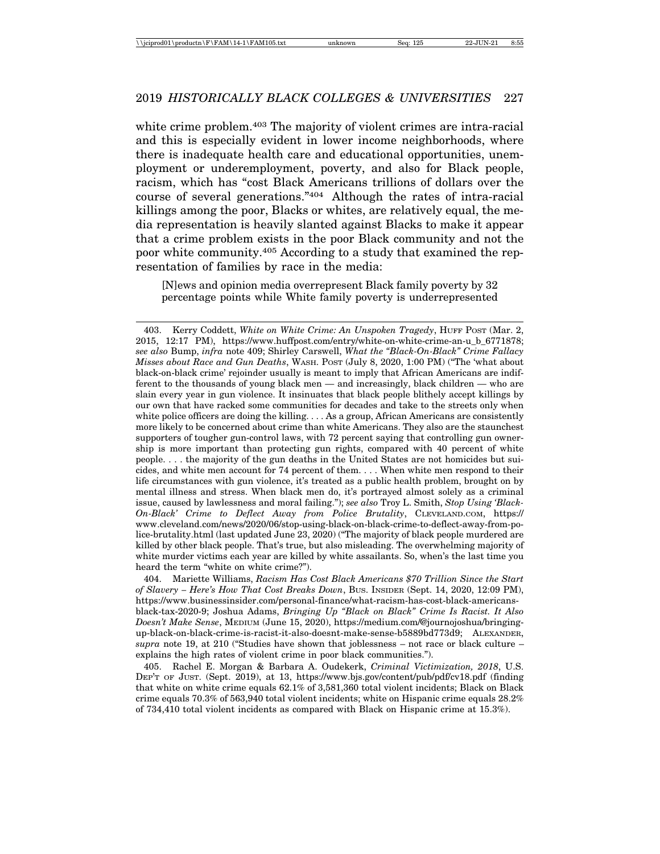white crime problem.<sup>403</sup> The majority of violent crimes are intra-racial and this is especially evident in lower income neighborhoods, where there is inadequate health care and educational opportunities, unemployment or underemployment, poverty, and also for Black people, racism, which has "cost Black Americans trillions of dollars over the course of several generations."404 Although the rates of intra-racial killings among the poor, Blacks or whites, are relatively equal, the media representation is heavily slanted against Blacks to make it appear that a crime problem exists in the poor Black community and not the poor white community.405 According to a study that examined the representation of families by race in the media:

[N]ews and opinion media overrepresent Black family poverty by 32 percentage points while White family poverty is underrepresented

<sup>403.</sup> Kerry Coddett, *White on White Crime: An Unspoken Tragedy*, HUFF POST (Mar. 2, 2015, 12:17 PM), https://www.huffpost.com/entry/white-on-white-crime-an-u\_b\_6771878; *see also* Bump, *infra* note 409; Shirley Carswell, *What the "Black-On-Black" Crime Fallacy Misses about Race and Gun Deaths*, WASH. POST (July 8, 2020, 1:00 PM) ("The 'what about black-on-black crime' rejoinder usually is meant to imply that African Americans are indifferent to the thousands of young black men — and increasingly, black children — who are slain every year in gun violence. It insinuates that black people blithely accept killings by our own that have racked some communities for decades and take to the streets only when white police officers are doing the killing. . . . As a group, African Americans are consistently more likely to be concerned about crime than white Americans. They also are the staunchest supporters of tougher gun-control laws, with 72 percent saying that controlling gun ownership is more important than protecting gun rights, compared with 40 percent of white people. . . . the majority of the gun deaths in the United States are not homicides but suicides, and white men account for 74 percent of them. . . . When white men respond to their life circumstances with gun violence, it's treated as a public health problem, brought on by mental illness and stress. When black men do, it's portrayed almost solely as a criminal issue, caused by lawlessness and moral failing."); *see also* Troy L. Smith, *Stop Using 'Black-On-Black' Crime to Deflect Away from Police Brutality*, CLEVELAND.COM, https:// www.cleveland.com/news/2020/06/stop-using-black-on-black-crime-to-deflect-away-from-police-brutality.html (last updated June 23, 2020) ("The majority of black people murdered are killed by other black people. That's true, but also misleading. The overwhelming majority of white murder victims each year are killed by white assailants. So, when's the last time you heard the term "white on white crime?").

<sup>404.</sup> Mariette Williams, *Racism Has Cost Black Americans \$70 Trillion Since the Start of Slavery – Here's How That Cost Breaks Down*, BUS. INSIDER (Sept. 14, 2020, 12:09 PM), https://www.businessinsider.com/personal-finance/what-racism-has-cost-black-americansblack-tax-2020-9; Joshua Adams, *Bringing Up "Black on Black" Crime Is Racist. It Also Doesn't Make Sense*, MEDIUM (June 15, 2020), https://medium.com/@journojoshua/bringingup-black-on-black-crime-is-racist-it-also-doesnt-make-sense-b5889bd773d9; ALEXANDER, *supra* note 19, at 210 ("Studies have shown that joblessness – not race or black culture – explains the high rates of violent crime in poor black communities.").

<sup>405.</sup> Rachel E. Morgan & Barbara A. Oudekerk, *Criminal Victimization, 2018*, U.S. DEP'T OF JUST. (Sept. 2019), at 13, https://www.bjs.gov/content/pub/pdf/cv18.pdf (finding that white on white crime equals 62.1% of 3,581,360 total violent incidents; Black on Black crime equals 70.3% of 563,940 total violent incidents; white on Hispanic crime equals 28.2% of 734,410 total violent incidents as compared with Black on Hispanic crime at 15.3%).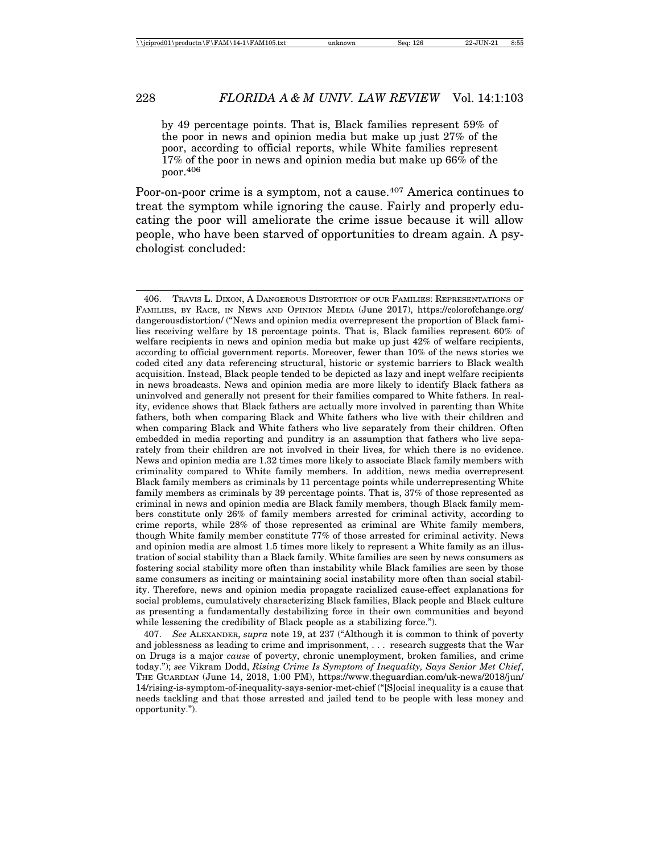by 49 percentage points. That is, Black families represent 59% of the poor in news and opinion media but make up just 27% of the poor, according to official reports, while White families represent 17% of the poor in news and opinion media but make up 66% of the poor.406

Poor-on-poor crime is a symptom, not a cause.<sup>407</sup> America continues to treat the symptom while ignoring the cause. Fairly and properly educating the poor will ameliorate the crime issue because it will allow people, who have been starved of opportunities to dream again. A psychologist concluded:

407. *See* ALEXANDER, *supra* note 19, at 237 ("Although it is common to think of poverty and joblessness as leading to crime and imprisonment, . . . research suggests that the War on Drugs is a major *cause* of poverty, chronic unemployment, broken families, and crime today."); *see* Vikram Dodd, *Rising Crime Is Symptom of Inequality, Says Senior Met Chief*, THE GUARDIAN (June 14, 2018, 1:00 PM), https://www.theguardian.com/uk-news/2018/jun/ 14/rising-is-symptom-of-inequality-says-senior-met-chief ("[S]ocial inequality is a cause that needs tackling and that those arrested and jailed tend to be people with less money and opportunity.").

<sup>406.</sup> TRAVIS L. DIXON, A DANGEROUS DISTORTION OF OUR FAMILIES: REPRESENTATIONS OF FAMILIES, BY RACE, IN NEWS AND OPINION MEDIA (June 2017), https://colorofchange.org/ dangerousdistortion/ ("News and opinion media overrepresent the proportion of Black families receiving welfare by 18 percentage points. That is, Black families represent 60% of welfare recipients in news and opinion media but make up just  $42\%$  of welfare recipients, according to official government reports. Moreover, fewer than 10% of the news stories we coded cited any data referencing structural, historic or systemic barriers to Black wealth acquisition. Instead, Black people tended to be depicted as lazy and inept welfare recipients in news broadcasts. News and opinion media are more likely to identify Black fathers as uninvolved and generally not present for their families compared to White fathers. In reality, evidence shows that Black fathers are actually more involved in parenting than White fathers, both when comparing Black and White fathers who live with their children and when comparing Black and White fathers who live separately from their children. Often embedded in media reporting and punditry is an assumption that fathers who live separately from their children are not involved in their lives, for which there is no evidence. News and opinion media are 1.32 times more likely to associate Black family members with criminality compared to White family members. In addition, news media overrepresent Black family members as criminals by 11 percentage points while underrepresenting White family members as criminals by 39 percentage points. That is, 37% of those represented as criminal in news and opinion media are Black family members, though Black family members constitute only 26% of family members arrested for criminal activity, according to crime reports, while 28% of those represented as criminal are White family members, though White family member constitute 77% of those arrested for criminal activity. News and opinion media are almost 1.5 times more likely to represent a White family as an illustration of social stability than a Black family. White families are seen by news consumers as fostering social stability more often than instability while Black families are seen by those same consumers as inciting or maintaining social instability more often than social stability. Therefore, news and opinion media propagate racialized cause-effect explanations for social problems, cumulatively characterizing Black families, Black people and Black culture as presenting a fundamentally destabilizing force in their own communities and beyond while lessening the credibility of Black people as a stabilizing force.").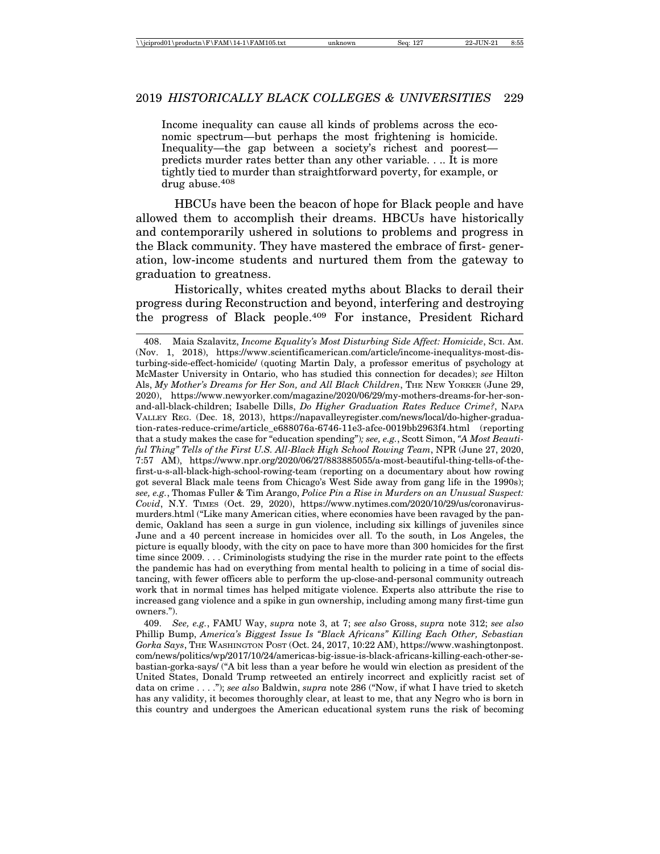Income inequality can cause all kinds of problems across the economic spectrum—but perhaps the most frightening is homicide. Inequality—the gap between a society's richest and poorest predicts murder rates better than any other variable. . .. It is more tightly tied to murder than straightforward poverty, for example, or drug abuse.<sup>408</sup>

HBCUs have been the beacon of hope for Black people and have allowed them to accomplish their dreams. HBCUs have historically and contemporarily ushered in solutions to problems and progress in the Black community. They have mastered the embrace of first- generation, low-income students and nurtured them from the gateway to graduation to greatness.

Historically, whites created myths about Blacks to derail their progress during Reconstruction and beyond, interfering and destroying the progress of Black people.409 For instance, President Richard

<sup>408.</sup> Maia Szalavitz, *Income Equality's Most Disturbing Side Affect: Homicide*, SCI. AM. (Nov. 1, 2018), https://www.scientificamerican.com/article/income-inequalitys-most-disturbing-side-effect-homicide/ (quoting Martin Daly, a professor emeritus of psychology at McMaster University in Ontario, who has studied this connection for decades); *see* Hilton Als, *My Mother's Dreams for Her Son, and All Black Children*, THE NEW YORKER (June 29, 2020), https://www.newyorker.com/magazine/2020/06/29/my-mothers-dreams-for-her-sonand-all-black-children; Isabelle Dills, *Do Higher Graduation Rates Reduce Crime?*, NAPA VALLEY REG. (Dec. 18, 2013), https://napavalleyregister.com/news/local/do-higher-graduation-rates-reduce-crime/article\_e688076a-6746-11e3-afce-0019bb2963f4.html (reporting that a study makes the case for "education spending")*; see, e.g.*, Scott Simon, *"A Most Beautiful Thing" Tells of the First U.S. All-Black High School Rowing Team*, NPR (June 27, 2020, 7:57 AM), https://www.npr.org/2020/06/27/883885055/a-most-beautiful-thing-tells-of-thefirst-u-s-all-black-high-school-rowing-team (reporting on a documentary about how rowing got several Black male teens from Chicago's West Side away from gang life in the 1990s); *see, e.g.*, Thomas Fuller & Tim Arango, *Police Pin a Rise in Murders on an Unusual Suspect: Covid*, N.Y. TIMES (Oct. 29, 2020), https://www.nytimes.com/2020/10/29/us/coronavirusmurders.html ("Like many American cities, where economies have been ravaged by the pandemic, Oakland has seen a surge in gun violence, including six killings of juveniles since June and a 40 percent increase in homicides over all. To the south, in Los Angeles, the picture is equally bloody, with the city on pace to have more than 300 homicides for the first time since 2009. . . . Criminologists studying the rise in the murder rate point to the effects the pandemic has had on everything from mental health to policing in a time of social distancing, with fewer officers able to perform the up-close-and-personal community outreach work that in normal times has helped mitigate violence. Experts also attribute the rise to increased gang violence and a spike in gun ownership, including among many first-time gun owners.").

<sup>409.</sup> *See, e.g.*, FAMU Way, *supra* note 3, at 7; *see also* Gross, *supra* note 312; *see also* Phillip Bump, *America's Biggest Issue Is "Black Africans" Killing Each Other, Sebastian Gorka Says*, THE WASHINGTON POST (Oct. 24, 2017, 10:22 AM), https://www.washingtonpost. com/news/politics/wp/2017/10/24/americas-big-issue-is-black-africans-killing-each-other-sebastian-gorka-says/ ("A bit less than a year before he would win election as president of the United States, Donald Trump retweeted an entirely incorrect and explicitly racist set of data on crime . . . ."); *see also* Baldwin, *supra* note 286 ("Now, if what I have tried to sketch has any validity, it becomes thoroughly clear, at least to me, that any Negro who is born in this country and undergoes the American educational system runs the risk of becoming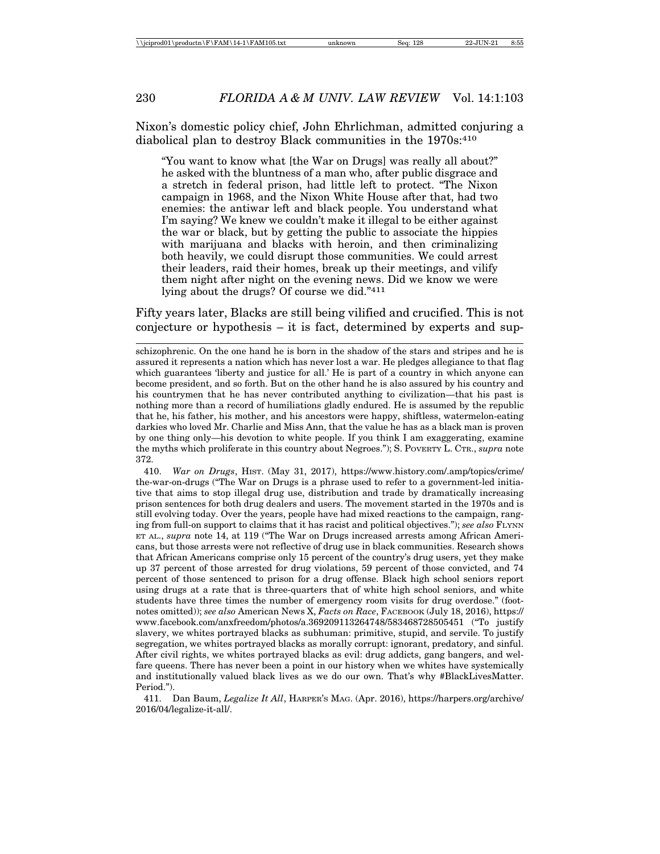Nixon's domestic policy chief, John Ehrlichman, admitted conjuring a diabolical plan to destroy Black communities in the 1970s:410

"You want to know what [the War on Drugs] was really all about?" he asked with the bluntness of a man who, after public disgrace and a stretch in federal prison, had little left to protect. "The Nixon campaign in 1968, and the Nixon White House after that, had two enemies: the antiwar left and black people. You understand what I'm saying? We knew we couldn't make it illegal to be either against the war or black, but by getting the public to associate the hippies with marijuana and blacks with heroin, and then criminalizing both heavily, we could disrupt those communities. We could arrest their leaders, raid their homes, break up their meetings, and vilify them night after night on the evening news. Did we know we were lying about the drugs? Of course we did."<sup>411</sup>

Fifty years later, Blacks are still being vilified and crucified. This is not conjecture or hypothesis – it is fact, determined by experts and sup-

schizophrenic. On the one hand he is born in the shadow of the stars and stripes and he is assured it represents a nation which has never lost a war. He pledges allegiance to that flag which guarantees 'liberty and justice for all.' He is part of a country in which anyone can become president, and so forth. But on the other hand he is also assured by his country and his countrymen that he has never contributed anything to civilization—that his past is nothing more than a record of humiliations gladly endured. He is assumed by the republic that he, his father, his mother, and his ancestors were happy, shiftless, watermelon-eating darkies who loved Mr. Charlie and Miss Ann, that the value he has as a black man is proven by one thing only—his devotion to white people. If you think I am exaggerating, examine the myths which proliferate in this country about Negroes."); S. POVERTY L. CTR., *supra* note 372.

410. *War on Drugs*, HIST. (May 31, 2017), https://www.history.com/.amp/topics/crime/ the-war-on-drugs ("The War on Drugs is a phrase used to refer to a government-led initiative that aims to stop illegal drug use, distribution and trade by dramatically increasing prison sentences for both drug dealers and users. The movement started in the 1970s and is still evolving today. Over the years, people have had mixed reactions to the campaign, ranging from full-on support to claims that it has racist and political objectives."); *see also* FLYNN ET AL., *supra* note 14, at 119 ("The War on Drugs increased arrests among African Americans, but those arrests were not reflective of drug use in black communities. Research shows that African Americans comprise only 15 percent of the country's drug users, yet they make up 37 percent of those arrested for drug violations, 59 percent of those convicted, and 74 percent of those sentenced to prison for a drug offense. Black high school seniors report using drugs at a rate that is three-quarters that of white high school seniors, and white students have three times the number of emergency room visits for drug overdose." (footnotes omitted)); *see also* American News X, *Facts on Race*, FACEBOOK (July 18, 2016), https:// www.facebook.com/anxfreedom/photos/a.369209113264748/583468728505451 ("To justify slavery, we whites portrayed blacks as subhuman: primitive, stupid, and servile. To justify segregation, we whites portrayed blacks as morally corrupt: ignorant, predatory, and sinful. After civil rights, we whites portrayed blacks as evil: drug addicts, gang bangers, and welfare queens. There has never been a point in our history when we whites have systemically and institutionally valued black lives as we do our own. That's why #BlackLivesMatter. Period.").

411. Dan Baum, *Legalize It All*, HARPER'S MAG. (Apr. 2016), https://harpers.org/archive/ 2016/04/legalize-it-all/.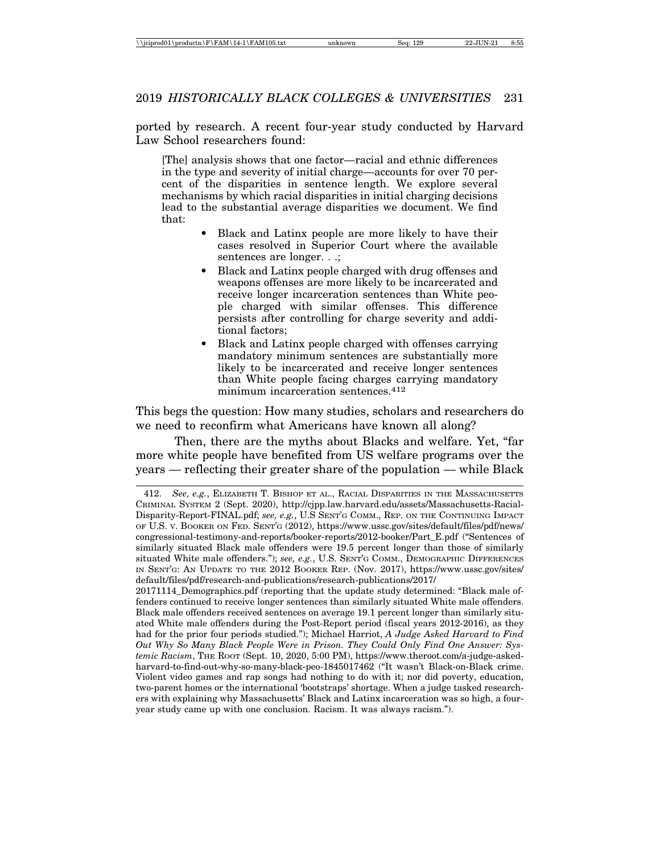ported by research. A recent four-year study conducted by Harvard Law School researchers found:

[The] analysis shows that one factor—racial and ethnic differences in the type and severity of initial charge—accounts for over 70 percent of the disparities in sentence length. We explore several mechanisms by which racial disparities in initial charging decisions lead to the substantial average disparities we document. We find that:

- Black and Latinx people are more likely to have their cases resolved in Superior Court where the available sentences are longer. . .;
- Black and Latinx people charged with drug offenses and weapons offenses are more likely to be incarcerated and receive longer incarceration sentences than White people charged with similar offenses. This difference persists after controlling for charge severity and additional factors;
- Black and Latinx people charged with offenses carrying mandatory minimum sentences are substantially more likely to be incarcerated and receive longer sentences than White people facing charges carrying mandatory minimum incarceration sentences.412

This begs the question: How many studies, scholars and researchers do we need to reconfirm what Americans have known all along?

Then, there are the myths about Blacks and welfare. Yet, "far more white people have benefited from US welfare programs over the years — reflecting their greater share of the population — while Black

<sup>412.</sup> *See, e.g.*, ELIZABETH T. BISHOP ET AL., RACIAL DISPARITIES IN THE MASSACHUSETTS CRIMINAL SYSTEM 2 (Sept. 2020), http://cjpp.law.harvard.edu/assets/Massachusetts-Racial-Disparity-Report-FINAL.pdf; *see, e.g.*, U.S SENT'G COMM., REP. ON THE CONTINUING IMPACT OF U.S. V. BOOKER ON FED. SENT'G (2012), https://www.ussc.gov/sites/default/files/pdf/news/ congressional-testimony-and-reports/booker-reports/2012-booker/Part\_E.pdf ("Sentences of similarly situated Black male offenders were 19.5 percent longer than those of similarly situated White male offenders."); *see, e.g.*, U.S. SENT'G COMM., DEMOGRAPHIC DIFFERENCES IN SENT'G: AN UPDATE TO THE 2012 BOOKER REP. (Nov. 2017), https://www.ussc.gov/sites/ default/files/pdf/research-and-publications/research-publications/2017/

<sup>20171114</sup>\_Demographics.pdf (reporting that the update study determined: "Black male offenders continued to receive longer sentences than similarly situated White male offenders. Black male offenders received sentences on average 19.1 percent longer than similarly situated White male offenders during the Post-Report period (fiscal years 2012-2016), as they had for the prior four periods studied."); Michael Harriot, *A Judge Asked Harvard to Find Out Why So Many Black People Were in Prison. They Could Only Find One Answer: Systemic Racism*, THE ROOT (Sept. 10, 2020, 5:00 PM), https://www.theroot.com/a-judge-askedharvard-to-find-out-why-so-many-black-peo-1845017462 ("It wasn't Black-on-Black crime. Violent video games and rap songs had nothing to do with it; nor did poverty, education, two-parent homes or the international 'bootstraps' shortage. When a judge tasked researchers with explaining why Massachusetts' Black and Latinx incarceration was so high, a fouryear study came up with one conclusion. Racism. It was always racism.").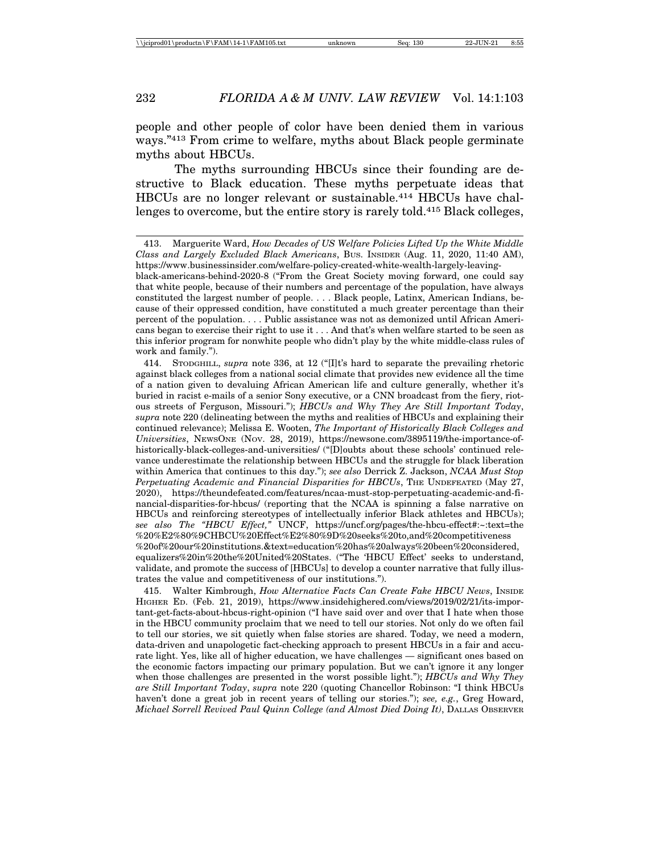people and other people of color have been denied them in various ways."413 From crime to welfare, myths about Black people germinate myths about HBCUs.

The myths surrounding HBCUs since their founding are destructive to Black education. These myths perpetuate ideas that HBCUs are no longer relevant or sustainable.414 HBCUs have challenges to overcome, but the entire story is rarely told.415 Black colleges,

415. Walter Kimbrough, *How Alternative Facts Can Create Fake HBCU News*, INSIDE HIGHER ED. (Feb. 21, 2019), https://www.insidehighered.com/views/2019/02/21/its-important-get-facts-about-hbcus-right-opinion ("I have said over and over that I hate when those in the HBCU community proclaim that we need to tell our stories. Not only do we often fail to tell our stories, we sit quietly when false stories are shared. Today, we need a modern, data-driven and unapologetic fact-checking approach to present HBCUs in a fair and accurate light. Yes, like all of higher education, we have challenges — significant ones based on the economic factors impacting our primary population. But we can't ignore it any longer when those challenges are presented in the worst possible light."); *HBCUs and Why They are Still Important Today*, *supra* note 220 (quoting Chancellor Robinson: "I think HBCUs haven't done a great job in recent years of telling our stories."); *see, e.g.*, Greg Howard, *Michael Sorrell Revived Paul Quinn College (and Almost Died Doing It)*, DALLAS OBSERVER

<sup>413.</sup> Marguerite Ward, *How Decades of US Welfare Policies Lifted Up the White Middle Class and Largely Excluded Black Americans*, BUS. INSIDER (Aug. 11, 2020, 11:40 AM), https://www.businessinsider.com/welfare-policy-created-white-wealth-largely-leaving-

black-americans-behind-2020-8 ("From the Great Society moving forward, one could say that white people, because of their numbers and percentage of the population, have always constituted the largest number of people. . . . Black people, Latinx, American Indians, because of their oppressed condition, have constituted a much greater percentage than their percent of the population. . . . Public assistance was not as demonized until African Americans began to exercise their right to use it . . . And that's when welfare started to be seen as this inferior program for nonwhite people who didn't play by the white middle-class rules of work and family.").

<sup>414.</sup> STODGHILL, *supra* note 336, at 12 ("[I]t's hard to separate the prevailing rhetoric against black colleges from a national social climate that provides new evidence all the time of a nation given to devaluing African American life and culture generally, whether it's buried in racist e-mails of a senior Sony executive, or a CNN broadcast from the fiery, riotous streets of Ferguson, Missouri."); *HBCUs and Why They Are Still Important Today*, *supra* note 220 (delineating between the myths and realities of HBCUs and explaining their continued relevance); Melissa E. Wooten, *The Important of Historically Black Colleges and Universities*, NEWSONE (NOV. 28, 2019), https://newsone.com/3895119/the-importance-ofhistorically-black-colleges-and-universities/ ("[D]oubts about these schools' continued relevance underestimate the relationship between HBCUs and the struggle for black liberation within America that continues to this day."); *see also* Derrick Z. Jackson, *NCAA Must Stop Perpetuating Academic and Financial Disparities for HBCUs*, THE UNDEFEATED (May 27, 2020), https://theundefeated.com/features/ncaa-must-stop-perpetuating-academic-and-financial-disparities-for-hbcus/ (reporting that the NCAA is spinning a false narrative on HBCUs and reinforcing stereotypes of intellectually inferior Black athletes and HBCUs); *see also The "HBCU Effect,"* UNCF, https://uncf.org/pages/the-hbcu-effect#:~:text=the %20%E2%80%9CHBCU%20Effect%E2%80%9D%20seeks%20to,and%20competitiveness %20of%20our%20institutions.&text=education%20has%20always%20been%20considered, equalizers%20in%20the%20United%20States. ("The 'HBCU Effect' seeks to understand, validate, and promote the success of [HBCUs] to develop a counter narrative that fully illustrates the value and competitiveness of our institutions.").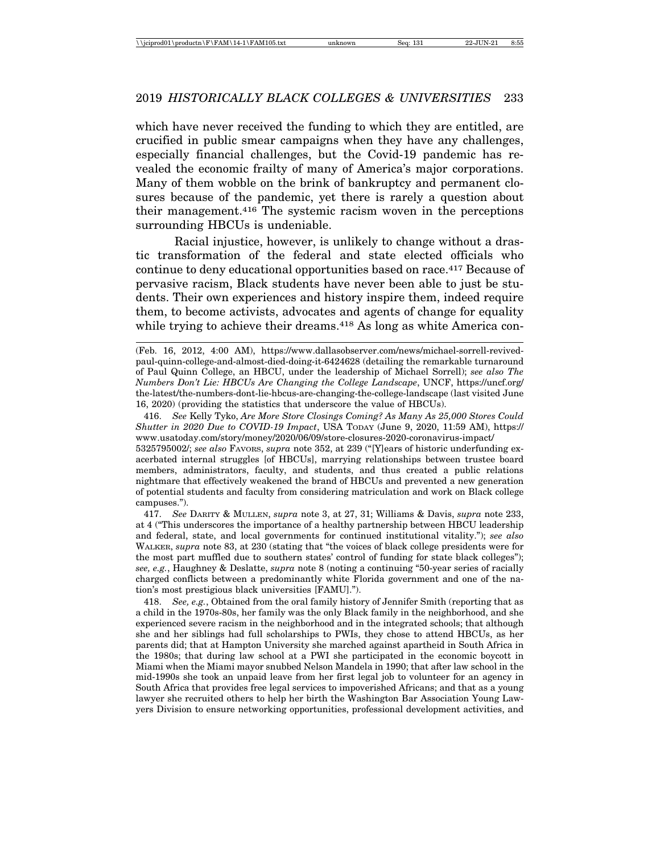which have never received the funding to which they are entitled, are crucified in public smear campaigns when they have any challenges, especially financial challenges, but the Covid-19 pandemic has revealed the economic frailty of many of America's major corporations. Many of them wobble on the brink of bankruptcy and permanent closures because of the pandemic, yet there is rarely a question about their management.416 The systemic racism woven in the perceptions surrounding HBCUs is undeniable.

Racial injustice, however, is unlikely to change without a drastic transformation of the federal and state elected officials who continue to deny educational opportunities based on race.417 Because of pervasive racism, Black students have never been able to just be students. Their own experiences and history inspire them, indeed require them, to become activists, advocates and agents of change for equality while trying to achieve their dreams.<sup>418</sup> As long as white America con-

416. *See* Kelly Tyko, *Are More Store Closings Coming? As Many As 25,000 Stores Could Shutter in 2020 Due to COVID-19 Impact*, USA TODAY (June 9, 2020, 11:59 AM), https:// www.usatoday.com/story/money/2020/06/09/store-closures-2020-coronavirus-impact/

5325795002/; *see also* FAVORS, *supra* note 352, at 239 ("[Y]ears of historic underfunding exacerbated internal struggles [of HBCUs], marrying relationships between trustee board members, administrators, faculty, and students, and thus created a public relations nightmare that effectively weakened the brand of HBCUs and prevented a new generation of potential students and faculty from considering matriculation and work on Black college campuses.").

417. *See* DARITY & MULLEN, *supra* note 3, at 27, 31; Williams & Davis, *supra* note 233, at 4 ("This underscores the importance of a healthy partnership between HBCU leadership and federal, state, and local governments for continued institutional vitality."); *see also* WALKER, *supra* note 83, at 230 (stating that "the voices of black college presidents were for the most part muffled due to southern states' control of funding for state black colleges"); *see, e.g.*, Haughney & Deslatte, *supra* note 8 (noting a continuing "50-year series of racially charged conflicts between a predominantly white Florida government and one of the nation's most prestigious black universities [FAMU].").

418. *See, e.g.*, Obtained from the oral family history of Jennifer Smith (reporting that as a child in the 1970s-80s, her family was the only Black family in the neighborhood, and she experienced severe racism in the neighborhood and in the integrated schools; that although she and her siblings had full scholarships to PWIs, they chose to attend HBCUs, as her parents did; that at Hampton University she marched against apartheid in South Africa in the 1980s; that during law school at a PWI she participated in the economic boycott in Miami when the Miami mayor snubbed Nelson Mandela in 1990; that after law school in the mid-1990s she took an unpaid leave from her first legal job to volunteer for an agency in South Africa that provides free legal services to impoverished Africans; and that as a young lawyer she recruited others to help her birth the Washington Bar Association Young Lawyers Division to ensure networking opportunities, professional development activities, and

<sup>(</sup>Feb. 16, 2012, 4:00 AM), https://www.dallasobserver.com/news/michael-sorrell-revivedpaul-quinn-college-and-almost-died-doing-it-6424628 (detailing the remarkable turnaround of Paul Quinn College, an HBCU, under the leadership of Michael Sorrell); *see also The Numbers Don't Lie: HBCUs Are Changing the College Landscape*, UNCF, https://uncf.org/ the-latest/the-numbers-dont-lie-hbcus-are-changing-the-college-landscape (last visited June 16, 2020) (providing the statistics that underscore the value of HBCUs).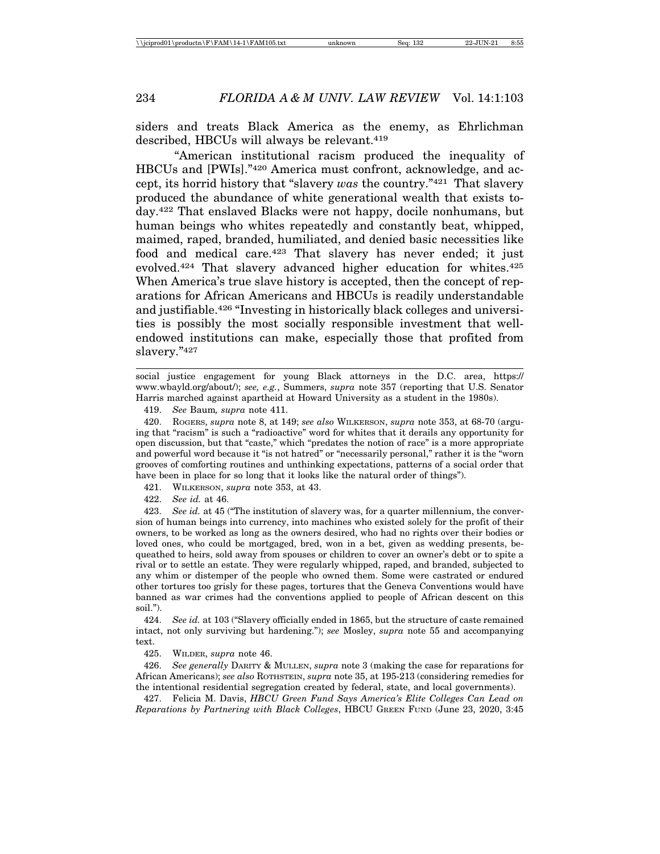siders and treats Black America as the enemy, as Ehrlichman described, HBCUs will always be relevant.419

"American institutional racism produced the inequality of HBCUs and [PWIs]."420 America must confront, acknowledge, and accept, its horrid history that "slavery *was* the country."421 That slavery produced the abundance of white generational wealth that exists today.422 That enslaved Blacks were not happy, docile nonhumans, but human beings who whites repeatedly and constantly beat, whipped, maimed, raped, branded, humiliated, and denied basic necessities like food and medical care.<sup>423</sup> That slavery has never ended; it just evolved.424 That slavery advanced higher education for whites.425 When America's true slave history is accepted, then the concept of reparations for African Americans and HBCUs is readily understandable and justifiable.426 "Investing in historically black colleges and universities is possibly the most socially responsible investment that wellendowed institutions can make, especially those that profited from slavery."427

421. WILKERSON, *supra* note 353, at 43.

422. *See id.* at 46.

423. *See id.* at 45 ("The institution of slavery was, for a quarter millennium, the conversion of human beings into currency, into machines who existed solely for the profit of their owners, to be worked as long as the owners desired, who had no rights over their bodies or loved ones, who could be mortgaged, bred, won in a bet, given as wedding presents, bequeathed to heirs, sold away from spouses or children to cover an owner's debt or to spite a rival or to settle an estate. They were regularly whipped, raped, and branded, subjected to any whim or distemper of the people who owned them. Some were castrated or endured other tortures too grisly for these pages, tortures that the Geneva Conventions would have banned as war crimes had the conventions applied to people of African descent on this soil.").

424. *See id.* at 103 ("Slavery officially ended in 1865, but the structure of caste remained intact, not only surviving but hardening."); *see* Mosley, *supra* note 55 and accompanying text.

425. WILDER, *supra* note 46.

426. *See generally* DARITY & MULLEN, *supra* note 3 (making the case for reparations for African Americans); *see also* ROTHSTEIN, *supra* note 35, at 195-213 (considering remedies for the intentional residential segregation created by federal, state, and local governments).

427. Felicia M. Davis, *HBCU Green Fund Says America's Elite Colleges Can Lead on Reparations by Partnering with Black Colleges*, HBCU GREEN FUND (June 23, 2020, 3:45

social justice engagement for young Black attorneys in the D.C. area, https:// www.wbayld.org/about/); *see, e.g.*, Summers, *supra* note 357 (reporting that U.S. Senator Harris marched against apartheid at Howard University as a student in the 1980s).

<sup>419.</sup> *See* Baum*, supra* note 411.

<sup>420.</sup> ROGERS, *supra* note 8, at 149; *see also* WILKERSON, *supra* note 353, at 68-70 (arguing that "racism" is such a "radioactive" word for whites that it derails any opportunity for open discussion, but that "caste," which "predates the notion of race" is a more appropriate and powerful word because it "is not hatred" or "necessarily personal," rather it is the "worn grooves of comforting routines and unthinking expectations, patterns of a social order that have been in place for so long that it looks like the natural order of things").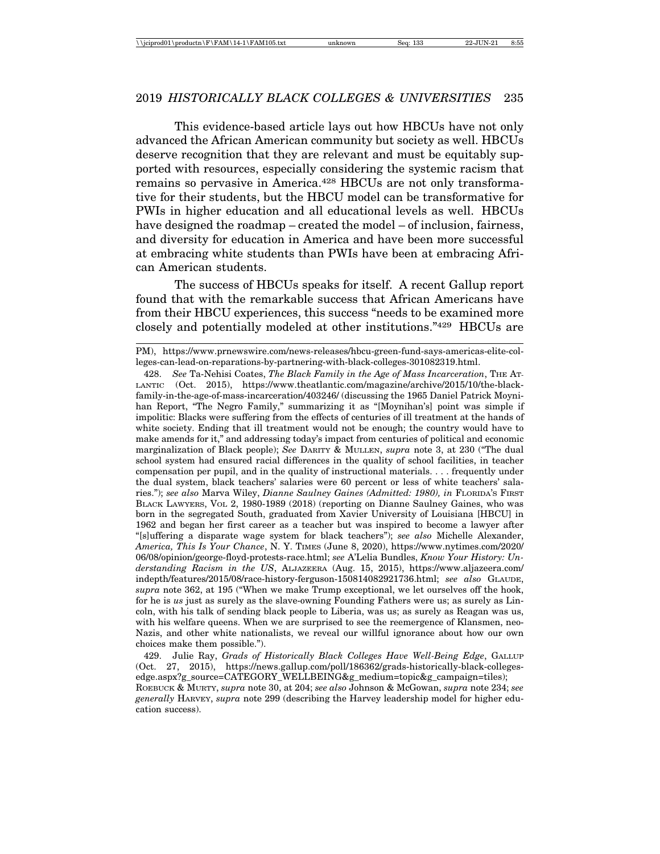This evidence-based article lays out how HBCUs have not only advanced the African American community but society as well. HBCUs deserve recognition that they are relevant and must be equitably supported with resources, especially considering the systemic racism that remains so pervasive in America.428 HBCUs are not only transformative for their students, but the HBCU model can be transformative for PWIs in higher education and all educational levels as well. HBCUs have designed the roadmap – created the model – of inclusion, fairness, and diversity for education in America and have been more successful at embracing white students than PWIs have been at embracing African American students.

The success of HBCUs speaks for itself. A recent Gallup report found that with the remarkable success that African Americans have from their HBCU experiences, this success "needs to be examined more closely and potentially modeled at other institutions."429 HBCUs are

PM), https://www.prnewswire.com/news-releases/hbcu-green-fund-says-americas-elite-colleges-can-lead-on-reparations-by-partnering-with-black-colleges-301082319.html.

<sup>428.</sup> *See* Ta-Nehisi Coates, *The Black Family in the Age of Mass Incarceration*, THE AT-LANTIC (Oct. 2015), https://www.theatlantic.com/magazine/archive/2015/10/the-blackfamily-in-the-age-of-mass-incarceration/403246/ (discussing the 1965 Daniel Patrick Moynihan Report, "The Negro Family," summarizing it as "[Moynihan's] point was simple if impolitic: Blacks were suffering from the effects of centuries of ill treatment at the hands of white society. Ending that ill treatment would not be enough; the country would have to make amends for it," and addressing today's impact from centuries of political and economic marginalization of Black people); *See* DARITY & MULLEN, *supra* note 3, at 230 ("The dual school system had ensured racial differences in the quality of school facilities, in teacher compensation per pupil, and in the quality of instructional materials. . . . frequently under the dual system, black teachers' salaries were 60 percent or less of white teachers' salaries."); *see also* Marva Wiley, *Dianne Saulney Gaines (Admitted: 1980), in* FLORIDA'S FIRST BLACK LAWYERS, VOL 2, 1980-1989 (2018) (reporting on Dianne Saulney Gaines, who was born in the segregated South, graduated from Xavier University of Louisiana [HBCU] in 1962 and began her first career as a teacher but was inspired to become a lawyer after "[s]uffering a disparate wage system for black teachers"); *see also* Michelle Alexander, *America, This Is Your Chance*, N. Y. TIMES (June 8, 2020), https://www.nytimes.com/2020/ 06/08/opinion/george-floyd-protests-race.html; *see* A'Lelia Bundles, *Know Your History: Understanding Racism in the US*, ALJAZEERA (Aug. 15, 2015), https://www.aljazeera.com/ indepth/features/2015/08/race-history-ferguson-150814082921736.html; *see also* GLAUDE, *supra* note 362, at 195 ("When we make Trump exceptional, we let ourselves off the hook, for he is *us* just as surely as the slave-owning Founding Fathers were us; as surely as Lincoln, with his talk of sending black people to Liberia, was us; as surely as Reagan was us, with his welfare queens. When we are surprised to see the reemergence of Klansmen, neo-Nazis, and other white nationalists, we reveal our willful ignorance about how our own choices make them possible.").

<sup>429.</sup> Julie Ray, *Grads of Historically Black Colleges Have Well-Being Edge*, GALLUP (Oct. 27, 2015), https://news.gallup.com/poll/186362/grads-historically-black-collegesedge.aspx?g\_source=CATEGORY\_WELLBEING&g\_medium=topic&g\_campaign=tiles); ROEBUCK & MURTY, *supra* note 30, at 204; *see also* Johnson & McGowan, *supra* note 234; *see generally* HARVEY, *supra* note 299 (describing the Harvey leadership model for higher education success).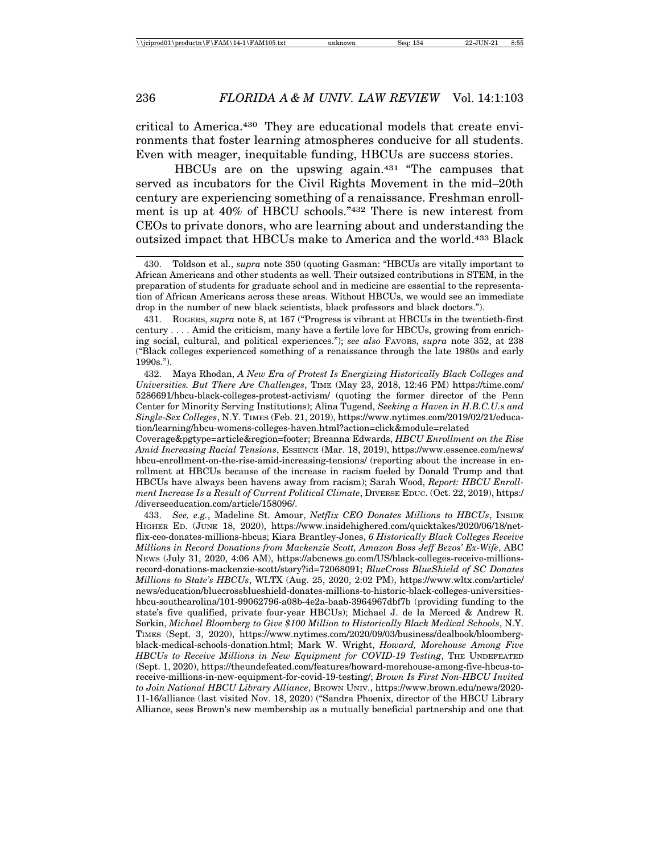critical to America.430 They are educational models that create environments that foster learning atmospheres conducive for all students. Even with meager, inequitable funding, HBCUs are success stories.

HBCUs are on the upswing again.431 "The campuses that served as incubators for the Civil Rights Movement in the mid–20th century are experiencing something of a renaissance. Freshman enrollment is up at 40% of HBCU schools."432 There is new interest from CEOs to private donors, who are learning about and understanding the outsized impact that HBCUs make to America and the world.433 Black

Coverage&pgtype=article&region=footer; Breanna Edwards, *HBCU Enrollment on the Rise Amid Increasing Racial Tensions*, ESSENCE (Mar. 18, 2019), https://www.essence.com/news/ hbcu-enrollment-on-the-rise-amid-increasing-tensions/ (reporting about the increase in enrollment at HBCUs because of the increase in racism fueled by Donald Trump and that HBCUs have always been havens away from racism); Sarah Wood, *Report: HBCU Enrollment Increase Is a Result of Current Political Climate*, DIVERSE EDUC. (Oct. 22, 2019), https:/ /diverseeducation.com/article/158096/.

433. *See, e.g.*, Madeline St. Amour, *Netflix CEO Donates Millions to HBCUs*, INSIDE HIGHER ED. (JUNE 18, 2020), https://www.insidehighered.com/quicktakes/2020/06/18/netflix-ceo-donates-millions-hbcus; Kiara Brantley-Jones, *6 Historically Black Colleges Receive Millions in Record Donations from Mackenzie Scott, Amazon Boss Jeff Bezos' Ex-Wife*, ABC NEWS (July 31, 2020, 4:06 AM), https://abcnews.go.com/US/black-colleges-receive-millionsrecord-donations-mackenzie-scott/story?id=72068091; *BlueCross BlueShield of SC Donates Millions to State's HBCUs*, WLTX (Aug. 25, 2020, 2:02 PM), https://www.wltx.com/article/ news/education/bluecrossblueshield-donates-millions-to-historic-black-colleges-universitieshbcu-southcarolina/101-99062796-a08b-4e2a-baab-3964967dbf7b (providing funding to the state's five qualified, private four-year HBCUs); Michael J. de la Merced & Andrew R. Sorkin, *Michael Bloomberg to Give \$100 Million to Historically Black Medical Schools*, N.Y. TIMES (Sept. 3, 2020), https://www.nytimes.com/2020/09/03/business/dealbook/bloombergblack-medical-schools-donation.html; Mark W. Wright, *Howard, Morehouse Among Five HBCUs to Receive Millions in New Equipment for COVID-19 Testing*, THE UNDEFEATED (Sept. 1, 2020), https://theundefeated.com/features/howard-morehouse-among-five-hbcus-toreceive-millions-in-new-equipment-for-covid-19-testing/; *Brown Is First Non-HBCU Invited to Join National HBCU Library Alliance*, BROWN UNIV., https://www.brown.edu/news/2020- 11-16/alliance (last visited Nov. 18, 2020) ("Sandra Phoenix, director of the HBCU Library Alliance, sees Brown's new membership as a mutually beneficial partnership and one that

<sup>430.</sup> Toldson et al., *supra* note 350 (quoting Gasman: "HBCUs are vitally important to African Americans and other students as well. Their outsized contributions in STEM, in the preparation of students for graduate school and in medicine are essential to the representation of African Americans across these areas. Without HBCUs, we would see an immediate drop in the number of new black scientists, black professors and black doctors.").

<sup>431.</sup> ROGERS, *supra* note 8, at 167 ("Progress is vibrant at HBCUs in the twentieth-first century . . . . Amid the criticism, many have a fertile love for HBCUs, growing from enriching social, cultural, and political experiences."); *see also* FAVORS, *supra* note 352, at 238 ("Black colleges experienced something of a renaissance through the late 1980s and early 1990s.").

<sup>432.</sup> Maya Rhodan, *A New Era of Protest Is Energizing Historically Black Colleges and Universities. But There Are Challenges*, TIME (May 23, 2018, 12:46 PM) https://time.com/ 5286691/hbcu-black-colleges-protest-activism/ (quoting the former director of the Penn Center for Minority Serving Institutions); Alina Tugend, *Seeking a Haven in H.B.C.U.s and Single-Sex Colleges*, N.Y. TIMES (Feb. 21, 2019), https://www.nytimes.com/2019/02/21/education/learning/hbcu-womens-colleges-haven.html?action=click&module=related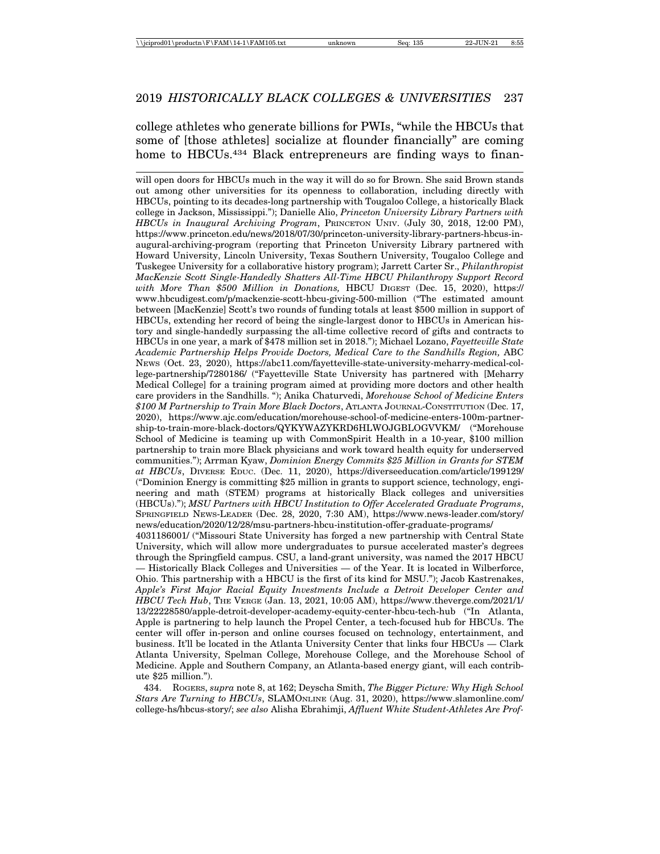college athletes who generate billions for PWIs, "while the HBCUs that some of [those athletes] socialize at flounder financially" are coming home to HBCUs.<sup>434</sup> Black entrepreneurs are finding ways to finan-

will open doors for HBCUs much in the way it will do so for Brown. She said Brown stands out among other universities for its openness to collaboration, including directly with HBCUs, pointing to its decades-long partnership with Tougaloo College, a historically Black college in Jackson, Mississippi."); Danielle Alio, *Princeton University Library Partners with HBCUs in Inaugural Archiving Program*, PRINCETON UNIV. (July 30, 2018, 12:00 PM), https://www.princeton.edu/news/2018/07/30/princeton-university-library-partners-hbcus-inaugural-archiving-program (reporting that Princeton University Library partnered with Howard University, Lincoln University, Texas Southern University, Tougaloo College and Tuskegee University for a collaborative history program); Jarrett Carter Sr., *Philanthropist MacKenzie Scott Single-Handedly Shatters All-Time HBCU Philanthropy Support Record with More Than \$500 Million in Donations,* HBCU DIGEST (Dec. 15, 2020), https:// www.hbcudigest.com/p/mackenzie-scott-hbcu-giving-500-million ("The estimated amount between [MacKenzie] Scott's two rounds of funding totals at least \$500 million in support of HBCUs, extending her record of being the single-largest donor to HBCUs in American history and single-handedly surpassing the all-time collective record of gifts and contracts to HBCUs in one year, a mark of \$478 million set in 2018."); Michael Lozano, *Fayetteville State* Academic Partnership Helps Provide Doctors, Medical Care to the Sandhills Region, ABC NEWS (Oct. 23, 2020), https://abc11.com/fayetteville-state-university-meharry-medical-college-partnership/7280186/ ("Fayetteville State University has partnered with [Meharry Medical College] for a training program aimed at providing more doctors and other health care providers in the Sandhills. "); Anika Chaturvedi, *Morehouse School of Medicine Enters \$100 M Partnership to Train More Black Doctors*, ATLANTA JOURNAL-CONSTITUTION (Dec. 17, 2020), https://www.ajc.com/education/morehouse-school-of-medicine-enters-100m-partnership-to-train-more-black-doctors/QYKYWAZYKRD6HLWOJGBLOGVVKM/ ("Morehouse School of Medicine is teaming up with CommonSpirit Health in a 10-year, \$100 million partnership to train more Black physicians and work toward health equity for underserved communities."); Arrman Kyaw, *Dominion Energy Commits \$25 Million in Grants for STEM at HBCUs*, DIVERSE EDUC. (Dec. 11, 2020), https://diverseeducation.com/article/199129/ ("Dominion Energy is committing \$25 million in grants to support science, technology, engineering and math (STEM) programs at historically Black colleges and universities (HBCUs)."); *MSU Partners with HBCU Institution to Offer Accelerated Graduate Programs*, SPRINGFIELD NEWS-LEADER (Dec. 28, 2020, 7:30 AM), https://www.news-leader.com/story/ news/education/2020/12/28/msu-partners-hbcu-institution-offer-graduate-programs/ 4031186001/ ("Missouri State University has forged a new partnership with Central State University, which will allow more undergraduates to pursue accelerated master's degrees

through the Springfield campus. CSU, a land-grant university, was named the 2017 HBCU — Historically Black Colleges and Universities — of the Year. It is located in Wilberforce, Ohio. This partnership with a HBCU is the first of its kind for MSU."); Jacob Kastrenakes, *Apple's First Major Racial Equity Investments Include a Detroit Developer Center and HBCU Tech Hub*, THE VERGE (Jan. 13, 2021, 10:05 AM), https://www.theverge.com/2021/1/ 13/22228580/apple-detroit-developer-academy-equity-center-hbcu-tech-hub ("In Atlanta, Apple is partnering to help launch the Propel Center, a tech-focused hub for HBCUs. The center will offer in-person and online courses focused on technology, entertainment, and business. It'll be located in the Atlanta University Center that links four HBCUs — Clark Atlanta University, Spelman College, Morehouse College, and the Morehouse School of Medicine. Apple and Southern Company, an Atlanta-based energy giant, will each contribute \$25 million.").

434. ROGERS, *supra* note 8, at 162; Deyscha Smith, *The Bigger Picture: Why High School Stars Are Turning to HBCUs*, SLAMONLINE (Aug. 31, 2020), https://www.slamonline.com/ college-hs/hbcus-story/; *see also* Alisha Ebrahimji, *Affluent White Student-Athletes Are Prof-*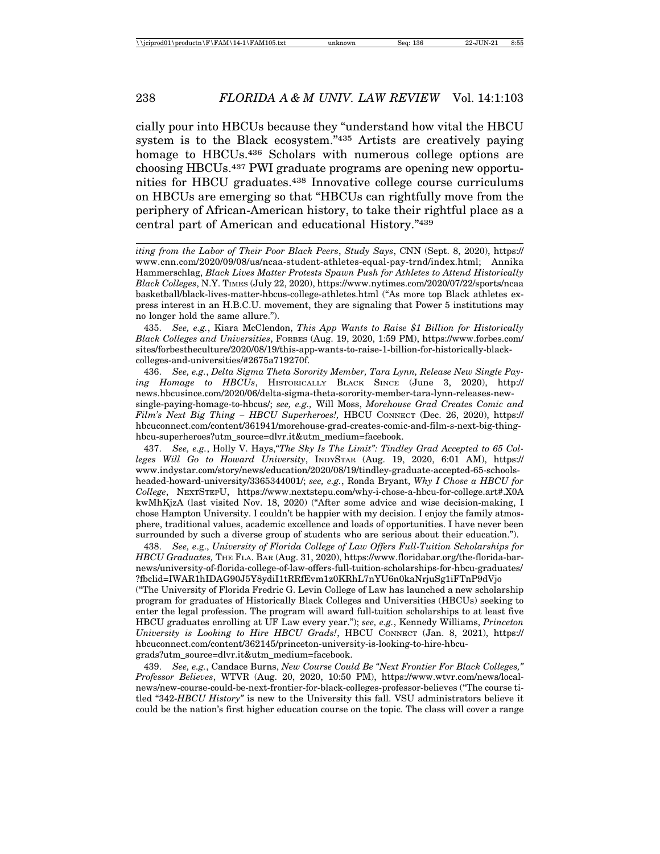cially pour into HBCUs because they "understand how vital the HBCU system is to the Black ecosystem."435 Artists are creatively paying homage to HBCUs.<sup>436</sup> Scholars with numerous college options are choosing HBCUs.437 PWI graduate programs are opening new opportunities for HBCU graduates.438 Innovative college course curriculums on HBCUs are emerging so that "HBCUs can rightfully move from the periphery of African-American history, to take their rightful place as a central part of American and educational History."439

435. *See, e.g.*, Kiara McClendon, *This App Wants to Raise \$1 Billion for Historically Black Colleges and Universities*, FORBES (Aug. 19, 2020, 1:59 PM), https://www.forbes.com/ sites/forbestheculture/2020/08/19/this-app-wants-to-raise-1-billion-for-historically-blackcolleges-and-universities/#2675a719270f.

436. *See, e.g.*, *Delta Sigma Theta Sorority Member, Tara Lynn, Release New Single Paying Homage to HBCUs*, HISTORICALLY BLACK SINCE (June 3, 2020), http:// news.hbcusince.com/2020/06/delta-sigma-theta-sorority-member-tara-lynn-releases-newsingle-paying-homage-to-hbcus/; *see, e.g.,* Will Moss, *Morehouse Grad Creates Comic and Film's Next Big Thing – HBCU Superheroes!,* HBCU CONNECT (Dec. 26, 2020), https:// hbcuconnect.com/content/361941/morehouse-grad-creates-comic-and-film-s-next-big-thinghbcu-superheroes?utm\_source=dlvr.it&utm\_medium=facebook.

See, e.g., Holly V. Hays,"The Sky Is The Limit": Tindley Grad Accepted to 65 Col*leges Will Go to Howard University*, INDYSTAR (Aug. 19, 2020, 6:01 AM), https:// www.indystar.com/story/news/education/2020/08/19/tindley-graduate-accepted-65-schoolsheaded-howard-university/3365344001/; *see, e.g.*, Ronda Bryant, *Why I Chose a HBCU for College*, NEXTSTEPU, https://www.nextstepu.com/why-i-chose-a-hbcu-for-college.art#.X0A kwMhKjzA (last visited Nov. 18, 2020) ("After some advice and wise decision-making, I chose Hampton University. I couldn't be happier with my decision. I enjoy the family atmosphere, traditional values, academic excellence and loads of opportunities. I have never been surrounded by such a diverse group of students who are serious about their education.").

438. *See, e*.g., *University of Florida College of Law Offers Full-Tuition Scholarships for HBCU Graduates,* THE FLA. BAR (Aug. 31, 2020), https://www.floridabar.org/the-florida-barnews/university-of-florida-college-of-law-offers-full-tuition-scholarships-for-hbcu-graduates/ ?fbclid=IWAR1hIDAG90J5Y8ydiI1tRRfEvm1z0KRhL7nYU6n0kaNrjuSg1iFTnP9dVjo ("The University of Florida Fredric G. Levin College of Law has launched a new scholarship

program for graduates of Historically Black Colleges and Universities (HBCUs) seeking to enter the legal profession. The program will award full-tuition scholarships to at least five HBCU graduates enrolling at UF Law every year."); *see, e.g.*, Kennedy Williams, *Princeton University is Looking to Hire HBCU Grads!*, HBCU CONNECT (Jan. 8, 2021), https:// hbcuconnect.com/content/362145/princeton-university-is-looking-to-hire-hbcugrads?utm\_source=dlvr.it&utm\_medium=facebook.

439. *See, e.g.*, Candace Burns, *New Course Could Be "Next Frontier For Black Colleges," Professor Believes*, WTVR (Aug. 20, 2020, 10:50 PM), https://www.wtvr.com/news/localnews/new-course-could-be-next-frontier-for-black-colleges-professor-believes ("The course titled "342-*HBCU History"* is new to the University this fall. VSU administrators believe it could be the nation's first higher education course on the topic. The class will cover a range

*iting from the Labor of Their Poor Black Peers*, *Study Says*, CNN (Sept. 8, 2020), https:// www.cnn.com/2020/09/08/us/ncaa-student-athletes-equal-pay-trnd/index.html; Annika Hammerschlag, *Black Lives Matter Protests Spawn Push for Athletes to Attend Historically Black Colleges*, N.Y. TIMES (July 22, 2020), https://www.nytimes.com/2020/07/22/sports/ncaa basketball/black-lives-matter-hbcus-college-athletes.html ("As more top Black athletes express interest in an H.B.C.U. movement, they are signaling that Power 5 institutions may no longer hold the same allure.").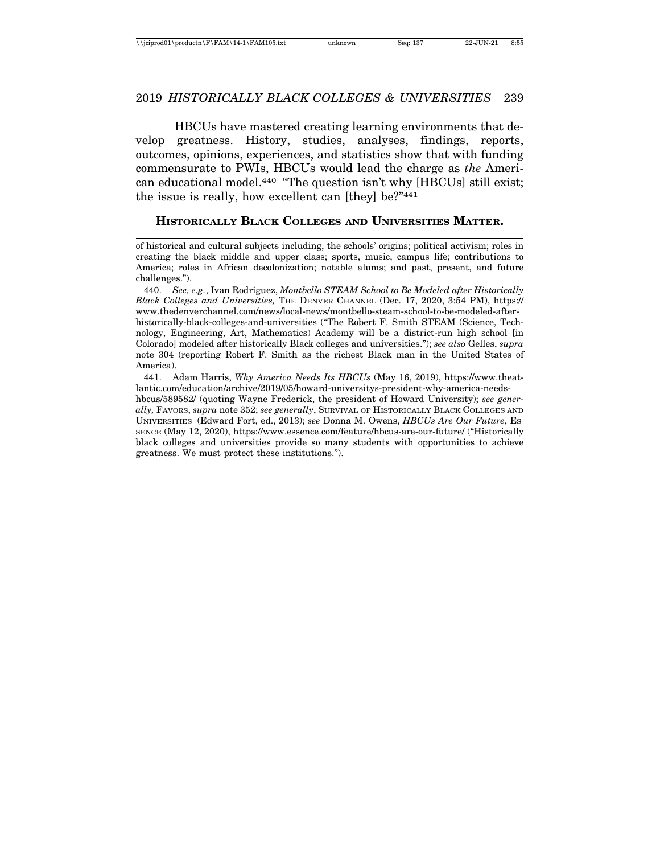HBCUs have mastered creating learning environments that develop greatness. History, studies, analyses, findings, reports, outcomes, opinions, experiences, and statistics show that with funding commensurate to PWIs, HBCUs would lead the charge as *the* American educational model.440 "The question isn't why [HBCUs] still exist; the issue is really, how excellent can [they] be?"441

### **HISTORICALLY BLACK COLLEGES AND UNIVERSITIES MATTER.**

of historical and cultural subjects including, the schools' origins; political activism; roles in creating the black middle and upper class; sports, music, campus life; contributions to America; roles in African decolonization; notable alums; and past, present, and future challenges.").

440. *See, e.g.*, Ivan Rodriguez, *Montbello STEAM School to Be Modeled after Historically Black Colleges and Universities,* THE DENVER CHANNEL (Dec. 17, 2020, 3:54 PM), https:// www.thedenverchannel.com/news/local-news/montbello-steam-school-to-be-modeled-afterhistorically-black-colleges-and-universities ("The Robert F. Smith STEAM (Science, Technology, Engineering, Art, Mathematics) Academy will be a district-run high school [in Colorado] modeled after historically Black colleges and universities."); *see also* Gelles, *supra* note 304 (reporting Robert F. Smith as the richest Black man in the United States of America).

441. Adam Harris, *Why America Needs Its HBCUs* (May 16, 2019), https://www.theatlantic.com/education/archive/2019/05/howard-universitys-president-why-america-needshbcus/589582/ (quoting Wayne Frederick, the president of Howard University); *see generally,* FAVORS, *supra* note 352; *see generally*, SURVIVAL OF HISTORICALLY BLACK COLLEGES AND UNIVERSITIES (Edward Fort, ed., 2013); *see* Donna M. Owens, *HBCUs Are Our Future*, ES-SENCE (May 12, 2020), https://www.essence.com/feature/hbcus-are-our-future/ ("Historically black colleges and universities provide so many students with opportunities to achieve greatness. We must protect these institutions.").